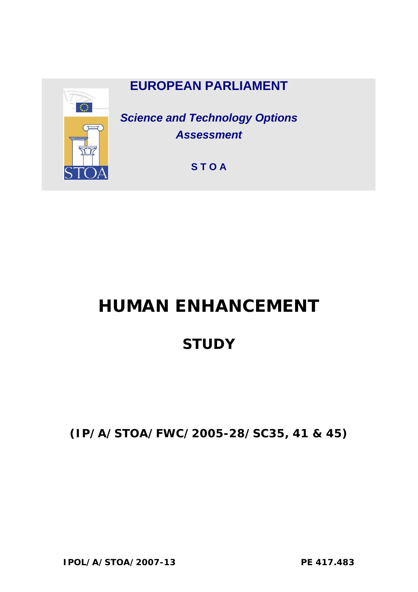

# **HUMAN ENHANCEMENT**

## **STUDY**

**(IP/A/STOA/FWC/2005-28/SC35, 41 & 45)**

**IPOL/A/STOA/2007-13 PE 417.483**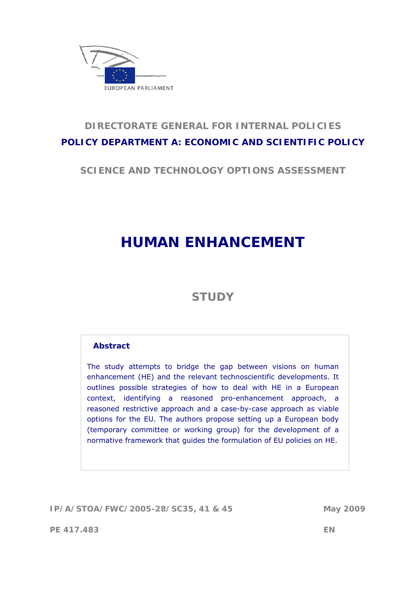

## **DIRECTORATE GENERAL FOR INTERNAL POLICIES POLICY DEPARTMENT A: ECONOMIC AND SCIENTIFIC POLICY**

**SCIENCE AND TECHNOLOGY OPTIONS ASSESSMENT** 

## **HUMAN ENHANCEMENT**

## **STUDY**

#### **Abstract**

The study attempts to bridge the gap between visions on human enhancement (HE) and the relevant technoscientific developments. It outlines possible strategies of how to deal with HE in a European context, identifying a reasoned pro-enhancement approach, a reasoned restrictive approach and a case-by-case approach as viable options for the EU. The authors propose setting up a European body (temporary committee or working group) for the development of a normative framework that guides the formulation of EU policies on HE.

**IP/A/STOA/FWC/2005-28/SC35, 41 & 45 May 2009** 

**PE 417.483 EN**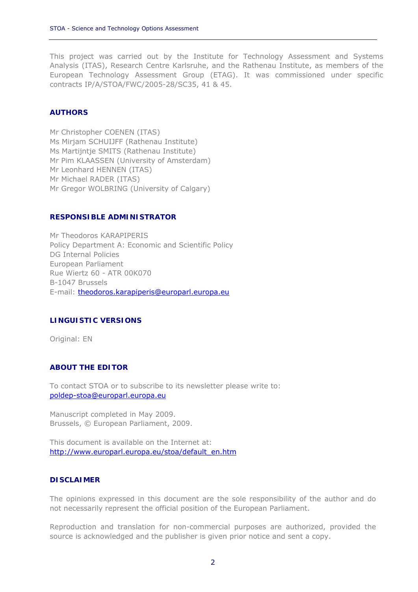This project was carried out by the Institute for Technology Assessment and Systems Analysis (ITAS), Research Centre Karlsruhe, and the Rathenau Institute, as members of the European Technology Assessment Group (ETAG). It was commissioned under specific contracts IP/A/STOA/FWC/2005-28/SC35, 41 & 45.

#### **AUTHORS**

Mr Christopher COENEN (ITAS) Ms Mirjam SCHUIJFF (Rathenau Institute) Ms Martijntje SMITS (Rathenau Institute) Mr Pim KLAASSEN (University of Amsterdam) Mr Leonhard HENNEN (ITAS) Mr Michael RADER (ITAS) Mr Gregor WOLBRING (University of Calgary)

#### **RESPONSIBLE ADMINISTRATOR**

Mr Theodoros KARAPIPERIS Policy Department A: Economic and Scientific Policy DG Internal Policies European Parliament Rue Wiertz 60 - ATR 00K070 B-1047 Brussels E-mail: theodoros.karapiperis@europarl.europa.eu

#### **LINGUISTIC VERSIONS**

Original: EN

#### **ABOUT THE EDITOR**

To contact STOA or to subscribe to its newsletter please write to: poldep-stoa@europarl.europa.eu

Manuscript completed in May 2009. Brussels, © European Parliament, 2009.

This document is available on the Internet at: http://www.europarl.europa.eu/stoa/default\_en.htm

#### **DISCLAIMER**

The opinions expressed in this document are the sole responsibility of the author and do not necessarily represent the official position of the European Parliament.

Reproduction and translation for non-commercial purposes are authorized, provided the source is acknowledged and the publisher is given prior notice and sent a copy.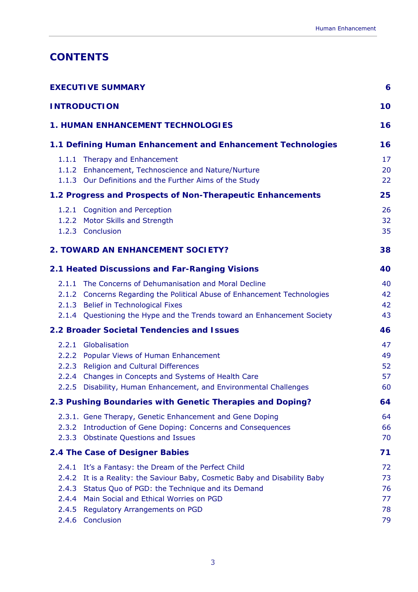## **CONTENTS**

| <b>EXECUTIVE SUMMARY</b><br><b>INTRODUCTION</b>             |                                                                                                                                                                                                                                                              |                            |  |
|-------------------------------------------------------------|--------------------------------------------------------------------------------------------------------------------------------------------------------------------------------------------------------------------------------------------------------------|----------------------------|--|
|                                                             |                                                                                                                                                                                                                                                              |                            |  |
| 1.1 Defining Human Enhancement and Enhancement Technologies |                                                                                                                                                                                                                                                              |                            |  |
|                                                             | 1.1.1 Therapy and Enhancement<br>1.1.2 Enhancement, Technoscience and Nature/Nurture<br>1.1.3 Our Definitions and the Further Aims of the Study                                                                                                              | 17<br>20<br>22             |  |
|                                                             | 1.2 Progress and Prospects of Non-Therapeutic Enhancements                                                                                                                                                                                                   | 25                         |  |
|                                                             | 1.2.1 Cognition and Perception<br>1.2.2 Motor Skills and Strength<br>1.2.3 Conclusion                                                                                                                                                                        | 26<br>32<br>35             |  |
|                                                             | <b>2. TOWARD AN ENHANCEMENT SOCIETY?</b>                                                                                                                                                                                                                     | 38                         |  |
|                                                             | 2.1 Heated Discussions and Far-Ranging Visions                                                                                                                                                                                                               | 40                         |  |
|                                                             | 2.1.1 The Concerns of Dehumanisation and Moral Decline<br>2.1.2 Concerns Regarding the Political Abuse of Enhancement Technologies<br>2.1.3 Belief in Technological Fixes<br>2.1.4 Questioning the Hype and the Trends toward an Enhancement Society         | 40<br>42<br>42<br>43       |  |
|                                                             | <b>2.2 Broader Societal Tendencies and Issues</b>                                                                                                                                                                                                            | 46                         |  |
|                                                             | 2.2.1 Globalisation<br>2.2.2 Popular Views of Human Enhancement<br>2.2.3 Religion and Cultural Differences<br>2.2.4 Changes in Concepts and Systems of Health Care<br>2.2.5 Disability, Human Enhancement, and Environmental Challenges                      | 47<br>49<br>52<br>57<br>60 |  |
|                                                             | 2.3 Pushing Boundaries with Genetic Therapies and Doping?                                                                                                                                                                                                    | 64                         |  |
| 2.3.2<br>2.3.3                                              | 2.3.1. Gene Therapy, Genetic Enhancement and Gene Doping<br>Introduction of Gene Doping: Concerns and Consequences<br><b>Obstinate Questions and Issues</b>                                                                                                  | 64<br>66<br>70             |  |
|                                                             | 2.4 The Case of Designer Babies                                                                                                                                                                                                                              | 71                         |  |
| 2.4.1<br>2.4.2<br>2.4.3<br>2.4.4<br>2.4.5                   | It's a Fantasy: the Dream of the Perfect Child<br>It is a Reality: the Saviour Baby, Cosmetic Baby and Disability Baby<br>Status Quo of PGD: the Technique and its Demand<br>Main Social and Ethical Worries on PGD<br><b>Regulatory Arrangements on PGD</b> | 72<br>73<br>76<br>77<br>78 |  |
| 2.4.6                                                       | Conclusion                                                                                                                                                                                                                                                   | 79                         |  |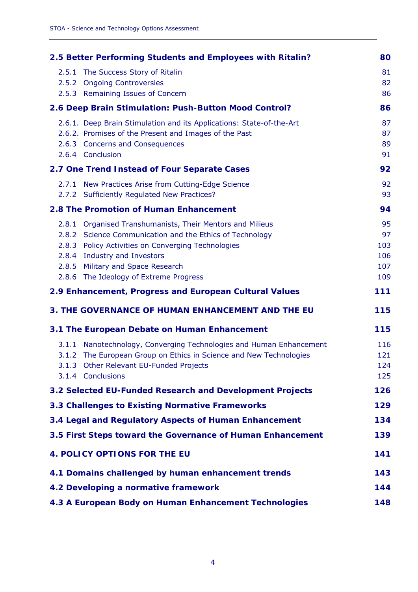| 2.5 Better Performing Students and Employees with Ritalin? |                                                                                                                                                                                                                                                                                            |                                      |  |
|------------------------------------------------------------|--------------------------------------------------------------------------------------------------------------------------------------------------------------------------------------------------------------------------------------------------------------------------------------------|--------------------------------------|--|
|                                                            | 2.5.1 The Success Story of Ritalin<br>2.5.2 Ongoing Controversies<br>2.5.3 Remaining Issues of Concern                                                                                                                                                                                     | 81<br>82<br>86                       |  |
| 2.6 Deep Brain Stimulation: Push-Button Mood Control?      |                                                                                                                                                                                                                                                                                            |                                      |  |
|                                                            | 2.6.1. Deep Brain Stimulation and its Applications: State-of-the-Art<br>2.6.2. Promises of the Present and Images of the Past<br>2.6.3 Concerns and Consequences<br>2.6.4 Conclusion                                                                                                       | 87<br>87<br>89<br>91                 |  |
|                                                            | 2.7 One Trend Instead of Four Separate Cases                                                                                                                                                                                                                                               | 92                                   |  |
|                                                            | 2.7.1 New Practices Arise from Cutting-Edge Science<br>2.7.2 Sufficiently Regulated New Practices?                                                                                                                                                                                         | 92<br>93                             |  |
|                                                            | 2.8 The Promotion of Human Enhancement                                                                                                                                                                                                                                                     | 94                                   |  |
|                                                            | 2.8.1 Organised Transhumanists, Their Mentors and Milieus<br>2.8.2 Science Communication and the Ethics of Technology<br>2.8.3 Policy Activities on Converging Technologies<br>2.8.4 Industry and Investors<br>2.8.5 Military and Space Research<br>2.8.6 The Ideology of Extreme Progress | 95<br>97<br>103<br>106<br>107<br>109 |  |
| 2.9 Enhancement, Progress and European Cultural Values     |                                                                                                                                                                                                                                                                                            |                                      |  |
| <b>3. THE GOVERNANCE OF HUMAN ENHANCEMENT AND THE EU</b>   |                                                                                                                                                                                                                                                                                            |                                      |  |
|                                                            | 3.1 The European Debate on Human Enhancement                                                                                                                                                                                                                                               | 115                                  |  |
|                                                            | 3.1.1 Nanotechnology, Converging Technologies and Human Enhancement<br>3.1.2 The European Group on Ethics in Science and New Technologies<br>3.1.3 Other Relevant EU-Funded Projects<br>3.1.4 Conclusions                                                                                  | 116<br>121<br>124<br>125             |  |
|                                                            | 3.2 Selected EU-Funded Research and Development Projects                                                                                                                                                                                                                                   | 126                                  |  |
|                                                            | 3.3 Challenges to Existing Normative Frameworks                                                                                                                                                                                                                                            | 129                                  |  |
|                                                            | 3.4 Legal and Regulatory Aspects of Human Enhancement                                                                                                                                                                                                                                      | 134                                  |  |
| 3.5 First Steps toward the Governance of Human Enhancement |                                                                                                                                                                                                                                                                                            |                                      |  |
| <b>4. POLICY OPTIONS FOR THE EU</b>                        |                                                                                                                                                                                                                                                                                            |                                      |  |
| 4.1 Domains challenged by human enhancement trends         |                                                                                                                                                                                                                                                                                            |                                      |  |
| 4.2 Developing a normative framework                       |                                                                                                                                                                                                                                                                                            |                                      |  |
| 4.3 A European Body on Human Enhancement Technologies      |                                                                                                                                                                                                                                                                                            |                                      |  |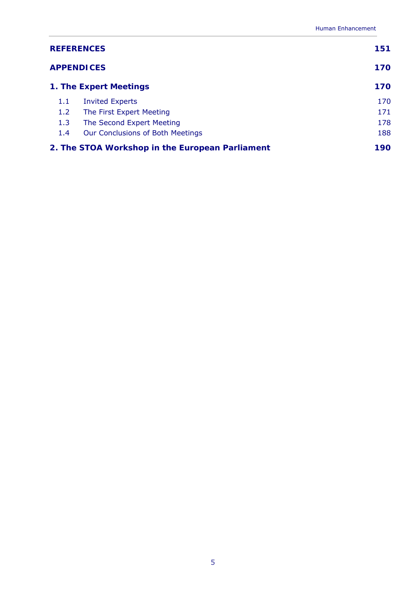| <b>REFERENCES</b>                               | 151                              |     |
|-------------------------------------------------|----------------------------------|-----|
| <b>APPENDICES</b>                               | 170                              |     |
| 1. The Expert Meetings                          | 170                              |     |
| 1.1                                             | <b>Invited Experts</b>           | 170 |
| 1.2                                             | The First Expert Meeting         | 171 |
| 1.3                                             | The Second Expert Meeting        | 178 |
| 1.4                                             | Our Conclusions of Both Meetings | 188 |
| 2. The STOA Workshop in the European Parliament | 190                              |     |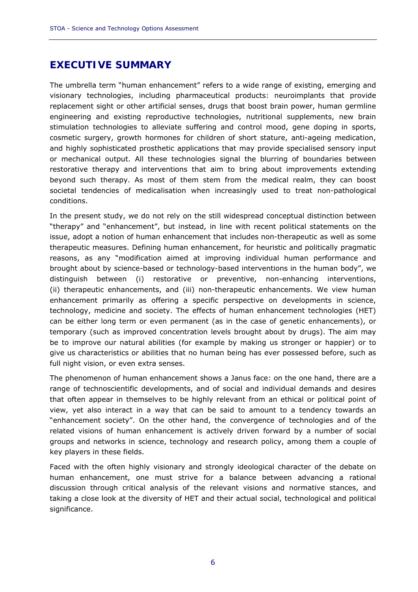### **EXECUTIVE SUMMARY**

The umbrella term "human enhancement" refers to a wide range of existing, emerging and visionary technologies, including pharmaceutical products: neuroimplants that provide replacement sight or other artificial senses, drugs that boost brain power, human germline engineering and existing reproductive technologies, nutritional supplements, new brain stimulation technologies to alleviate suffering and control mood, gene doping in sports, cosmetic surgery, growth hormones for children of short stature, anti-ageing medication, and highly sophisticated prosthetic applications that may provide specialised sensory input or mechanical output. All these technologies signal the blurring of boundaries between restorative therapy and interventions that aim to bring about improvements extending beyond such therapy. As most of them stem from the medical realm, they can boost societal tendencies of medicalisation when increasingly used to treat non-pathological conditions.

In the present study, we do not rely on the still widespread conceptual distinction between "therapy" and "enhancement", but instead, in line with recent political statements on the issue, adopt a notion of human enhancement that includes non-therapeutic as well as some therapeutic measures. Defining human enhancement, for heuristic and politically pragmatic reasons, as any "modification aimed at improving individual human performance and brought about by science-based or technology-based interventions in the human body", we distinguish between (i) restorative or preventive, non-enhancing interventions, (ii) therapeutic enhancements, and (iii) non-therapeutic enhancements. We view human enhancement primarily as offering a specific perspective on developments in science, technology, medicine and society. The effects of human enhancement technologies (HET) can be either long term or even permanent (as in the case of genetic enhancements), or temporary (such as improved concentration levels brought about by drugs). The aim may be to improve our natural abilities (for example by making us stronger or happier) or to give us characteristics or abilities that no human being has ever possessed before, such as full night vision, or even extra senses.

The phenomenon of human enhancement shows a Janus face: on the one hand, there are a range of technoscientific developments, and of social and individual demands and desires that often appear in themselves to be highly relevant from an ethical or political point of view, yet also interact in a way that can be said to amount to a tendency towards an "enhancement society". On the other hand, the convergence of technologies and of the related visions of human enhancement is actively driven forward by a number of social groups and networks in science, technology and research policy, among them a couple of key players in these fields.

Faced with the often highly visionary and strongly ideological character of the debate on human enhancement, one must strive for a balance between advancing a rational discussion through critical analysis of the relevant visions and normative stances, and taking a close look at the diversity of HET and their actual social, technological and political significance.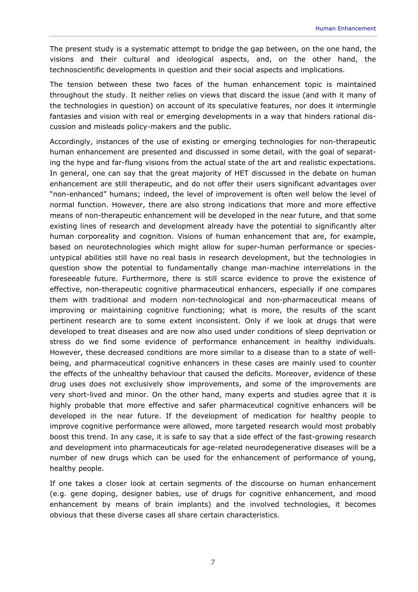The present study is a systematic attempt to bridge the gap between, on the one hand, the visions and their cultural and ideological aspects, and, on the other hand, the technoscientific developments in question and their social aspects and implications.

The tension between these two faces of the human enhancement topic is maintained throughout the study. It neither relies on views that discard the issue (and with it many of the technologies in question) on account of its speculative features, nor does it intermingle fantasies and vision with real or emerging developments in a way that hinders rational discussion and misleads policy-makers and the public.

Accordingly, instances of the use of existing or emerging technologies for non-therapeutic human enhancement are presented and discussed in some detail, with the goal of separating the hype and far-flung visions from the actual state of the art and realistic expectations. In general, one can say that the great majority of HET discussed in the debate on human enhancement are still therapeutic, and do not offer their users significant advantages over "non-enhanced" humans; indeed, the level of improvement is often well below the level of normal function. However, there are also strong indications that more and more effective means of non-therapeutic enhancement will be developed in the near future, and that some existing lines of research and development already have the potential to significantly alter human corporeality and cognition. Visions of human enhancement that are, for example, based on neurotechnologies which might allow for super-human performance or speciesuntypical abilities still have no real basis in research development, but the technologies in question show the potential to fundamentally change man-machine interrelations in the foreseeable future. Furthermore, there is still scarce evidence to prove the existence of effective, non-therapeutic cognitive pharmaceutical enhancers, especially if one compares them with traditional and modern non-technological and non-pharmaceutical means of improving or maintaining cognitive functioning; what is more, the results of the scant pertinent research are to some extent inconsistent. Only if we look at drugs that were developed to treat diseases and are now also used under conditions of sleep deprivation or stress do we find some evidence of performance enhancement in healthy individuals. However, these decreased conditions are more similar to a disease than to a state of wellbeing, and pharmaceutical cognitive enhancers in these cases are mainly used to counter the effects of the unhealthy behaviour that caused the deficits. Moreover, evidence of these drug uses does not exclusively show improvements, and some of the improvements are very short-lived and minor. On the other hand, many experts and studies agree that it is highly probable that more effective and safer pharmaceutical cognitive enhancers will be developed in the near future. If the development of medication for healthy people to improve cognitive performance were allowed, more targeted research would most probably boost this trend. In any case, it is safe to say that a side effect of the fast-growing research and development into pharmaceuticals for age-related neurodegenerative diseases will be a number of new drugs which can be used for the enhancement of performance of young, healthy people.

If one takes a closer look at certain segments of the discourse on human enhancement (e.g. gene doping, designer babies, use of drugs for cognitive enhancement, and mood enhancement by means of brain implants) and the involved technologies, it becomes obvious that these diverse cases all share certain characteristics.

7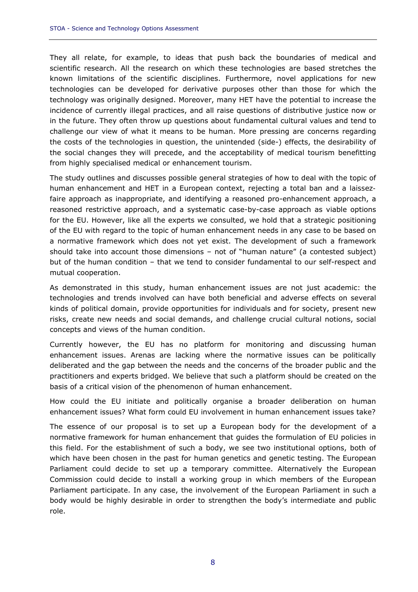They all relate, for example, to ideas that push back the boundaries of medical and scientific research. All the research on which these technologies are based stretches the known limitations of the scientific disciplines. Furthermore, novel applications for new technologies can be developed for derivative purposes other than those for which the technology was originally designed. Moreover, many HET have the potential to increase the incidence of currently illegal practices, and all raise questions of distributive justice now or in the future. They often throw up questions about fundamental cultural values and tend to challenge our view of what it means to be human. More pressing are concerns regarding the costs of the technologies in question, the unintended (side-) effects, the desirability of the social changes they will precede, and the acceptability of medical tourism benefitting from highly specialised medical or enhancement tourism.

The study outlines and discusses possible general strategies of how to deal with the topic of human enhancement and HET in a European context, rejecting a total ban and a *laissezfaire* approach as inappropriate, and identifying a reasoned pro-enhancement approach, a reasoned restrictive approach, and a systematic case-by-case approach as viable options for the EU. However, like all the experts we consulted, we hold that a strategic positioning of the EU with regard to the topic of human enhancement needs in any case to be based on a normative framework which does not yet exist. The development of such a framework should take into account those dimensions – not of "human nature" (a contested subject) but of the human condition – that we tend to consider fundamental to our self-respect and mutual cooperation.

As demonstrated in this study, human enhancement issues are not just academic: the technologies and trends involved can have both beneficial and adverse effects on several kinds of political domain, provide opportunities for individuals and for society, present new risks, create new needs and social demands, and challenge crucial cultural notions, social concepts and views of the human condition.

Currently however, the EU has no platform for monitoring and discussing human enhancement issues. Arenas are lacking where the normative issues can be politically deliberated and the gap between the needs and the concerns of the broader public and the practitioners and experts bridged. We believe that such a platform should be created on the basis of a critical vision of the phenomenon of human enhancement.

How could the EU initiate and politically organise a broader deliberation on human enhancement issues? What form could EU involvement in human enhancement issues take?

The essence of our proposal is to set up a European body for the development of a normative framework for human enhancement that guides the formulation of EU policies in this field. For the establishment of such a body, we see two institutional options, both of which have been chosen in the past for human genetics and genetic testing. The European Parliament could decide to set up a temporary committee. Alternatively the European Commission could decide to install a working group in which members of the European Parliament participate. In any case, the involvement of the European Parliament in such a body would be highly desirable in order to strengthen the body's intermediate and public role.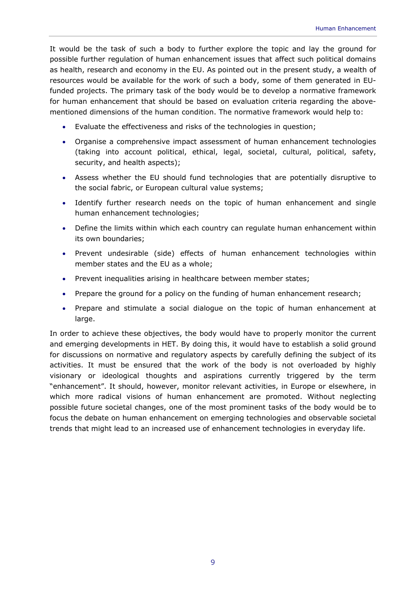It would be the task of such a body to further explore the topic and lay the ground for possible further regulation of human enhancement issues that affect such political domains as health, research and economy in the EU. As pointed out in the present study, a wealth of resources would be available for the work of such a body, some of them generated in EUfunded projects. The primary task of the body would be to develop a normative framework for human enhancement that should be based on evaluation criteria regarding the abovementioned dimensions of the human condition. The normative framework would help to:

- Evaluate the effectiveness and risks of the technologies in question;
- Organise a comprehensive impact assessment of human enhancement technologies (taking into account political, ethical, legal, societal, cultural, political, safety, security, and health aspects);
- Assess whether the EU should fund technologies that are potentially disruptive to the social fabric, or European cultural value systems;
- Identify further research needs on the topic of human enhancement and single human enhancement technologies;
- Define the limits within which each country can regulate human enhancement within its own boundaries;
- Prevent undesirable (side) effects of human enhancement technologies within member states and the EU as a whole;
- Prevent inequalities arising in healthcare between member states;
- Prepare the ground for a policy on the funding of human enhancement research;
- Prepare and stimulate a social dialogue on the topic of human enhancement at large.

In order to achieve these objectives, the body would have to properly monitor the current and emerging developments in HET. By doing this, it would have to establish a solid ground for discussions on normative and regulatory aspects by carefully defining the subject of its activities. It must be ensured that the work of the body is not overloaded by highly visionary or ideological thoughts and aspirations currently triggered by the term "enhancement". It should, however, monitor relevant activities, in Europe or elsewhere, in which more radical visions of human enhancement are promoted. Without neglecting possible future societal changes, one of the most prominent tasks of the body would be to focus the debate on human enhancement on emerging technologies and observable societal trends that might lead to an increased use of enhancement technologies in everyday life.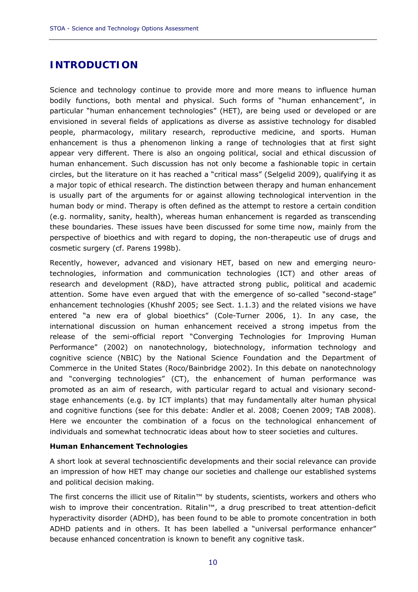## **INTRODUCTION**

Science and technology continue to provide more and more means to influence human bodily functions, both mental and physical. Such forms of "human enhancement", in particular "human enhancement technologies" (HET), are being used or developed or are envisioned in several fields of applications as diverse as assistive technology for disabled people, pharmacology, military research, reproductive medicine, and sports. Human enhancement is thus a phenomenon linking a range of technologies that at first sight appear very different. There is also an ongoing political, social and ethical discussion of human enhancement. Such discussion has not only become a fashionable topic in certain circles, but the literature on it has reached a "critical mass" (Selgelid 2009), qualifying it as a major topic of ethical research. The distinction between therapy and human enhancement is usually part of the arguments for or against allowing technological intervention in the human body or mind. Therapy is often defined as the attempt to restore a certain condition (e.g. normality, sanity, health), whereas human enhancement is regarded as transcending these boundaries. These issues have been discussed for some time now, mainly from the perspective of bioethics and with regard to doping, the non-therapeutic use of drugs and cosmetic surgery (cf. Parens 1998b).

Recently, however, advanced and visionary HET, based on new and emerging neurotechnologies, information and communication technologies (ICT) and other areas of research and development (R&D), have attracted strong public, political and academic attention. Some have even argued that with the emergence of so-called "second-stage" enhancement technologies (Khushf 2005; see Sect. 1.1.3) and the related visions we have entered "a new era of global bioethics" (Cole-Turner 2006, 1). In any case, the international discussion on human enhancement received a strong impetus from the release of the semi-official report "Converging Technologies for Improving Human Performance" (2002) on nanotechnology, biotechnology, information technology and cognitive science (NBIC) by the National Science Foundation and the Department of Commerce in the United States (Roco/Bainbridge 2002). In this debate on nanotechnology and "converging technologies" (CT), the enhancement of human performance was promoted as an aim of research, with particular regard to actual and visionary secondstage enhancements (e.g. by ICT implants) that may fundamentally alter human physical and cognitive functions (see for this debate: Andler et al. 2008; Coenen 2009; TAB 2008). Here we encounter the combination of a focus on the technological enhancement of individuals and somewhat technocratic ideas about how to steer societies and cultures.

#### *Human Enhancement Technologies*

A short look at several technoscientific developments and their social relevance can provide an impression of how HET may change our societies and challenge our established systems and political decision making.

The first concerns the illicit use of Ritalin™ by students, scientists, workers and others who wish to improve their concentration. Ritalin<sup>™</sup>, a drug prescribed to treat attention-deficit hyperactivity disorder (ADHD), has been found to be able to promote concentration in both ADHD patients and in others. It has been labelled a "universal performance enhancer" because enhanced concentration is known to benefit any cognitive task.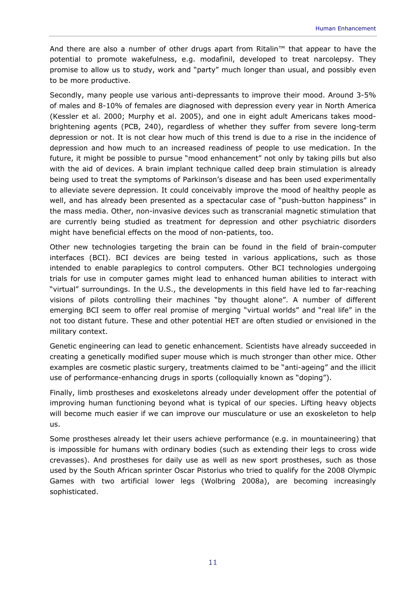And there are also a number of other drugs apart from Ritalin™ that appear to have the potential to promote wakefulness, e.g. modafinil, developed to treat narcolepsy. They promise to allow us to study, work and "party" much longer than usual, and possibly even to be more productive.

Secondly, many people use various anti-depressants to improve their mood. Around 3-5% of males and 8-10% of females are diagnosed with depression every year in North America (Kessler et al. 2000; Murphy et al. 2005), and one in eight adult Americans takes moodbrightening agents (PCB, 240), regardless of whether they suffer from severe long-term depression or not. It is not clear how much of this trend is due to a rise in the incidence of depression and how much to an increased readiness of people to use medication. In the future, it might be possible to pursue "mood enhancement" not only by taking pills but also with the aid of devices. A brain implant technique called deep brain stimulation is already being used to treat the symptoms of Parkinson's disease and has been used experimentally to alleviate severe depression. It could conceivably improve the mood of healthy people as well, and has already been presented as a spectacular case of "push-button happiness" in the mass media. Other, non-invasive devices such as transcranial magnetic stimulation that are currently being studied as treatment for depression and other psychiatric disorders might have beneficial effects on the mood of non-patients, too.

Other new technologies targeting the brain can be found in the field of brain-computer interfaces (BCI). BCI devices are being tested in various applications, such as those intended to enable paraplegics to control computers. Other BCI technologies undergoing trials for use in computer games might lead to enhanced human abilities to interact with "virtual" surroundings. In the U.S., the developments in this field have led to far-reaching visions of pilots controlling their machines "by thought alone". A number of different emerging BCI seem to offer real promise of merging "virtual worlds" and "real life" in the not too distant future. These and other potential HET are often studied or envisioned in the military context.

Genetic engineering can lead to genetic enhancement. Scientists have already succeeded in creating a genetically modified super mouse which is much stronger than other mice. Other examples are cosmetic plastic surgery, treatments claimed to be "anti-ageing" and the illicit use of performance-enhancing drugs in sports (colloquially known as "doping").

Finally, limb prostheses and exoskeletons already under development offer the potential of improving human functioning beyond what is typical of our species. Lifting heavy objects will become much easier if we can improve our musculature or use an exoskeleton to help us.

Some prostheses already let their users achieve performance (e.g. in mountaineering) that is impossible for humans with ordinary bodies (such as extending their legs to cross wide crevasses). And prostheses for daily use as well as new sport prostheses, such as those used by the South African sprinter Oscar Pistorius who tried to qualify for the 2008 Olympic Games with two artificial lower legs (Wolbring 2008a), are becoming increasingly sophisticated.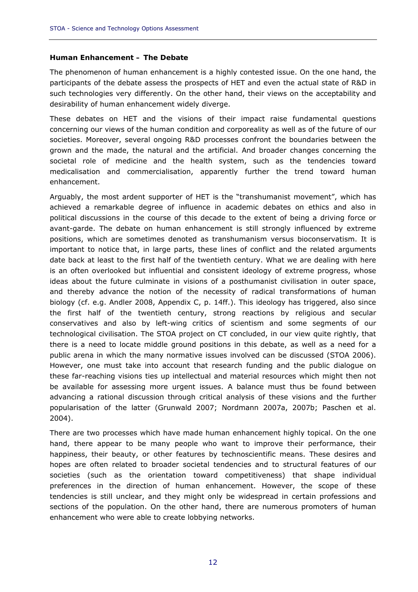#### *Human Enhancement – The Debate*

The phenomenon of human enhancement is a highly contested issue. On the one hand, the participants of the debate assess the prospects of HET and even the actual state of R&D in such technologies very differently. On the other hand, their views on the acceptability and desirability of human enhancement widely diverge.

These debates on HET and the visions of their impact raise fundamental questions concerning our views of the human condition and corporeality as well as of the future of our societies. Moreover, several ongoing R&D processes confront the boundaries between the grown and the made, the natural and the artificial. And broader changes concerning the societal role of medicine and the health system, such as the tendencies toward medicalisation and commercialisation, apparently further the trend toward human enhancement.

Arguably, the most ardent supporter of HET is the "transhumanist movement", which has achieved a remarkable degree of influence in academic debates on ethics and also in political discussions in the course of this decade to the extent of being a driving force or avant-garde. The debate on human enhancement is still strongly influenced by extreme positions, which are sometimes denoted as transhumanism versus bioconservatism. It is important to notice that, in large parts, these lines of conflict and the related arguments date back at least to the first half of the twentieth century. What we are dealing with here is an often overlooked but influential and consistent ideology of extreme progress, whose ideas about the future culminate in visions of a posthumanist civilisation in outer space, and thereby advance the notion of the necessity of radical transformations of human biology (cf. e.g. Andler 2008, Appendix C, p. 14ff.). This ideology has triggered, also since the first half of the twentieth century, strong reactions by religious and secular conservatives and also by left-wing critics of scientism and some segments of our technological civilisation. The STOA project on CT concluded, in our view quite rightly, that there is a need to locate middle ground positions in this debate, as well as a need for a public arena in which the many normative issues involved can be discussed (STOA 2006). However, one must take into account that research funding and the public dialogue on these far-reaching visions ties up intellectual and material resources which might then not be available for assessing more urgent issues. A balance must thus be found between advancing a rational discussion through critical analysis of these visions and the further popularisation of the latter (Grunwald 2007; Nordmann 2007a, 2007b; Paschen et al. 2004).

There are two processes which have made human enhancement highly topical. On the one hand, there appear to be many people who want to improve their performance, their happiness, their beauty, or other features by technoscientific means. These desires and hopes are often related to broader societal tendencies and to structural features of our societies (such as the orientation toward competitiveness) that shape individual preferences in the direction of human enhancement. However, the scope of these tendencies is still unclear, and they might only be widespread in certain professions and sections of the population. On the other hand, there are numerous promoters of human enhancement who were able to create lobbying networks.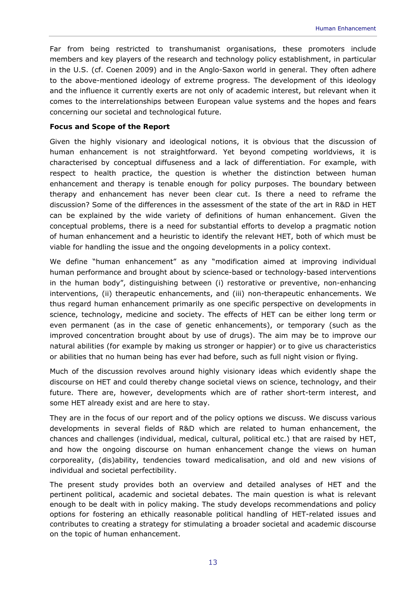Far from being restricted to transhumanist organisations, these promoters include members and key players of the research and technology policy establishment, in particular in the U.S. (cf. Coenen 2009) and in the Anglo-Saxon world in general. They often adhere to the above-mentioned ideology of extreme progress. The development of this ideology and the influence it currently exerts are not only of academic interest, but relevant when it comes to the interrelationships between European value systems and the hopes and fears concerning our societal and technological future.

#### *Focus and Scope of the Report*

Given the highly visionary and ideological notions, it is obvious that the discussion of human enhancement is not straightforward. Yet beyond competing worldviews, it is characterised by conceptual diffuseness and a lack of differentiation. For example, with respect to health practice, the question is whether the distinction between human enhancement and therapy is tenable enough for policy purposes. The boundary between therapy and enhancement has never been clear cut. Is there a need to reframe the discussion? Some of the differences in the assessment of the state of the art in R&D in HET can be explained by the wide variety of definitions of human enhancement. Given the conceptual problems, there is a need for substantial efforts to develop a pragmatic notion of human enhancement and a heuristic to identify the relevant HET, both of which must be viable for handling the issue and the ongoing developments in a policy context.

We define "human enhancement" as any "modification aimed at improving individual human performance and brought about by science-based or technology-based interventions in the human body", distinguishing between (i) restorative or preventive, non-enhancing interventions, (ii) therapeutic enhancements, and (iii) non-therapeutic enhancements. We thus regard human enhancement primarily as one specific perspective on developments in science, technology, medicine and society. The effects of HET can be either long term or even permanent (as in the case of genetic enhancements), or temporary (such as the improved concentration brought about by use of drugs). The aim may be to improve our natural abilities (for example by making us stronger or happier) or to give us characteristics or abilities that no human being has ever had before, such as full night vision or flying.

Much of the discussion revolves around highly visionary ideas which evidently shape the discourse on HET and could thereby change societal views on science, technology, and their future. There are, however, developments which are of rather short-term interest, and some HET already exist and are here to stay.

They are in the focus of our report and of the policy options we discuss. We discuss various developments in several fields of R&D which are related to human enhancement, the chances and challenges (individual, medical, cultural, political etc.) that are raised by HET, and how the ongoing discourse on human enhancement change the views on human corporeality, (dis)ability, tendencies toward medicalisation, and old and new visions of individual and societal perfectibility.

The present study provides both an overview and detailed analyses of HET and the pertinent political, academic and societal debates. The main question is what is relevant enough to be dealt with in policy making. The study develops recommendations and policy options for fostering an ethically reasonable political handling of HET-related issues and contributes to creating a strategy for stimulating a broader societal and academic discourse on the topic of human enhancement.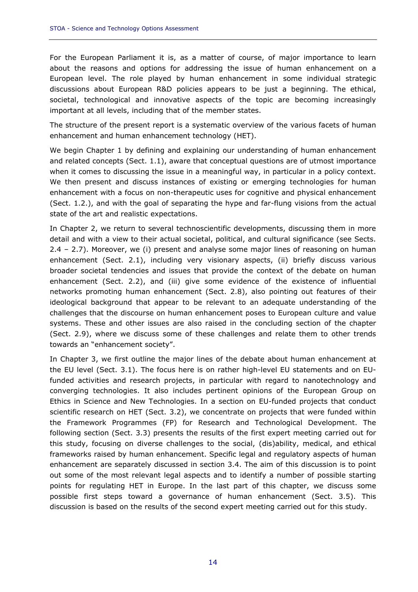For the European Parliament it is, as a matter of course, of major importance to learn about the reasons and options for addressing the issue of human enhancement on a European level. The role played by human enhancement in some individual strategic discussions about European R&D policies appears to be just a beginning. The ethical, societal, technological and innovative aspects of the topic are becoming increasingly important at all levels, including that of the member states.

The structure of the present report is a systematic overview of the various facets of human enhancement and human enhancement technology (HET).

We begin Chapter 1 by defining and explaining our understanding of human enhancement and related concepts (Sect. 1.1), aware that conceptual questions are of utmost importance when it comes to discussing the issue in a meaningful way, in particular in a policy context. We then present and discuss instances of existing or emerging technologies for human enhancement with a focus on non-therapeutic uses for cognitive and physical enhancement (Sect. 1.2.), and with the goal of separating the hype and far-flung visions from the actual state of the art and realistic expectations.

In Chapter 2, we return to several technoscientific developments, discussing them in more detail and with a view to their actual societal, political, and cultural significance (see Sects. 2.4 – 2.7). Moreover, we (i) present and analyse some major lines of reasoning on human enhancement (Sect. 2.1), including very visionary aspects, (ii) briefly discuss various broader societal tendencies and issues that provide the context of the debate on human enhancement (Sect. 2.2), and (iii) give some evidence of the existence of influential networks promoting human enhancement (Sect. 2.8), also pointing out features of their ideological background that appear to be relevant to an adequate understanding of the challenges that the discourse on human enhancement poses to European culture and value systems. These and other issues are also raised in the concluding section of the chapter (Sect. 2.9), where we discuss some of these challenges and relate them to other trends towards an "enhancement society".

In Chapter 3, we first outline the major lines of the debate about human enhancement at the EU level (Sect. 3.1). The focus here is on rather high-level EU statements and on EUfunded activities and research projects, in particular with regard to nanotechnology and converging technologies. It also includes pertinent opinions of the European Group on Ethics in Science and New Technologies. In a section on EU-funded projects that conduct scientific research on HET (Sect. 3.2), we concentrate on projects that were funded within the Framework Programmes (FP) for Research and Technological Development. The following section (Sect. 3.3) presents the results of the first expert meeting carried out for this study, focusing on diverse challenges to the social, (dis)ability, medical, and ethical frameworks raised by human enhancement. Specific legal and regulatory aspects of human enhancement are separately discussed in section 3.4. The aim of this discussion is to point out some of the most relevant legal aspects and to identify a number of possible starting points for regulating HET in Europe. In the last part of this chapter, we discuss some possible first steps toward a governance of human enhancement (Sect. 3.5). This discussion is based on the results of the second expert meeting carried out for this study.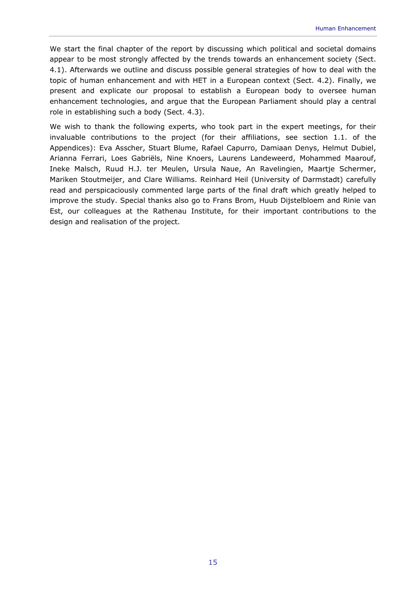We start the final chapter of the report by discussing which political and societal domains appear to be most strongly affected by the trends towards an enhancement society (Sect. 4.1). Afterwards we outline and discuss possible general strategies of how to deal with the topic of human enhancement and with HET in a European context (Sect. 4.2). Finally, we present and explicate our proposal to establish a European body to oversee human enhancement technologies, and argue that the European Parliament should play a central role in establishing such a body (Sect. 4.3).

We wish to thank the following experts, who took part in the expert meetings, for their invaluable contributions to the project (for their affiliations, see section 1.1. of the Appendices): Eva Asscher, Stuart Blume, Rafael Capurro, Damiaan Denys, Helmut Dubiel, Arianna Ferrari, Loes Gabriëls, Nine Knoers, Laurens Landeweerd, Mohammed Maarouf, Ineke Malsch, Ruud H.J. ter Meulen, Ursula Naue, An Ravelingien, Maartje Schermer, Mariken Stoutmeijer, and Clare Williams. Reinhard Heil (University of Darmstadt) carefully read and perspicaciously commented large parts of the final draft which greatly helped to improve the study. Special thanks also go to Frans Brom, Huub Dijstelbloem and Rinie van Est, our colleagues at the Rathenau Institute, for their important contributions to the design and realisation of the project.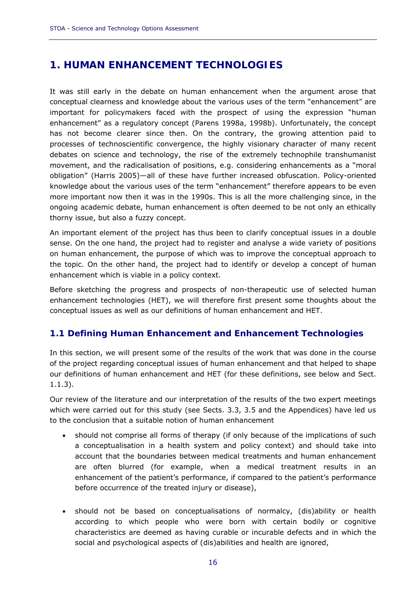## **1. HUMAN ENHANCEMENT TECHNOLOGIES**

It was still early in the debate on human enhancement when the argument arose that conceptual clearness and knowledge about the various uses of the term "enhancement" are important for policymakers faced with the prospect of using the expression "human enhancement" as a regulatory concept (Parens 1998a, 1998b). Unfortunately, the concept has not become clearer since then. On the contrary, the growing attention paid to processes of technoscientific convergence, the highly visionary character of many recent debates on science and technology, the rise of the extremely technophile transhumanist movement, and the radicalisation of positions, e.g. considering enhancements as a "moral obligation" (Harris 2005)—all of these have further increased obfuscation. Policy-oriented knowledge about the various uses of the term "enhancement" therefore appears to be even more important now then it was in the 1990s. This is all the more challenging since, in the ongoing academic debate, human enhancement is often deemed to be not only an ethically thorny issue, but also a fuzzy concept.

An important element of the project has thus been to clarify conceptual issues in a double sense. On the one hand, the project had to register and analyse a wide variety of positions on human enhancement, the purpose of which was to improve the conceptual approach to the topic. On the other hand, the project had to identify or develop a concept of human enhancement which is viable in a policy context.

Before sketching the progress and prospects of non-therapeutic use of selected human enhancement technologies (HET), we will therefore first present some thoughts about the conceptual issues as well as our definitions of human enhancement and HET.

#### **1.1 Defining Human Enhancement and Enhancement Technologies**

In this section, we will present some of the results of the work that was done in the course of the project regarding conceptual issues of human enhancement and that helped to shape our definitions of human enhancement and HET (for these definitions, see below and Sect. 1.1.3).

Our review of the literature and our interpretation of the results of the two expert meetings which were carried out for this study (see Sects. 3.3, 3.5 and the Appendices) have led us to the conclusion that a suitable notion of human enhancement

- should not comprise all forms of therapy (if only because of the implications of such a conceptualisation in a health system and policy context) and should take into account that the boundaries between medical treatments and human enhancement are often blurred (for example, when a medical treatment results in an enhancement of the patient's performance, if compared to the patient's performance before occurrence of the treated injury or disease),
- should not be based on conceptualisations of normalcy, (dis)ability or health according to which people who were born with certain bodily or cognitive characteristics are deemed as having curable or incurable defects and in which the social and psychological aspects of (dis)abilities and health are ignored,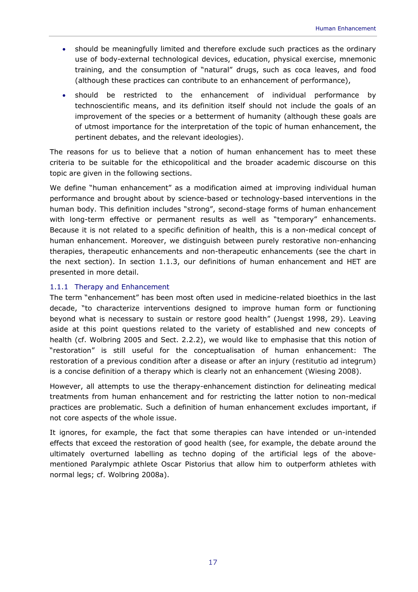- should be meaningfully limited and therefore exclude such practices as the ordinary use of body-external technological devices, education, physical exercise, mnemonic training, and the consumption of "natural" drugs, such as coca leaves, and food (although these practices can contribute to an enhancement of performance),
- should be restricted to the enhancement of individual performance by technoscientific means, and its definition itself should not include the goals of an improvement of the species or a betterment of humanity (although these goals are of utmost importance for the interpretation of the topic of human enhancement, the pertinent debates, and the relevant ideologies).

The reasons for us to believe that a notion of human enhancement has to meet these criteria to be suitable for the ethicopolitical and the broader academic discourse on this topic are given in the following sections.

We define "human enhancement" as a modification aimed at improving individual human performance and brought about by science-based or technology-based interventions in the human body. This definition includes "strong", second-stage forms of human enhancement with long-term effective or permanent results as well as "temporary" enhancements. Because it is not related to a specific definition of health, this is a non-medical concept of human enhancement. Moreover, we distinguish between purely restorative non-enhancing therapies, therapeutic enhancements and non-therapeutic enhancements (see the chart in the next section). In section 1.1.3, our definitions of human enhancement and HET are presented in more detail.

#### 1.1.1 Therapy and Enhancement

The term "enhancement" has been most often used in medicine-related bioethics in the last decade, "to characterize interventions designed to improve human form or functioning beyond what is necessary to sustain or restore good health" (Juengst 1998, 29). Leaving aside at this point questions related to the variety of established and new concepts of health (cf. Wolbring 2005 and Sect. 2.2.2), we would like to emphasise that this notion of "restoration" is still useful for the conceptualisation of human enhancement: The restoration of a previous condition after a disease or after an injury (*restitutio ad integrum*) is a concise definition of a therapy which is clearly not an enhancement (Wiesing 2008).

However, all attempts to use the therapy-enhancement distinction for delineating medical treatments from human enhancement and for restricting the latter notion to non-medical practices are problematic. Such a definition of human enhancement excludes important, if not core aspects of the whole issue.

It ignores, for example, the fact that some therapies can have intended or un-intended effects that exceed the restoration of good health (see, for example, the debate around the ultimately overturned labelling as techno doping of the artificial legs of the abovementioned Paralympic athlete Oscar Pistorius that allow him to outperform athletes with normal legs; cf. Wolbring 2008a).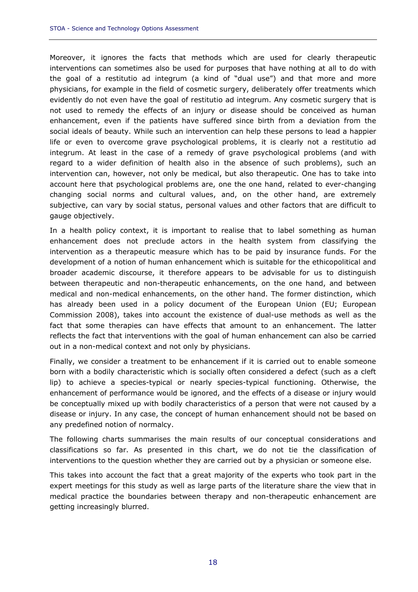Moreover, it ignores the facts that methods which are used for clearly therapeutic interventions can sometimes also be used for purposes that have nothing at all to do with the goal of a *restitutio ad integrum* (a kind of "dual use") and that more and more physicians, for example in the field of cosmetic surgery, deliberately offer treatments which evidently do not even have the goal of *restitutio ad integrum*. Any cosmetic surgery that is not used to remedy the effects of an injury or disease should be conceived as human enhancement, even if the patients have suffered since birth from a deviation from the social ideals of beauty. While such an intervention can help these persons to lead a happier life or even to overcome grave psychological problems, it is clearly not a *restitutio ad integrum*. At least in the case of a remedy of grave psychological problems (and with regard to a wider definition of health also in the absence of such problems), such an intervention can, however, not only be medical, but also therapeutic. One has to take into account here that psychological problems are, one the one hand, related to ever-changing changing social norms and cultural values, and, on the other hand, are extremely subjective, can vary by social status, personal values and other factors that are difficult to gauge objectively.

In a health policy context, it is important to realise that to label something as human enhancement does not preclude actors in the health system from classifying the intervention as a therapeutic measure which has to be paid by insurance funds. For the development of a notion of human enhancement which is suitable for the ethicopolitical and broader academic discourse, it therefore appears to be advisable for us to distinguish between therapeutic and non-therapeutic enhancements, on the one hand, and between medical and non-medical enhancements, on the other hand. The former distinction, which has already been used in a policy document of the European Union (EU; European Commission 2008), takes into account the existence of dual-use methods as well as the fact that some therapies can have effects that amount to an enhancement. The latter reflects the fact that interventions with the goal of human enhancement can also be carried out in a non-medical context and not only by physicians.

Finally, we consider a treatment to be enhancement if it is carried out to enable someone born with a bodily characteristic which is socially often considered a defect (such as a cleft lip) to achieve a species-typical or nearly species-typical functioning. Otherwise, the enhancement of performance would be ignored, and the effects of a disease or injury would be conceptually mixed up with bodily characteristics of a person that were not caused by a disease or injury. In any case, the concept of human enhancement should not be based on any predefined notion of normalcy.

The following charts summarises the main results of our conceptual considerations and classifications so far. As presented in this chart, we do not tie the classification of interventions to the question whether they are carried out by a physician or someone else.

This takes into account the fact that a great majority of the experts who took part in the expert meetings for this study as well as large parts of the literature share the view that in medical practice the boundaries between therapy and non-therapeutic enhancement are getting increasingly blurred.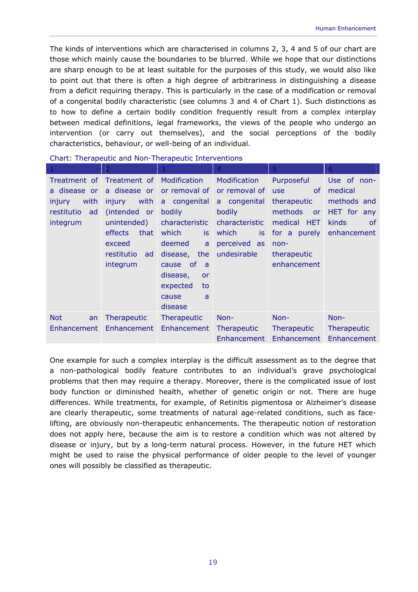The kinds of interventions which are characterised in columns 2, 3, 4 and 5 of our chart are those which mainly cause the boundaries to be blurred. While we hope that our distinctions are sharp enough to be at least suitable for the purposes of this study, we would also like to point out that there is often a high degree of arbitrariness in distinguishing a disease from a deficit requiring therapy. This is particularly in the case of a modification or removal of a congenital bodily characteristic (see columns 3 and 4 of Chart 1). Such distinctions as to how to define a certain bodily condition frequently result from a complex interplay between medical definitions, legal frameworks, the views of the people who undergo an intervention (or carry out themselves), and the social perceptions of the bodily characteristics, behaviour, or well-being of an individual.

|                  |                           | 3               | $\overline{4}$     | 5                           | 6                      |
|------------------|---------------------------|-----------------|--------------------|-----------------------------|------------------------|
|                  | Treatment of Treatment of | Modification    | Modification       | Purposeful                  | Use of non-            |
| a disease or     | a disease or              | or removal of   | or removal of      | <sub>of</sub><br><b>use</b> | medical                |
| with<br>injury   | with<br>injury            | a congenital    | a congenital       | therapeutic                 | methods and            |
| restitutio<br>ad | (intended or              | bodily          | bodily             | methods<br><b>or</b>        | HET for any            |
| integrum         | unintended)               | characteristic  | characteristic     | medical HET                 | kinds<br><sub>of</sub> |
|                  | effects<br>that           | which<br>is     | which<br>is        | for a purely                | enhancement            |
|                  | exceed                    | deemed<br>a     | perceived as       | $non-$                      |                        |
|                  | restitutio<br>ad          | the<br>disease, | undesirable        | therapeutic                 |                        |
|                  | integrum                  | cause of<br>- a |                    | enhancement                 |                        |
|                  |                           | disease,<br>or  |                    |                             |                        |
|                  |                           | expected<br>to  |                    |                             |                        |
|                  |                           | cause<br>a      |                    |                             |                        |
|                  |                           | disease         |                    |                             |                        |
| <b>Not</b><br>an | Therapeutic               | Therapeutic     | Non-               | Non-                        | Non-                   |
| Enhancement      | Enhancement               | Enhancement     | <b>Therapeutic</b> | <b>Therapeutic</b>          | Therapeutic            |
|                  |                           |                 | Enhancement        | Enhancement                 | Enhancement            |

Chart: Therapeutic and Non-Therapeutic Interventions

One example for such a complex interplay is the difficult assessment as to the degree that a non-pathological bodily feature contributes to an individual's grave psychological problems that then may require a therapy. Moreover, there is the complicated issue of lost body function or diminished health, whether of genetic origin or not. There are huge differences. While treatments, for example, of Retinitis pigmentosa or Alzheimer's disease are clearly therapeutic, some treatments of natural age-related conditions, such as facelifting, are obviously non-therapeutic enhancements. The therapeutic notion of restoration does not apply here, because the aim is to restore a condition which was not altered by disease or injury, but by a long-term natural process. However, in the future HET which might be used to raise the physical performance of older people to the level of younger ones will possibly be classified as therapeutic.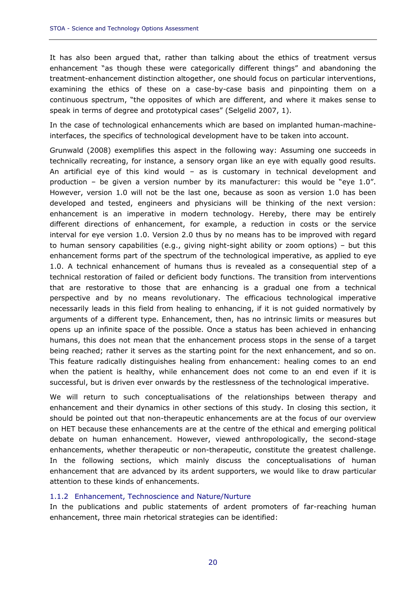It has also been argued that, rather than talking about the ethics of treatment versus enhancement "as though these were categorically different things" and abandoning the treatment-enhancement distinction altogether, one should focus on particular interventions, examining the ethics of these on a case-by-case basis and pinpointing them on a continuous spectrum, "the opposites of which are different, and where it makes sense to speak in terms of degree and prototypical cases" (Selgelid 2007, 1).

In the case of technological enhancements which are based on implanted human-machineinterfaces, the specifics of technological development have to be taken into account.

Grunwald (2008) exemplifies this aspect in the following way: Assuming one succeeds in technically recreating, for instance, a sensory organ like an eye with equally good results. An artificial eye of this kind would – as is customary in technical development and production – be given a version number by its manufacturer: this would be "eye 1.0". However, version 1.0 will not be the last one, because as soon as version 1.0 has been developed and tested, engineers and physicians will be thinking of the next version: enhancement is an imperative in modern technology. Hereby, there may be entirely different directions of enhancement, for example, a reduction in costs or the service interval for eye version 1.0. Version 2.0 thus by no means has to be improved with regard to human sensory capabilities (e.g., giving night-sight ability or zoom options) – but this enhancement forms part of the spectrum of the technological imperative, as applied to eye 1.0. A technical enhancement of humans thus is revealed as a consequential step of a technical restoration of failed or deficient body functions. The transition from interventions that are restorative to those that are enhancing is a gradual one from a technical perspective and by no means revolutionary. The efficacious technological imperative necessarily leads in this field from healing to enhancing, if it is not guided normatively by arguments of a different type. Enhancement, then, has no intrinsic limits or measures but opens up an infinite space of the possible. Once a status has been achieved in enhancing humans, this does not mean that the enhancement process stops in the sense of a target being reached; rather it serves as the starting point for the next enhancement, and so on. This feature radically distinguishes healing from enhancement: healing comes to an end when the patient is healthy, while enhancement does not come to an end even if it is successful, but is driven ever onwards by the restlessness of the technological imperative.

We will return to such conceptualisations of the relationships between therapy and enhancement and their dynamics in other sections of this study. In closing this section, it should be pointed out that non-therapeutic enhancements are at the focus of our overview on HET because these enhancements are at the centre of the ethical and emerging political debate on human enhancement. However, viewed anthropologically, the second-stage enhancements, whether therapeutic or non-therapeutic, constitute the greatest challenge. In the following sections, which mainly discuss the conceptualisations of human enhancement that are advanced by its ardent supporters, we would like to draw particular attention to these kinds of enhancements.

#### 1.1.2 Enhancement, Technoscience and Nature/Nurture

In the publications and public statements of ardent promoters of far-reaching human enhancement, three main rhetorical strategies can be identified: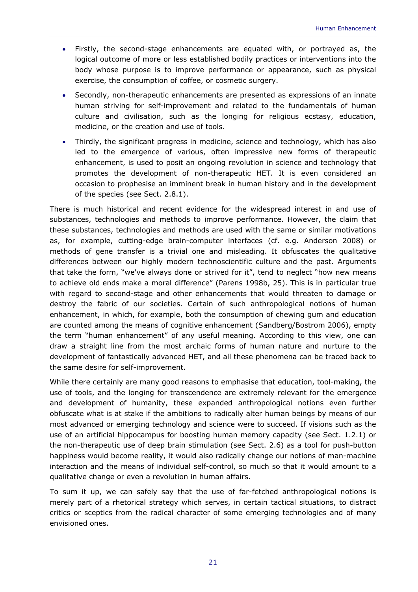- Firstly, the second-stage enhancements are equated with, or portrayed as, the logical outcome of more or less established bodily practices or interventions into the body whose purpose is to improve performance or appearance, such as physical exercise, the consumption of coffee, or cosmetic surgery.
- Secondly, non-therapeutic enhancements are presented as expressions of an innate human striving for self-improvement and related to the fundamentals of human culture and civilisation, such as the longing for religious ecstasy, education, medicine, or the creation and use of tools.
- Thirdly, the significant progress in medicine, science and technology, which has also led to the emergence of various, often impressive new forms of therapeutic enhancement, is used to posit an ongoing revolution in science and technology that promotes the development of non-therapeutic HET. It is even considered an occasion to prophesise an imminent break in human history and in the development of the species (see Sect. 2.8.1).

There is much historical and recent evidence for the widespread interest in and use of substances, technologies and methods to improve performance. However, the claim that these substances, technologies and methods are used with the same or similar motivations as, for example, cutting-edge brain-computer interfaces (cf. e.g. Anderson 2008) or methods of gene transfer is a trivial one and misleading. It obfuscates the qualitative differences between our highly modern technoscientific culture and the past. Arguments that take the form, "we've always done or strived for it", tend to neglect "how new means to achieve old ends make a moral difference" (Parens 1998b, 25). This is in particular true with regard to second-stage and other enhancements that would threaten to damage or destroy the fabric of our societies. Certain of such anthropological notions of human enhancement, in which, for example, both the consumption of chewing gum and education are counted among the means of cognitive enhancement (Sandberg/Bostrom 2006), empty the term "human enhancement" of any useful meaning. According to this view, one can draw a straight line from the most archaic forms of human nature and nurture to the development of fantastically advanced HET, and all these phenomena can be traced back to the same desire for self-improvement.

While there certainly are many good reasons to emphasise that education, tool-making, the use of tools, and the longing for transcendence are extremely relevant for the emergence and development of humanity, these expanded anthropological notions even further obfuscate what is at stake if the ambitions to radically alter human beings by means of our most advanced or emerging technology and science were to succeed. If visions such as the use of an artificial hippocampus for boosting human memory capacity (see Sect. 1.2.1) or the non-therapeutic use of deep brain stimulation (see Sect. 2.6) as a tool for push-button happiness would become reality, it would also radically change our notions of man-machine interaction and the means of individual self-control, so much so that it would amount to a qualitative change or even a revolution in human affairs.

To sum it up, we can safely say that the use of far-fetched anthropological notions is merely part of a rhetorical strategy which serves, in certain tactical situations, to distract critics or sceptics from the radical character of some emerging technologies and of many envisioned ones.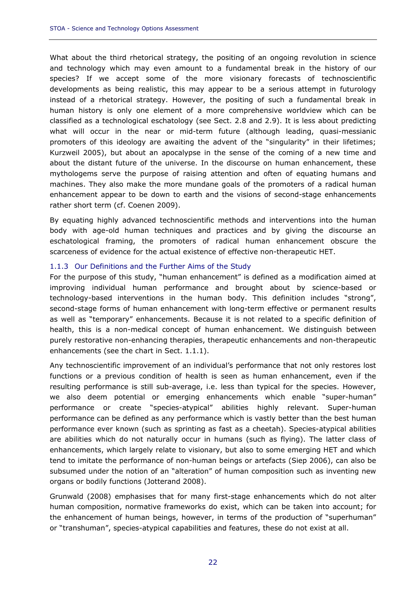What about the third rhetorical strategy, the positing of an ongoing revolution in science and technology which may even amount to a fundamental break in the history of our species? If we accept some of the more visionary forecasts of technoscientific developments as being realistic, this may appear to be a serious attempt in futurology instead of a rhetorical strategy. However, the positing of such a fundamental break in human history is only one element of a more comprehensive worldview which can be classified as a technological eschatology (see Sect. 2.8 and 2.9). It is less about predicting what will occur in the near or mid-term future (although leading, quasi-messianic promoters of this ideology are awaiting the advent of the "singularity" in their lifetimes; Kurzweil 2005), but about an apocalypse in the sense of the coming of a new time and about the distant future of the universe. In the discourse on human enhancement, these mythologems serve the purpose of raising attention and often of equating humans and machines. They also make the more mundane goals of the promoters of a radical human enhancement appear to be down to earth and the visions of second-stage enhancements rather short term (cf. Coenen 2009).

By equating highly advanced technoscientific methods and interventions into the human body with age-old human techniques and practices and by giving the discourse an eschatological framing, the promoters of radical human enhancement obscure the scarceness of evidence for the actual existence of effective non-therapeutic HET.

#### 1.1.3 Our Definitions and the Further Aims of the Study

For the purpose of this study, "human enhancement" is defined as a modification aimed at improving individual human performance and brought about by science-based or technology-based interventions in the human body. This definition includes "strong", second-stage forms of human enhancement with long-term effective or permanent results as well as "temporary" enhancements. Because it is not related to a specific definition of health, this is a non-medical concept of human enhancement. We distinguish between purely restorative non-enhancing therapies, therapeutic enhancements and non-therapeutic enhancements (see the chart in Sect. 1.1.1).

Any technoscientific improvement of an individual's performance that not only restores lost functions or a previous condition of health is seen as human enhancement, even if the resulting performance is still sub-average, i.e. less than typical for the species. However, we also deem potential or emerging enhancements which enable "super-human" performance or create "species-atypical" abilities highly relevant. Super-human performance can be defined as any performance which is vastly better than the best human performance ever known (such as sprinting as fast as a cheetah). Species-atypical abilities are abilities which do not naturally occur in humans (such as flying). The latter class of enhancements, which largely relate to visionary, but also to some emerging HET and which tend to imitate the performance of non-human beings or artefacts (Siep 2006), can also be subsumed under the notion of an "alteration" of human composition such as inventing new organs or bodily functions (Jotterand 2008).

Grunwald (2008) emphasises that for many first-stage enhancements which do not alter human composition, normative frameworks do exist, which can be taken into account; for the enhancement of human beings, however, in terms of the production of "superhuman" or "transhuman", species-atypical capabilities and features, these do not exist at all.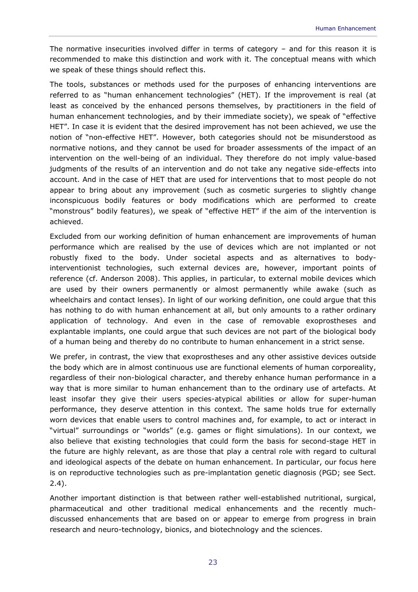The normative insecurities involved differ in terms of category – and for this reason it is recommended to make this distinction and work with it. The conceptual means with which we speak of these things should reflect this.

The tools, substances or methods used for the purposes of enhancing interventions are referred to as "human enhancement technologies" (HET). If the improvement is real (at least as conceived by the enhanced persons themselves, by practitioners in the field of human enhancement technologies, and by their immediate society), we speak of "effective HET". In case it is evident that the desired improvement has not been achieved, we use the notion of "non-effective HET". However, both categories should not be misunderstood as normative notions, and they cannot be used for broader assessments of the impact of an intervention on the well-being of an individual. They therefore do not imply value-based judgments of the results of an intervention and do not take any negative side-effects into account. And in the case of HET that are used for interventions that to most people do not appear to bring about any improvement (such as cosmetic surgeries to slightly change inconspicuous bodily features or body modifications which are performed to create "monstrous" bodily features), we speak of "effective HET" if the aim of the intervention is achieved.

Excluded from our working definition of human enhancement are improvements of human performance which are realised by the use of devices which are not implanted or not robustly fixed to the body. Under societal aspects and as alternatives to bodyinterventionist technologies, such external devices are, however, important points of reference (cf. Anderson 2008). This applies, in particular, to external mobile devices which are used by their owners permanently or almost permanently while awake (such as wheelchairs and contact lenses). In light of our working definition, one could argue that this has nothing to do with human enhancement at all, but only amounts to a rather ordinary application of technology. And even in the case of removable exoprostheses and explantable implants, one could argue that such devices are not part of the biological body of a human being and thereby do no contribute to human enhancement in a strict sense.

We prefer, in contrast, the view that exoprostheses and any other assistive devices outside the body which are in almost continuous use are functional elements of human corporeality, regardless of their non-biological character, and thereby enhance human performance in a way that is more similar to human enhancement than to the ordinary use of artefacts. At least insofar they give their users species-atypical abilities or allow for super-human performance, they deserve attention in this context. The same holds true for externally worn devices that enable users to control machines and, for example, to act or interact in "virtual" surroundings or "worlds" (e.g. games or flight simulations). In our context, we also believe that existing technologies that could form the basis for second-stage HET in the future are highly relevant, as are those that play a central role with regard to cultural and ideological aspects of the debate on human enhancement. In particular, our focus here is on reproductive technologies such as pre-implantation genetic diagnosis (PGD; see Sect. 2.4).

Another important distinction is that between rather well-established nutritional, surgical, pharmaceutical and other traditional medical enhancements and the recently muchdiscussed enhancements that are based on or appear to emerge from progress in brain research and neuro-technology, bionics, and biotechnology and the sciences.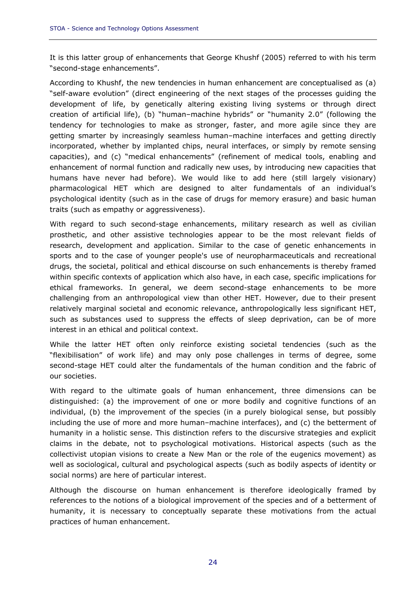It is this latter group of enhancements that George Khushf (2005) referred to with his term "second-stage enhancements".

According to Khushf, the new tendencies in human enhancement are conceptualised as (a) "self-aware evolution" (direct engineering of the next stages of the processes guiding the development of life, by genetically altering existing living systems or through direct creation of artificial life), (b) "human–machine hybrids" or "humanity 2.0" (following the tendency for technologies to make as stronger, faster, and more agile since they are getting smarter by increasingly seamless human–machine interfaces and getting directly incorporated, whether by implanted chips, neural interfaces, or simply by remote sensing capacities), and (c) "medical enhancements" (refinement of medical tools, enabling and enhancement of normal function and radically new uses, by introducing new capacities that humans have never had before). We would like to add here (still largely visionary) pharmacological HET which are designed to alter fundamentals of an individual's psychological identity (such as in the case of drugs for memory erasure) and basic human traits (such as empathy or aggressiveness).

With regard to such second-stage enhancements, military research as well as civilian prosthetic, and other assistive technologies appear to be the most relevant fields of research, development and application. Similar to the case of genetic enhancements in sports and to the case of younger people's use of neuropharmaceuticals and recreational drugs, the societal, political and ethical discourse on such enhancements is thereby framed within specific contexts of application which also have, in each case, specific implications for ethical frameworks. In general, we deem second-stage enhancements to be more challenging from an anthropological view than other HET. However, due to their present relatively marginal societal and economic relevance, anthropologically less significant HET, such as substances used to suppress the effects of sleep deprivation, can be of more interest in an ethical and political context.

While the latter HET often only reinforce existing societal tendencies (such as the "flexibilisation" of work life) and may only pose challenges in terms of degree, some second-stage HET could alter the fundamentals of the human condition and the fabric of our societies.

With regard to the ultimate goals of human enhancement, three dimensions can be distinguished: (a) the improvement of one or more bodily and cognitive functions of an individual, (b) the improvement of the species (in a purely biological sense, but possibly including the use of more and more human–machine interfaces), and (c) the betterment of humanity in a holistic sense. This distinction refers to the discursive strategies and explicit claims in the debate, not to psychological motivations. Historical aspects (such as the collectivist utopian visions to create a New Man or the role of the eugenics movement) as well as sociological, cultural and psychological aspects (such as bodily aspects of identity or social norms) are here of particular interest.

Although the discourse on human enhancement is therefore ideologically framed by references to the notions of a biological improvement of the species and of a betterment of humanity, it is necessary to conceptually separate these motivations from the actual practices of human enhancement.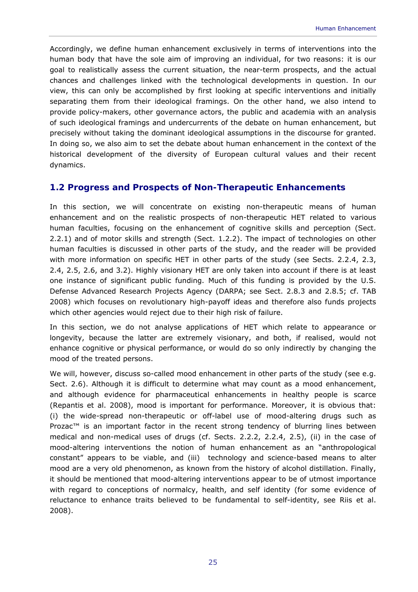Accordingly, we define human enhancement exclusively in terms of interventions into the human body that have the sole aim of improving an individual, for two reasons: it is our goal to realistically assess the current situation, the near-term prospects, and the actual chances and challenges linked with the technological developments in question. In our view, this can only be accomplished by first looking at specific interventions and initially separating them from their ideological framings. On the other hand, we also intend to provide policy-makers, other governance actors, the public and academia with an analysis of such ideological framings and undercurrents of the debate on human enhancement, but precisely without taking the dominant ideological assumptions in the discourse for granted. In doing so, we also aim to set the debate about human enhancement in the context of the historical development of the diversity of European cultural values and their recent dynamics.

#### **1.2 Progress and Prospects of Non-Therapeutic Enhancements**

In this section, we will concentrate on existing non-therapeutic means of human enhancement and on the realistic prospects of non-therapeutic HET related to various human faculties, focusing on the enhancement of cognitive skills and perception (Sect. 2.2.1) and of motor skills and strength (Sect. 1.2.2). The impact of technologies on other human faculties is discussed in other parts of the study, and the reader will be provided with more information on specific HET in other parts of the study (see Sects. 2.2.4, 2.3, 2.4, 2.5, 2.6, and 3.2). Highly visionary HET are only taken into account if there is at least one instance of significant public funding. Much of this funding is provided by the U.S. Defense Advanced Research Projects Agency (DARPA; see Sect. 2.8.3 and 2.8.5; cf. TAB 2008) which focuses on revolutionary high-payoff ideas and therefore also funds projects which other agencies would reject due to their high risk of failure.

In this section, we do not analyse applications of HET which relate to appearance or longevity, because the latter are extremely visionary, and both, if realised, would not enhance cognitive or physical performance, or would do so only indirectly by changing the mood of the treated persons.

We will, however, discuss so-called mood enhancement in other parts of the study (see e.g. Sect. 2.6). Although it is difficult to determine what may count as a mood enhancement, and although evidence for pharmaceutical enhancements in healthy people is scarce (Repantis et al. 2008), mood is important for performance. Moreover, it is obvious that: (i) the wide-spread non-therapeutic or off-label use of mood-altering drugs such as Prozac<sup>™</sup> is an important factor in the recent strong tendency of blurring lines between medical and non-medical uses of drugs (cf. Sects. 2.2.2, 2.2.4, 2.5), (ii) in the case of mood-altering interventions the notion of human enhancement as an "anthropological constant" appears to be viable, and (iii) technology and science-based means to alter mood are a very old phenomenon, as known from the history of alcohol distillation. Finally, it should be mentioned that mood-altering interventions appear to be of utmost importance with regard to conceptions of normalcy, health, and self identity (for some evidence of reluctance to enhance traits believed to be fundamental to self-identity, see Riis et al. 2008).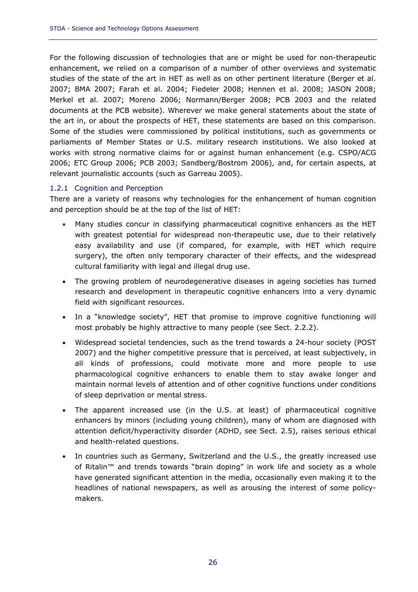For the following discussion of technologies that are or might be used for non-therapeutic enhancement, we relied on a comparison of a number of other overviews and systematic studies of the state of the art in HET as well as on other pertinent literature (Berger et al. 2007; BMA 2007; Farah et al. 2004; Fiedeler 2008; Hennen et al. 2008; JASON 2008; Merkel et al. 2007; Moreno 2006; Normann/Berger 2008; PCB 2003 and the related documents at the PCB website). Wherever we make general statements about the state of the art in, or about the prospects of HET, these statements are based on this comparison. Some of the studies were commissioned by political institutions, such as governments or parliaments of Member States or U.S. military research institutions. We also looked at works with strong normative claims for or against human enhancement (e.g. CSPO/ACG 2006; ETC Group 2006; PCB 2003; Sandberg/Bostrom 2006), and, for certain aspects, at relevant journalistic accounts (such as Garreau 2005).

#### 1.2.1 Cognition and Perception

There are a variety of reasons why technologies for the enhancement of human cognition and perception should be at the top of the list of HET:

- Many studies concur in classifying pharmaceutical cognitive enhancers as the HET with greatest potential for widespread non-therapeutic use, due to their relatively easy availability and use (if compared, for example, with HET which require surgery), the often only temporary character of their effects, and the widespread cultural familiarity with legal and illegal drug use.
- The growing problem of neurodegenerative diseases in ageing societies has turned research and development in therapeutic cognitive enhancers into a very dynamic field with significant resources.
- In a "knowledge society", HET that promise to improve cognitive functioning will most probably be highly attractive to many people (see Sect. 2.2.2).
- Widespread societal tendencies, such as the trend towards a 24-hour society (POST 2007) and the higher competitive pressure that is perceived, at least subjectively, in all kinds of professions, could motivate more and more people to use pharmacological cognitive enhancers to enable them to stay awake longer and maintain normal levels of attention and of other cognitive functions under conditions of sleep deprivation or mental stress.
- The apparent increased use (in the U.S. at least) of pharmaceutical cognitive enhancers by minors (including young children), many of whom are diagnosed with attention deficit/hyperactivity disorder (ADHD, see Sect. 2.5), raises serious ethical and health-related questions.
- In countries such as Germany, Switzerland and the U.S., the greatly increased use of Ritalin™ and trends towards "brain doping" in work life and society as a whole have generated significant attention in the media, occasionally even making it to the headlines of national newspapers, as well as arousing the interest of some policymakers.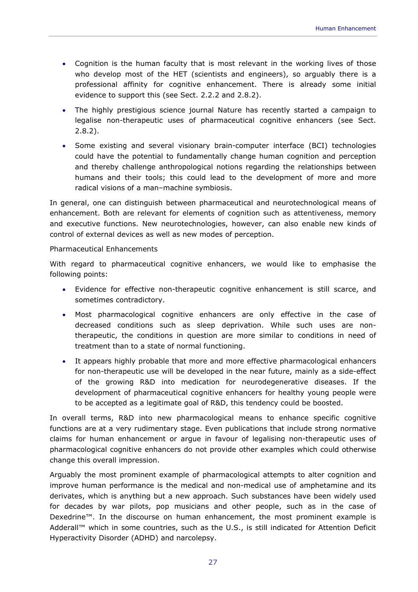- Cognition is the human faculty that is most relevant in the working lives of those who develop most of the HET (scientists and engineers), so arguably there is a professional affinity for cognitive enhancement. There is already some initial evidence to support this (see Sect. 2.2.2 and 2.8.2).
- The highly prestigious science journal *Nature* has recently started a campaign to legalise non-therapeutic uses of pharmaceutical cognitive enhancers (see Sect. 2.8.2).
- Some existing and several visionary brain-computer interface (BCI) technologies could have the potential to fundamentally change human cognition and perception and thereby challenge anthropological notions regarding the relationships between humans and their tools; this could lead to the development of more and more radical visions of a man–machine symbiosis.

In general, one can distinguish between pharmaceutical and neurotechnological means of enhancement. Both are relevant for elements of cognition such as attentiveness, memory and executive functions. New neurotechnologies, however, can also enable new kinds of control of external devices as well as new modes of perception.

#### *Pharmaceutical Enhancements*

With regard to pharmaceutical cognitive enhancers, we would like to emphasise the following points:

- Evidence for effective non-therapeutic cognitive enhancement is still scarce, and sometimes contradictory.
- Most pharmacological cognitive enhancers are only effective in the case of decreased conditions such as sleep deprivation. While such uses are nontherapeutic, the conditions in question are more similar to conditions in need of treatment than to a state of normal functioning.
- It appears highly probable that more and more effective pharmacological enhancers for non-therapeutic use will be developed in the near future, mainly as a side-effect of the growing R&D into medication for neurodegenerative diseases. If the development of pharmaceutical cognitive enhancers for healthy young people were to be accepted as a legitimate goal of R&D, this tendency could be boosted.

In overall terms, R&D into new pharmacological means to enhance specific cognitive functions are at a very rudimentary stage. Even publications that include strong normative claims for human enhancement or argue in favour of legalising non-therapeutic uses of pharmacological cognitive enhancers do not provide other examples which could otherwise change this overall impression.

Arguably the most prominent example of pharmacological attempts to alter cognition and improve human performance is the medical and non-medical use of amphetamine and its derivates, which is anything but a new approach. Such substances have been widely used for decades by war pilots, pop musicians and other people, such as in the case of Dexedrine™. In the discourse on human enhancement, the most prominent example is Adderall™ which in some countries, such as the U.S., is still indicated for Attention Deficit Hyperactivity Disorder (ADHD) and narcolepsy.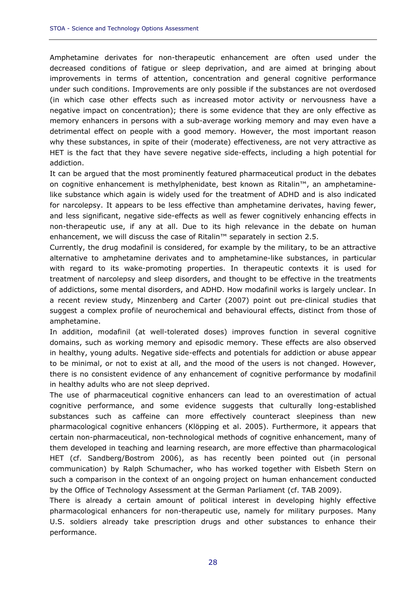Amphetamine derivates for non-therapeutic enhancement are often used under the decreased conditions of fatigue or sleep deprivation, and are aimed at bringing about improvements in terms of attention, concentration and general cognitive performance under such conditions. Improvements are only possible if the substances are not overdosed (in which case other effects such as increased motor activity or nervousness have a negative impact on concentration); there is some evidence that they are only effective as memory enhancers in persons with a sub-average working memory and may even have a detrimental effect on people with a good memory. However, the most important reason why these substances, in spite of their (moderate) effectiveness, are not very attractive as HET is the fact that they have severe negative side-effects, including a high potential for addiction.

It can be argued that the most prominently featured pharmaceutical product in the debates on cognitive enhancement is methylphenidate, best known as Ritalin™, an amphetaminelike substance which again is widely used for the treatment of ADHD and is also indicated for narcolepsy. It appears to be less effective than amphetamine derivates, having fewer, and less significant, negative side-effects as well as fewer cognitively enhancing effects in non-therapeutic use, if any at all. Due to its high relevance in the debate on human enhancement, we will discuss the case of Ritalin™ separately in section 2.5.

Currently, the drug modafinil is considered, for example by the military, to be an attractive alternative to amphetamine derivates and to amphetamine-like substances, in particular with regard to its wake-promoting properties. In therapeutic contexts it is used for treatment of narcolepsy and sleep disorders, and thought to be effective in the treatments of addictions, some mental disorders, and ADHD. How modafinil works is largely unclear. In a recent review study, Minzenberg and Carter (2007) point out pre-clinical studies that suggest a complex profile of neurochemical and behavioural effects, distinct from those of amphetamine.

In addition, modafinil (at well-tolerated doses) improves function in several cognitive domains, such as working memory and episodic memory. These effects are also observed in healthy, young adults. Negative side-effects and potentials for addiction or abuse appear to be minimal, or not to exist at all, and the mood of the users is not changed. However, there is no consistent evidence of any enhancement of cognitive performance by modafinil in healthy adults who are not sleep deprived.

The use of pharmaceutical cognitive enhancers can lead to an overestimation of actual cognitive performance, and some evidence suggests that culturally long-established substances such as caffeine can more effectively counteract sleepiness than new pharmacological cognitive enhancers (Klöpping et al. 2005). Furthermore, it appears that certain non-pharmaceutical, non-technological methods of cognitive enhancement, many of them developed in teaching and learning research, are more effective than pharmacological HET (cf. Sandberg/Bostrom 2006), as has recently been pointed out (in personal communication) by Ralph Schumacher, who has worked together with Elsbeth Stern on such a comparison in the context of an ongoing project on human enhancement conducted by the Office of Technology Assessment at the German Parliament (cf. TAB 2009).

There is already a certain amount of political interest in developing highly effective pharmacological enhancers for non-therapeutic use, namely for military purposes. Many U.S. soldiers already take prescription drugs and other substances to enhance their performance.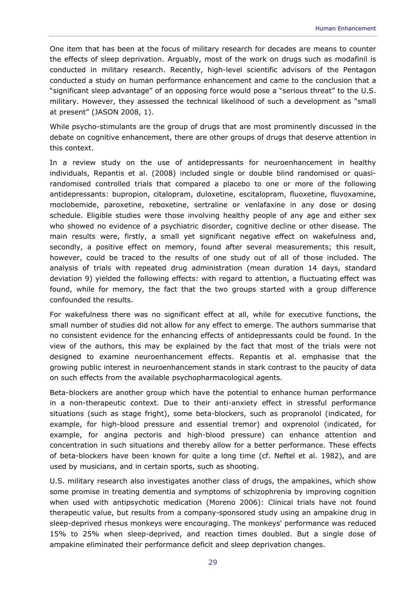One item that has been at the focus of military research for decades are means to counter the effects of sleep deprivation. Arguably, most of the work on drugs such as modafinil is conducted in military research. Recently, high-level scientific advisors of the Pentagon conducted a study on human performance enhancement and came to the conclusion that a "significant sleep advantage" of an opposing force would pose a "serious threat" to the U.S. military. However, they assessed the technical likelihood of such a development as "small at present" (JASON 2008, 1).

While psycho-stimulants are the group of drugs that are most prominently discussed in the debate on cognitive enhancement, there are other groups of drugs that deserve attention in this context.

In a review study on the use of antidepressants for neuroenhancement in healthy individuals, Repantis et al. (2008) included single or double blind randomised or quasirandomised controlled trials that compared a placebo to one or more of the following antidepressants: bupropion, citalopram, duloxetine, escitalopram, fluoxetine, fluvoxamine, moclobemide, paroxetine, reboxetine, sertraline or venlafaxine in any dose or dosing schedule. Eligible studies were those involving healthy people of any age and either sex who showed no evidence of a psychiatric disorder, cognitive decline or other disease. The main results were, firstly, a small yet significant negative effect on wakefulness and, secondly, a positive effect on memory, found after several measurements; this result, however, could be traced to the results of one study out of all of those included. The analysis of trials with repeated drug administration (mean duration 14 days, standard deviation 9) yielded the following effects: with regard to attention, a fluctuating effect was found, while for memory, the fact that the two groups started with a group difference confounded the results.

For wakefulness there was no significant effect at all, while for executive functions, the small number of studies did not allow for any effect to emerge. The authors summarise that no consistent evidence for the enhancing effects of antidepressants could be found. In the view of the authors, this may be explained by the fact that most of the trials were not designed to examine neuroenhancement effects. Repantis et al. emphasise that the growing public interest in neuroenhancement stands in stark contrast to the paucity of data on such effects from the available psychopharmacological agents.

Beta-blockers are another group which have the potential to enhance human performance in a non-therapeutic context. Due to their anti-anxiety effect in stressful performance situations (such as stage fright), some beta-blockers, such as propranolol (indicated, for example, for high-blood pressure and essential tremor) and oxprenolol (indicated, for example, for angina pectoris and high-blood pressure) can enhance attention and concentration in such situations and thereby allow for a better performance. These effects of beta-blockers have been known for quite a long time (cf. Neftel et al. 1982), and are used by musicians, and in certain sports, such as shooting.

U.S. military research also investigates another class of drugs, the ampakines, which show some promise in treating dementia and symptoms of schizophrenia by improving cognition when used with antipsychotic medication (Moreno 2006): Clinical trials have not found therapeutic value, but results from a company-sponsored study using an ampakine drug in sleep-deprived rhesus monkeys were encouraging. The monkeys' performance was reduced 15% to 25% when sleep-deprived, and reaction times doubled. But a single dose of ampakine eliminated their performance deficit and sleep deprivation changes.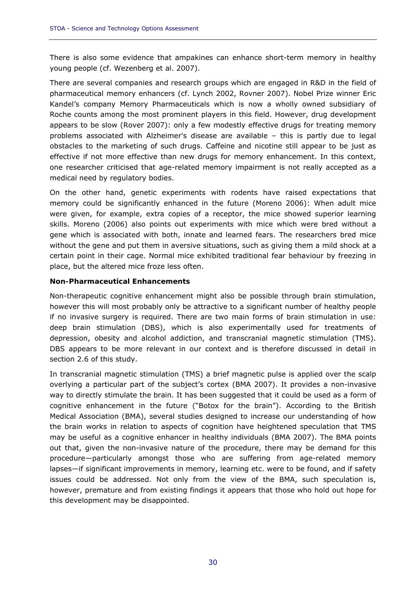There is also some evidence that ampakines can enhance short-term memory in healthy young people (cf. Wezenberg et al. 2007).

There are several companies and research groups which are engaged in R&D in the field of pharmaceutical memory enhancers (cf. Lynch 2002, Rovner 2007). Nobel Prize winner Eric Kandel's company Memory Pharmaceuticals which is now a wholly owned subsidiary of Roche counts among the most prominent players in this field. However, drug development appears to be slow (Rover 2007): only a few modestly effective drugs for treating memory problems associated with Alzheimer's disease are available – this is partly due to legal obstacles to the marketing of such drugs. Caffeine and nicotine still appear to be just as effective if not more effective than new drugs for memory enhancement. In this context, one researcher criticised that age-related memory impairment is not really accepted as a medical need by regulatory bodies.

On the other hand, genetic experiments with rodents have raised expectations that memory could be significantly enhanced in the future (Moreno 2006): When adult mice were given, for example, extra copies of a receptor, the mice showed superior learning skills. Moreno (2006) also points out experiments with mice which were bred without a gene which is associated with both, innate and learned fears. The researchers bred mice without the gene and put them in aversive situations, such as giving them a mild shock at a certain point in their cage. Normal mice exhibited traditional fear behaviour by freezing in place, but the altered mice froze less often.

#### *Non-Pharmaceutical Enhancements*

Non-therapeutic cognitive enhancement might also be possible through brain stimulation, however this will most probably only be attractive to a significant number of healthy people if no invasive surgery is required. There are two main forms of brain stimulation in use: deep brain stimulation (DBS), which is also experimentally used for treatments of depression, obesity and alcohol addiction, and transcranial magnetic stimulation (TMS). DBS appears to be more relevant in our context and is therefore discussed in detail in section 2.6 of this study.

In transcranial magnetic stimulation (TMS) a brief magnetic pulse is applied over the scalp overlying a particular part of the subject's cortex (BMA 2007). It provides a non-invasive way to directly stimulate the brain. It has been suggested that it could be used as a form of cognitive enhancement in the future ("Botox for the brain"). According to the British Medical Association (BMA), several studies designed to increase our understanding of how the brain works in relation to aspects of cognition have heightened speculation that TMS may be useful as a cognitive enhancer in healthy individuals (BMA 2007). The BMA points out that, given the non-invasive nature of the procedure, there may be demand for this procedure—particularly amongst those who are suffering from age-related memory lapses—if significant improvements in memory, learning etc. were to be found, and if safety issues could be addressed. Not only from the view of the BMA, such speculation is, however, premature and from existing findings it appears that those who hold out hope for this development may be disappointed.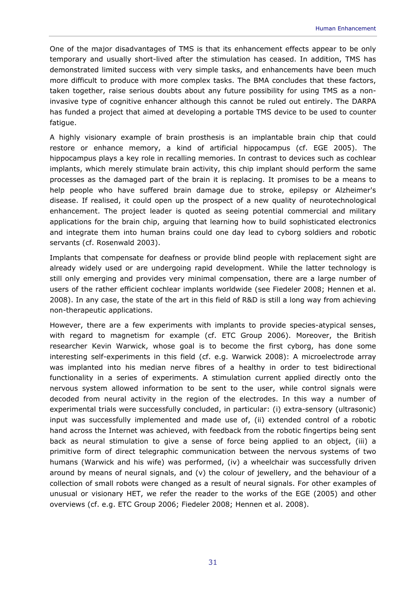One of the major disadvantages of TMS is that its enhancement effects appear to be only temporary and usually short-lived after the stimulation has ceased. In addition, TMS has demonstrated limited success with very simple tasks, and enhancements have been much more difficult to produce with more complex tasks. The BMA concludes that these factors, taken together, raise serious doubts about any future possibility for using TMS as a noninvasive type of cognitive enhancer although this cannot be ruled out entirely. The DARPA has funded a project that aimed at developing a portable TMS device to be used to counter fatigue.

A highly visionary example of brain prosthesis is an implantable brain chip that could restore or enhance memory, a kind of artificial hippocampus (cf. EGE 2005). The hippocampus plays a key role in recalling memories. In contrast to devices such as cochlear implants, which merely stimulate brain activity, this chip implant should perform the same processes as the damaged part of the brain it is replacing. It promises to be a means to help people who have suffered brain damage due to stroke, epilepsy or Alzheimer's disease. If realised, it could open up the prospect of a new quality of neurotechnological enhancement. The project leader is quoted as seeing potential commercial and military applications for the brain chip, arguing that learning how to build sophisticated electronics and integrate them into human brains could one day lead to cyborg soldiers and robotic servants (cf. Rosenwald 2003).

Implants that compensate for deafness or provide blind people with replacement sight are already widely used or are undergoing rapid development. While the latter technology is still only emerging and provides very minimal compensation, there are a large number of users of the rather efficient cochlear implants worldwide (see Fiedeler 2008; Hennen et al. 2008). In any case, the state of the art in this field of R&D is still a long way from achieving non-therapeutic applications.

However, there are a few experiments with implants to provide species-atypical senses, with regard to magnetism for example (cf. ETC Group 2006). Moreover, the British researcher Kevin Warwick, whose goal is to become the first cyborg, has done some interesting self-experiments in this field (cf. e.g. Warwick 2008): A microelectrode array was implanted into his median nerve fibres of a healthy in order to test bidirectional functionality in a series of experiments. A stimulation current applied directly onto the nervous system allowed information to be sent to the user, while control signals were decoded from neural activity in the region of the electrodes. In this way a number of experimental trials were successfully concluded, in particular: (i) extra-sensory (ultrasonic) input was successfully implemented and made use of, (ii) extended control of a robotic hand across the Internet was achieved, with feedback from the robotic fingertips being sent back as neural stimulation to give a sense of force being applied to an object, (iii) a primitive form of direct telegraphic communication between the nervous systems of two humans (Warwick and his wife) was performed, (iv) a wheelchair was successfully driven around by means of neural signals, and (v) the colour of jewellery, and the behaviour of a collection of small robots were changed as a result of neural signals. For other examples of unusual or visionary HET, we refer the reader to the works of the EGE (2005) and other overviews (cf. e.g. ETC Group 2006; Fiedeler 2008; Hennen et al. 2008).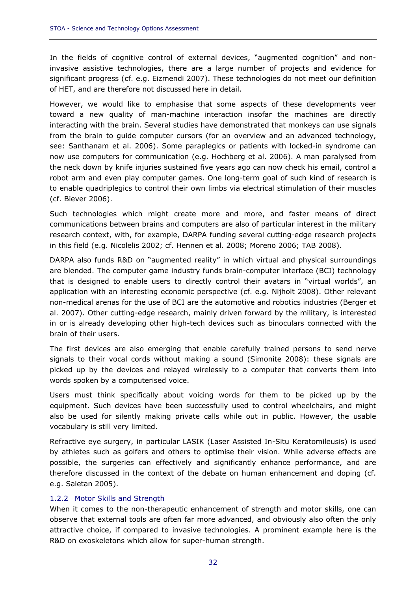In the fields of cognitive control of external devices, "augmented cognition" and noninvasive assistive technologies, there are a large number of projects and evidence for significant progress (cf. e.g. Eizmendi 2007). These technologies do not meet our definition of HET, and are therefore not discussed here in detail.

However, we would like to emphasise that some aspects of these developments veer toward a new quality of man-machine interaction insofar the machines are directly interacting with the brain. Several studies have demonstrated that monkeys can use signals from the brain to guide computer cursors (for an overview and an advanced technology, see: Santhanam et al. 2006). Some paraplegics or patients with locked-in syndrome can now use computers for communication (e.g. Hochberg et al. 2006). A man paralysed from the neck down by knife injuries sustained five years ago can now check his email, control a robot arm and even play computer games. One long-term goal of such kind of research is to enable quadriplegics to control their own limbs via electrical stimulation of their muscles (cf. Biever 2006).

Such technologies which might create more and more, and faster means of direct communications between brains and computers are also of particular interest in the military research context, with, for example, DARPA funding several cutting-edge research projects in this field (e.g. Nicolelis 2002; cf. Hennen et al. 2008; Moreno 2006; TAB 2008).

DARPA also funds R&D on "augmented reality" in which virtual and physical surroundings are blended. The computer game industry funds brain-computer interface (BCI) technology that is designed to enable users to directly control their avatars in "virtual worlds", an application with an interesting economic perspective (cf. e.g. Nijholt 2008). Other relevant non-medical arenas for the use of BCI are the automotive and robotics industries (Berger et al. 2007). Other cutting-edge research, mainly driven forward by the military, is interested in or is already developing other high-tech devices such as binoculars connected with the brain of their users.

The first devices are also emerging that enable carefully trained persons to send nerve signals to their vocal cords without making a sound (Simonite 2008): these signals are picked up by the devices and relayed wirelessly to a computer that converts them into words spoken by a computerised voice.

Users must think specifically about voicing words for them to be picked up by the equipment. Such devices have been successfully used to control wheelchairs, and might also be used for silently making private calls while out in public. However, the usable vocabulary is still very limited.

Refractive eye surgery, in particular LASIK (Laser Assisted In-Situ Keratomileusis) is used by athletes such as golfers and others to optimise their vision. While adverse effects are possible, the surgeries can effectively and significantly enhance performance, and are therefore discussed in the context of the debate on human enhancement and doping (cf. e.g. Saletan 2005).

#### 1.2.2 Motor Skills and Strength

When it comes to the non-therapeutic enhancement of strength and motor skills, one can observe that external tools are often far more advanced, and obviously also often the only attractive choice, if compared to invasive technologies. A prominent example here is the R&D on exoskeletons which allow for super-human strength.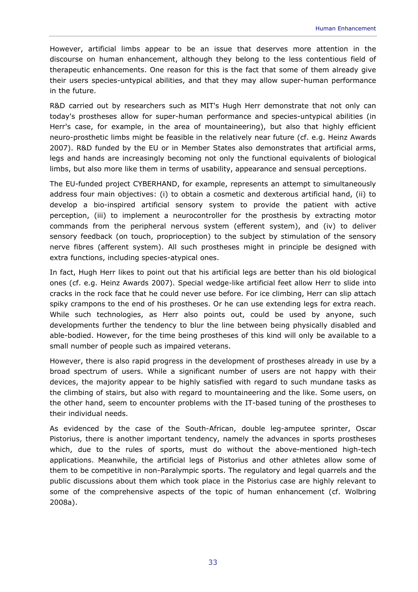However, artificial limbs appear to be an issue that deserves more attention in the discourse on human enhancement, although they belong to the less contentious field of therapeutic enhancements. One reason for this is the fact that some of them already give their users species-untypical abilities, and that they may allow super-human performance in the future.

R&D carried out by researchers such as MIT's Hugh Herr demonstrate that not only can today's prostheses allow for super-human performance and species-untypical abilities (in Herr's case, for example, in the area of mountaineering), but also that highly efficient neuro-prosthetic limbs might be feasible in the relatively near future (cf. e.g. Heinz Awards 2007). R&D funded by the EU or in Member States also demonstrates that artificial arms, legs and hands are increasingly becoming not only the functional equivalents of biological limbs, but also more like them in terms of usability, appearance and sensual perceptions.

The EU-funded project CYBERHAND, for example, represents an attempt to simultaneously address four main objectives: (i) to obtain a cosmetic and dexterous artificial hand, (ii) to develop a bio-inspired artificial sensory system to provide the patient with active perception, (iii) to implement a neurocontroller for the prosthesis by extracting motor commands from the peripheral nervous system (efferent system), and (iv) to deliver sensory feedback (on touch, proprioception) to the subject by stimulation of the sensory nerve fibres (afferent system). All such prostheses might in principle be designed with extra functions, including species-atypical ones.

In fact, Hugh Herr likes to point out that his artificial legs are better than his old biological ones (cf. e.g. Heinz Awards 2007). Special wedge-like artificial feet allow Herr to slide into cracks in the rock face that he could never use before. For ice climbing, Herr can slip attach spiky crampons to the end of his prostheses. Or he can use extending legs for extra reach. While such technologies, as Herr also points out, could be used by anyone, such developments further the tendency to blur the line between being physically disabled and able-bodied. However, for the time being prostheses of this kind will only be available to a small number of people such as impaired veterans.

However, there is also rapid progress in the development of prostheses already in use by a broad spectrum of users. While a significant number of users are not happy with their devices, the majority appear to be highly satisfied with regard to such mundane tasks as the climbing of stairs, but also with regard to mountaineering and the like. Some users, on the other hand, seem to encounter problems with the IT-based tuning of the prostheses to their individual needs.

As evidenced by the case of the South-African, double leg-amputee sprinter, Oscar Pistorius, there is another important tendency, namely the advances in sports prostheses which, due to the rules of sports, must do without the above-mentioned high-tech applications. Meanwhile, the artificial legs of Pistorius and other athletes allow some of them to be competitive in non-Paralympic sports. The regulatory and legal quarrels and the public discussions about them which took place in the Pistorius case are highly relevant to some of the comprehensive aspects of the topic of human enhancement (cf. Wolbring 2008a).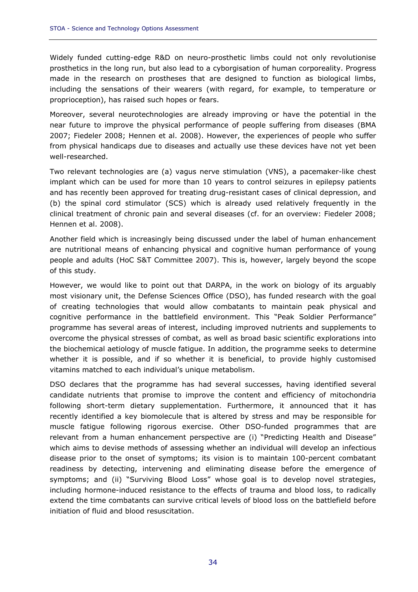Widely funded cutting-edge R&D on neuro-prosthetic limbs could not only revolutionise prosthetics in the long run, but also lead to a cyborgisation of human corporeality. Progress made in the research on prostheses that are designed to function as biological limbs, including the sensations of their wearers (with regard, for example, to temperature or proprioception), has raised such hopes or fears.

Moreover, several neurotechnologies are already improving or have the potential in the near future to improve the physical performance of people suffering from diseases (BMA 2007; Fiedeler 2008; Hennen et al. 2008). However, the experiences of people who suffer from physical handicaps due to diseases and actually use these devices have not yet been well-researched.

Two relevant technologies are (a) vagus nerve stimulation (VNS), a pacemaker-like chest implant which can be used for more than 10 years to control seizures in epilepsy patients and has recently been approved for treating drug-resistant cases of clinical depression, and (b) the spinal cord stimulator (SCS) which is already used relatively frequently in the clinical treatment of chronic pain and several diseases (cf. for an overview: Fiedeler 2008; Hennen et al. 2008).

Another field which is increasingly being discussed under the label of human enhancement are nutritional means of enhancing physical and cognitive human performance of young people and adults (HoC S&T Committee 2007). This is, however, largely beyond the scope of this study.

However, we would like to point out that DARPA, in the work on biology of its arguably most visionary unit, the Defense Sciences Office (DSO), has funded research with the goal of creating technologies that would allow combatants to maintain peak physical and cognitive performance in the battlefield environment. This "Peak Soldier Performance" programme has several areas of interest, including improved nutrients and supplements to overcome the physical stresses of combat, as well as broad basic scientific explorations into the biochemical aetiology of muscle fatigue. In addition, the programme seeks to determine whether it is possible, and if so whether it is beneficial, to provide highly customised vitamins matched to each individual's unique metabolism.

DSO declares that the programme has had several successes, having identified several candidate nutrients that promise to improve the content and efficiency of mitochondria following short-term dietary supplementation. Furthermore, it announced that it has recently identified a key biomolecule that is altered by stress and may be responsible for muscle fatigue following rigorous exercise. Other DSO-funded programmes that are relevant from a human enhancement perspective are (i) "Predicting Health and Disease" which aims to devise methods of assessing whether an individual will develop an infectious disease prior to the onset of symptoms; its vision is to maintain 100-percent combatant readiness by detecting, intervening and eliminating disease before the emergence of symptoms; and (ii) "Surviving Blood Loss" whose goal is to develop novel strategies, including hormone-induced resistance to the effects of trauma and blood loss, to radically extend the time combatants can survive critical levels of blood loss on the battlefield before initiation of fluid and blood resuscitation.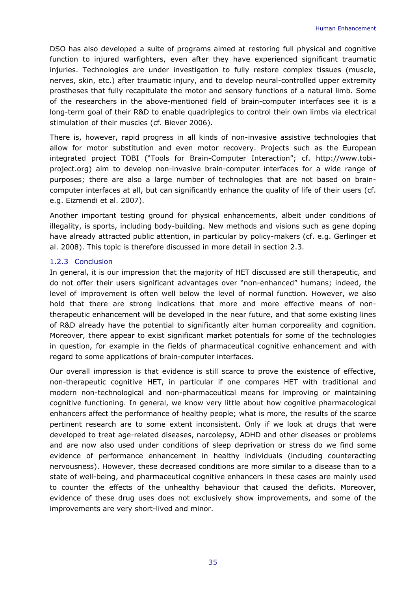DSO has also developed a suite of programs aimed at restoring full physical and cognitive function to injured warfighters, even after they have experienced significant traumatic injuries. Technologies are under investigation to fully restore complex tissues (muscle, nerves, skin, etc.) after traumatic injury, and to develop neural-controlled upper extremity prostheses that fully recapitulate the motor and sensory functions of a natural limb. Some of the researchers in the above-mentioned field of brain-computer interfaces see it is a long-term goal of their R&D to enable quadriplegics to control their own limbs via electrical stimulation of their muscles (cf. Biever 2006).

There is, however, rapid progress in all kinds of non-invasive assistive technologies that allow for motor substitution and even motor recovery. Projects such as the European integrated project TOBI ("Tools for Brain-Computer Interaction"; cf. http://www.tobiproject.org) aim to develop non-invasive brain-computer interfaces for a wide range of purposes; there are also a large number of technologies that are not based on braincomputer interfaces at all, but can significantly enhance the quality of life of their users (cf. e.g. Eizmendi et al. 2007).

Another important testing ground for physical enhancements, albeit under conditions of illegality, is sports, including body-building. New methods and visions such as gene doping have already attracted public attention, in particular by policy-makers (cf. e.g. Gerlinger et al. 2008). This topic is therefore discussed in more detail in section 2.3.

### 1.2.3 Conclusion

In general, it is our impression that the majority of HET discussed are still therapeutic, and do not offer their users significant advantages over "non-enhanced" humans; indeed, the level of improvement is often well below the level of normal function. However, we also hold that there are strong indications that more and more effective means of nontherapeutic enhancement will be developed in the near future, and that some existing lines of R&D already have the potential to significantly alter human corporeality and cognition. Moreover, there appear to exist significant market potentials for some of the technologies in question, for example in the fields of pharmaceutical cognitive enhancement and with regard to some applications of brain-computer interfaces.

Our overall impression is that evidence is still scarce to prove the existence of effective, non-therapeutic cognitive HET, in particular if one compares HET with traditional and modern non-technological and non-pharmaceutical means for improving or maintaining cognitive functioning. In general, we know very little about how cognitive pharmacological enhancers affect the performance of healthy people; what is more, the results of the scarce pertinent research are to some extent inconsistent. Only if we look at drugs that were developed to treat age-related diseases, narcolepsy, ADHD and other diseases or problems and are now also used under conditions of sleep deprivation or stress do we find some evidence of performance enhancement in healthy individuals (including counteracting nervousness). However, these decreased conditions are more similar to a disease than to a state of well-being, and pharmaceutical cognitive enhancers in these cases are mainly used to counter the effects of the unhealthy behaviour that caused the deficits. Moreover, evidence of these drug uses does not exclusively show improvements, and some of the improvements are very short-lived and minor.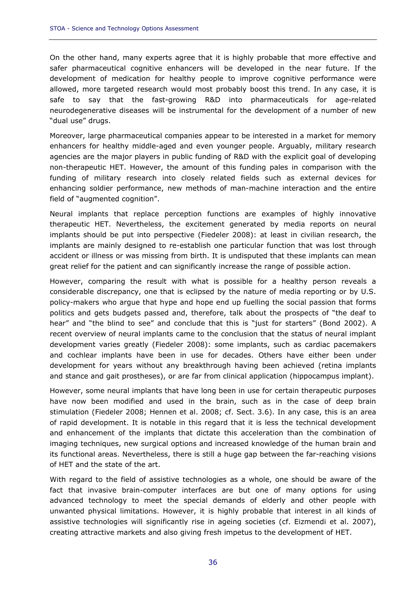On the other hand, many experts agree that it is highly probable that more effective and safer pharmaceutical cognitive enhancers will be developed in the near future. If the development of medication for healthy people to improve cognitive performance were allowed, more targeted research would most probably boost this trend. In any case, it is safe to say that the fast-growing R&D into pharmaceuticals for age-related neurodegenerative diseases will be instrumental for the development of a number of new "dual use" drugs.

Moreover, large pharmaceutical companies appear to be interested in a market for memory enhancers for healthy middle-aged and even younger people. Arguably, military research agencies are the major players in public funding of R&D with the explicit goal of developing non-therapeutic HET. However, the amount of this funding pales in comparison with the funding of military research into closely related fields such as external devices for enhancing soldier performance, new methods of man-machine interaction and the entire field of "augmented cognition".

Neural implants that replace perception functions are examples of highly innovative therapeutic HET. Nevertheless, the excitement generated by media reports on neural implants should be put into perspective (Fiedeler 2008): at least in civilian research, the implants are mainly designed to re-establish one particular function that was lost through accident or illness or was missing from birth. It is undisputed that these implants can mean great relief for the patient and can significantly increase the range of possible action.

However, comparing the result with what is possible for a healthy person reveals a considerable discrepancy, one that is eclipsed by the nature of media reporting or by U.S. policy-makers who argue that hype and hope end up fuelling the social passion that forms politics and gets budgets passed and, therefore, talk about the prospects of "the deaf to hear" and "the blind to see" and conclude that this is "just for starters" (Bond 2002). A recent overview of neural implants came to the conclusion that the status of neural implant development varies greatly (Fiedeler 2008): some implants, such as cardiac pacemakers and cochlear implants have been in use for decades. Others have either been under development for years without any breakthrough having been achieved (retina implants and stance and gait prostheses), or are far from clinical application (hippocampus implant).

However, some neural implants that have long been in use for certain therapeutic purposes have now been modified and used in the brain, such as in the case of deep brain stimulation (Fiedeler 2008; Hennen et al. 2008; cf. Sect. 3.6). In any case, this is an area of rapid development. It is notable in this regard that it is less the technical development and enhancement of the implants that dictate this acceleration than the combination of imaging techniques, new surgical options and increased knowledge of the human brain and its functional areas. Nevertheless, there is still a huge gap between the far-reaching visions of HET and the state of the art.

With regard to the field of assistive technologies as a whole, one should be aware of the fact that invasive brain-computer interfaces are but one of many options for using advanced technology to meet the special demands of elderly and other people with unwanted physical limitations. However, it is highly probable that interest in all kinds of assistive technologies will significantly rise in ageing societies (cf. Eizmendi et al. 2007), creating attractive markets and also giving fresh impetus to the development of HET.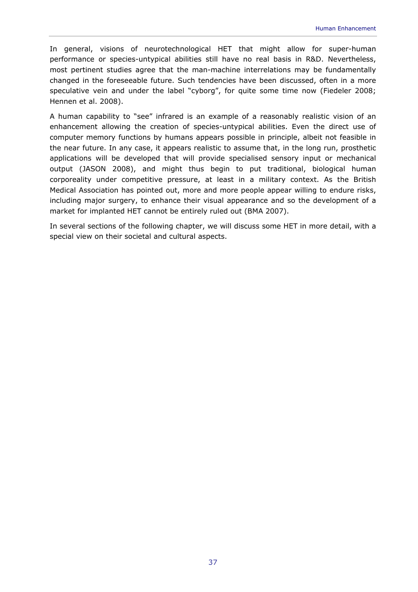In general, visions of neurotechnological HET that might allow for super-human performance or species-untypical abilities still have no real basis in R&D. Nevertheless, most pertinent studies agree that the man-machine interrelations may be fundamentally changed in the foreseeable future. Such tendencies have been discussed, often in a more speculative vein and under the label "cyborg", for quite some time now (Fiedeler 2008; Hennen et al. 2008).

A human capability to "see" infrared is an example of a reasonably realistic vision of an enhancement allowing the creation of species-untypical abilities. Even the direct use of computer memory functions by humans appears possible in principle, albeit not feasible in the near future. In any case, it appears realistic to assume that, in the long run, prosthetic applications will be developed that will provide specialised sensory input or mechanical output (JASON 2008), and might thus begin to put traditional, biological human corporeality under competitive pressure, at least in a military context. As the British Medical Association has pointed out, more and more people appear willing to endure risks, including major surgery, to enhance their visual appearance and so the development of a market for implanted HET cannot be entirely ruled out (BMA 2007).

In several sections of the following chapter, we will discuss some HET in more detail, with a special view on their societal and cultural aspects.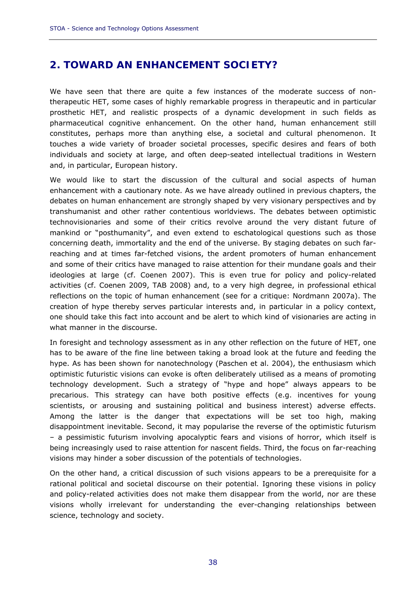# **2. TOWARD AN ENHANCEMENT SOCIETY?**

We have seen that there are quite a few instances of the moderate success of nontherapeutic HET, some cases of highly remarkable progress in therapeutic and in particular prosthetic HET, and realistic prospects of a dynamic development in such fields as pharmaceutical cognitive enhancement. On the other hand, human enhancement still constitutes, perhaps more than anything else, a societal and cultural phenomenon. It touches a wide variety of broader societal processes, specific desires and fears of both individuals and society at large, and often deep-seated intellectual traditions in Western and, in particular, European history.

We would like to start the discussion of the cultural and social aspects of human enhancement with a cautionary note. As we have already outlined in previous chapters, the debates on human enhancement are strongly shaped by very visionary perspectives and by transhumanist and other rather contentious worldviews. The debates between optimistic technovisionaries and some of their critics revolve around the very distant future of mankind or "posthumanity", and even extend to eschatological questions such as those concerning death, immortality and the end of the universe. By staging debates on such farreaching and at times far-fetched visions, the ardent promoters of human enhancement and some of their critics have managed to raise attention for their mundane goals and their ideologies at large (cf. Coenen 2007). This is even true for policy and policy-related activities (cf. Coenen 2009, TAB 2008) and, to a very high degree, in professional ethical reflections on the topic of human enhancement (see for a critique: Nordmann 2007a). The creation of hype thereby serves particular interests and, in particular in a policy context, one should take this fact into account and be alert to which kind of visionaries are acting in what manner in the discourse.

In foresight and technology assessment as in any other reflection on the future of HET, one has to be aware of the fine line between taking a broad look at the future and feeding the hype. As has been shown for nanotechnology (Paschen et al. 2004), the enthusiasm which optimistic futuristic visions can evoke is often deliberately utilised as a means of promoting technology development. Such a strategy of "hype and hope" always appears to be precarious. This strategy can have both positive effects (e.g. incentives for young scientists, or arousing and sustaining political and business interest) adverse effects. Among the latter is the danger that expectations will be set too high, making disappointment inevitable. Second, it may popularise the reverse of the optimistic futurism – a pessimistic futurism involving apocalyptic fears and visions of horror, which itself is being increasingly used to raise attention for nascent fields. Third, the focus on far-reaching visions may hinder a sober discussion of the potentials of technologies.

On the other hand, a critical discussion of such visions appears to be a prerequisite for a rational political and societal discourse on their potential. Ignoring these visions in policy and policy-related activities does not make them disappear from the world, nor are these visions wholly irrelevant for understanding the ever-changing relationships between science, technology and society.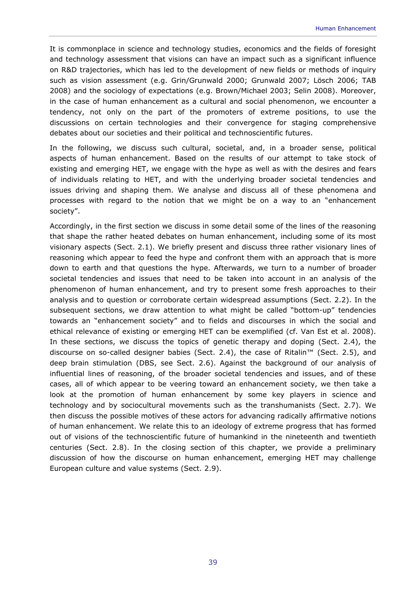It is commonplace in science and technology studies, economics and the fields of foresight and technology assessment that visions can have an impact such as a significant influence on R&D trajectories, which has led to the development of new fields or methods of inquiry such as vision assessment (e.g. Grin/Grunwald 2000; Grunwald 2007; Lösch 2006; TAB 2008) and the sociology of expectations (e.g. Brown/Michael 2003; Selin 2008). Moreover, in the case of human enhancement as a cultural and social phenomenon, we encounter a tendency, not only on the part of the promoters of extreme positions, to use the discussions on certain technologies and their convergence for staging comprehensive debates about our societies and their political and technoscientific futures.

In the following, we discuss such cultural, societal, and, in a broader sense, political aspects of human enhancement. Based on the results of our attempt to take stock of existing and emerging HET, we engage with the hype as well as with the desires and fears of individuals relating to HET, and with the underlying broader societal tendencies and issues driving and shaping them. We analyse and discuss all of these phenomena and processes with regard to the notion that we might be on a way to an "enhancement society".

Accordingly, in the first section we discuss in some detail some of the lines of the reasoning that shape the rather heated debates on human enhancement, including some of its most visionary aspects (Sect. 2.1). We briefly present and discuss three rather visionary lines of reasoning which appear to feed the hype and confront them with an approach that is more down to earth and that questions the hype. Afterwards, we turn to a number of broader societal tendencies and issues that need to be taken into account in an analysis of the phenomenon of human enhancement, and try to present some fresh approaches to their analysis and to question or corroborate certain widespread assumptions (Sect. 2.2). In the subsequent sections, we draw attention to what might be called "bottom-up" tendencies towards an "enhancement society" and to fields and discourses in which the social and ethical relevance of existing or emerging HET can be exemplified (cf. Van Est et al. 2008). In these sections, we discuss the topics of genetic therapy and doping (Sect. 2.4), the discourse on so-called designer babies (Sect. 2.4), the case of Ritalin™ (Sect. 2.5), and deep brain stimulation (DBS, see Sect. 2.6). Against the background of our analysis of influential lines of reasoning, of the broader societal tendencies and issues, and of these cases, all of which appear to be veering toward an enhancement society, we then take a look at the promotion of human enhancement by some key players in science and technology and by sociocultural movements such as the transhumanists (Sect. 2.7). We then discuss the possible motives of these actors for advancing radically affirmative notions of human enhancement. We relate this to an ideology of extreme progress that has formed out of visions of the technoscientific future of humankind in the nineteenth and twentieth centuries (Sect. 2.8). In the closing section of this chapter, we provide a preliminary discussion of how the discourse on human enhancement, emerging HET may challenge European culture and value systems (Sect. 2.9).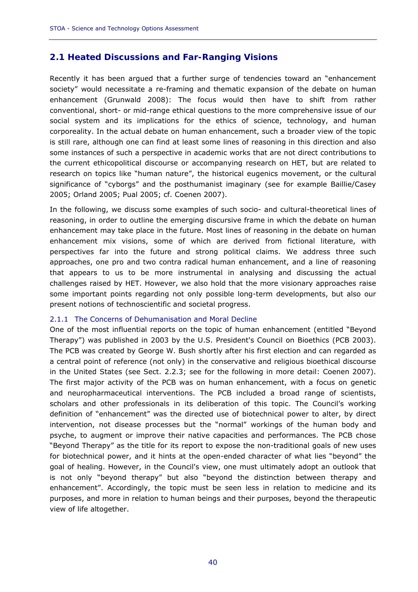# **2.1 Heated Discussions and Far-Ranging Visions**

Recently it has been argued that a further surge of tendencies toward an "enhancement society" would necessitate a re-framing and thematic expansion of the debate on human enhancement (Grunwald 2008): The focus would then have to shift from rather conventional, short- or mid-range ethical questions to the more comprehensive issue of our social system and its implications for the ethics of science, technology, and human corporeality. In the actual debate on human enhancement, such a broader view of the topic is still rare, although one can find at least some lines of reasoning in this direction and also some instances of such a perspective in academic works that are not direct contributions to the current ethicopolitical discourse or accompanying research on HET, but are related to research on topics like "human nature", the historical eugenics movement, or the cultural significance of "cyborgs" and the posthumanist imaginary (see for example Baillie/Casey 2005; Orland 2005; Pual 2005; cf. Coenen 2007).

In the following, we discuss some examples of such socio- and cultural-theoretical lines of reasoning, in order to outline the emerging discursive frame in which the debate on human enhancement may take place in the future. Most lines of reasoning in the debate on human enhancement mix visions, some of which are derived from fictional literature, with perspectives far into the future and strong political claims. We address three such approaches, one pro and two contra radical human enhancement, and a line of reasoning that appears to us to be more instrumental in analysing and discussing the actual challenges raised by HET. However, we also hold that the more visionary approaches raise some important points regarding not only possible long-term developments, but also our present notions of technoscientific and societal progress.

### 2.1.1 The Concerns of Dehumanisation and Moral Decline

One of the most influential reports on the topic of human enhancement (entitled "Beyond Therapy") was published in 2003 by the U.S. President's Council on Bioethics (PCB 2003). The PCB was created by George W. Bush shortly after his first election and can regarded as a central point of reference (not only) in the conservative and religious bioethical discourse in the United States (see Sect. 2.2.3; see for the following in more detail: Coenen 2007). The first major activity of the PCB was on human enhancement, with a focus on genetic and neuropharmaceutical interventions. The PCB included a broad range of scientists, scholars and other professionals in its deliberation of this topic. The Council's working definition of "enhancement" was the directed use of biotechnical power to alter, by direct intervention, not disease processes but the "normal" workings of the human body and psyche, to augment or improve their native capacities and performances. The PCB chose "Beyond Therapy" as the title for its report to expose the non-traditional goals of new uses for biotechnical power, and it hints at the open-ended character of what lies "beyond" the goal of healing. However, in the Council's view, one must ultimately adopt an outlook that is not only "beyond therapy" but also "beyond the distinction between therapy and enhancement". Accordingly, the topic must be seen less in relation to medicine and its purposes, and more in relation to human beings and their purposes, beyond the therapeutic view of life altogether.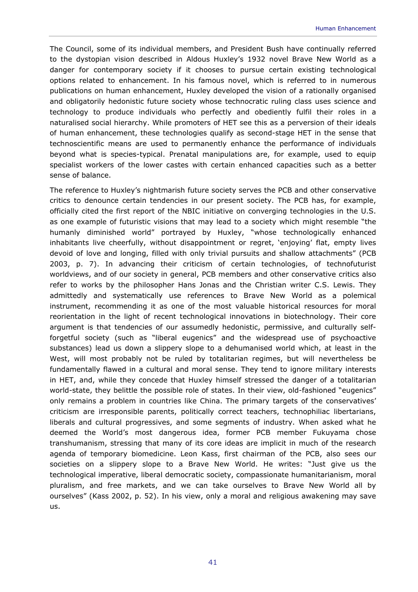The Council, some of its individual members, and President Bush have continually referred to the dystopian vision described in Aldous Huxley's 1932 novel *Brave New World* as a danger for contemporary society if it chooses to pursue certain existing technological options related to enhancement. In his famous novel, which is referred to in numerous publications on human enhancement, Huxley developed the vision of a rationally organised and obligatorily hedonistic future society whose technocratic ruling class uses science and technology to produce individuals who perfectly and obediently fulfil their roles in a naturalised social hierarchy. While promoters of HET see this as a perversion of their ideals of human enhancement, these technologies qualify as second-stage HET in the sense that technoscientific means are used to permanently enhance the performance of individuals beyond what is species-typical. Prenatal manipulations are, for example, used to equip specialist workers of the lower castes with certain enhanced capacities such as a better sense of balance.

The reference to Huxley's nightmarish future society serves the PCB and other conservative critics to denounce certain tendencies in our present society. The PCB has, for example, officially cited the first report of the NBIC initiative on converging technologies in the U.S. as one example of futuristic visions that may lead to a society which might resemble "the humanly diminished world" portrayed by Huxley, "whose technologically enhanced inhabitants live cheerfully, without disappointment or regret, 'enjoying' flat, empty lives devoid of love and longing, filled with only trivial pursuits and shallow attachments" (PCB 2003, p. 7). In advancing their criticism of certain technologies, of technofuturist worldviews, and of our society in general, PCB members and other conservative critics also refer to works by the philosopher Hans Jonas and the Christian writer C.S. Lewis. They admittedly and systematically use references to *Brave New World* as a polemical instrument, recommending it as one of the most valuable historical resources for moral reorientation in the light of recent technological innovations in biotechnology. Their core argument is that tendencies of our assumedly hedonistic, permissive, and culturally selfforgetful society (such as "liberal eugenics" and the widespread use of psychoactive substances) lead us down a slippery slope to a dehumanised world which, at least in the West, will most probably not be ruled by totalitarian regimes, but will nevertheless be fundamentally flawed in a cultural and moral sense. They tend to ignore military interests in HET, and, while they concede that Huxley himself stressed the danger of a totalitarian world-state, they belittle the possible role of states. In their view, old-fashioned "eugenics" only remains a problem in countries like China. The primary targets of the conservatives' criticism are irresponsible parents, politically correct teachers, technophiliac libertarians, liberals and cultural progressives, and some segments of industry. When asked what he deemed the World's most dangerous idea, former PCB member Fukuyama chose transhumanism, stressing that many of its core ideas are implicit in much of the research agenda of temporary biomedicine. Leon Kass, first chairman of the PCB, also sees our societies on a slippery slope to a Brave New World. He writes: "Just give us the technological imperative, liberal democratic society, compassionate humanitarianism, moral pluralism, and free markets, and we can take ourselves to Brave New World all by ourselves" (Kass 2002, p. 52). In his view, only a moral and religious awakening may save us.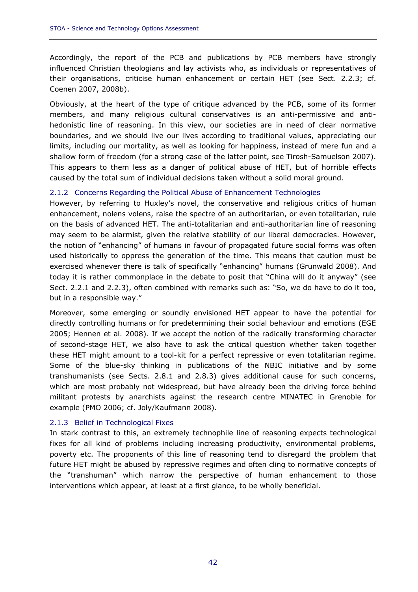Accordingly, the report of the PCB and publications by PCB members have strongly influenced Christian theologians and lay activists who, as individuals or representatives of their organisations, criticise human enhancement or certain HET (see Sect. 2.2.3; cf. Coenen 2007, 2008b).

Obviously, at the heart of the type of critique advanced by the PCB, some of its former members, and many religious cultural conservatives is an anti-permissive and antihedonistic line of reasoning. In this view, our societies are in need of clear normative boundaries, and we should live our lives according to traditional values, appreciating our limits, including our mortality, as well as looking for happiness, instead of mere fun and a shallow form of freedom (for a strong case of the latter point, see Tirosh-Samuelson 2007). This appears to them less as a danger of political abuse of HET, but of horrible effects caused by the total sum of individual decisions taken without a solid moral ground.

### 2.1.2 Concerns Regarding the Political Abuse of Enhancement Technologies

However, by referring to Huxley's novel, the conservative and religious critics of human enhancement, *nolens volens*, raise the spectre of an authoritarian, or even totalitarian, rule on the basis of advanced HET. The anti-totalitarian and anti-authoritarian line of reasoning may seem to be alarmist, given the relative stability of our liberal democracies. However, the notion of "enhancing" of humans in favour of propagated future social forms was often used historically to oppress the generation of the time. This means that caution must be exercised whenever there is talk of specifically "enhancing" humans (Grunwald 2008). And today it is rather commonplace in the debate to posit that "China will do it anyway" (see Sect. 2.2.1 and 2.2.3), often combined with remarks such as: "So, we do have to do it too, but in a responsible way."

Moreover, some emerging or soundly envisioned HET appear to have the potential for directly controlling humans or for predetermining their social behaviour and emotions (EGE 2005; Hennen et al. 2008). If we accept the notion of the radically transforming character of second-stage HET, we also have to ask the critical question whether taken together these HET might amount to a tool-kit for a perfect repressive or even totalitarian regime. Some of the blue-sky thinking in publications of the NBIC initiative and by some transhumanists (see Sects. 2.8.1 and 2.8.3) gives additional cause for such concerns, which are most probably not widespread, but have already been the driving force behind militant protests by anarchists against the research centre MINATEC in Grenoble for example (PMO 2006; cf. Joly/Kaufmann 2008).

### 2.1.3 Belief in Technological Fixes

In stark contrast to this, an extremely technophile line of reasoning expects technological fixes for all kind of problems including increasing productivity, environmental problems, poverty etc. The proponents of this line of reasoning tend to disregard the problem that future HET might be abused by repressive regimes and often cling to normative concepts of the "transhuman" which narrow the perspective of human enhancement to those interventions which appear, at least at a first glance, to be wholly beneficial.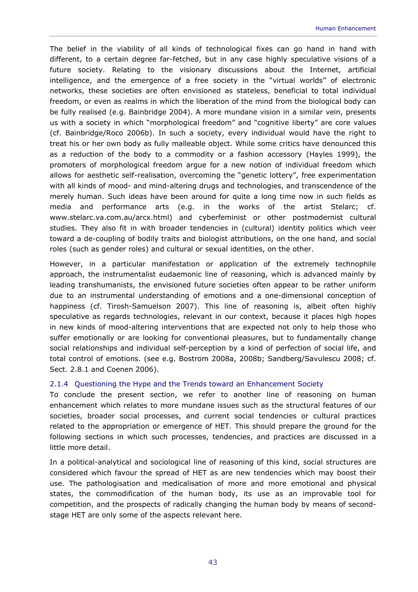The belief in the viability of all kinds of technological fixes can go hand in hand with different, to a certain degree far-fetched, but in any case highly speculative visions of a future society. Relating to the visionary discussions about the Internet, artificial intelligence, and the emergence of a free society in the "virtual worlds" of electronic networks, these societies are often envisioned as stateless, beneficial to total individual freedom, or even as realms in which the liberation of the mind from the biological body can be fully realised (e.g. Bainbridge 2004). A more mundane vision in a similar vein, presents us with a society in which "morphological freedom" and "cognitive liberty" are core values (cf. Bainbridge/Roco 2006b). In such a society, every individual would have the right to treat his or her own body as fully malleable object. While some critics have denounced this as a reduction of the body to a commodity or a fashion accessory (Hayles 1999), the promoters of morphological freedom argue for a new notion of individual freedom which allows for aesthetic self-realisation, overcoming the "genetic lottery", free experimentation with all kinds of mood- and mind-altering drugs and technologies, and transcendence of the merely human. Such ideas have been around for quite a long time now in such fields as media and performance arts (e.g. in the works of the artist Stelarc; www.stelarc.va.com.au/arcx.html) and cyberfeminist or other postmodernist cultural studies. They also fit in with broader tendencies in (cultural) identity politics which veer toward a de-coupling of bodily traits and biologist attributions, on the one hand, and social roles (such as gender roles) and cultural or sexual identities, on the other.

However, in a particular manifestation or application of the extremely technophile approach, the instrumentalist eudaemonic line of reasoning, which is advanced mainly by leading transhumanists, the envisioned future societies often appear to be rather uniform due to an instrumental understanding of emotions and a one-dimensional conception of happiness (cf. Tirosh-Samuelson 2007). This line of reasoning is, albeit often highly speculative as regards technologies, relevant in our context, because it places high hopes in new kinds of mood-altering interventions that are expected not only to help those who suffer emotionally or are looking for conventional pleasures, but to fundamentally change social relationships and individual self-perception by a kind of perfection of social life, and total control of emotions. (see e.g. Bostrom 2008a, 2008b; Sandberg/Savulescu 2008; cf. Sect. 2.8.1 and Coenen 2006).

# 2.1.4 Questioning the Hype and the Trends toward an Enhancement Society

To conclude the present section, we refer to another line of reasoning on human enhancement which relates to more mundane issues such as the structural features of our societies, broader social processes, and current social tendencies or cultural practices related to the appropriation or emergence of HET. This should prepare the ground for the following sections in which such processes, tendencies, and practices are discussed in a little more detail.

In a political-analytical and sociological line of reasoning of this kind, social structures are considered which favour the spread of HET as are new tendencies which may boost their use. The pathologisation and medicalisation of more and more emotional and physical states, the commodification of the human body, its use as an improvable tool for competition, and the prospects of radically changing the human body by means of secondstage HET are only some of the aspects relevant here.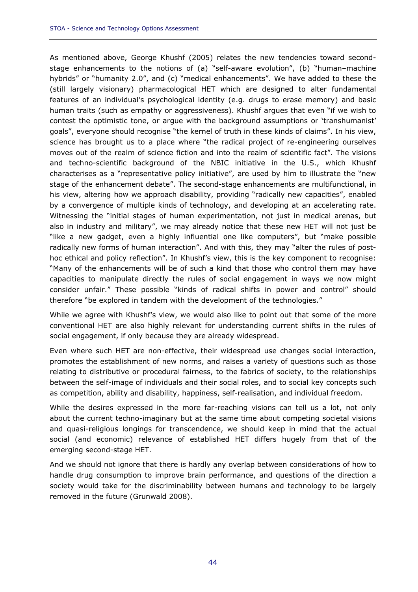As mentioned above, George Khushf (2005) relates the new tendencies toward secondstage enhancements to the notions of (a) "self-aware evolution", (b) "human–machine hybrids" or "humanity 2.0", and (c) "medical enhancements". We have added to these the (still largely visionary) pharmacological HET which are designed to alter fundamental features of an individual's psychological identity (e.g. drugs to erase memory) and basic human traits (such as empathy or aggressiveness). Khushf argues that even "if we wish to contest the optimistic tone, or argue with the background assumptions or 'transhumanist' goals", everyone should recognise "the kernel of truth in these kinds of claims". In his view, science has brought us to a place where "the radical project of re-engineering ourselves moves out of the realm of science fiction and into the realm of scientific fact". The visions and techno-scientific background of the NBIC initiative in the U.S., which Khushf characterises as a "representative policy initiative", are used by him to illustrate the "new stage of the enhancement debate". The second-stage enhancements are multifunctional, in his view, altering how we approach disability, providing "radically new capacities", enabled by a convergence of multiple kinds of technology, and developing at an accelerating rate. Witnessing the "initial stages of human experimentation, not just in medical arenas, but also in industry and military", we may already notice that these new HET will not just be "like a new gadget, even a highly influential one like computers", but "make possible radically new forms of human interaction". And with this, they may "alter the rules of posthoc ethical and policy reflection". In Khushf's view, this is the key component to recognise: "Many of the enhancements will be of such a kind that those who control them may have capacities to manipulate directly the rules of social engagement in ways we now might consider unfair." These possible "kinds of radical shifts in power and control" should therefore "be explored in tandem with the development of the technologies."

While we agree with Khushf's view, we would also like to point out that some of the more conventional HET are also highly relevant for understanding current shifts in the rules of social engagement, if only because they are already widespread.

Even where such HET are non-effective, their widespread use changes social interaction, promotes the establishment of new norms, and raises a variety of questions such as those relating to distributive or procedural fairness, to the fabrics of society, to the relationships between the self-image of individuals and their social roles, and to social key concepts such as competition, ability and disability, happiness, self-realisation, and individual freedom.

While the desires expressed in the more far-reaching visions can tell us a lot, not only about the current techno-imaginary but at the same time about competing societal visions and quasi-religious longings for transcendence, we should keep in mind that the actual social (and economic) relevance of established HET differs hugely from that of the emerging second-stage HET.

And we should not ignore that there is hardly any overlap between considerations of how to handle drug consumption to improve brain performance, and questions of the direction a society would take for the discriminability between humans and technology to be largely removed in the future (Grunwald 2008).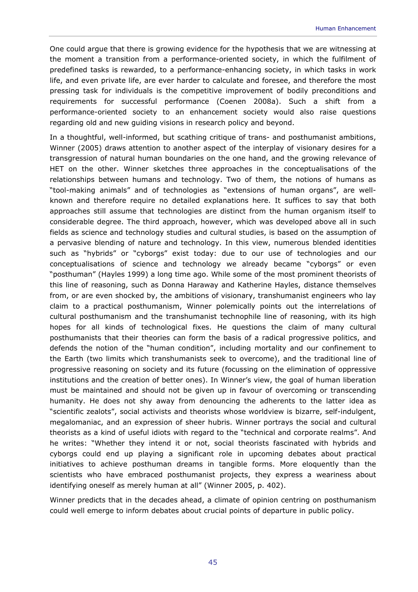One could argue that there is growing evidence for the hypothesis that we are witnessing at the moment a transition from a performance-oriented society, in which the fulfilment of predefined tasks is rewarded, to a performance-enhancing society, in which tasks in work life, and even private life, are ever harder to calculate and foresee, and therefore the most pressing task for individuals is the competitive improvement of bodily preconditions and requirements for successful performance (Coenen 2008a). Such a shift from a performance-oriented society to an enhancement society would also raise questions regarding old and new guiding visions in research policy and beyond.

In a thoughtful, well-informed, but scathing critique of trans- and posthumanist ambitions, Winner (2005) draws attention to another aspect of the interplay of visionary desires for a transgression of natural human boundaries on the one hand, and the growing relevance of HET on the other. Winner sketches three approaches in the conceptualisations of the relationships between humans and technology. Two of them, the notions of humans as "tool-making animals" and of technologies as "extensions of human organs", are wellknown and therefore require no detailed explanations here. It suffices to say that both approaches still assume that technologies are distinct from the human organism itself to considerable degree. The third approach, however, which was developed above all in such fields as science and technology studies and cultural studies, is based on the assumption of a pervasive blending of nature and technology. In this view, numerous blended identities such as "hybrids" or "cyborgs" exist today: due to our use of technologies and our conceptualisations of science and technology we already became "cyborgs" or even "posthuman" (Hayles 1999) a long time ago. While some of the most prominent theorists of this line of reasoning, such as Donna Haraway and Katherine Hayles, distance themselves from, or are even shocked by, the ambitions of visionary, transhumanist engineers who lay claim to a practical posthumanism, Winner polemically points out the interrelations of cultural posthumanism and the transhumanist technophile line of reasoning, with its high hopes for all kinds of technological fixes. He questions the claim of many cultural posthumanists that their theories can form the basis of a radical progressive politics, and defends the notion of the "human condition", including mortality and our confinement to the Earth (two limits which transhumanists seek to overcome), and the traditional line of progressive reasoning on society and its future (focussing on the elimination of oppressive institutions and the creation of better ones). In Winner's view, the goal of human liberation must be maintained and should not be given up in favour of overcoming or transcending humanity. He does not shy away from denouncing the adherents to the latter idea as "scientific zealots", social activists and theorists whose worldview is bizarre, self-indulgent, megalomaniac, and an expression of sheer hubris. Winner portrays the social and cultural theorists as a kind of useful idiots with regard to the "technical and corporate realms". And he writes: "Whether they intend it or not, social theorists fascinated with hybrids and cyborgs could end up playing a significant role in upcoming debates about practical initiatives to achieve posthuman dreams in tangible forms. More eloquently than the scientists who have embraced posthumanist projects, they express a weariness about identifying oneself as merely human at all" (Winner 2005, p. 402).

Winner predicts that in the decades ahead, a climate of opinion centring on posthumanism could well emerge to inform debates about crucial points of departure in public policy.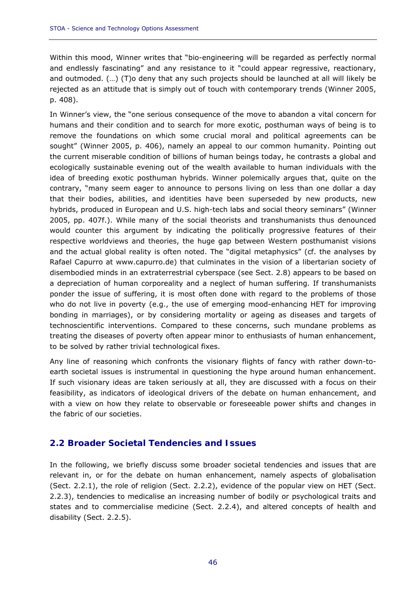Within this mood, Winner writes that "bio-engineering will be regarded as perfectly normal and endlessly fascinating" and any resistance to it "could appear regressive, reactionary, and outmoded. (…) (T)o deny that any such projects should be launched at all will likely be rejected as an attitude that is simply out of touch with contemporary trends (Winner 2005, p. 408).

In Winner's view, the "one serious consequence of the move to abandon a vital concern for humans and their condition and to search for more exotic, posthuman ways of being is to remove the foundations on which some crucial moral and political agreements can be sought" (Winner 2005, p. 406), namely an appeal to our common humanity. Pointing out the current miserable condition of billions of human beings today, he contrasts a global and ecologically sustainable evening out of the wealth available to human individuals with the idea of breeding exotic posthuman hybrids. Winner polemically argues that, quite on the contrary, "many seem eager to announce to persons living on less than one dollar a day that their bodies, abilities, and identities have been superseded by new products, new hybrids, produced in European and U.S. high-tech labs and social theory seminars" (Winner 2005, pp. 407f.). While many of the social theorists and transhumanists thus denounced would counter this argument by indicating the politically progressive features of their respective worldviews and theories, the huge gap between Western posthumanist visions and the actual global reality is often noted. The "digital metaphysics" (cf. the analyses by Rafael Capurro at www.capurro.de) that culminates in the vision of a libertarian society of disembodied minds in an extraterrestrial cyberspace (see Sect. 2.8) appears to be based on a depreciation of human corporeality and a neglect of human suffering. If transhumanists ponder the issue of suffering, it is most often done with regard to the problems of those who do not live in poverty (e.g., the use of emerging mood-enhancing HET for improving bonding in marriages), or by considering mortality or ageing as diseases and targets of technoscientific interventions. Compared to these concerns, such mundane problems as treating the diseases of poverty often appear minor to enthusiasts of human enhancement, to be solved by rather trivial technological fixes.

Any line of reasoning which confronts the visionary flights of fancy with rather down-toearth societal issues is instrumental in questioning the hype around human enhancement. If such visionary ideas are taken seriously at all, they are discussed with a focus on their feasibility, as indicators of ideological drivers of the debate on human enhancement, and with a view on how they relate to observable or foreseeable power shifts and changes in the fabric of our societies.

# **2.2 Broader Societal Tendencies and Issues**

In the following, we briefly discuss some broader societal tendencies and issues that are relevant in, or for the debate on human enhancement, namely aspects of globalisation (Sect. 2.2.1), the role of religion (Sect. 2.2.2), evidence of the popular view on HET (Sect. 2.2.3), tendencies to medicalise an increasing number of bodily or psychological traits and states and to commercialise medicine (Sect. 2.2.4), and altered concepts of health and disability (Sect. 2.2.5).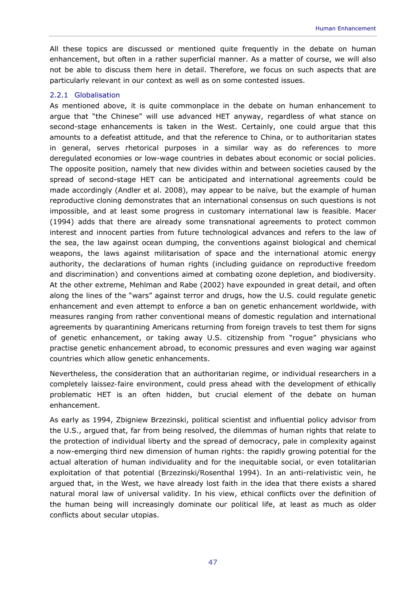All these topics are discussed or mentioned quite frequently in the debate on human enhancement, but often in a rather superficial manner. As a matter of course, we will also not be able to discuss them here in detail. Therefore, we focus on such aspects that are particularly relevant in our context as well as on some contested issues.

### 2.2.1 Globalisation

As mentioned above, it is quite commonplace in the debate on human enhancement to argue that "the Chinese" will use advanced HET anyway, regardless of what stance on second-stage enhancements is taken in the West. Certainly, one could argue that this amounts to a defeatist attitude, and that the reference to China, or to authoritarian states in general, serves rhetorical purposes in a similar way as do references to more deregulated economies or low-wage countries in debates about economic or social policies. The opposite position, namely that new divides within and between societies caused by the spread of second-stage HET can be anticipated and international agreements could be made accordingly (Andler et al. 2008), may appear to be naïve, but the example of human reproductive cloning demonstrates that an international consensus on such questions is not impossible, and at least some progress in customary international law is feasible. Macer (1994) adds that there are already some transnational agreements to protect common interest and innocent parties from future technological advances and refers to the law of the sea, the law against ocean dumping, the conventions against biological and chemical weapons, the laws against militarisation of space and the international atomic energy authority, the declarations of human rights (including guidance on reproductive freedom and discrimination) and conventions aimed at combating ozone depletion, and biodiversity. At the other extreme, Mehlman and Rabe (2002) have expounded in great detail, and often along the lines of the "wars" against terror and drugs, how the U.S. could regulate genetic enhancement and even attempt to enforce a ban on genetic enhancement worldwide, with measures ranging from rather conventional means of domestic regulation and international agreements by quarantining Americans returning from foreign travels to test them for signs of genetic enhancement, or taking away U.S. citizenship from "rogue" physicians who practise genetic enhancement abroad, to economic pressures and even waging war against countries which allow genetic enhancements.

Nevertheless, the consideration that an authoritarian regime, or individual researchers in a completely *laissez-faire* environment, could press ahead with the development of ethically problematic HET is an often hidden, but crucial element of the debate on human enhancement.

As early as 1994, Zbigniew Brzezinski, political scientist and influential policy advisor from the U.S., argued that, far from being resolved, the dilemmas of human rights that relate to the protection of individual liberty and the spread of democracy, pale in complexity against a now-emerging third new dimension of human rights: the rapidly growing potential for the actual alteration of human individuality and for the inequitable social, or even totalitarian exploitation of that potential (Brzezinski/Rosenthal 1994). In an anti-relativistic vein, he argued that, in the West, we have already lost faith in the idea that there exists a shared natural moral law of universal validity. In his view, ethical conflicts over the definition of the human being will increasingly dominate our political life, at least as much as older conflicts about secular utopias.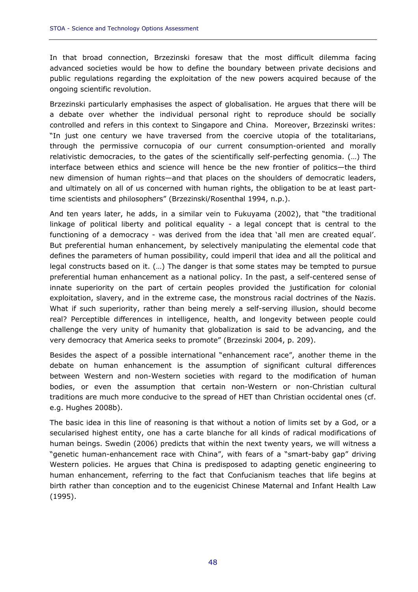In that broad connection, Brzezinski foresaw that the most difficult dilemma facing advanced societies would be how to define the boundary between private decisions and public regulations regarding the exploitation of the new powers acquired because of the ongoing scientific revolution.

Brzezinski particularly emphasises the aspect of globalisation. He argues that there will be a debate over whether the individual personal right to reproduce should be socially controlled and refers in this context to Singapore and China. Moreover, Brzezinski writes: "In just one century we have traversed from the coercive utopia of the totalitarians, through the permissive cornucopia of our current consumption-oriented and morally relativistic democracies, to the gates of the scientifically self-perfecting genomia. (…) The interface between ethics and science will hence be the new frontier of politics—the third new dimension of human rights—and that places on the shoulders of democratic leaders, and ultimately on all of us concerned with human rights, the obligation to be at least parttime scientists and philosophers" (Brzezinski/Rosenthal 1994, n.p.).

And ten years later, he adds, in a similar vein to Fukuyama (2002), that "the traditional linkage of political liberty and political equality - a legal concept that is central to the functioning of a democracy - was derived from the idea that 'all men are created equal'. But preferential human enhancement, by selectively manipulating the elemental code that defines the parameters of human possibility, could imperil that idea and all the political and legal constructs based on it. (…) The danger is that some states may be tempted to pursue preferential human enhancement as a national policy. In the past, a self-centered sense of innate superiority on the part of certain peoples provided the justification for colonial exploitation, slavery, and in the extreme case, the monstrous racial doctrines of the Nazis. What if such superiority, rather than being merely a self-serving illusion, should become real? Perceptible differences in intelligence, health, and longevity between people could challenge the very unity of humanity that globalization is said to be advancing, and the very democracy that America seeks to promote" (Brzezinski 2004, p. 209).

Besides the aspect of a possible international "enhancement race", another theme in the debate on human enhancement is the assumption of significant cultural differences between Western and non-Western societies with regard to the modification of human bodies, or even the assumption that certain non-Western or non-Christian cultural traditions are much more conducive to the spread of HET than Christian occidental ones (cf. e.g. Hughes 2008b).

The basic idea in this line of reasoning is that without a notion of limits set by a God, or a secularised highest entity, one has a *carte blanche* for all kinds of radical modifications of human beings. Swedin (2006) predicts that within the next twenty years, we will witness a "genetic human-enhancement race with China", with fears of a "smart-baby gap" driving Western policies. He argues that China is predisposed to adapting genetic engineering to human enhancement, referring to the fact that Confucianism teaches that life begins at birth rather than conception and to the eugenicist Chinese Maternal and Infant Health Law (1995).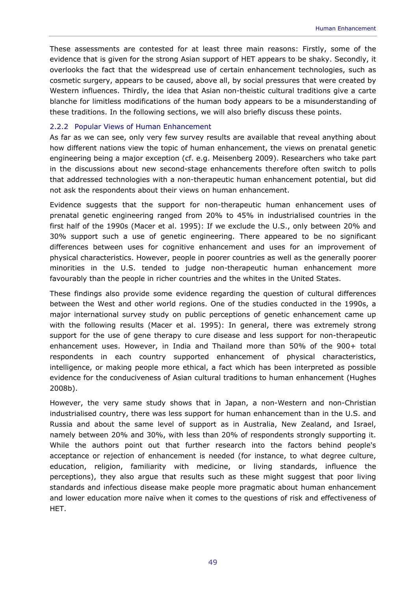These assessments are contested for at least three main reasons: Firstly, some of the evidence that is given for the strong Asian support of HET appears to be shaky. Secondly, it overlooks the fact that the widespread use of certain enhancement technologies, such as cosmetic surgery, appears to be caused, above all, by social pressures that were created by Western influences. Thirdly, the idea that Asian non-theistic cultural traditions give a *carte blanche* for limitless modifications of the human body appears to be a misunderstanding of these traditions. In the following sections, we will also briefly discuss these points.

### 2.2.2 Popular Views of Human Enhancement

As far as we can see, only very few survey results are available that reveal anything about how different nations view the topic of human enhancement, the views on prenatal genetic engineering being a major exception (cf. e.g. Meisenberg 2009). Researchers who take part in the discussions about new second-stage enhancements therefore often switch to polls that addressed technologies with a non-therapeutic human enhancement potential, but did not ask the respondents about their views on human enhancement.

Evidence suggests that the support for non-therapeutic human enhancement uses of prenatal genetic engineering ranged from 20% to 45% in industrialised countries in the first half of the 1990s (Macer et al. 1995): If we exclude the U.S., only between 20% and 30% support such a use of genetic engineering. There appeared to be no significant differences between uses for cognitive enhancement and uses for an improvement of physical characteristics. However, people in poorer countries as well as the generally poorer minorities in the U.S. tended to judge non-therapeutic human enhancement more favourably than the people in richer countries and the whites in the United States.

These findings also provide some evidence regarding the question of cultural differences between the West and other world regions. One of the studies conducted in the 1990s, a major international survey study on public perceptions of genetic enhancement came up with the following results (Macer et al. 1995): In general, there was extremely strong support for the use of gene therapy to cure disease and less support for non-therapeutic enhancement uses. However, in India and Thailand more than 50% of the 900+ total respondents in each country supported enhancement of physical characteristics, intelligence, or making people more ethical, a fact which has been interpreted as possible evidence for the conduciveness of Asian cultural traditions to human enhancement (Hughes 2008b).

However, the very same study shows that in Japan, a non-Western and non-Christian industrialised country, there was less support for human enhancement than in the U.S. and Russia and about the same level of support as in Australia, New Zealand, and Israel, namely between 20% and 30%, with less than 20% of respondents strongly supporting it. While the authors point out that further research into the factors behind people's acceptance or rejection of enhancement is needed (for instance, to what degree culture, education, religion, familiarity with medicine, or living standards, influence the perceptions), they also argue that results such as these might suggest that poor living standards and infectious disease make people more pragmatic about human enhancement and lower education more naïve when it comes to the questions of risk and effectiveness of HET.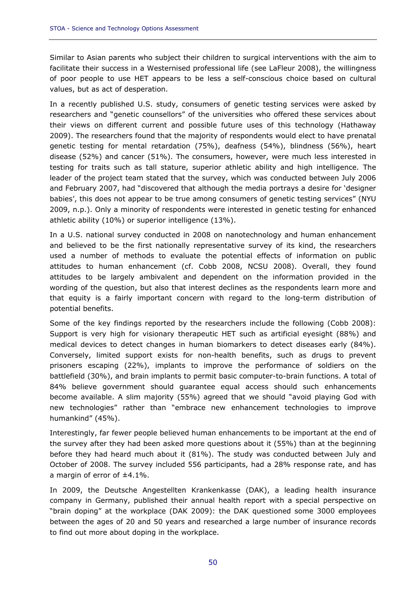Similar to Asian parents who subject their children to surgical interventions with the aim to facilitate their success in a Westernised professional life (see LaFleur 2008), the willingness of poor people to use HET appears to be less a self-conscious choice based on cultural values, but as act of desperation.

In a recently published U.S. study, consumers of genetic testing services were asked by researchers and "genetic counsellors" of the universities who offered these services about their views on different current and possible future uses of this technology (Hathaway 2009). The researchers found that the majority of respondents would elect to have prenatal genetic testing for mental retardation (75%), deafness (54%), blindness (56%), heart disease (52%) and cancer (51%). The consumers, however, were much less interested in testing for traits such as tall stature, superior athletic ability and high intelligence. The leader of the project team stated that the survey, which was conducted between July 2006 and February 2007, had "discovered that although the media portrays a desire for 'designer babies', this does not appear to be true among consumers of genetic testing services" (NYU 2009, n.p.). Only a minority of respondents were interested in genetic testing for enhanced athletic ability (10%) or superior intelligence (13%).

In a U.S. national survey conducted in 2008 on nanotechnology and human enhancement and believed to be the first nationally representative survey of its kind, the researchers used a number of methods to evaluate the potential effects of information on public attitudes to human enhancement (cf. Cobb 2008, NCSU 2008). Overall, they found attitudes to be largely ambivalent and dependent on the information provided in the wording of the question, but also that interest declines as the respondents learn more and that equity is a fairly important concern with regard to the long-term distribution of potential benefits.

Some of the key findings reported by the researchers include the following (Cobb 2008): Support is very high for visionary therapeutic HET such as artificial eyesight (88%) and medical devices to detect changes in human biomarkers to detect diseases early (84%). Conversely, limited support exists for non-health benefits, such as drugs to prevent prisoners escaping (22%), implants to improve the performance of soldiers on the battlefield (30%), and brain implants to permit basic computer-to-brain functions. A total of 84% believe government should guarantee equal access should such enhancements become available. A slim majority (55%) agreed that we should "avoid playing God with new technologies" rather than "embrace new enhancement technologies to improve humankind" (45%).

Interestingly, far fewer people believed human enhancements to be important at the end of the survey after they had been asked more questions about it (55%) than at the beginning before they had heard much about it (81%). The study was conducted between July and October of 2008. The survey included 556 participants, had a 28% response rate, and has a margin of error of ±4.1%.

In 2009, the Deutsche Angestellten Krankenkasse (DAK), a leading health insurance company in Germany, published their annual health report with a special perspective on "brain doping" at the workplace (DAK 2009): the DAK questioned some 3000 employees between the ages of 20 and 50 years and researched a large number of insurance records to find out more about doping in the workplace.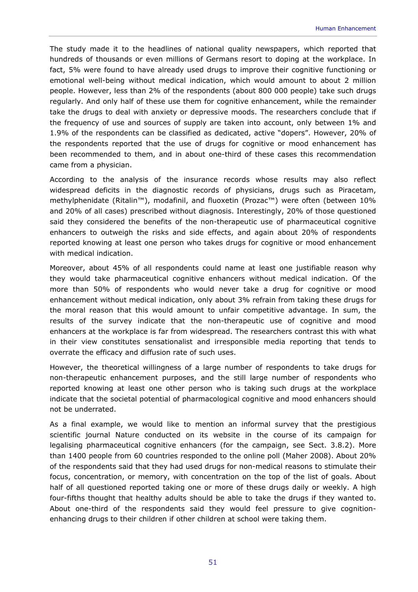The study made it to the headlines of national quality newspapers, which reported that hundreds of thousands or even millions of Germans resort to doping at the workplace. In fact, 5% were found to have already used drugs to improve their cognitive functioning or emotional well-being without medical indication, which would amount to about 2 million people. However, less than 2% of the respondents (about 800 000 people) take such drugs regularly. And only half of these use them for cognitive enhancement, while the remainder take the drugs to deal with anxiety or depressive moods. The researchers conclude that if the frequency of use and sources of supply are taken into account, only between 1% and 1.9% of the respondents can be classified as dedicated, active "dopers". However, 20% of the respondents reported that the use of drugs for cognitive or mood enhancement has been recommended to them, and in about one-third of these cases this recommendation came from a physician.

According to the analysis of the insurance records whose results may also reflect widespread deficits in the diagnostic records of physicians, drugs such as Piracetam, methylphenidate (Ritalin™), modafinil, and fluoxetin (Prozac™) were often (between 10% and 20% of all cases) prescribed without diagnosis. Interestingly, 20% of those questioned said they considered the benefits of the non-therapeutic use of pharmaceutical cognitive enhancers to outweigh the risks and side effects, and again about 20% of respondents reported knowing at least one person who takes drugs for cognitive or mood enhancement with medical indication.

Moreover, about 45% of all respondents could name at least one justifiable reason why they would take pharmaceutical cognitive enhancers without medical indication. Of the more than 50% of respondents who would never take a drug for cognitive or mood enhancement without medical indication, only about 3% refrain from taking these drugs for the moral reason that this would amount to unfair competitive advantage. In sum, the results of the survey indicate that the non-therapeutic use of cognitive and mood enhancers at the workplace is far from widespread. The researchers contrast this with what in their view constitutes sensationalist and irresponsible media reporting that tends to overrate the efficacy and diffusion rate of such uses.

However, the theoretical willingness of a large number of respondents to take drugs for non-therapeutic enhancement purposes, and the still large number of respondents who reported knowing at least one other person who is taking such drugs at the workplace indicate that the societal potential of pharmacological cognitive and mood enhancers should not be underrated.

As a final example, we would like to mention an informal survey that the prestigious scientific journal *Nature* conducted on its website in the course of its campaign for legalising pharmaceutical cognitive enhancers (for the campaign, see Sect. 3.8.2). More than 1400 people from 60 countries responded to the online poll (Maher 2008). About 20% of the respondents said that they had used drugs for non-medical reasons to stimulate their focus, concentration, or memory, with concentration on the top of the list of goals. About half of all questioned reported taking one or more of these drugs daily or weekly. A high four-fifths thought that healthy adults should be able to take the drugs if they wanted to. About one-third of the respondents said they would feel pressure to give cognitionenhancing drugs to their children if other children at school were taking them.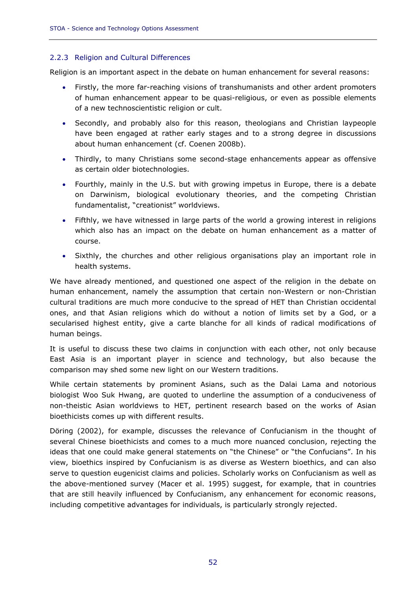# 2.2.3 Religion and Cultural Differences

Religion is an important aspect in the debate on human enhancement for several reasons:

- Firstly, the more far-reaching visions of transhumanists and other ardent promoters of human enhancement appear to be quasi-religious, or even as possible elements of a new technoscientistic religion or cult.
- Secondly, and probably also for this reason, theologians and Christian laypeople have been engaged at rather early stages and to a strong degree in discussions about human enhancement (cf. Coenen 2008b).
- Thirdly, to many Christians some second-stage enhancements appear as offensive as certain older biotechnologies.
- Fourthly, mainly in the U.S. but with growing impetus in Europe, there is a debate on Darwinism, biological evolutionary theories, and the competing Christian fundamentalist, "creationist" worldviews.
- Fifthly, we have witnessed in large parts of the world a growing interest in religions which also has an impact on the debate on human enhancement as a matter of course.
- Sixthly, the churches and other religious organisations play an important role in health systems.

We have already mentioned, and questioned one aspect of the religion in the debate on human enhancement, namely the assumption that certain non-Western or non-Christian cultural traditions are much more conducive to the spread of HET than Christian occidental ones, and that Asian religions which do without a notion of limits set by a God, or a secularised highest entity, give a *carte blanche* for all kinds of radical modifications of human beings.

It is useful to discuss these two claims in conjunction with each other, not only because East Asia is an important player in science and technology, but also because the comparison may shed some new light on our Western traditions.

While certain statements by prominent Asians, such as the Dalai Lama and notorious biologist Woo Suk Hwang, are quoted to underline the assumption of a conduciveness of non-theistic Asian worldviews to HET, pertinent research based on the works of Asian bioethicists comes up with different results.

Döring (2002), for example, discusses the relevance of Confucianism in the thought of several Chinese bioethicists and comes to a much more nuanced conclusion, rejecting the ideas that one could make general statements on "the Chinese" or "the Confucians". In his view, bioethics inspired by Confucianism is as diverse as Western bioethics, and can also serve to question eugenicist claims and policies. Scholarly works on Confucianism as well as the above-mentioned survey (Macer et al. 1995) suggest, for example, that in countries that are still heavily influenced by Confucianism, any enhancement for economic reasons, including competitive advantages for individuals, is particularly strongly rejected.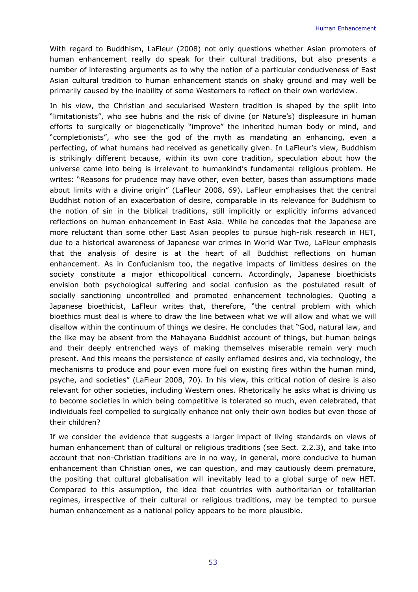With regard to Buddhism, LaFleur (2008) not only questions whether Asian promoters of human enhancement really do speak for their cultural traditions, but also presents a number of interesting arguments as to why the notion of a particular conduciveness of East Asian cultural tradition to human enhancement stands on shaky ground and may well be primarily caused by the inability of some Westerners to reflect on their own worldview.

In his view, the Christian and secularised Western tradition is shaped by the split into "limitationists", who see hubris and the risk of divine (or Nature's) displeasure in human efforts to surgically or biogenetically "improve" the inherited human body or mind, and "completionists", who see the god of the myth as mandating an enhancing, even a perfecting, of what humans had received as genetically given. In LaFleur's view, Buddhism is strikingly different because, within its own core tradition, speculation about how the universe came into being is irrelevant to humankind's fundamental religious problem. He writes: "Reasons for prudence may have other, even better, bases than assumptions made about limits with a divine origin" (LaFleur 2008, 69). LaFleur emphasises that the central Buddhist notion of an exacerbation of desire, comparable in its relevance for Buddhism to the notion of sin in the biblical traditions, still implicitly or explicitly informs advanced reflections on human enhancement in East Asia. While he concedes that the Japanese are more reluctant than some other East Asian peoples to pursue high-risk research in HET, due to a historical awareness of Japanese war crimes in World War Two, LaFleur emphasis that the analysis of desire is at the heart of all Buddhist reflections on human enhancement. As in Confucianism too, the negative impacts of limitless desires on the society constitute a major ethicopolitical concern. Accordingly, Japanese bioethicists envision both psychological suffering and social confusion as the postulated result of socially sanctioning uncontrolled and promoted enhancement technologies. Quoting a Japanese bioethicist, LaFleur writes that, therefore, "the central problem with which bioethics must deal is where to draw the line between what we will allow and what we will disallow within the continuum of things we desire. He concludes that "God, natural law, and the like may be absent from the Mahayana Buddhist account of things, but human beings and their deeply entrenched ways of making themselves miserable remain very much present. And this means the persistence of easily enflamed desires and, via technology, the mechanisms to produce and pour even more fuel on existing fires within the human mind, psyche, and societies" (LaFleur 2008, 70). In his view, this critical notion of desire is also relevant for other societies, including Western ones. Rhetorically he asks what is driving us to become societies in which being competitive is tolerated so much, even celebrated, that individuals feel compelled to surgically enhance not only their own bodies but even those of their children?

If we consider the evidence that suggests a larger impact of living standards on views of human enhancement than of cultural or religious traditions (see Sect. 2.2.3), and take into account that non-Christian traditions are in no way, in general, more conducive to human enhancement than Christian ones, we can question, and may cautiously deem premature, the positing that cultural globalisation will inevitably lead to a global surge of new HET. Compared to this assumption, the idea that countries with authoritarian or totalitarian regimes, irrespective of their cultural or religious traditions, may be tempted to pursue human enhancement as a national policy appears to be more plausible.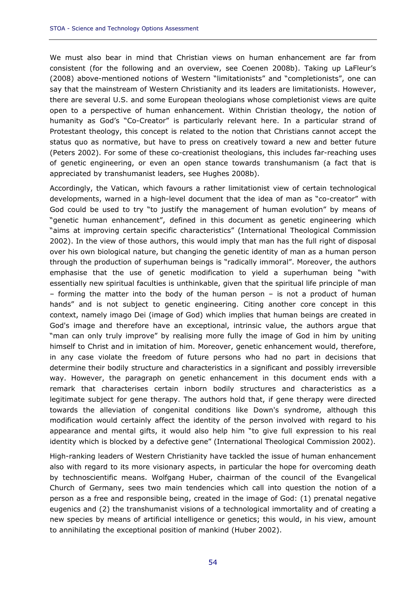We must also bear in mind that Christian views on human enhancement are far from consistent (for the following and an overview, see Coenen 2008b). Taking up LaFleur's (2008) above-mentioned notions of Western "limitationists" and "completionists", one can say that the mainstream of Western Christianity and its leaders are limitationists. However, there are several U.S. and some European theologians whose completionist views are quite open to a perspective of human enhancement. Within Christian theology, the notion of humanity as God's "Co-Creator" is particularly relevant here. In a particular strand of Protestant theology, this concept is related to the notion that Christians cannot accept the status quo as normative, but have to press on creatively toward a new and better future (Peters 2002). For some of these co-creationist theologians, this includes far-reaching uses of genetic engineering, or even an open stance towards transhumanism (a fact that is appreciated by transhumanist leaders, see Hughes 2008b).

Accordingly, the Vatican, which favours a rather limitationist view of certain technological developments, warned in a high-level document that the idea of man as "co-creator" with God could be used to try "to justify the management of human evolution" by means of "genetic human enhancement", defined in this document as genetic engineering which "aims at improving certain specific characteristics" (International Theological Commission 2002). In the view of those authors, this would imply that man has the full right of disposal over his own biological nature, but changing the genetic identity of man as a human person through the production of superhuman beings is "radically immoral". Moreover, the authors emphasise that the use of genetic modification to yield a superhuman being "with essentially new spiritual faculties is unthinkable, given that the spiritual life principle of man – forming the matter into the body of the human person – is not a product of human hands" and is not subject to genetic engineering. Citing another core concept in this context, namely *imago Dei* (image of God) which implies that human beings are created in God's image and therefore have an exceptional, intrinsic value, the authors argue that "man can only truly improve" by realising more fully the image of God in him by uniting himself to Christ and in imitation of him. Moreover, genetic enhancement would, therefore, in any case violate the freedom of future persons who had no part in decisions that determine their bodily structure and characteristics in a significant and possibly irreversible way. However, the paragraph on genetic enhancement in this document ends with a remark that characterises certain inborn bodily structures and characteristics as a legitimate subject for gene therapy. The authors hold that, if gene therapy were directed towards the alleviation of congenital conditions like Down's syndrome, although this modification would certainly affect the identity of the person involved with regard to his appearance and mental gifts, it would also help him "to give full expression to his real identity which is blocked by a defective gene" (International Theological Commission 2002).

High-ranking leaders of Western Christianity have tackled the issue of human enhancement also with regard to its more visionary aspects, in particular the hope for overcoming death by technoscientific means. Wolfgang Huber, chairman of the council of the Evangelical Church of Germany, sees two main tendencies which call into question the notion of a person as a free and responsible being, created in the image of God: (1) prenatal negative eugenics and (2) the transhumanist visions of a technological immortality and of creating a new species by means of artificial intelligence or genetics; this would, in his view, amount to annihilating the exceptional position of mankind (Huber 2002).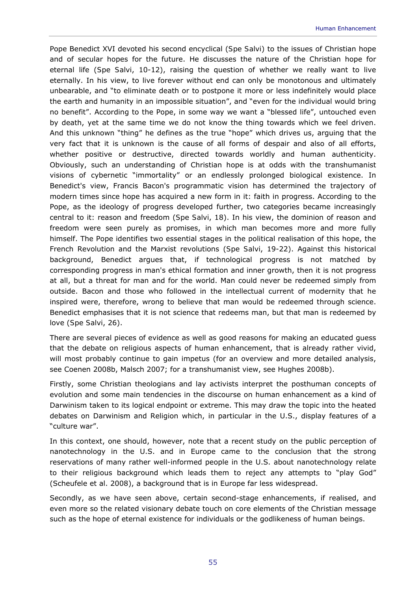Pope Benedict XVI devoted his second encyclical (*Spe Salvi*) to the issues of Christian hope and of secular hopes for the future. He discusses the nature of the Christian hope for eternal life (*Spe Salvi*, 10-12), raising the question of whether we really want to live eternally. In his view, to live forever without end can only be monotonous and ultimately unbearable, and "to eliminate death or to postpone it more or less indefinitely would place the earth and humanity in an impossible situation", and "even for the individual would bring no benefit". According to the Pope, in some way we want a "blessed life", untouched even by death, yet at the same time we do not know the thing towards which we feel driven. And this unknown "thing" he defines as the true "hope" which drives us, arguing that the very fact that it is unknown is the cause of all forms of despair and also of all efforts, whether positive or destructive, directed towards worldly and human authenticity. Obviously, such an understanding of Christian hope is at odds with the transhumanist visions of cybernetic "immortality" or an endlessly prolonged biological existence. In Benedict's view, Francis Bacon's programmatic vision has determined the trajectory of modern times since hope has acquired a new form in it: faith in progress. According to the Pope, as the ideology of progress developed further, two categories became increasingly central to it: reason and freedom (*Spe Salvi*, 18). In his view, the dominion of reason and freedom were seen purely as promises, in which man becomes more and more fully himself. The Pope identifies two essential stages in the political realisation of this hope, the French Revolution and the Marxist revolutions (*Spe Salvi*, 19-22). Against this historical background, Benedict argues that, if technological progress is not matched by corresponding progress in man's ethical formation and inner growth, then it is not progress at all, but a threat for man and for the world. Man could never be redeemed simply from outside. Bacon and those who followed in the intellectual current of modernity that he inspired were, therefore, wrong to believe that man would be redeemed through science. Benedict emphasises that it is not science that redeems man, but that man is redeemed by love (*Spe Salvi*, 26).

There are several pieces of evidence as well as good reasons for making an educated guess that the debate on religious aspects of human enhancement, that is already rather vivid, will most probably continue to gain impetus (for an overview and more detailed analysis, see Coenen 2008b, Malsch 2007; for a transhumanist view, see Hughes 2008b).

Firstly, some Christian theologians and lay activists interpret the posthuman concepts of evolution and some main tendencies in the discourse on human enhancement as a kind of Darwinism taken to its logical endpoint or extreme. This may draw the topic into the heated debates on Darwinism and Religion which, in particular in the U.S., display features of a "culture war".

In this context, one should, however, note that a recent study on the public perception of nanotechnology in the U.S. and in Europe came to the conclusion that the strong reservations of many rather well-informed people in the U.S. about nanotechnology relate to their religious background which leads them to reject any attempts to "play God" (Scheufele et al. 2008), a background that is in Europe far less widespread.

Secondly, as we have seen above, certain second-stage enhancements, if realised, and even more so the related visionary debate touch on core elements of the Christian message such as the hope of eternal existence for individuals or the godlikeness of human beings.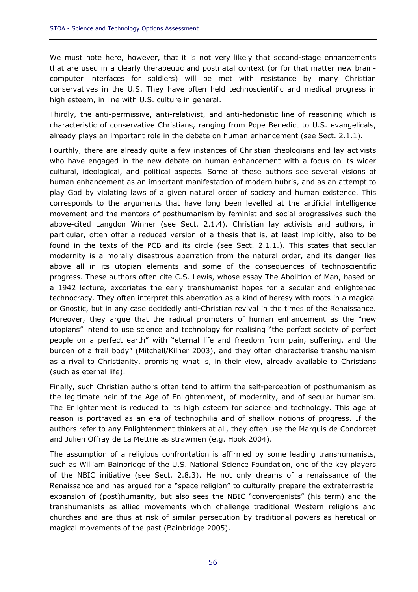We must note here, however, that it is not very likely that second-stage enhancements that are used in a clearly therapeutic and postnatal context (or for that matter new braincomputer interfaces for soldiers) will be met with resistance by many Christian conservatives in the U.S. They have often held technoscientific and medical progress in high esteem, in line with U.S. culture in general.

Thirdly, the anti-permissive, anti-relativist, and anti-hedonistic line of reasoning which is characteristic of conservative Christians, ranging from Pope Benedict to U.S. evangelicals, already plays an important role in the debate on human enhancement (see Sect. 2.1.1).

Fourthly, there are already quite a few instances of Christian theologians and lay activists who have engaged in the new debate on human enhancement with a focus on its wider cultural, ideological, and political aspects. Some of these authors see several visions of human enhancement as an important manifestation of modern hubris, and as an attempt to play God by violating laws of a given natural order of society and human existence. This corresponds to the arguments that have long been levelled at the artificial intelligence movement and the mentors of posthumanism by feminist and social progressives such the above-cited Langdon Winner (see Sect. 2.1.4). Christian lay activists and authors, in particular, often offer a reduced version of a thesis that is, at least implicitly, also to be found in the texts of the PCB and its circle (see Sect. 2.1.1.). This states that secular modernity is a morally disastrous aberration from the natural order, and its danger lies above all in its utopian elements and some of the consequences of technoscientific progress. These authors often cite C.S. Lewis, whose essay *The Abolition of Man*, based on a 1942 lecture, excoriates the early transhumanist hopes for a secular and enlightened technocracy. They often interpret this aberration as a kind of heresy with roots in a magical or Gnostic, but in any case decidedly anti-Christian revival in the times of the Renaissance. Moreover, they argue that the radical promoters of human enhancement as the "new utopians" intend to use science and technology for realising "the perfect society of perfect people on a perfect earth" with "eternal life and freedom from pain, suffering, and the burden of a frail body" (Mitchell/Kilner 2003), and they often characterise transhumanism as a rival to Christianity, promising what is, in their view, already available to Christians (such as eternal life).

Finally, such Christian authors often tend to affirm the self-perception of posthumanism as the legitimate heir of the Age of Enlightenment, of modernity, and of secular humanism. The Enlightenment is reduced to its high esteem for science and technology. This age of reason is portrayed as an era of technophilia and of shallow notions of progress. If the authors refer to any Enlightenment thinkers at all, they often use the Marquis de Condorcet and Julien Offray de La Mettrie as strawmen (e.g. Hook 2004).

The assumption of a religious confrontation is affirmed by some leading transhumanists, such as William Bainbridge of the U.S. National Science Foundation, one of the key players of the NBIC initiative (see Sect. 2.8.3). He not only dreams of a renaissance of the Renaissance and has argued for a "space religion" to culturally prepare the extraterrestrial expansion of (post)humanity, but also sees the NBIC "convergenists" (his term) and the transhumanists as allied movements which challenge traditional Western religions and churches and are thus at risk of similar persecution by traditional powers as heretical or magical movements of the past (Bainbridge 2005).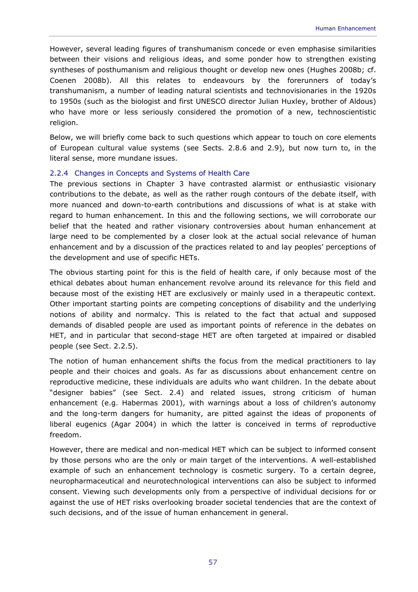However, several leading figures of transhumanism concede or even emphasise similarities between their visions and religious ideas, and some ponder how to strengthen existing syntheses of posthumanism and religious thought or develop new ones (Hughes 2008b; cf. Coenen 2008b). All this relates to endeavours by the forerunners of today's transhumanism, a number of leading natural scientists and technovisionaries in the 1920s to 1950s (such as the biologist and first UNESCO director Julian Huxley, brother of Aldous) who have more or less seriously considered the promotion of a new, technoscientistic religion.

Below, we will briefly come back to such questions which appear to touch on core elements of European cultural value systems (see Sects. 2.8.6 and 2.9), but now turn to, in the literal sense, more mundane issues.

# 2.2.4 Changes in Concepts and Systems of Health Care

The previous sections in Chapter 3 have contrasted alarmist or enthusiastic visionary contributions to the debate, as well as the rather rough contours of the debate itself, with more nuanced and down-to-earth contributions and discussions of what is at stake with regard to human enhancement. In this and the following sections, we will corroborate our belief that the heated and rather visionary controversies about human enhancement at large need to be complemented by a closer look at the actual social relevance of human enhancement and by a discussion of the practices related to and lay peoples' perceptions of the development and use of specific HETs.

The obvious starting point for this is the field of health care, if only because most of the ethical debates about human enhancement revolve around its relevance for this field and because most of the existing HET are exclusively or mainly used in a therapeutic context. Other important starting points are competing conceptions of disability and the underlying notions of ability and normalcy. This is related to the fact that actual and supposed demands of disabled people are used as important points of reference in the debates on HET, and in particular that second-stage HET are often targeted at impaired or disabled people (see Sect. 2.2.5).

The notion of human enhancement shifts the focus from the medical practitioners to lay people and their choices and goals. As far as discussions about enhancement centre on reproductive medicine, these individuals are adults who want children. In the debate about "designer babies" (see Sect. 2.4) and related issues, strong criticism of human enhancement (e.g. Habermas 2001), with warnings about a loss of children's autonomy and the long-term dangers for humanity, are pitted against the ideas of proponents of liberal eugenics (Agar 2004) in which the latter is conceived in terms of reproductive freedom.

However, there are medical and non-medical HET which can be subject to informed consent by those persons who are the only or main target of the interventions. A well-established example of such an enhancement technology is cosmetic surgery. To a certain degree, neuropharmaceutical and neurotechnological interventions can also be subject to informed consent. Viewing such developments only from a perspective of individual decisions for or against the use of HET risks overlooking broader societal tendencies that are the context of such decisions, and of the issue of human enhancement in general.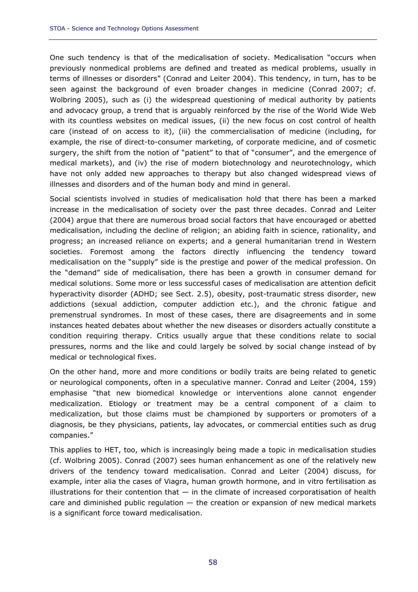One such tendency is that of the medicalisation of society. Medicalisation "occurs when previously nonmedical problems are defined and treated as medical problems, usually in terms of illnesses or disorders" (Conrad and Leiter 2004). This tendency, in turn, has to be seen against the background of even broader changes in medicine (Conrad 2007; cf. Wolbring 2005), such as (i) the widespread questioning of medical authority by patients and advocacy group, a trend that is arguably reinforced by the rise of the World Wide Web with its countless websites on medical issues, (ii) the new focus on cost control of health care (instead of on access to it), (iii) the commercialisation of medicine (including, for example, the rise of direct-to-consumer marketing, of corporate medicine, and of cosmetic surgery, the shift from the notion of "patient" to that of "consumer", and the emergence of medical markets), and (iv) the rise of modern biotechnology and neurotechnology, which have not only added new approaches to therapy but also changed widespread views of illnesses and disorders and of the human body and mind in general.

Social scientists involved in studies of medicalisation hold that there has been a marked increase in the medicalisation of society over the past three decades. Conrad and Leiter (2004) argue that there are numerous broad social factors that have encouraged or abetted medicalisation, including the decline of religion; an abiding faith in science, rationality, and progress; an increased reliance on experts; and a general humanitarian trend in Western societies. Foremost among the factors directly influencing the tendency toward medicalisation on the "supply" side is the prestige and power of the medical profession. On the "demand" side of medicalisation, there has been a growth in consumer demand for medical solutions. Some more or less successful cases of medicalisation are attention deficit hyperactivity disorder (ADHD; see Sect. 2.5), obesity, post-traumatic stress disorder, new addictions (sexual addiction, computer addiction etc.), and the chronic fatigue and premenstrual syndromes. In most of these cases, there are disagreements and in some instances heated debates about whether the new diseases or disorders actually constitute a condition requiring therapy. Critics usually argue that these conditions relate to social pressures, norms and the like and could largely be solved by social change instead of by medical or technological fixes.

On the other hand, more and more conditions or bodily traits are being related to genetic or neurological components, often in a speculative manner. Conrad and Leiter (2004, 159) emphasise "that new biomedical knowledge or interventions alone cannot engender medicalization. Etiology or treatment may be a central component of a claim to medicalization, but those claims must be championed by supporters or promoters of a diagnosis, be they physicians, patients, lay advocates, or commercial entities such as drug companies."

This applies to HET, too, which is increasingly being made a topic in medicalisation studies (cf. Wolbring 2005). Conrad (2007) sees human enhancement as one of the relatively new drivers of the tendency toward medicalisation. Conrad and Leiter (2004) discuss, for example, inter alia the cases of Viagra, human growth hormone, and in vitro fertilisation as illustrations for their contention that  $-$  in the climate of increased corporatisation of health care and diminished public regulation  $-$  the creation or expansion of new medical markets is a significant force toward medicalisation.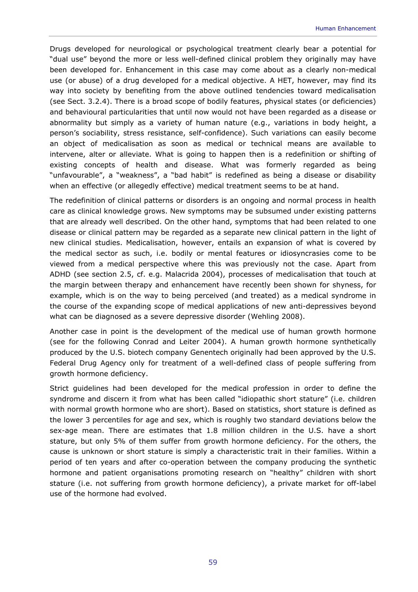Drugs developed for neurological or psychological treatment clearly bear a potential for "dual use" beyond the more or less well-defined clinical problem they originally may have been developed for. Enhancement in this case may come about as a clearly non-medical use (or abuse) of a drug developed for a medical objective. A HET, however, may find its way into society by benefiting from the above outlined tendencies toward medicalisation (see Sect. 3.2.4). There is a broad scope of bodily features, physical states (or deficiencies) and behavioural particularities that until now would not have been regarded as a disease or abnormality but simply as a variety of human nature (e.g., variations in body height, a person's sociability, stress resistance, self-confidence). Such variations can easily become an object of medicalisation as soon as medical or technical means are available to intervene, alter or alleviate. What is going to happen then is a redefinition or shifting of existing concepts of health and disease. What was formerly regarded as being "unfavourable", a "weakness", a "bad habit" is redefined as being a disease or disability when an effective (or allegedly effective) medical treatment seems to be at hand.

The redefinition of clinical patterns or disorders is an ongoing and normal process in health care as clinical knowledge grows. New symptoms may be subsumed under existing patterns that are already well described. On the other hand, symptoms that had been related to one disease or clinical pattern may be regarded as a separate new clinical pattern in the light of new clinical studies. Medicalisation, however, entails an expansion of what is covered by the medical sector as such, i.e. bodily or mental features or idiosyncrasies come to be viewed from a medical perspective where this was previously not the case. Apart from ADHD (see section 2.5, cf. e.g. Malacrida 2004), processes of medicalisation that touch at the margin between therapy and enhancement have recently been shown for shyness, for example, which is on the way to being perceived (and treated) as a medical syndrome in the course of the expanding scope of medical applications of new anti-depressives beyond what can be diagnosed as a severe depressive disorder (Wehling 2008).

Another case in point is the development of the medical use of human growth hormone (see for the following Conrad and Leiter 2004). A human growth hormone synthetically produced by the U.S. biotech company Genentech originally had been approved by the U.S. Federal Drug Agency only for treatment of a well-defined class of people suffering from growth hormone deficiency.

Strict guidelines had been developed for the medical profession in order to define the syndrome and discern it from what has been called "idiopathic short stature" (i.e. children with normal growth hormone who are short). Based on statistics, short stature is defined as the lower 3 percentiles for age and sex, which is roughly two standard deviations below the sex-age mean. There are estimates that 1.8 million children in the U.S. have a short stature, but only 5% of them suffer from growth hormone deficiency. For the others, the cause is unknown or short stature is simply a characteristic trait in their families. Within a period of ten years and after co-operation between the company producing the synthetic hormone and patient organisations promoting research on "healthy" children with short stature (i.e. not suffering from growth hormone deficiency), a private market for off-label use of the hormone had evolved.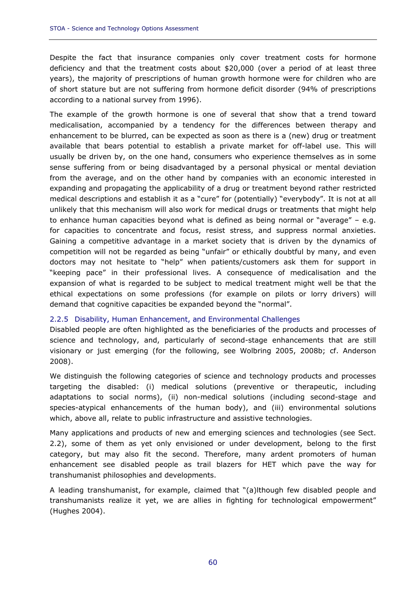Despite the fact that insurance companies only cover treatment costs for hormone deficiency and that the treatment costs about \$20,000 (over a period of at least three years), the majority of prescriptions of human growth hormone were for children who are of short stature but are not suffering from hormone deficit disorder (94% of prescriptions according to a national survey from 1996).

The example of the growth hormone is one of several that show that a trend toward medicalisation, accompanied by a tendency for the differences between therapy and enhancement to be blurred, can be expected as soon as there is a (new) drug or treatment available that bears potential to establish a private market for off-label use. This will usually be driven by, on the one hand, consumers who experience themselves as in some sense suffering from or being disadvantaged by a personal physical or mental deviation from the average, and on the other hand by companies with an economic interested in expanding and propagating the applicability of a drug or treatment beyond rather restricted medical descriptions and establish it as a "cure" for (potentially) "everybody". It is not at all unlikely that this mechanism will also work for medical drugs or treatments that might help to enhance human capacities beyond what is defined as being normal or "average" – e.g. for capacities to concentrate and focus, resist stress, and suppress normal anxieties. Gaining a competitive advantage in a market society that is driven by the dynamics of competition will not be regarded as being "unfair" or ethically doubtful by many, and even doctors may not hesitate to "help" when patients/customers ask them for support in "keeping pace" in their professional lives. A consequence of medicalisation and the expansion of what is regarded to be subject to medical treatment might well be that the ethical expectations on some professions (for example on pilots or lorry drivers) will demand that cognitive capacities be expanded beyond the "normal".

# 2.2.5 Disability, Human Enhancement, and Environmental Challenges

Disabled people are often highlighted as the beneficiaries of the products and processes of science and technology, and, particularly of second-stage enhancements that are still visionary or just emerging (for the following, see Wolbring 2005, 2008b; cf. Anderson 2008).

We distinguish the following categories of science and technology products and processes targeting the disabled: (i) medical solutions (preventive or therapeutic, including adaptations to social norms), (ii) non-medical solutions (including second-stage and species-atypical enhancements of the human body), and (iii) environmental solutions which, above all, relate to public infrastructure and assistive technologies.

Many applications and products of new and emerging sciences and technologies (see Sect. 2.2), some of them as yet only envisioned or under development, belong to the first category, but may also fit the second. Therefore, many ardent promoters of human enhancement see disabled people as trail blazers for HET which pave the way for transhumanist philosophies and developments.

A leading transhumanist, for example, claimed that "(a)lthough few disabled people and transhumanists realize it yet, we are allies in fighting for technological empowerment" (Hughes 2004).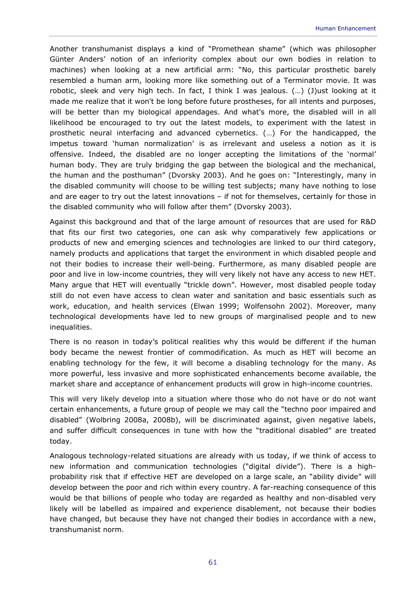Another transhumanist displays a kind of "Promethean shame" (which was philosopher Günter Anders' notion of an inferiority complex about our own bodies in relation to machines) when looking at a new artificial arm: "No, this particular prosthetic barely resembled a human arm, looking more like something out of a Terminator movie. It was robotic, sleek and very high tech. In fact, I think I was jealous. (…) (J)ust looking at it made me realize that it won't be long before future prostheses, for all intents and purposes, will be better than my biological appendages. And what's more, the disabled will in all likelihood be encouraged to try out the latest models, to experiment with the latest in prosthetic neural interfacing and advanced cybernetics. (…) For the handicapped, the impetus toward 'human normalization' is as irrelevant and useless a notion as it is offensive. Indeed, the disabled are no longer accepting the limitations of the 'normal' human body. They are truly bridging the gap between the biological and the mechanical, the human and the posthuman" (Dvorsky 2003). And he goes on: "Interestingly, many in the disabled community will choose to be willing test subjects; many have nothing to lose and are eager to try out the latest innovations – if not for themselves, certainly for those in the disabled community who will follow after them" (Dvorsky 2003).

Against this background and that of the large amount of resources that are used for R&D that fits our first two categories, one can ask why comparatively few applications or products of new and emerging sciences and technologies are linked to our third category, namely products and applications that target the environment in which disabled people and not their bodies to increase their well-being. Furthermore, as many disabled people are poor and live in low-income countries, they will very likely not have any access to new HET. Many argue that HET will eventually "trickle down". However, most disabled people today still do not even have access to clean water and sanitation and basic essentials such as work, education, and health services (Elwan 1999; Wolfensohn 2002). Moreover, many technological developments have led to new groups of marginalised people and to new inequalities.

There is no reason in today's political realities why this would be different if the human body became the newest frontier of commodification. As much as HET will become an enabling technology for the few, it will become a disabling technology for the many. As more powerful, less invasive and more sophisticated enhancements become available, the market share and acceptance of enhancement products will grow in high-income countries.

This will very likely develop into a situation where those who do not have or do not want certain enhancements, a future group of people we may call the "techno poor impaired and disabled" (Wolbring 2008a, 2008b), will be discriminated against, given negative labels, and suffer difficult consequences in tune with how the "traditional disabled" are treated today.

Analogous technology-related situations are already with us today, if we think of access to new information and communication technologies ("digital divide"). There is a highprobability risk that if effective HET are developed on a large scale, an "ability divide" will develop between the poor and rich within every country. A far-reaching consequence of this would be that billions of people who today are regarded as healthy and non-disabled very likely will be labelled as impaired and experience disablement, not because their bodies have changed, but because they have not changed their bodies in accordance with a new, transhumanist norm.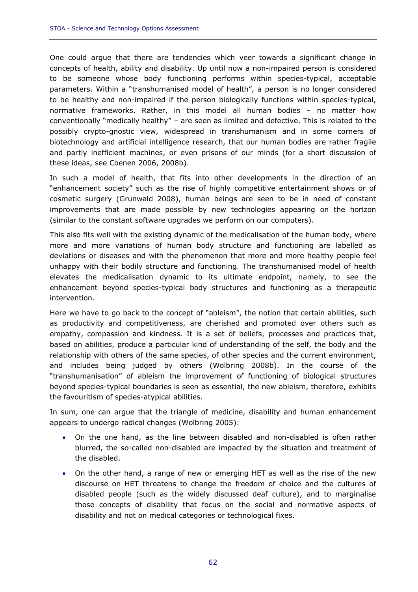One could argue that there are tendencies which veer towards a significant change in concepts of health, ability and disability. Up until now a non-impaired person is considered to be someone whose body functioning performs within species-typical, acceptable parameters. Within a "transhumanised model of health", a person is no longer considered to be healthy and non-impaired if the person biologically functions within species-typical, normative frameworks. Rather, in this model all human bodies – no matter how conventionally "medically healthy" – are seen as limited and defective. This is related to the possibly crypto-gnostic view, widespread in transhumanism and in some corners of biotechnology and artificial intelligence research, that our human bodies are rather fragile and partly inefficient machines, or even prisons of our minds (for a short discussion of these ideas, see Coenen 2006, 2008b).

In such a model of health, that fits into other developments in the direction of an "enhancement society" such as the rise of highly competitive entertainment shows or of cosmetic surgery (Grunwald 2008), human beings are seen to be in need of constant improvements that are made possible by new technologies appearing on the horizon (similar to the constant software upgrades we perform on our computers).

This also fits well with the existing dynamic of the medicalisation of the human body, where more and more variations of human body structure and functioning are labelled as deviations or diseases and with the phenomenon that more and more healthy people feel unhappy with their bodily structure and functioning. The transhumanised model of health elevates the medicalisation dynamic to its ultimate endpoint, namely, to see the enhancement beyond species-typical body structures and functioning as a therapeutic intervention.

Here we have to go back to the concept of "ableism", the notion that certain abilities, such as productivity and competitiveness, are cherished and promoted over others such as empathy, compassion and kindness. It is a set of beliefs, processes and practices that, based on abilities, produce a particular kind of understanding of the self, the body and the relationship with others of the same species, of other species and the current environment, and includes being judged by others (Wolbring 2008b). In the course of the "transhumanisation" of ableism the improvement of functioning of biological structures beyond species-typical boundaries is seen as essential, the new ableism, therefore, exhibits the favouritism of species-atypical abilities.

In sum, one can argue that the triangle of medicine, disability and human enhancement appears to undergo radical changes (Wolbring 2005):

- On the one hand, as the line between disabled and non-disabled is often rather blurred, the so-called non-disabled are impacted by the situation and treatment of the disabled.
- On the other hand, a range of new or emerging HET as well as the rise of the new discourse on HET threatens to change the freedom of choice and the cultures of disabled people (such as the widely discussed deaf culture), and to marginalise those concepts of disability that focus on the social and normative aspects of disability and not on medical categories or technological fixes.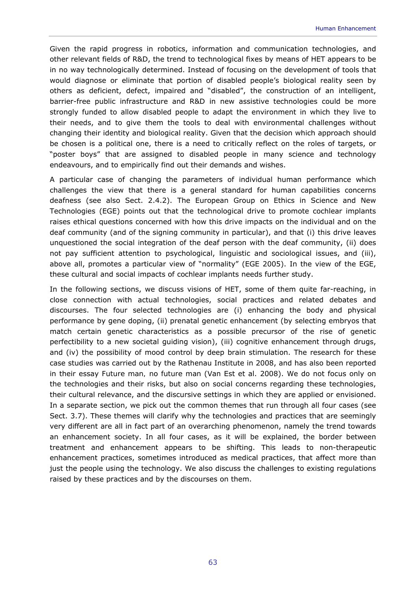Given the rapid progress in robotics, information and communication technologies, and other relevant fields of R&D, the trend to technological fixes by means of HET appears to be in no way technologically determined. Instead of focusing on the development of tools that would diagnose or eliminate that portion of disabled people's biological reality seen by others as deficient, defect, impaired and "disabled", the construction of an intelligent, barrier-free public infrastructure and R&D in new assistive technologies could be more strongly funded to allow disabled people to adapt the environment in which they live to their needs, and to give them the tools to deal with environmental challenges without changing their identity and biological reality. Given that the decision which approach should be chosen is a political one, there is a need to critically reflect on the roles of targets, or "poster boys" that are assigned to disabled people in many science and technology endeavours, and to empirically find out their demands and wishes.

A particular case of changing the parameters of individual human performance which challenges the view that there is a general standard for human capabilities concerns deafness (see also Sect. 2.4.2). The European Group on Ethics in Science and New Technologies (EGE) points out that the technological drive to promote cochlear implants raises ethical questions concerned with how this drive impacts on the individual and on the deaf community (and of the signing community in particular), and that (i) this drive leaves unquestioned the social integration of the deaf person with the deaf community, (ii) does not pay sufficient attention to psychological, linguistic and sociological issues, and (iii), above all, promotes a particular view of "normality" (EGE 2005). In the view of the EGE, these cultural and social impacts of cochlear implants needs further study.

In the following sections, we discuss visions of HET, some of them quite far-reaching, in close connection with actual technologies, social practices and related debates and discourses. The four selected technologies are (i) enhancing the body and physical performance by gene doping, (ii) prenatal genetic enhancement (by selecting embryos that match certain genetic characteristics as a possible precursor of the rise of genetic perfectibility to a new societal guiding vision), (iii) cognitive enhancement through drugs, and (iv) the possibility of mood control by deep brain stimulation. The research for these case studies was carried out by the Rathenau Institute in 2008, and has also been reported in their essay *Future man, no future man* (Van Est et al. 2008). We do not focus only on the technologies and their risks, but also on social concerns regarding these technologies, their cultural relevance, and the discursive settings in which they are applied or envisioned. In a separate section, we pick out the common themes that run through all four cases (see Sect. 3.7). These themes will clarify why the technologies and practices that are seemingly very different are all in fact part of an overarching phenomenon, namely the trend towards an enhancement society. In all four cases, as it will be explained, the border between treatment and enhancement appears to be shifting. This leads to non-therapeutic enhancement practices, sometimes introduced as medical practices, that affect more than just the people using the technology. We also discuss the challenges to existing regulations raised by these practices and by the discourses on them.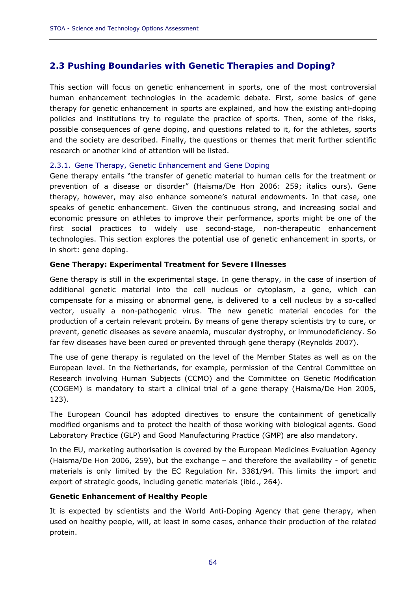# **2.3 Pushing Boundaries with Genetic Therapies and Doping?**

This section will focus on genetic enhancement in sports, one of the most controversial human enhancement technologies in the academic debate. First, some basics of gene therapy for genetic enhancement in sports are explained, and how the existing anti-doping policies and institutions try to regulate the practice of sports. Then, some of the risks, possible consequences of gene doping, and questions related to it, for the athletes, sports and the society are described. Finally, the questions or themes that merit further scientific research or another kind of attention will be listed.

### 2.3.1. Gene Therapy, Genetic Enhancement and Gene Doping

Gene therapy entails "the transfer of genetic material to human cells for the treatment or prevention of a disease or disorder" (Haisma/De Hon 2006: 259; *italics ours*). Gene therapy, however, may also enhance someone's natural endowments. In that case, one speaks of genetic enhancement. Given the continuous strong, and increasing social and economic pressure on athletes to improve their performance, sports might be one of the first social practices to widely use second-stage, non-therapeutic enhancement technologies. This section explores the potential use of genetic enhancement in sports, or in short: gene doping.

### *Gene Therapy: Experimental Treatment for Severe Illnesses*

Gene therapy is still in the experimental stage. In gene therapy, in the case of insertion of additional genetic material into the cell nucleus or cytoplasm, a gene, which can compensate for a missing or abnormal gene, is delivered to a cell nucleus by a so-called vector, usually a non-pathogenic virus. The new genetic material encodes for the production of a certain relevant protein. By means of gene therapy scientists try to cure, or prevent, genetic diseases as severe anaemia, muscular dystrophy, or immunodeficiency. So far few diseases have been cured or prevented through gene therapy (Reynolds 2007).

The use of gene therapy is regulated on the level of the Member States as well as on the European level. In the Netherlands, for example, permission of the Central Committee on Research involving Human Subjects (CCMO) and the Committee on Genetic Modification (COGEM) is mandatory to start a clinical trial of a gene therapy (Haisma/De Hon 2005, 123).

The European Council has adopted directives to ensure the containment of genetically modified organisms and to protect the health of those working with biological agents. Good Laboratory Practice (GLP) and Good Manufacturing Practice (GMP) are also mandatory.

In the EU, marketing authorisation is covered by the European Medicines Evaluation Agency (Haisma/De Hon 2006, 259), but the exchange – and therefore the availability - of genetic materials is only limited by the EC Regulation Nr. 3381/94. This limits the import and export of strategic goods, including genetic materials (ibid., 264).

### *Genetic Enhancement of Healthy People*

It is expected by scientists and the World Anti-Doping Agency that gene therapy, when used on healthy people, will, at least in some cases, enhance their production of the related protein.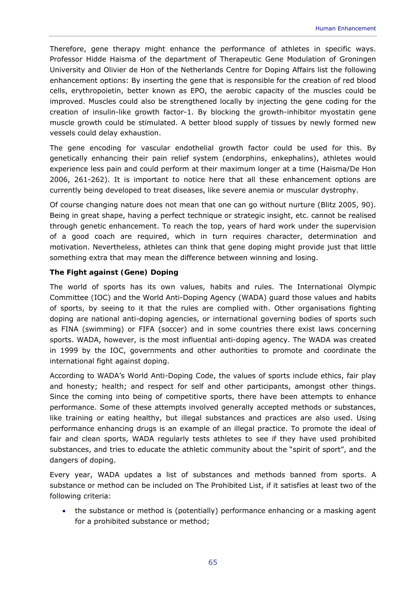Therefore, gene therapy might enhance the performance of athletes in specific ways. Professor Hidde Haisma of the department of Therapeutic Gene Modulation of Groningen University and Olivier de Hon of the Netherlands Centre for Doping Affairs list the following enhancement options: By inserting the gene that is responsible for the creation of red blood cells, erythropoietin, better known as EPO, the aerobic capacity of the muscles could be improved. Muscles could also be strengthened locally by injecting the gene coding for the creation of insulin-like growth factor-1. By blocking the growth-inhibitor myostatin gene muscle growth could be stimulated. A better blood supply of tissues by newly formed new vessels could delay exhaustion.

The gene encoding for vascular endothelial growth factor could be used for this. By genetically enhancing their pain relief system (endorphins, enkephalins), athletes would experience less pain and could perform at their maximum longer at a time (Haisma/De Hon 2006, 261-262). It is important to notice here that all these enhancement options are currently being developed to treat diseases, like severe anemia or muscular dystrophy.

Of course changing nature does not mean that one can go without nurture (Blitz 2005, 90). Being in great shape, having a perfect technique or strategic insight, etc. cannot be realised through genetic enhancement. To reach the top, years of hard work under the supervision of a good coach are required, which in turn requires character, determination and motivation. Nevertheless, athletes can think that gene doping might provide just that little something extra that may mean the difference between winning and losing.

# *The Fight against (Gene) Doping*

The world of sports has its own values, habits and rules. The International Olympic Committee (IOC) and the World Anti-Doping Agency (WADA) guard those values and habits of sports, by seeing to it that the rules are complied with. Other organisations fighting doping are national anti-doping agencies, or international governing bodies of sports such as FINA (swimming) or FIFA (soccer) and in some countries there exist laws concerning sports. WADA, however, is the most influential anti-doping agency. The WADA was created in 1999 by the IOC, governments and other authorities to promote and coordinate the international fight against doping.

According to WADA's World Anti-Doping Code, the values of sports include ethics, fair play and honesty; health; and respect for self and other participants, amongst other things. Since the coming into being of competitive sports, there have been attempts to enhance performance. Some of these attempts involved generally accepted methods or substances, like training or eating healthy, but illegal substances and practices are also used. Using performance enhancing drugs is an example of an illegal practice. To promote the ideal of fair and clean sports, WADA regularly tests athletes to see if they have used prohibited substances, and tries to educate the athletic community about the "spirit of sport", and the dangers of doping.

Every year, WADA updates a list of substances and methods banned from sports. A substance or method can be included on The Prohibited List, if it satisfies at least two of the following criteria:

• the substance or method is (potentially) performance enhancing or a masking agent for a prohibited substance or method;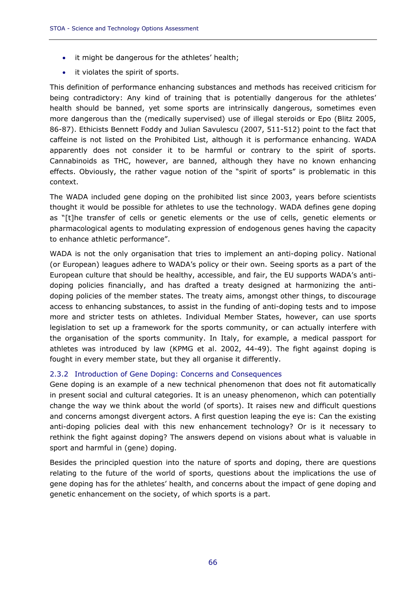- it might be dangerous for the athletes' health;
- it violates the spirit of sports.

This definition of performance enhancing substances and methods has received criticism for being contradictory: Any kind of training that is potentially dangerous for the athletes' health should be banned, yet some sports are intrinsically dangerous, sometimes even more dangerous than the (medically supervised) use of illegal steroids or Epo (Blitz 2005, 86-87). Ethicists Bennett Foddy and Julian Savulescu (2007, 511-512) point to the fact that caffeine is not listed on the Prohibited List, although it is performance enhancing. WADA apparently does not consider it to be harmful or contrary to the spirit of sports. Cannabinoids as THC, however, are banned, although they have no known enhancing effects. Obviously, the rather vague notion of the "spirit of sports" is problematic in this context.

The WADA included gene doping on the prohibited list since 2003, years before scientists thought it would be possible for athletes to use the technology. WADA defines gene doping as "[t]he transfer of cells or genetic elements or the use of cells, genetic elements or pharmacological agents to modulating expression of endogenous genes having the capacity to enhance athletic performance".

WADA is not the only organisation that tries to implement an anti-doping policy. National (or European) leagues adhere to WADA's policy or their own. Seeing sports as a part of the European culture that should be healthy, accessible, and fair, the EU supports WADA's antidoping policies financially, and has drafted a treaty designed at harmonizing the antidoping policies of the member states. The treaty aims, amongst other things, to discourage access to enhancing substances, to assist in the funding of anti-doping tests and to impose more and stricter tests on athletes. Individual Member States, however, can use sports legislation to set up a framework for the sports community, or can actually interfere with the organisation of the sports community. In Italy, for example, a medical passport for athletes was introduced by law (KPMG et al. 2002, 44-49). The fight against doping is fought in every member state, but they all organise it differently.

# 2.3.2 Introduction of Gene Doping: Concerns and Consequences

Gene doping is an example of a new technical phenomenon that does not fit automatically in present social and cultural categories. It is an uneasy phenomenon, which can potentially change the way we think about the world (of sports). It raises new and difficult questions and concerns amongst divergent actors. A first question leaping the eye is: Can the existing anti-doping policies deal with this new enhancement technology? Or is it necessary to rethink the fight against doping? The answers depend on visions about what is valuable in sport and harmful in (gene) doping.

Besides the principled question into the nature of sports and doping, there are questions relating to the future of the world of sports, questions about the implications the use of gene doping has for the athletes' health, and concerns about the impact of gene doping and genetic enhancement on the society, of which sports is a part.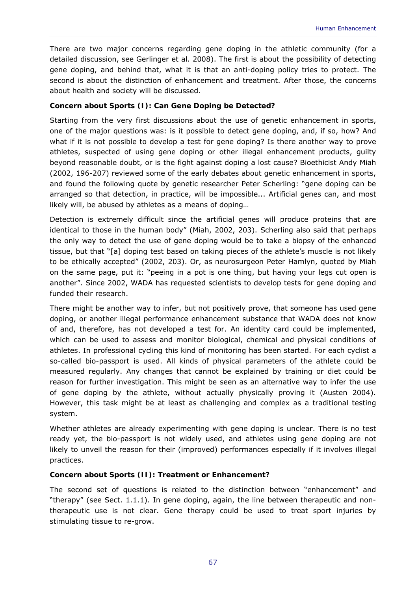There are two major concerns regarding gene doping in the athletic community (for a detailed discussion, see Gerlinger et al. 2008). The first is about the possibility of detecting gene doping, and behind that, what it is that an anti-doping policy tries to protect. The second is about the distinction of enhancement and treatment. After those, the concerns about health and society will be discussed.

### *Concern about Sports (I): Can Gene Doping be Detected?*

Starting from the very first discussions about the use of genetic enhancement in sports, one of the major questions was: is it possible to detect gene doping, and, if so, how? And what if it is not possible to develop a test for gene doping? Is there another way to prove athletes, suspected of using gene doping or other illegal enhancement products, guilty beyond reasonable doubt, or is the fight against doping a lost cause? Bioethicist Andy Miah (2002, 196-207) reviewed some of the early debates about genetic enhancement in sports, and found the following quote by genetic researcher Peter Scherling: "gene doping can be arranged so that detection, in practice, will be impossible... Artificial genes can, and most likely will, be abused by athletes as a means of doping…

Detection is extremely difficult since the artificial genes will produce proteins that are identical to those in the human body" (Miah, 2002, 203). Scherling also said that perhaps the only way to detect the use of gene doping would be to take a biopsy of the enhanced tissue, but that "[a] doping test based on taking pieces of the athlete's muscle is not likely to be ethically accepted" (2002, 203). Or, as neurosurgeon Peter Hamlyn, quoted by Miah on the same page, put it: "peeing in a pot is one thing, but having your legs cut open is another". Since 2002, WADA has requested scientists to develop tests for gene doping and funded their research.

There might be another way to infer, but not positively prove, that someone has used gene doping, or another illegal performance enhancement substance that WADA does not know of and, therefore, has not developed a test for. An identity card could be implemented, which can be used to assess and monitor biological, chemical and physical conditions of athletes. In professional cycling this kind of monitoring has been started. For each cyclist a so-called bio-passport is used. All kinds of physical parameters of the athlete could be measured regularly. Any changes that cannot be explained by training or diet could be reason for further investigation. This might be seen as an alternative way to infer the use of gene doping by the athlete, without actually physically proving it (Austen 2004). However, this task might be at least as challenging and complex as a traditional testing system.

Whether athletes are already experimenting with gene doping is unclear. There is no test ready yet, the bio-passport is not widely used, and athletes using gene doping are not likely to unveil the reason for their (improved) performances especially if it involves illegal practices.

### *Concern about Sports (II): Treatment or Enhancement?*

The second set of questions is related to the distinction between "enhancement" and "therapy" (see Sect. 1.1.1). In gene doping, again, the line between therapeutic and nontherapeutic use is not clear. Gene therapy could be used to treat sport injuries by stimulating tissue to re-grow.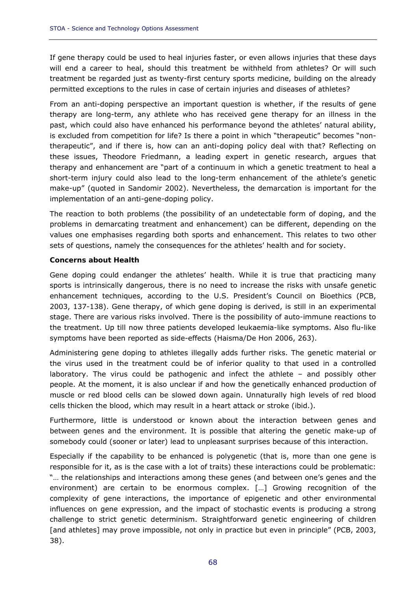If gene therapy could be used to heal injuries faster, or even allows injuries that these days will end a career to heal, should this treatment be withheld from athletes? Or will such treatment be regarded just as twenty-first century sports medicine, building on the already permitted exceptions to the rules in case of certain injuries and diseases of athletes?

From an anti-doping perspective an important question is whether, if the results of gene therapy are long-term, any athlete who has received gene therapy for an illness in the past, which could also have enhanced his performance beyond the athletes' natural ability, is excluded from competition for life? Is there a point in which "therapeutic" becomes "nontherapeutic", and if there is, how can an anti-doping policy deal with that? Reflecting on these issues, Theodore Friedmann, a leading expert in genetic research, argues that therapy and enhancement are "part of a continuum in which a genetic treatment to heal a short-term injury could also lead to the long-term enhancement of the athlete's genetic make-up" (quoted in Sandomir 2002). Nevertheless, the demarcation is important for the implementation of an anti-gene-doping policy.

The reaction to both problems (the possibility of an undetectable form of doping, and the problems in demarcating treatment and enhancement) can be different, depending on the values one emphasises regarding both sports and enhancement. This relates to two other sets of questions, namely the consequences for the athletes' health and for society.

### *Concerns about Health*

Gene doping could endanger the athletes' health. While it is true that practicing many sports is intrinsically dangerous, there is no need to increase the risks with unsafe genetic enhancement techniques, according to the U.S. President's Council on Bioethics (PCB, 2003, 137-138). Gene therapy, of which gene doping is derived, is still in an experimental stage. There are various risks involved. There is the possibility of auto-immune reactions to the treatment. Up till now three patients developed leukaemia-like symptoms. Also flu-like symptoms have been reported as side-effects (Haisma/De Hon 2006, 263).

Administering gene doping to athletes illegally adds further risks. The genetic material or the virus used in the treatment could be of inferior quality to that used in a controlled laboratory. The virus could be pathogenic and infect the athlete – and possibly other people. At the moment, it is also unclear if and how the genetically enhanced production of muscle or red blood cells can be slowed down again. Unnaturally high levels of red blood cells thicken the blood, which may result in a heart attack or stroke (ibid.).

Furthermore, little is understood or known about the interaction between genes and between genes and the environment. It is possible that altering the genetic make-up of somebody could (sooner or later) lead to unpleasant surprises because of this interaction.

Especially if the capability to be enhanced is polygenetic (that is, more than one gene is responsible for it, as is the case with a lot of traits) these interactions could be problematic: "… the relationships and interactions among these genes (and between one's genes and the environment) are certain to be enormous complex. […] Growing recognition of the complexity of gene interactions, the importance of epigenetic and other environmental influences on gene expression, and the impact of stochastic events is producing a strong challenge to strict genetic determinism. Straightforward genetic engineering of children [and athletes] may prove impossible, not only in practice but even in principle" (PCB, 2003, 38).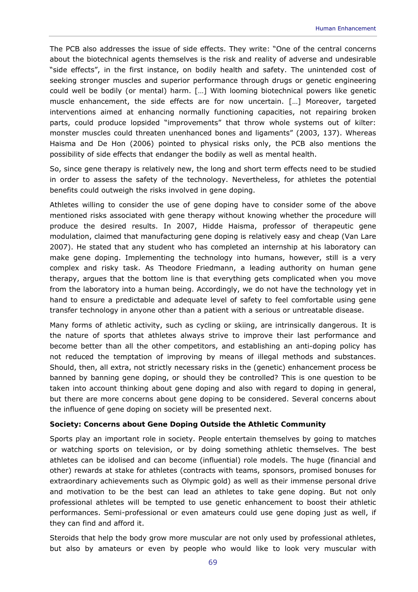The PCB also addresses the issue of side effects. They write: "One of the central concerns about the biotechnical agents themselves is the risk and reality of adverse and undesirable "side effects", in the first instance, on bodily health and safety. The unintended cost of seeking stronger muscles and superior performance through drugs or genetic engineering could well be bodily (or mental) harm. […] With looming biotechnical powers like genetic muscle enhancement, the side effects are for now uncertain. […] Moreover, targeted interventions aimed at enhancing normally functioning capacities, not repairing broken parts, could produce lopsided "improvements" that throw whole systems out of kilter: monster muscles could threaten unenhanced bones and ligaments" (2003, 137). Whereas Haisma and De Hon (2006) pointed to physical risks only, the PCB also mentions the possibility of side effects that endanger the bodily as well as mental health.

So, since gene therapy is relatively new, the long and short term effects need to be studied in order to assess the safety of the technology. Nevertheless, for athletes the potential benefits could outweigh the risks involved in gene doping.

Athletes willing to consider the use of gene doping have to consider some of the above mentioned risks associated with gene therapy without knowing whether the procedure will produce the desired results. In 2007, Hidde Haisma, professor of therapeutic gene modulation, claimed that manufacturing gene doping is relatively easy and cheap (Van Lare 2007). He stated that any student who has completed an internship at his laboratory can make gene doping. Implementing the technology into humans, however, still is a very complex and risky task. As Theodore Friedmann, a leading authority on human gene therapy, argues that the bottom line is that everything gets complicated when you move from the laboratory into a human being. Accordingly, we do not have the technology yet in hand to ensure a predictable and adequate level of safety to feel comfortable using gene transfer technology in anyone other than a patient with a serious or untreatable disease.

Many forms of athletic activity, such as cycling or skiing, are intrinsically dangerous. It is the nature of sports that athletes always strive to improve their last performance and become better than all the other competitors, and establishing an anti-doping policy has not reduced the temptation of improving by means of illegal methods and substances. Should, then, all extra, not strictly necessary risks in the (genetic) enhancement process be banned by banning gene doping, or should they be controlled? This is one question to be taken into account thinking about gene doping and also with regard to doping in general, but there are more concerns about gene doping to be considered. Several concerns about the influence of gene doping on society will be presented next.

### *Society: Concerns about Gene Doping Outside the Athletic Community*

Sports play an important role in society. People entertain themselves by going to matches or watching sports on television, or by doing something athletic themselves. The best athletes can be idolised and can become (influential) role models. The huge (financial and other) rewards at stake for athletes (contracts with teams, sponsors, promised bonuses for extraordinary achievements such as Olympic gold) as well as their immense personal drive and motivation to be the best can lead an athletes to take gene doping. But not only professional athletes will be tempted to use genetic enhancement to boost their athletic performances. Semi-professional or even amateurs could use gene doping just as well, if they can find and afford it.

Steroids that help the body grow more muscular are not only used by professional athletes, but also by amateurs or even by people who would like to look very muscular with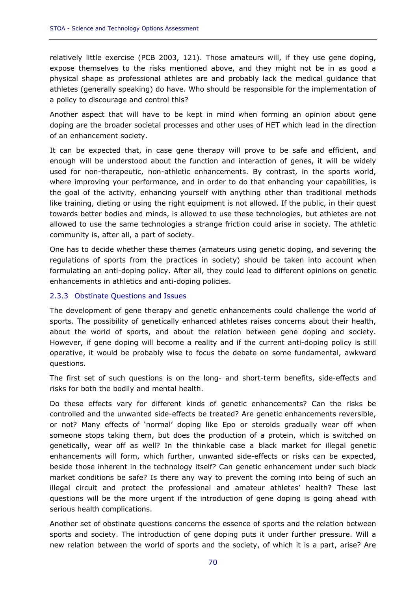relatively little exercise (PCB 2003, 121). Those amateurs will, if they use gene doping, expose themselves to the risks mentioned above, and they might not be in as good a physical shape as professional athletes are and probably lack the medical guidance that athletes (generally speaking) do have. Who should be responsible for the implementation of a policy to discourage and control this?

Another aspect that will have to be kept in mind when forming an opinion about gene doping are the broader societal processes and other uses of HET which lead in the direction of an enhancement society.

It can be expected that, in case gene therapy will prove to be safe and efficient, and enough will be understood about the function and interaction of genes, it will be widely used for non-therapeutic, non-athletic enhancements. By contrast, in the sports world, where improving your performance, and in order to do that enhancing your capabilities, is the goal of the activity, enhancing yourself with anything other than traditional methods like training, dieting or using the right equipment is not allowed. If the public, in their quest towards better bodies and minds, is allowed to use these technologies, but athletes are not allowed to use the same technologies a strange friction could arise in society. The athletic community is, after all, a part of society.

One has to decide whether these themes (amateurs using genetic doping, and severing the regulations of sports from the practices in society) should be taken into account when formulating an anti-doping policy. After all, they could lead to different opinions on genetic enhancements in athletics and anti-doping policies.

### 2.3.3 Obstinate Questions and Issues

The development of gene therapy and genetic enhancements could challenge the world of sports. The possibility of genetically enhanced athletes raises concerns about their health, about the world of sports, and about the relation between gene doping and society. However, if gene doping will become a reality and if the current anti-doping policy is still operative, it would be probably wise to focus the debate on some fundamental, awkward questions.

The first set of such questions is on the long- and short-term benefits, side-effects and risks for both the bodily and mental health.

Do these effects vary for different kinds of genetic enhancements? Can the risks be controlled and the unwanted side-effects be treated? Are genetic enhancements reversible, or not? Many effects of 'normal' doping like Epo or steroids gradually wear off when someone stops taking them, but does the production of a protein, which is switched on genetically, wear off as well? In the thinkable case a black market for illegal genetic enhancements will form, which further, unwanted side-effects or risks can be expected, beside those inherent in the technology itself? Can genetic enhancement under such black market conditions be safe? Is there any way to prevent the coming into being of such an illegal circuit and protect the professional and amateur athletes' health? These last questions will be the more urgent if the introduction of gene doping is going ahead with serious health complications.

Another set of obstinate questions concerns the essence of sports and the relation between sports and society. The introduction of gene doping puts it under further pressure. Will a new relation between the world of sports and the society, of which it is a part, arise? Are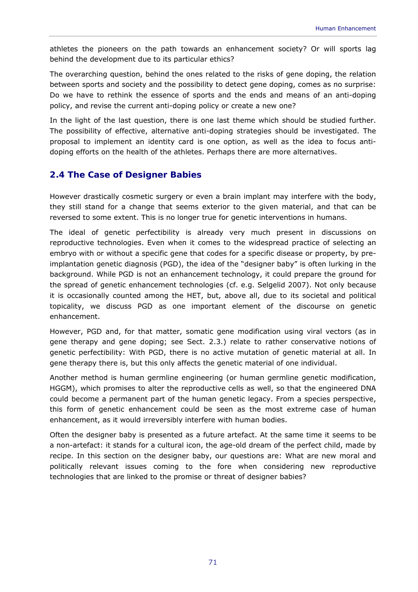athletes the pioneers on the path towards an enhancement society? Or will sports lag behind the development due to its particular ethics?

The overarching question, behind the ones related to the risks of gene doping, the relation between sports and society and the possibility to detect gene doping, comes as no surprise: Do we have to rethink the essence of sports and the ends and means of an anti-doping policy, and revise the current anti-doping policy or create a new one?

In the light of the last question, there is one last theme which should be studied further. The possibility of effective, alternative anti-doping strategies should be investigated. The proposal to implement an identity card is one option, as well as the idea to focus antidoping efforts on the health of the athletes. Perhaps there are more alternatives.

# **2.4 The Case of Designer Babies**

However drastically cosmetic surgery or even a brain implant may interfere with the body, they still stand for a change that seems exterior to the given material, and that can be reversed to some extent. This is no longer true for genetic interventions in humans.

The ideal of genetic perfectibility is already very much present in discussions on reproductive technologies. Even when it comes to the widespread practice of selecting an embryo with or without a specific gene that codes for a specific disease or property, by preimplantation genetic diagnosis (PGD), the idea of the "designer baby" is often lurking in the background. While PGD is not an enhancement technology, it could prepare the ground for the spread of genetic enhancement technologies (cf. e.g. Selgelid 2007). Not only because it is occasionally counted among the HET, but, above all, due to its societal and political topicality, we discuss PGD as one important element of the discourse on genetic enhancement.

However, PGD and, for that matter, somatic gene modification using viral vectors (as in gene therapy and gene doping; see Sect. 2.3.) relate to rather conservative notions of genetic perfectibility: With PGD, there is no active mutation of genetic material at all. In gene therapy there is, but this only affects the genetic material of one individual.

Another method is human germline engineering (or human germline genetic modification, HGGM), which promises to alter the reproductive cells as well, so that the engineered DNA could become a permanent part of the human genetic legacy. From a species perspective, this form of genetic enhancement could be seen as the most extreme case of human enhancement, as it would irreversibly interfere with human bodies.

Often the designer baby is presented as a future artefact. At the same time it seems to be a non-artefact: it stands for a cultural icon, the age-old dream of the perfect child, made by recipe. In this section on the designer baby, our questions are: What are new moral and politically relevant issues coming to the fore when considering new reproductive technologies that are linked to the promise or threat of designer babies?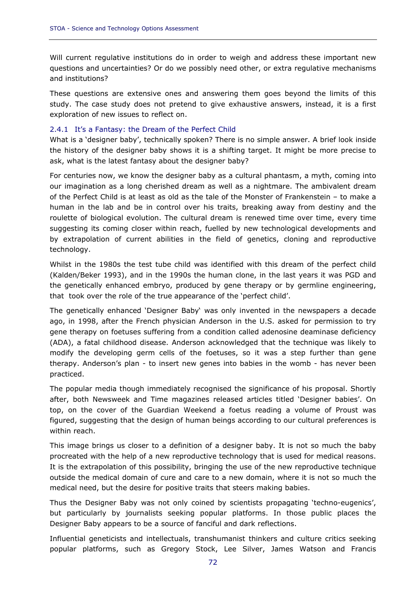Will current regulative institutions do in order to weigh and address these important new questions and uncertainties? Or do we possibly need other, or extra regulative mechanisms and institutions?

These questions are extensive ones and answering them goes beyond the limits of this study. The case study does not pretend to give exhaustive answers, instead, it is a first exploration of new issues to reflect on.

### 2.4.1 It's a Fantasy: the Dream of the Perfect Child

What is a 'designer baby', technically spoken? There is no simple answer. A brief look inside the history of the designer baby shows it is a shifting target. It might be more precise to ask, what is the latest fantasy about the designer baby?

For centuries now, we know the designer baby as a cultural phantasm, a myth, coming into our imagination as a long cherished dream as well as a nightmare. The ambivalent dream of the Perfect Child is at least as old as the tale of the Monster of Frankenstein – to make a human in the lab and be in control over his traits, breaking away from destiny and the roulette of biological evolution. The cultural dream is renewed time over time, every time suggesting its coming closer within reach, fuelled by new technological developments and by extrapolation of current abilities in the field of genetics, cloning and reproductive technology.

Whilst in the 1980s the test tube child was identified with this dream of the perfect child (Kalden/Beker 1993), and in the 1990s the human clone, in the last years it was PGD and the genetically enhanced embryo, produced by gene therapy or by germline engineering, that took over the role of the true appearance of the 'perfect child'.

The genetically enhanced 'Designer Baby' was only invented in the newspapers a decade ago, in 1998, after the French physician Anderson in the U.S. asked for permission to try gene therapy on foetuses suffering from a condition called adenosine deaminase deficiency (ADA), a fatal childhood disease. Anderson acknowledged that the technique was likely to modify the developing germ cells of the foetuses, so it was a step further than gene therapy. Anderson's plan - to insert new genes into babies in the womb - has never been practiced.

The popular media though immediately recognised the significance of his proposal. Shortly after, both Newsweek and Time magazines released articles titled 'Designer babies'. On top, on the cover of the Guardian Weekend a foetus reading a volume of Proust was figured, suggesting that the design of human beings according to our cultural preferences is within reach.

This image brings us closer to a definition of a designer baby. It is not so much the baby procreated with the help of a new reproductive technology that is used for medical reasons. It is the extrapolation of this possibility, bringing the use of the new reproductive technique outside the medical domain of cure and care to a new domain, where it is not so much the medical need, but the desire for positive traits that steers making babies.

Thus the Designer Baby was not only coined by scientists propagating 'techno-eugenics', but particularly by journalists seeking popular platforms. In those public places the Designer Baby appears to be a source of fanciful and dark reflections.

Influential geneticists and intellectuals, transhumanist thinkers and culture critics seeking popular platforms, such as Gregory Stock, Lee Silver, James Watson and Francis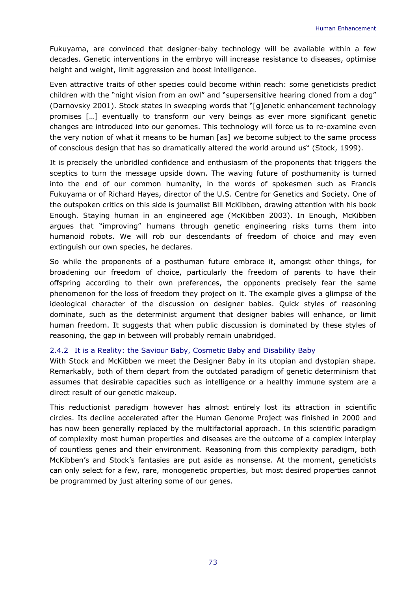Fukuyama, are convinced that designer-baby technology will be available within a few decades. Genetic interventions in the embryo will increase resistance to diseases, optimise height and weight, limit aggression and boost intelligence.

Even attractive traits of other species could become within reach: some geneticists predict children with the "night vision from an owl" and "supersensitive hearing cloned from a dog" (Darnovsky 2001). Stock states in sweeping words that "[g]enetic enhancement technology promises […] eventually to transform our very beings as ever more significant genetic changes are introduced into our genomes. This technology will force us to re-examine even the very notion of what it means to be human [as] we become subject to the same process of conscious design that has so dramatically altered the world around us" (Stock, 1999).

It is precisely the unbridled confidence and enthusiasm of the proponents that triggers the sceptics to turn the message upside down. The waving future of posthumanity is turned into the end of our common humanity, in the words of spokesmen such as Francis Fukuyama or of Richard Hayes, director of the U.S. Centre for Genetics and Society. One of the outspoken critics on this side is journalist Bill McKibben, drawing attention with his book *Enough. Staying human in an engineered age* (McKibben 2003). In *Enough*, McKibben argues that "improving" humans through genetic engineering risks turns them into humanoid robots. We will rob our descendants of freedom of choice and may even extinguish our own species, he declares.

So while the proponents of a posthuman future embrace it, amongst other things, for broadening our freedom of choice, particularly the freedom of parents to have their offspring according to their own preferences, the opponents precisely fear the same phenomenon for the loss of freedom they project on it. The example gives a glimpse of the ideological character of the discussion on designer babies. Quick styles of reasoning dominate, such as the determinist argument that designer babies will enhance, or limit human freedom. It suggests that when public discussion is dominated by these styles of reasoning, the gap in between will probably remain unabridged.

# 2.4.2 It is a Reality: the Saviour Baby, Cosmetic Baby and Disability Baby

With Stock and McKibben we meet the Designer Baby in its utopian and dystopian shape. Remarkably, both of them depart from the outdated paradigm of genetic determinism that assumes that desirable capacities such as intelligence or a healthy immune system are a direct result of our genetic makeup.

This reductionist paradigm however has almost entirely lost its attraction in scientific circles. Its decline accelerated after the Human Genome Project was finished in 2000 and has now been generally replaced by the multifactorial approach. In this scientific paradigm of complexity most human properties and diseases are the outcome of a complex interplay of countless genes and their environment. Reasoning from this complexity paradigm, both McKibben's and Stock's fantasies are put aside as nonsense. At the moment, geneticists can only select for a few, rare, monogenetic properties, but most desired properties cannot be programmed by just altering some of our genes.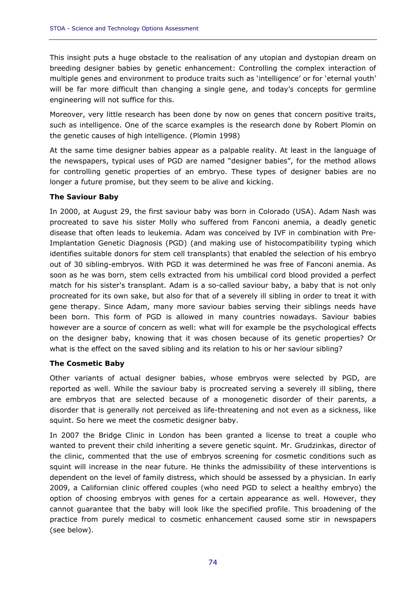This insight puts a huge obstacle to the realisation of any utopian and dystopian dream on breeding designer babies by genetic enhancement: Controlling the complex interaction of multiple genes and environment to produce traits such as 'intelligence' or for 'eternal youth' will be far more difficult than changing a single gene, and today's concepts for germline engineering will not suffice for this.

Moreover, very little research has been done by now on genes that concern positive traits, such as intelligence. One of the scarce examples is the research done by Robert Plomin on the genetic causes of high intelligence. (Plomin 1998)

At the same time designer babies appear as a palpable reality. At least in the language of the newspapers, typical uses of PGD are named "designer babies", for the method allows for controlling genetic properties of an embryo. These types of designer babies are no longer a future promise, but they seem to be alive and kicking.

# *The Saviour Baby*

In 2000, at August 29, the first saviour baby was born in Colorado (USA). Adam Nash was procreated to save his sister Molly who suffered from Fanconi anemia, a deadly genetic disease that often leads to leukemia. Adam was conceived by IVF in combination with Pre-Implantation Genetic Diagnosis (PGD) (and making use of histocompatibility typing which identifies suitable donors for stem cell transplants) that enabled the selection of his embryo out of 30 sibling-embryos. With PGD it was determined he was free of Fanconi anemia. As soon as he was born, stem cells extracted from his umbilical cord blood provided a perfect match for his sister's transplant. Adam is a so-called saviour baby, a baby that is not only procreated for its own sake, but also for that of a severely ill sibling in order to treat it with gene therapy. Since Adam, many more saviour babies serving their siblings needs have been born. This form of PGD is allowed in many countries nowadays. Saviour babies however are a source of concern as well: what will for example be the psychological effects on the designer baby, knowing that it was chosen because of its genetic properties? Or what is the effect on the saved sibling and its relation to his or her saviour sibling?

# *The Cosmetic Baby*

Other variants of actual designer babies, whose embryos were selected by PGD, are reported as well. While the saviour baby is procreated serving a severely ill sibling, there are embryos that are selected because of a monogenetic disorder of their parents, a disorder that is generally not perceived as life-threatening and not even as a sickness, like squint. So here we meet the cosmetic designer baby.

In 2007 the Bridge Clinic in London has been granted a license to treat a couple who wanted to prevent their child inheriting a severe genetic squint. Mr. Grudzinkas, director of the clinic, commented that the use of embryos screening for cosmetic conditions such as squint will increase in the near future. He thinks the admissibility of these interventions is dependent on the level of family distress, which should be assessed by a physician. In early 2009, a Californian clinic offered couples (who need PGD to select a healthy embryo) the option of choosing embryos with genes for a certain appearance as well. However, they cannot guarantee that the baby will look like the specified profile. This broadening of the practice from purely medical to cosmetic enhancement caused some stir in newspapers (see below).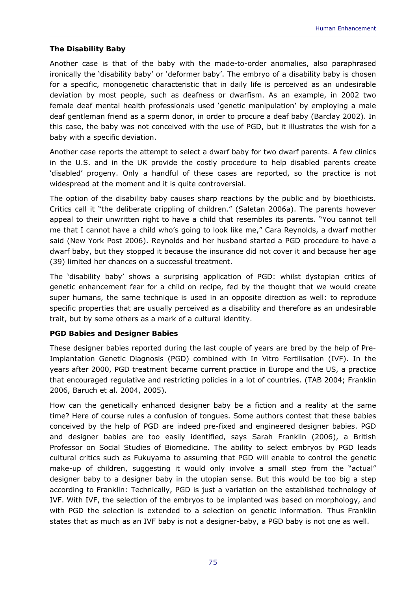### *The Disability Baby*

Another case is that of the baby with the made-to-order anomalies, also paraphrased ironically the 'disability baby' or 'deformer baby'. The embryo of a disability baby is chosen for a specific, monogenetic characteristic that in daily life is perceived as an undesirable deviation by most people, such as deafness or dwarfism. As an example, in 2002 two female deaf mental health professionals used 'genetic manipulation' by employing a male deaf gentleman friend as a sperm donor, in order to procure a deaf baby (Barclay 2002). In this case, the baby was not conceived with the use of PGD, but it illustrates the wish for a baby with a specific deviation.

Another case reports the attempt to select a dwarf baby for two dwarf parents. A few clinics in the U.S. and in the UK provide the costly procedure to help disabled parents create 'disabled' progeny. Only a handful of these cases are reported, so the practice is not widespread at the moment and it is quite controversial.

The option of the disability baby causes sharp reactions by the public and by bioethicists. Critics call it "the deliberate crippling of children." (Saletan 2006a). The parents however appeal to their unwritten right to have a child that resembles its parents. "You cannot tell me that I cannot have a child who's going to look like me," Cara Reynolds, a dwarf mother said (New York Post 2006). Reynolds and her husband started a PGD procedure to have a dwarf baby, but they stopped it because the insurance did not cover it and because her age (39) limited her chances on a successful treatment.

The 'disability baby' shows a surprising application of PGD: whilst dystopian critics of genetic enhancement fear for a child on recipe, fed by the thought that we would create super humans, the same technique is used in an opposite direction as well: to reproduce specific properties that are usually perceived as a disability and therefore as an undesirable trait, but by some others as a mark of a cultural identity.

### *PGD Babies and Designer Babies*

These designer babies reported during the last couple of years are bred by the help of Pre-Implantation Genetic Diagnosis (PGD) combined with In Vitro Fertilisation (IVF). In the years after 2000, PGD treatment became current practice in Europe and the US, a practice that encouraged regulative and restricting policies in a lot of countries. (TAB 2004; Franklin 2006, Baruch et al. 2004, 2005).

How can the genetically enhanced designer baby be a fiction and a reality at the same time? Here of course rules a confusion of tongues. Some authors contest that these babies conceived by the help of PGD are indeed pre-fixed and engineered designer babies. PGD and designer babies are too easily identified, says Sarah Franklin (2006), a British Professor on Social Studies of Biomedicine. The ability to select embryos by PGD leads cultural critics such as Fukuyama to assuming that PGD will enable to control the genetic make-up of children, suggesting it would only involve a small step from the "actual" designer baby to a designer baby in the utopian sense. But this would be too big a step according to Franklin: Technically, PGD is just a variation on the established technology of IVF. With IVF, the selection of the embryos to be implanted was based on morphology, and with PGD the selection is extended to a selection on genetic information. Thus Franklin states that as much as an IVF baby is not a designer-baby, a PGD baby is not one as well.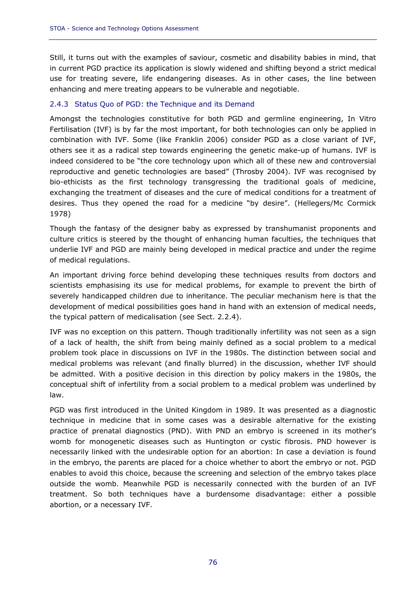Still, it turns out with the examples of saviour, cosmetic and disability babies in mind, that in current PGD practice its application is slowly widened and shifting beyond a strict medical use for treating severe, life endangering diseases. As in other cases, the line between enhancing and mere treating appears to be vulnerable and negotiable.

### 2.4.3 Status Quo of PGD: the Technique and its Demand

Amongst the technologies constitutive for both PGD and germline engineering, In Vitro Fertilisation (IVF) is by far the most important, for both technologies can only be applied in combination with IVF. Some (like Franklin 2006) consider PGD as a close variant of IVF, others see it as a radical step towards engineering the genetic make-up of humans. IVF is indeed considered to be "the core technology upon which all of these new and controversial reproductive and genetic technologies are based" (Throsby 2004). IVF was recognised by bio-ethicists as the first technology transgressing the traditional goals of medicine, exchanging the treatment of diseases and the cure of medical conditions for a treatment of desires. Thus they opened the road for a medicine "by desire". (Hellegers/Mc Cormick 1978)

Though the fantasy of the designer baby as expressed by transhumanist proponents and culture critics is steered by the thought of enhancing human faculties, the techniques that underlie IVF and PGD are mainly being developed in medical practice and under the regime of medical regulations.

An important driving force behind developing these techniques results from doctors and scientists emphasising its use for medical problems, for example to prevent the birth of severely handicapped children due to inheritance. The peculiar mechanism here is that the development of medical possibilities goes hand in hand with an extension of medical needs, the typical pattern of medicalisation (see Sect. 2.2.4).

IVF was no exception on this pattern. Though traditionally infertility was not seen as a sign of a lack of health, the shift from being mainly defined as a social problem to a medical problem took place in discussions on IVF in the 1980s. The distinction between social and medical problems was relevant (and finally blurred) in the discussion, whether IVF should be admitted. With a positive decision in this direction by policy makers in the 1980s, the conceptual shift of infertility from a social problem to a medical problem was underlined by law.

PGD was first introduced in the United Kingdom in 1989. It was presented as a diagnostic technique in medicine that in some cases was a desirable alternative for the existing practice of prenatal diagnostics (PND). With PND an embryo is screened in its mother's womb for monogenetic diseases such as Huntington or cystic fibrosis. PND however is necessarily linked with the undesirable option for an abortion: In case a deviation is found in the embryo, the parents are placed for a choice whether to abort the embryo or not. PGD enables to avoid this choice, because the screening and selection of the embryo takes place outside the womb. Meanwhile PGD is necessarily connected with the burden of an IVF treatment. So both techniques have a burdensome disadvantage: either a possible abortion, or a necessary IVF.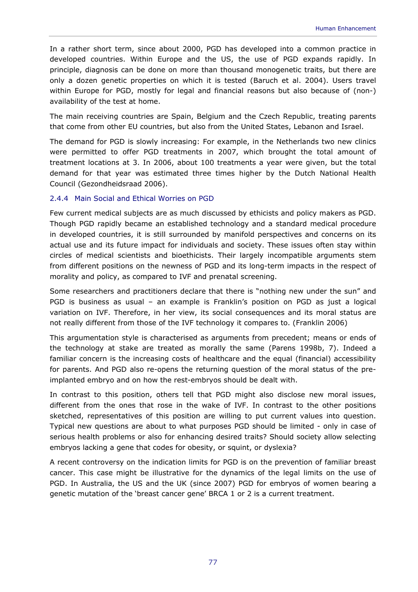In a rather short term, since about 2000, PGD has developed into a common practice in developed countries. Within Europe and the US, the use of PGD expands rapidly. In principle, diagnosis can be done on more than thousand monogenetic traits, but there are only a dozen genetic properties on which it is tested (Baruch et al. 2004). Users travel within Europe for PGD, mostly for legal and financial reasons but also because of (non-) availability of the test at home.

The main receiving countries are Spain, Belgium and the Czech Republic, treating parents that come from other EU countries, but also from the United States, Lebanon and Israel.

The demand for PGD is slowly increasing: For example, in the Netherlands two new clinics were permitted to offer PGD treatments in 2007, which brought the total amount of treatment locations at 3. In 2006, about 100 treatments a year were given, but the total demand for that year was estimated three times higher by the Dutch National Health Council (Gezondheidsraad 2006).

### 2.4.4 Main Social and Ethical Worries on PGD

Few current medical subjects are as much discussed by ethicists and policy makers as PGD. Though PGD rapidly became an established technology and a standard medical procedure in developed countries, it is still surrounded by manifold perspectives and concerns on its actual use and its future impact for individuals and society. These issues often stay within circles of medical scientists and bioethicists. Their largely incompatible arguments stem from different positions on the newness of PGD and its long-term impacts in the respect of morality and policy, as compared to IVF and prenatal screening.

Some researchers and practitioners declare that there is "nothing new under the sun" and PGD is business as usual – an example is Franklin's position on PGD as just a logical variation on IVF. Therefore, in her view, its social consequences and its moral status are not really different from those of the IVF technology it compares to. (Franklin 2006)

This argumentation style is characterised as arguments from precedent; means or ends of the technology at stake are treated as morally the same (Parens 1998b, 7). Indeed a familiar concern is the increasing costs of healthcare and the equal (financial) accessibility for parents. And PGD also re-opens the returning question of the moral status of the preimplanted embryo and on how the rest-embryos should be dealt with.

In contrast to this position, others tell that PGD might also disclose new moral issues, different from the ones that rose in the wake of IVF. In contrast to the other positions sketched, representatives of this position are willing to put current values into question. Typical new questions are about to what purposes PGD should be limited - only in case of serious health problems or also for enhancing desired traits? Should society allow selecting embryos lacking a gene that codes for obesity, or squint, or dyslexia?

A recent controversy on the indication limits for PGD is on the prevention of familiar breast cancer. This case might be illustrative for the dynamics of the legal limits on the use of PGD. In Australia, the US and the UK (since 2007) PGD for embryos of women bearing a genetic mutation of the 'breast cancer gene' BRCA 1 or 2 is a current treatment.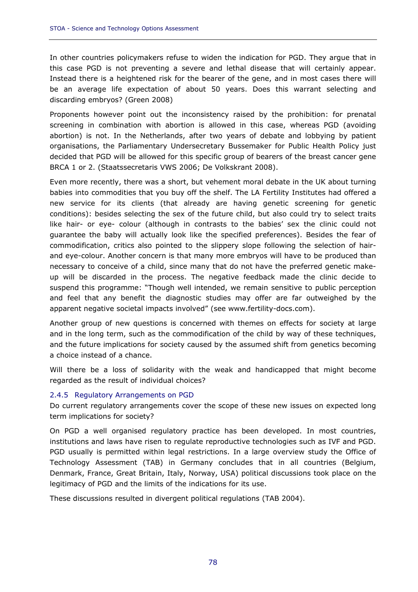In other countries policymakers refuse to widen the indication for PGD. They argue that in this case PGD is not preventing a severe and lethal disease that will certainly appear. Instead there is a heightened risk for the bearer of the gene, and in most cases there will be an average life expectation of about 50 years. Does this warrant selecting and discarding embryos? (Green 2008)

Proponents however point out the inconsistency raised by the prohibition: for prenatal screening in combination with abortion is allowed in this case, whereas PGD (avoiding abortion) is not. In the Netherlands, after two years of debate and lobbying by patient organisations, the Parliamentary Undersecretary Bussemaker for Public Health Policy just decided that PGD will be allowed for this specific group of bearers of the breast cancer gene BRCA 1 or 2. (Staatssecretaris VWS 2006; De Volkskrant 2008).

Even more recently, there was a short, but vehement moral debate in the UK about turning babies into commodities that you buy off the shelf. The LA Fertility Institutes had offered a new service for its clients (that already are having genetic screening for genetic conditions): besides selecting the sex of the future child, but also could try to select traits like hair- or eye- colour (although in contrasts to the babies' sex the clinic could not guarantee the baby will actually look like the specified preferences). Besides the fear of commodification, critics also pointed to the slippery slope following the selection of hairand eye-colour. Another concern is that many more embryos will have to be produced than necessary to conceive of a child, since many that do not have the preferred genetic makeup will be discarded in the process. The negative feedback made the clinic decide to suspend this programme: "Though well intended, we remain sensitive to public perception and feel that any benefit the diagnostic studies may offer are far outweighed by the apparent negative societal impacts involved" (see www.fertility-docs.com).

Another group of new questions is concerned with themes on effects for society at large and in the long term, such as the commodification of the child by way of these techniques, and the future implications for society caused by the assumed shift from genetics becoming a choice instead of a chance.

Will there be a loss of solidarity with the weak and handicapped that might become regarded as the result of individual choices?

### 2.4.5 Regulatory Arrangements on PGD

Do current regulatory arrangements cover the scope of these new issues on expected long term implications for society?

On PGD a well organised regulatory practice has been developed. In most countries, institutions and laws have risen to regulate reproductive technologies such as IVF and PGD. PGD usually is permitted within legal restrictions. In a large overview study the Office of Technology Assessment (TAB) in Germany concludes that in all countries (Belgium, Denmark, France, Great Britain, Italy, Norway, USA) political discussions took place on the legitimacy of PGD and the limits of the indications for its use.

These discussions resulted in divergent political regulations (TAB 2004).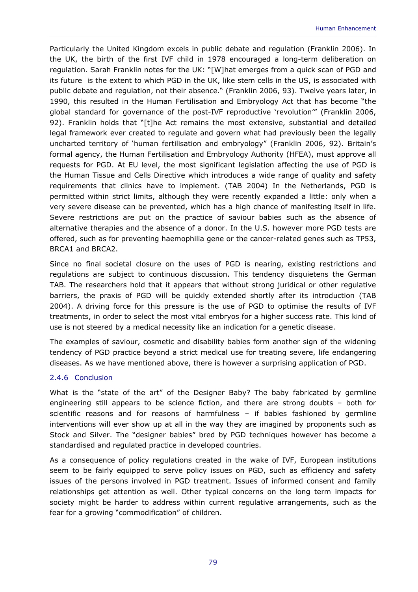Particularly the United Kingdom excels in public debate and regulation (Franklin 2006). In the UK, the birth of the first IVF child in 1978 encouraged a long-term deliberation on regulation. Sarah Franklin notes for the UK: "[W]hat emerges from a quick scan of PGD and its future is the extent to which PGD in the UK, like stem cells in the US, is associated with public debate and regulation, *not their absence*." (Franklin 2006, 93). Twelve years later, in 1990, this resulted in the Human Fertilisation and Embryology Act that has become "the global standard for governance of the post-IVF reproductive 'revolution'" (Franklin 2006, 92). Franklin holds that "[t]he Act remains the most extensive, substantial and detailed legal framework ever created to regulate and govern what had previously been the legally uncharted territory of 'human fertilisation and embryology" (Franklin 2006, 92). Britain's formal agency, the Human Fertilisation and Embryology Authority (HFEA), must approve all requests for PGD. At EU level, the most significant legislation affecting the use of PGD is the Human Tissue and Cells Directive which introduces a wide range of quality and safety requirements that clinics have to implement. (TAB 2004) In the Netherlands, PGD is permitted within strict limits, although they were recently expanded a little: only when a very severe disease can be prevented, which has a high chance of manifesting itself in life. Severe restrictions are put on the practice of saviour babies such as the absence of alternative therapies and the absence of a donor. In the U.S. however more PGD tests are offered, such as for preventing haemophilia gene or the cancer-related genes such as TP53, BRCA1 and BRCA2.

Since no final societal closure on the uses of PGD is nearing, existing restrictions and regulations are subject to continuous discussion. This tendency disquietens the German TAB. The researchers hold that it appears that without strong juridical or other regulative barriers, the praxis of PGD will be quickly extended shortly after its introduction (TAB 2004). A driving force for this pressure is the use of PGD to optimise the results of IVF treatments, in order to select the most vital embryos for a higher success rate. This kind of use is not steered by a medical necessity like an indication for a genetic disease.

The examples of saviour, cosmetic and disability babies form another sign of the widening tendency of PGD practice beyond a strict medical use for treating severe, life endangering diseases. As we have mentioned above, there is however a surprising application of PGD.

### 2.4.6 Conclusion

What is the "state of the art" of the Designer Baby? The baby fabricated by germline engineering still appears to be science fiction, and there are strong doubts – both for scientific reasons and for reasons of harmfulness – if babies fashioned by germline interventions will ever show up at all in the way they are imagined by proponents such as Stock and Silver. The "designer babies" bred by PGD techniques however has become a standardised and regulated practice in developed countries.

As a consequence of policy regulations created in the wake of IVF, European institutions seem to be fairly equipped to serve policy issues on PGD, such as efficiency and safety issues of the persons involved in PGD treatment. Issues of informed consent and family relationships get attention as well. Other typical concerns on the long term impacts for society might be harder to address within current regulative arrangements, such as the fear for a growing "commodification" of children.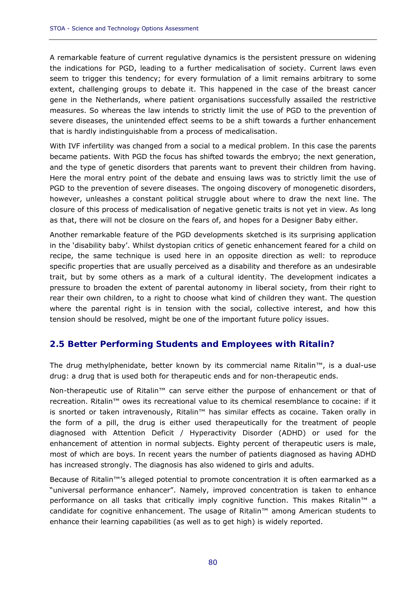A remarkable feature of current regulative dynamics is the persistent pressure on widening the indications for PGD, leading to a further medicalisation of society. Current laws even seem to trigger this tendency; for every formulation of a limit remains arbitrary to some extent, challenging groups to debate it. This happened in the case of the breast cancer gene in the Netherlands, where patient organisations successfully assailed the restrictive measures. So whereas the law intends to strictly limit the use of PGD to the prevention of severe diseases, the unintended effect seems to be a shift towards a further enhancement that is hardly indistinguishable from a process of medicalisation.

With IVF infertility was changed from a social to a medical problem. In this case the parents became patients. With PGD the focus has shifted towards the embryo; the next generation, and the type of genetic disorders that parents want to prevent their children from having. Here the moral entry point of the debate and ensuing laws was to strictly limit the use of PGD to the prevention of severe diseases. The ongoing discovery of monogenetic disorders, however, unleashes a constant political struggle about where to draw the next line. The closure of this process of medicalisation of negative genetic traits is not yet in view. As long as that, there will not be closure on the fears of, and hopes for a Designer Baby either.

Another remarkable feature of the PGD developments sketched is its surprising application in the 'disability baby'. Whilst dystopian critics of genetic enhancement feared for a child on recipe, the same technique is used here in an opposite direction as well: to reproduce specific properties that are usually perceived as a disability and therefore as an undesirable trait, but by some others as a mark of a cultural identity. The development indicates a pressure to broaden the extent of parental autonomy in liberal society, from their right to rear their own children, to a right to choose what kind of children they want. The question where the parental right is in tension with the social, collective interest, and how this tension should be resolved, might be one of the important future policy issues.

# **2.5 Better Performing Students and Employees with Ritalin?**

The drug methylphenidate, better known by its commercial name Ritalin™, is a dual-use drug: a drug that is used both for therapeutic ends and for non-therapeutic ends.

Non-therapeutic use of Ritalin™ can serve either the purpose of enhancement or that of recreation. Ritalin™ owes its recreational value to its chemical resemblance to cocaine: if it is snorted or taken intravenously, Ritalin™ has similar effects as cocaine. Taken orally in the form of a pill, the drug is either used therapeutically for the treatment of people diagnosed with Attention Deficit / Hyperactivity Disorder (ADHD) or used for the enhancement of attention in normal subjects. Eighty percent of therapeutic users is male, most of which are boys. In recent years the number of patients diagnosed as having ADHD has increased strongly. The diagnosis has also widened to girls and adults.

Because of Ritalin™'s alleged potential to promote concentration it is often earmarked as a "universal performance enhancer". Namely, improved concentration is taken to enhance performance on all tasks that critically imply cognitive function. This makes Ritalin<sup>™</sup> a candidate for cognitive enhancement. The usage of Ritalin™ among American students to enhance their learning capabilities (as well as to get high) is widely reported.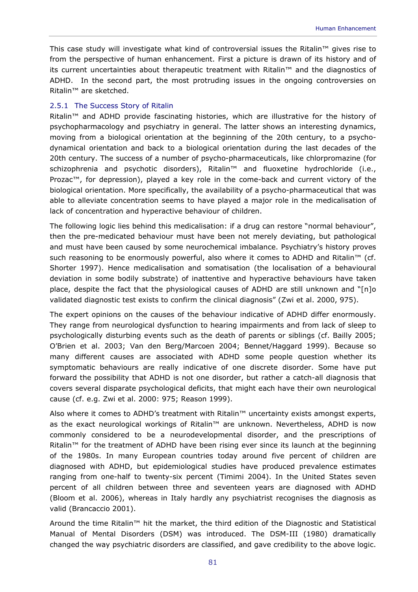This case study will investigate what kind of controversial issues the Ritalin™ gives rise to from the perspective of human enhancement. First a picture is drawn of its history and of its current uncertainties about therapeutic treatment with Ritalin™ and the diagnostics of ADHD. In the second part, the most protruding issues in the ongoing controversies on Ritalin™ are sketched.

### 2.5.1 The Success Story of Ritalin

Ritalin™ and ADHD provide fascinating histories, which are illustrative for the history of psychopharmacology and psychiatry in general. The latter shows an interesting dynamics, moving from a biological orientation at the beginning of the 20th century, to a psychodynamical orientation and back to a biological orientation during the last decades of the 20th century. The success of a number of psycho-pharmaceuticals, like chlorpromazine (for schizophrenia and psychotic disorders), Ritalin<sup>™</sup> and fluoxetine hydrochloride (i.e., Prozac™, for depression), played a key role in the come-back and current victory of the biological orientation. More specifically, the availability of a psycho-pharmaceutical that was able to alleviate concentration seems to have played a major role in the medicalisation of lack of concentration and hyperactive behaviour of children.

The following logic lies behind this medicalisation: if a drug can restore "normal behaviour", then the pre-medicated behaviour must have been not merely deviating, but pathological and must have been caused by some neurochemical imbalance. Psychiatry's history proves such reasoning to be enormously powerful, also where it comes to ADHD and Ritalin<sup>™</sup> (cf. Shorter 1997). Hence medicalisation and somatisation (the localisation of a behavioural deviation in some bodily substrate) of inattentive and hyperactive behaviours have taken place, despite the fact that the physiological causes of ADHD are still unknown and "[n]o validated diagnostic test exists to confirm the clinical diagnosis" (Zwi et al. 2000, 975).

The expert opinions on the causes of the behaviour indicative of ADHD differ enormously. They range from neurological dysfunction to hearing impairments and from lack of sleep to psychologically disturbing events such as the death of parents or siblings (cf. Bailly 2005; O'Brien et al. 2003; Van den Berg/Marcoen 2004; Bennet/Haggard 1999). Because so many different causes are associated with ADHD some people question whether its symptomatic behaviours are really indicative of one discrete disorder. Some have put forward the possibility that ADHD is not one disorder, but rather a catch-all diagnosis that covers several disparate psychological deficits, that might each have their own neurological cause (cf. e.g. Zwi et al. 2000: 975; Reason 1999).

Also where it comes to ADHD's treatment with Ritalin™ uncertainty exists amongst experts, as the exact neurological workings of Ritalin™ are unknown. Nevertheless, ADHD is now commonly considered to be a neurodevelopmental disorder, and the prescriptions of Ritalin™ for the treatment of ADHD have been rising ever since its launch at the beginning of the 1980s. In many European countries today around five percent of children are diagnosed with ADHD, but epidemiological studies have produced prevalence estimates ranging from one-half to twenty-six percent (Timimi 2004). In the United States seven percent of all children between three and seventeen years are diagnosed with ADHD (Bloom et al. 2006), whereas in Italy hardly any psychiatrist recognises the diagnosis as valid (Brancaccio 2001).

Around the time Ritalin™ hit the market, the third edition of the Diagnostic and Statistical Manual of Mental Disorders (DSM) was introduced. The DSM-III (1980) dramatically changed the way psychiatric disorders are classified, and gave credibility to the above logic.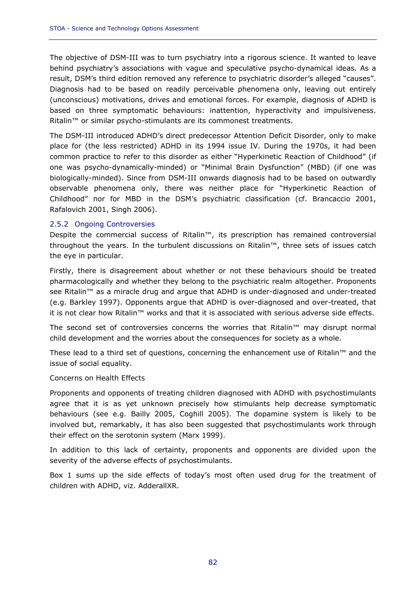The objective of DSM-III was to turn psychiatry into a rigorous science. It wanted to leave behind psychiatry's associations with vague and speculative psycho-dynamical ideas. As a result, DSM's third edition removed any reference to psychiatric disorder's alleged "causes". Diagnosis had to be based on readily perceivable phenomena only, leaving out entirely (unconscious) motivations, drives and emotional forces. For example, diagnosis of ADHD is based on three symptomatic behaviours: inattention, hyperactivity and impulsiveness. Ritalin™ or similar psycho-stimulants are its commonest treatments.

The DSM-III introduced ADHD's direct predecessor Attention Deficit Disorder, only to make place for (the less restricted) ADHD in its 1994 issue IV. During the 1970s, it had been common practice to refer to this disorder as either "Hyperkinetic Reaction of Childhood" (if one was psycho-dynamically-minded) or "Minimal Brain Dysfunction" (MBD) (if one was biologically-minded). Since from DSM-III onwards diagnosis had to be based on outwardly observable phenomena only, there was neither place for "Hyperkinetic Reaction of Childhood" nor for MBD in the DSM's psychiatric classification (cf. Brancaccio 2001, Rafalovich 2001, Singh 2006).

### 2.5.2 Ongoing Controversies

Despite the commercial success of Ritalin™, its prescription has remained controversial throughout the years. In the turbulent discussions on Ritalin™, three sets of issues catch the eye in particular.

Firstly, there is disagreement about whether or not these behaviours should be treated pharmacologically and whether they belong to the psychiatric realm altogether. Proponents see Ritalin™ as a miracle drug and argue that ADHD is under-diagnosed and under-treated (e.g. Barkley 1997). Opponents argue that ADHD is over-diagnosed and over-treated, that it is not clear how Ritalin™ works and that it is associated with serious adverse side effects.

The second set of controversies concerns the worries that Ritalin™ may disrupt normal child development and the worries about the consequences for society as a whole.

These lead to a third set of questions, concerning the enhancement use of Ritalin™ and the issue of social equality.

### *Concerns on Health Effects*

Proponents and opponents of treating children diagnosed with ADHD with psychostimulants agree that it is as yet unknown precisely how stimulants help decrease symptomatic behaviours (see e.g. Bailly 2005, Coghill 2005). The dopamine system is likely to be involved but, remarkably, it has also been suggested that psychostimulants work through their effect on the serotonin system (Marx 1999).

In addition to this lack of certainty, proponents and opponents are divided upon the severity of the adverse effects of psychostimulants.

Box 1 sums up the side effects of today's most often used drug for the treatment of children with ADHD, viz. AdderallXR.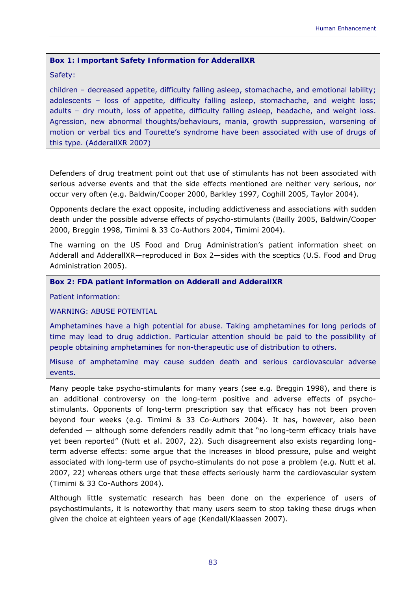### **Box 1: Important Safety Information for AdderallXR**

### Safety:

children – decreased appetite, difficulty falling asleep, stomachache, and emotional lability; adolescents – loss of appetite, difficulty falling asleep, stomachache, and weight loss; adults – dry mouth, loss of appetite, difficulty falling asleep, headache, and weight loss. Agression, new abnormal thoughts/behaviours, mania, growth suppression, worsening of motion or verbal tics and Tourette's syndrome have been associated with use of drugs of this type. (AdderallXR 2007)

Defenders of drug treatment point out that use of stimulants has not been associated with serious adverse events and that the side effects mentioned are neither very serious, nor occur very often (e.g. Baldwin/Cooper 2000, Barkley 1997, Coghill 2005, Taylor 2004).

Opponents declare the exact opposite, including addictiveness and associations with sudden death under the possible adverse effects of psycho-stimulants (Bailly 2005, Baldwin/Cooper 2000, Breggin 1998, Timimi & 33 Co-Authors 2004, Timimi 2004).

The warning on the US Food and Drug Administration's patient information sheet on Adderall and AdderallXR—reproduced in Box 2—sides with the sceptics (U.S. Food and Drug Administration 2005).

**Box 2: FDA patient information on Adderall and AdderallXR** 

Patient information:

WARNING: ABUSE POTENTIAL

Amphetamines have a high potential for abuse. Taking amphetamines for long periods of time may lead to drug addiction. Particular attention should be paid to the possibility of people obtaining amphetamines for non-therapeutic use of distribution to others.

Misuse of amphetamine may cause sudden death and serious cardiovascular adverse events.

Many people take psycho-stimulants for many years (see e.g. Breggin 1998), and there is an additional controversy on the long-term positive and adverse effects of psychostimulants. Opponents of long-term prescription say that efficacy has not been proven beyond four weeks (e.g. Timimi & 33 Co-Authors 2004). It has, however, also been defended — although some defenders readily admit that "no long-term efficacy trials have yet been reported" (Nutt et al. 2007, 22). Such disagreement also exists regarding longterm adverse effects: some argue that the increases in blood pressure, pulse and weight associated with long-term use of psycho-stimulants do not pose a problem (e.g. Nutt et al. 2007, 22) whereas others urge that these effects seriously harm the cardiovascular system (Timimi & 33 Co-Authors 2004).

Although little systematic research has been done on the experience of users of psychostimulants, it is noteworthy that many users seem to stop taking these drugs when given the choice at eighteen years of age (Kendall/Klaassen 2007).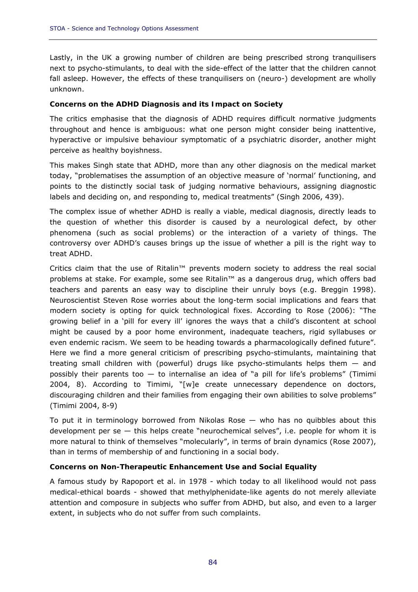Lastly, in the UK a growing number of children are being prescribed strong tranquilisers next to psycho-stimulants, to deal with the side-effect of the latter that the children cannot fall asleep. However, the effects of these tranquilisers on (neuro-) development are wholly unknown.

### *Concerns on the ADHD Diagnosis and its Impact on Society*

The critics emphasise that the diagnosis of ADHD requires difficult normative judgments throughout and hence is ambiguous: what one person might consider being inattentive, hyperactive or impulsive behaviour symptomatic of a psychiatric disorder, another might perceive as healthy boyishness.

This makes Singh state that ADHD, more than any other diagnosis on the medical market today, "problematises the assumption of an objective measure of 'normal' functioning, and points to the distinctly social task of judging normative behaviours, assigning diagnostic labels and deciding on, and responding to, medical treatments" (Singh 2006, 439).

The complex issue of whether ADHD is really a viable, medical diagnosis, directly leads to the question of whether this disorder is caused by a neurological defect, by other phenomena (such as social problems) or the interaction of a variety of things. The controversy over ADHD's causes brings up the issue of whether a pill is the right way to treat ADHD.

Critics claim that the use of Ritalin™ prevents modern society to address the real social problems at stake. For example, some see Ritalin™ as a dangerous drug, which offers bad teachers and parents an easy way to discipline their unruly boys (e.g. Breggin 1998). Neuroscientist Steven Rose worries about the long-term social implications and fears that modern society is opting for quick technological fixes. According to Rose (2006): "The growing belief in a 'pill for every ill' ignores the ways that a child's discontent at school might be caused by a poor home environment, inadequate teachers, rigid syllabuses or even endemic racism. We seem to be heading towards a pharmacologically defined future". Here we find a more general criticism of prescribing psycho-stimulants, maintaining that treating small children with (powerful) drugs like psycho-stimulants helps them — and possibly their parents too  $-$  to internalise an idea of "a pill for life's problems" (Timimi 2004, 8). According to Timimi, "[w]e create unnecessary dependence on doctors, discouraging children and their families from engaging their own abilities to solve problems" (Timimi 2004, 8-9)

To put it in terminology borrowed from Nikolas Rose  $-$  who has no quibbles about this development per se  $-$  this helps create "neurochemical selves", i.e. people for whom it is more natural to think of themselves "molecularly", in terms of brain dynamics (Rose 2007), than in terms of membership of and functioning in a social body.

# *Concerns on Non-Therapeutic Enhancement Use and Social Equality*

A famous study by Rapoport et al. in 1978 - which today to all likelihood would not pass medical-ethical boards - showed that methylphenidate-like agents do not merely alleviate attention and composure in subjects who suffer from ADHD, but also, and even to a larger extent, in subjects who do not suffer from such complaints.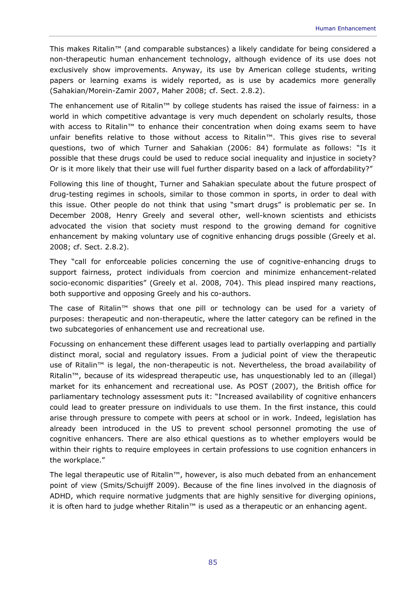This makes Ritalin™ (and comparable substances) a likely candidate for being considered a non-therapeutic human enhancement technology, although evidence of its use does not exclusively show improvements. Anyway, its use by American college students, writing papers or learning exams is widely reported, as is use by academics more generally (Sahakian/Morein-Zamir 2007, Maher 2008; cf. Sect. 2.8.2).

The enhancement use of Ritalin™ by college students has raised the issue of fairness: in a world in which competitive advantage is very much dependent on scholarly results, those with access to Ritalin<sup>™</sup> to enhance their concentration when doing exams seem to have unfair benefits relative to those without access to Ritalin™. This gives rise to several questions, two of which Turner and Sahakian (2006: 84) formulate as follows: "Is it possible that these drugs could be used to reduce social inequality and injustice in society? Or is it more likely that their use will fuel further disparity based on a lack of affordability?"

Following this line of thought, Turner and Sahakian speculate about the future prospect of drug-testing regimes in schools, similar to those common in sports, in order to deal with this issue. Other people do not think that using "smart drugs" is problematic per se. In December 2008, Henry Greely and several other, well-known scientists and ethicists advocated the vision that society must respond to the growing demand for cognitive enhancement by making voluntary use of cognitive enhancing drugs possible (Greely et al. 2008; cf. Sect. 2.8.2).

They "call for enforceable policies concerning the use of cognitive-enhancing drugs to support fairness, protect individuals from coercion and minimize enhancement-related socio-economic disparities" (Greely et al. 2008, 704). This plead inspired many reactions, both supportive and opposing Greely and his co-authors.

The case of Ritalin™ shows that one pill or technology can be used for a variety of purposes: therapeutic and non-therapeutic, where the latter category can be refined in the two subcategories of enhancement use and recreational use.

Focussing on enhancement these different usages lead to partially overlapping and partially distinct moral, social and regulatory issues. From a judicial point of view the therapeutic use of Ritalin™ is legal, the non-therapeutic is not. Nevertheless, the broad availability of Ritalin™, because of its widespread therapeutic use, has unquestionably led to an (illegal) market for its enhancement and recreational use. As POST (2007), the British office for parliamentary technology assessment puts it: "Increased availability of cognitive enhancers could lead to greater pressure on individuals to use them. In the first instance, this could arise through pressure to compete with peers at school or in work. Indeed, legislation has already been introduced in the US to prevent school personnel promoting the use of cognitive enhancers. There are also ethical questions as to whether employers would be within their rights to require employees in certain professions to use cognition enhancers in the workplace."

The legal therapeutic use of Ritalin™, however, is also much debated from an enhancement point of view (Smits/Schuijff 2009). Because of the fine lines involved in the diagnosis of ADHD, which require normative judgments that are highly sensitive for diverging opinions, it is often hard to judge whether Ritalin™ is used as a therapeutic or an enhancing agent.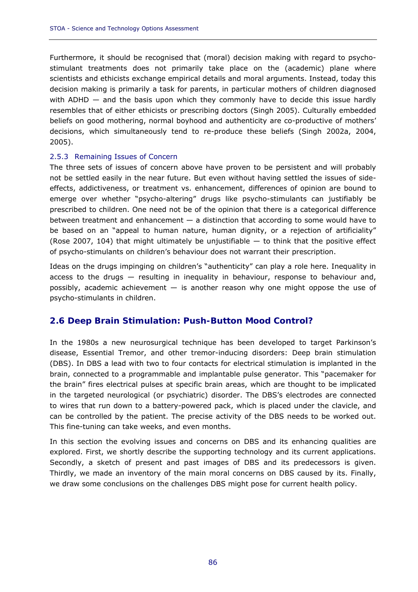Furthermore, it should be recognised that (moral) decision making with regard to psychostimulant treatments does not primarily take place on the (academic) plane where scientists and ethicists exchange empirical details and moral arguments. Instead, today this decision making is primarily a task for parents, in particular mothers of children diagnosed with ADHD – and the basis upon which they commonly have to decide this issue hardly resembles that of either ethicists or prescribing doctors (Singh 2005). Culturally embedded beliefs on good mothering, normal boyhood and authenticity are co-productive of mothers' decisions, which simultaneously tend to re-produce these beliefs (Singh 2002a, 2004, 2005).

### 2.5.3 Remaining Issues of Concern

The three sets of issues of concern above have proven to be persistent and will probably not be settled easily in the near future. But even without having settled the issues of sideeffects, addictiveness, or treatment vs. enhancement, differences of opinion are bound to emerge over whether "psycho-altering" drugs like psycho-stimulants can justifiably be prescribed to children. One need not be of the opinion that there is a categorical difference between treatment and enhancement — a distinction that according to some would have to be based on an "appeal to human nature, human dignity, or a rejection of artificiality" (Rose 2007, 104) that might ultimately be unjustifiable  $-$  to think that the positive effect of psycho-stimulants on children's behaviour does not warrant their prescription.

Ideas on the drugs impinging on children's "authenticity" can play a role here. Inequality in access to the drugs — resulting in inequality in behaviour, response to behaviour and, possibly, academic achievement  $-$  is another reason why one might oppose the use of psycho-stimulants in children.

# **2.6 Deep Brain Stimulation: Push-Button Mood Control?**

In the 1980s a new neurosurgical technique has been developed to target Parkinson's disease, Essential Tremor, and other tremor-inducing disorders: Deep brain stimulation (DBS). In DBS a lead with two to four contacts for electrical stimulation is implanted in the brain, connected to a programmable and implantable pulse generator. This "pacemaker for the brain" fires electrical pulses at specific brain areas, which are thought to be implicated in the targeted neurological (or psychiatric) disorder. The DBS's electrodes are connected to wires that run down to a battery-powered pack, which is placed under the clavicle, and can be controlled by the patient. The precise activity of the DBS needs to be worked out. This fine-tuning can take weeks, and even months.

In this section the evolving issues and concerns on DBS and its enhancing qualities are explored. First, we shortly describe the supporting technology and its current applications. Secondly, a sketch of present and past images of DBS and its predecessors is given. Thirdly, we made an inventory of the main moral concerns on DBS caused by its. Finally, we draw some conclusions on the challenges DBS might pose for current health policy.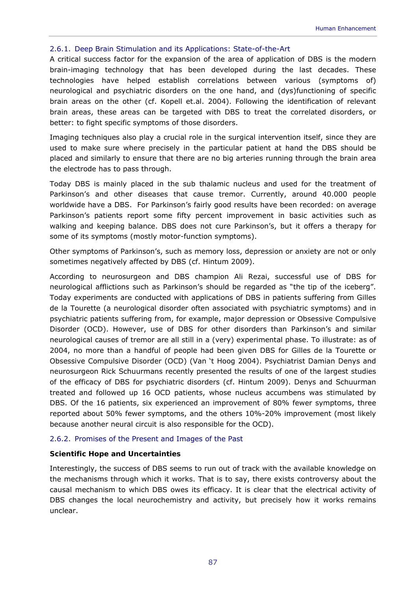### 2.6.1. Deep Brain Stimulation and its Applications: State-of-the-Art

A critical success factor for the expansion of the area of application of DBS is the modern brain-imaging technology that has been developed during the last decades. These technologies have helped establish correlations between various (symptoms of) neurological and psychiatric disorders on the one hand, and (dys)functioning of specific brain areas on the other (cf. Kopell et.al. 2004). Following the identification of relevant brain areas, these areas can be targeted with DBS to treat the correlated disorders, or better: to fight specific symptoms of those disorders.

Imaging techniques also play a crucial role in the surgical intervention itself, since they are used to make sure where precisely in the particular patient at hand the DBS should be placed and similarly to ensure that there are no big arteries running through the brain area the electrode has to pass through.

Today DBS is mainly placed in the sub thalamic nucleus and used for the treatment of Parkinson's and other diseases that cause tremor. Currently, around 40.000 people worldwide have a DBS. For Parkinson's fairly good results have been recorded: on average Parkinson's patients report some fifty percent improvement in basic activities such as walking and keeping balance. DBS does not cure Parkinson's, but it offers a therapy for some of its symptoms (mostly motor-function symptoms).

Other symptoms of Parkinson's, such as memory loss, depression or anxiety are not or only sometimes negatively affected by DBS (cf. Hintum 2009).

According to neurosurgeon and DBS champion Ali Rezai, successful use of DBS for neurological afflictions such as Parkinson's should be regarded as "the tip of the iceberg". Today experiments are conducted with applications of DBS in patients suffering from Gilles de la Tourette (a neurological disorder often associated with psychiatric symptoms) and in psychiatric patients suffering from, for example, major depression or Obsessive Compulsive Disorder (OCD). However, use of DBS for other disorders than Parkinson's and similar neurological causes of tremor are all still in a (very) experimental phase. To illustrate: as of 2004, no more than a handful of people had been given DBS for Gilles de la Tourette or Obsessive Compulsive Disorder (OCD) (Van 't Hoog 2004). Psychiatrist Damian Denys and neurosurgeon Rick Schuurmans recently presented the results of one of the largest studies of the efficacy of DBS for psychiatric disorders (cf. Hintum 2009). Denys and Schuurman treated and followed up 16 OCD patients, whose nucleus accumbens was stimulated by DBS. Of the 16 patients, six experienced an improvement of 80% fewer symptoms, three reported about 50% fewer symptoms, and the others 10%-20% improvement (most likely because another neural circuit is also responsible for the OCD).

### 2.6.2. Promises of the Present and Images of the Past

#### *Scientific Hope and Uncertainties*

Interestingly, the success of DBS seems to run out of track with the available knowledge on the mechanisms through which it works. That is to say, there exists controversy about the causal mechanism to which DBS owes its efficacy. It is clear that the electrical activity of DBS changes the local neurochemistry and activity, but precisely how it works remains unclear.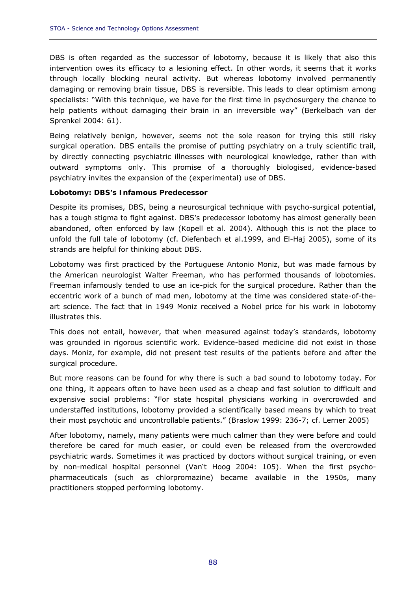DBS is often regarded as the successor of lobotomy, because it is likely that also this intervention owes its efficacy to a lesioning effect. In other words, it seems that it works through locally blocking neural activity. But whereas lobotomy involved permanently damaging or removing brain tissue, DBS is reversible. This leads to clear optimism among specialists: "With this technique, we have for the first time in psychosurgery the chance to help patients without damaging their brain in an irreversible way" (Berkelbach van der Sprenkel 2004: 61).

Being relatively benign, however, seems not the sole reason for trying this still risky surgical operation. DBS entails the promise of putting psychiatry on a truly scientific trail, by directly connecting psychiatric illnesses with neurological knowledge, rather than with outward symptoms only. This promise of a thoroughly biologised, evidence-based psychiatry invites the expansion of the (experimental) use of DBS.

### *Lobotomy: DBS's Infamous Predecessor*

Despite its promises, DBS, being a neurosurgical technique with psycho-surgical potential, has a tough stigma to fight against. DBS's predecessor lobotomy has almost generally been abandoned, often enforced by law (Kopell et al. 2004). Although this is not the place to unfold the full tale of lobotomy (cf. Diefenbach et al.1999, and El-Haj 2005), some of its strands are helpful for thinking about DBS.

Lobotomy was first practiced by the Portuguese Antonio Moniz, but was made famous by the American neurologist Walter Freeman, who has performed thousands of lobotomies. Freeman infamously tended to use an ice-pick for the surgical procedure. Rather than the eccentric work of a bunch of mad men, lobotomy at the time was considered state-of-theart science. The fact that in 1949 Moniz received a Nobel price for his work in lobotomy illustrates this.

This does not entail, however, that when measured against today's standards, lobotomy was grounded in rigorous scientific work. Evidence-based medicine did not exist in those days. Moniz, for example, did not present test results of the patients before and after the surgical procedure.

But more reasons can be found for why there is such a bad sound to lobotomy today. For one thing, it appears often to have been used as a cheap and fast solution to difficult and expensive social problems: "For state hospital physicians working in overcrowded and understaffed institutions, lobotomy provided a scientifically based means by which to treat their most psychotic and uncontrollable patients." (Braslow 1999: 236-7; cf. Lerner 2005)

After lobotomy, namely, many patients were much calmer than they were before and could therefore be cared for much easier, or could even be released from the overcrowded psychiatric wards. Sometimes it was practiced by doctors without surgical training, or even by non-medical hospital personnel (Van't Hoog 2004: 105). When the first psychopharmaceuticals (such as chlorpromazine) became available in the 1950s, many practitioners stopped performing lobotomy.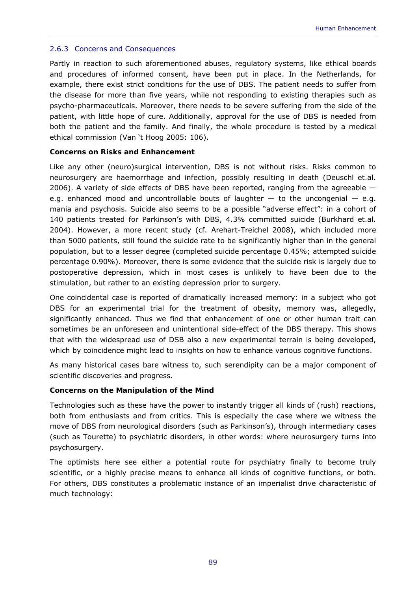### 2.6.3 Concerns and Consequences

Partly in reaction to such aforementioned abuses, regulatory systems, like ethical boards and procedures of informed consent, have been put in place. In the Netherlands, for example, there exist strict conditions for the use of DBS. The patient needs to suffer from the disease for more than five years, while not responding to existing therapies such as psycho-pharmaceuticals. Moreover, there needs to be severe suffering from the side of the patient, with little hope of cure. Additionally, approval for the use of DBS is needed from both the patient and the family. And finally, the whole procedure is tested by a medical ethical commission (Van 't Hoog 2005: 106).

### *Concerns on Risks and Enhancement*

Like any other (neuro)surgical intervention, DBS is not without risks. Risks common to neurosurgery are haemorrhage and infection, possibly resulting in death (Deuschl et.al. 2006). A variety of side effects of DBS have been reported, ranging from the agreeable e.g. enhanced mood and uncontrollable bouts of laughter  $-$  to the uncongenial  $-$  e.g. mania and psychosis. Suicide also seems to be a possible "adverse effect": in a cohort of 140 patients treated for Parkinson's with DBS, 4.3% committed suicide (Burkhard et.al. 2004). However, a more recent study (cf. Arehart-Treichel 2008), which included more than 5000 patients, still found the suicide rate to be significantly higher than in the general population, but to a lesser degree (completed suicide percentage 0.45%; attempted suicide percentage 0.90%). Moreover, there is some evidence that the suicide risk is largely due to postoperative depression, which in most cases is unlikely to have been due to the stimulation, but rather to an existing depression prior to surgery.

One coincidental case is reported of dramatically increased memory: in a subject who got DBS for an experimental trial for the treatment of obesity, memory was, allegedly, significantly enhanced. Thus we find that enhancement of one or other human trait can sometimes be an unforeseen and unintentional side-effect of the DBS therapy. This shows that with the widespread use of DSB also a new experimental terrain is being developed, which by coincidence might lead to insights on how to enhance various cognitive functions.

As many historical cases bare witness to, such serendipity can be a major component of scientific discoveries and progress.

### *Concerns on the Manipulation of the Mind*

Technologies such as these have the power to instantly trigger all kinds of (rush) reactions, both from enthusiasts and from critics. This is especially the case where we witness the move of DBS from neurological disorders (such as Parkinson's), through intermediary cases (such as Tourette) to psychiatric disorders, in other words: where neurosurgery turns into psychosurgery.

The optimists here see either a potential route for psychiatry finally to become truly scientific, or a highly precise means to enhance all kinds of cognitive functions, or both. For others, DBS constitutes a problematic instance of an imperialist drive characteristic of much technology: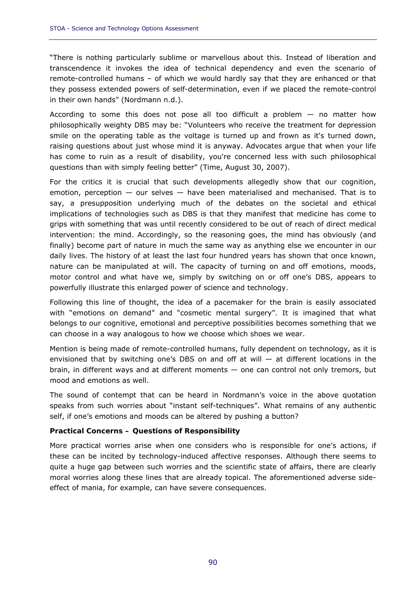"There is nothing particularly sublime or marvellous about this. Instead of liberation and transcendence it invokes the idea of technical dependency and even the scenario of remote-controlled humans – of which we would hardly say that they are enhanced or that they possess extended powers of self-determination, even if we placed the remote-control in their own hands" (Nordmann n.d.).

According to some this does not pose all too difficult a problem  $-$  no matter how philosophically weighty DBS may be: "Volunteers who receive the treatment for depression smile on the operating table as the voltage is turned up and frown as it's turned down, raising questions about just whose mind it is anyway. Advocates argue that when your life has come to ruin as a result of disability, you're concerned less with such philosophical questions than with simply feeling better" (Time, August 30, 2007).

For the critics it is crucial that such developments allegedly show that our cognition, emotion, perception  $-$  our selves  $-$  have been materialised and mechanised. That is to say, a presupposition underlying much of the debates on the societal and ethical implications of technologies such as DBS is that they manifest that medicine has come to grips with something that was until recently considered to be out of reach of direct medical intervention: the mind. Accordingly, so the reasoning goes, the mind has obviously (and finally) become part of nature in much the same way as anything else we encounter in our daily lives. The history of at least the last four hundred years has shown that once known, nature can be manipulated at will. The capacity of turning on and off emotions, moods, motor control and what have we, simply by switching on or off one's DBS, appears to powerfully illustrate this enlarged power of science and technology.

Following this line of thought, the idea of a pacemaker for the brain is easily associated with "emotions on demand" and "cosmetic mental surgery". It is imagined that what belongs to our cognitive, emotional and perceptive possibilities becomes something that we can choose in a way analogous to how we choose which shoes we wear.

Mention is being made of remote-controlled humans, fully dependent on technology, as it is envisioned that by switching one's DBS on and off at will  $-$  at different locations in the brain, in different ways and at different moments — one can control not only tremors, but mood and emotions as well.

The sound of contempt that can be heard in Nordmann's voice in the above quotation speaks from such worries about "instant self-techniques". What remains of any authentic self, if one's emotions and moods can be altered by pushing a button?

### *Practical Concerns – Questions of Responsibility*

More practical worries arise when one considers who is responsible for one's actions, if these can be incited by technology-induced affective responses. Although there seems to quite a huge gap between such worries and the scientific state of affairs, there are clearly moral worries along these lines that are already topical. The aforementioned adverse sideeffect of mania, for example, can have severe consequences.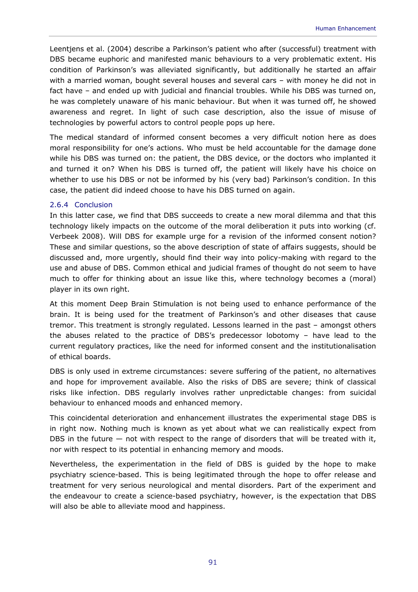Leentjens et al. (2004) describe a Parkinson's patient who after (successful) treatment with DBS became euphoric and manifested manic behaviours to a very problematic extent. His condition of Parkinson's was alleviated significantly, but additionally he started an affair with a married woman, bought several houses and several cars – with money he did not in fact have – and ended up with judicial and financial troubles. While his DBS was turned on, he was completely unaware of his manic behaviour. But when it was turned off, he showed awareness and regret. In light of such case description, also the issue of misuse of technologies by powerful actors to control people pops up here.

The medical standard of informed consent becomes a very difficult notion here as does moral responsibility for one's actions. Who must be held accountable for the damage done while his DBS was turned on: the patient, the DBS device, or the doctors who implanted it and turned it on? When his DBS is turned off, the patient will likely have his choice on whether to use his DBS or not be informed by his (very bad) Parkinson's condition. In this case, the patient did indeed choose to have his DBS turned on again.

### 2.6.4 Conclusion

In this latter case, we find that DBS succeeds to create a new moral dilemma and that this technology likely impacts on the outcome of the moral deliberation it puts into working (cf. Verbeek 2008). Will DBS for example urge for a revision of the informed consent notion? These and similar questions, so the above description of state of affairs suggests, should be discussed and, more urgently, should find their way into policy-making with regard to the use and abuse of DBS. Common ethical and judicial frames of thought do not seem to have much to offer for thinking about an issue like this, where technology becomes a (moral) player in its own right.

At this moment Deep Brain Stimulation is not being used to enhance performance of the brain. It is being used for the treatment of Parkinson's and other diseases that cause tremor. This treatment is strongly regulated. Lessons learned in the past – amongst others the abuses related to the practice of DBS's predecessor lobotomy – have lead to the current regulatory practices, like the need for informed consent and the institutionalisation of ethical boards.

DBS is only used in extreme circumstances: severe suffering of the patient, no alternatives and hope for improvement available. Also the risks of DBS are severe; think of classical risks like infection. DBS regularly involves rather unpredictable changes: from suicidal behaviour to enhanced moods and enhanced memory.

This coincidental deterioration and enhancement illustrates the experimental stage DBS is in right now. Nothing much is known as yet about what we can realistically expect from DBS in the future  $-$  not with respect to the range of disorders that will be treated with it, nor with respect to its potential in enhancing memory and moods.

Nevertheless, the experimentation in the field of DBS is guided by the hope to make psychiatry science-based. This is being legitimated through the hope to offer release and treatment for very serious neurological and mental disorders. Part of the experiment and the endeavour to create a science-based psychiatry, however, is the expectation that DBS will also be able to alleviate mood and happiness.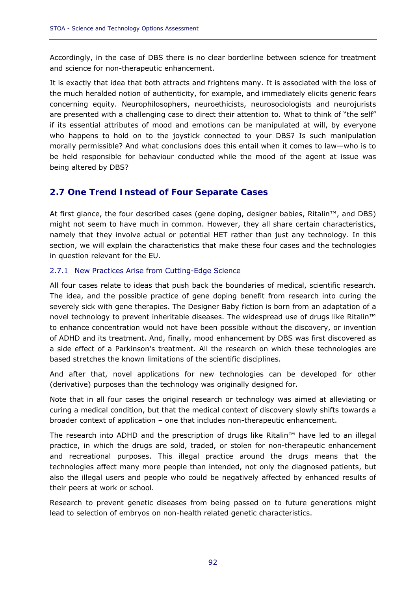Accordingly, in the case of DBS there is no clear borderline between science for treatment and science for non-therapeutic enhancement.

It is exactly that idea that both attracts and frightens many. It is associated with the loss of the much heralded notion of authenticity, for example, and immediately elicits generic fears concerning equity. Neurophilosophers, neuroethicists, neurosociologists and neurojurists are presented with a challenging case to direct their attention to. What to think of "the self" if its essential attributes of mood and emotions can be manipulated at will, by everyone who happens to hold on to the joystick connected to your DBS? Is such manipulation morally permissible? And what conclusions does this entail when it comes to law—who is to be held responsible for behaviour conducted while the mood of the agent at issue was being altered by DBS?

# **2.7 One Trend Instead of Four Separate Cases**

At first glance, the four described cases (gene doping, designer babies, Ritalin™, and DBS) might not seem to have much in common. However, they all share certain characteristics, namely that they involve actual or potential HET rather than just any technology. In this section, we will explain the characteristics that make these four cases and the technologies in question relevant for the EU.

# 2.7.1 New Practices Arise from Cutting-Edge Science

All four cases relate to ideas that push back the boundaries of medical, scientific research. The idea, and the possible practice of gene doping benefit from research into curing the severely sick with gene therapies. The Designer Baby fiction is born from an adaptation of a novel technology to prevent inheritable diseases. The widespread use of drugs like Ritalin™ to enhance concentration would not have been possible without the discovery, or invention of ADHD and its treatment. And, finally, mood enhancement by DBS was first discovered as a side effect of a Parkinson's treatment. All the research on which these technologies are based stretches the known limitations of the scientific disciplines.

And after that, novel applications for new technologies can be developed for other (derivative) purposes than the technology was originally designed for.

Note that in all four cases the original research or technology was aimed at alleviating or curing a medical condition, but that the medical context of discovery slowly shifts towards a broader context of application – one that includes non-therapeutic enhancement.

The research into ADHD and the prescription of drugs like Ritalin™ have led to an illegal practice, in which the drugs are sold, traded, or stolen for non-therapeutic enhancement and recreational purposes. This illegal practice around the drugs means that the technologies affect many more people than intended, not only the diagnosed patients, but also the illegal users and people who could be negatively affected by enhanced results of their peers at work or school.

Research to prevent genetic diseases from being passed on to future generations might lead to selection of embryos on non-health related genetic characteristics.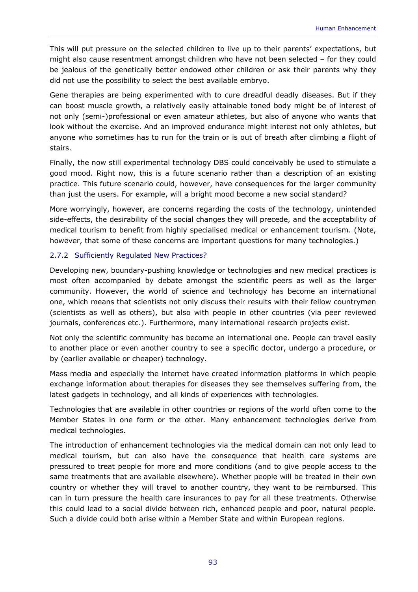This will put pressure on the selected children to live up to their parents' expectations, but might also cause resentment amongst children who have not been selected – for they could be jealous of the genetically better endowed other children or ask their parents why they did not use the possibility to select the best available embryo.

Gene therapies are being experimented with to cure dreadful deadly diseases. But if they can boost muscle growth, a relatively easily attainable toned body might be of interest of not only (semi-)professional or even amateur athletes, but also of anyone who wants that look without the exercise. And an improved endurance might interest not only athletes, but anyone who sometimes has to run for the train or is out of breath after climbing a flight of stairs.

Finally, the now still experimental technology DBS could conceivably be used to stimulate a good mood. Right now, this is a future scenario rather than a description of an existing practice. This future scenario could, however, have consequences for the larger community than just the users. For example, will a bright mood become a new social standard?

More worryingly, however, are concerns regarding the costs of the technology, unintended side-effects, the desirability of the social changes they will precede, and the acceptability of medical tourism to benefit from highly specialised medical or enhancement tourism. (Note, however, that some of these concerns are important questions for many technologies.)

# 2.7.2 Sufficiently Regulated New Practices?

Developing new, boundary-pushing knowledge or technologies and new medical practices is most often accompanied by debate amongst the scientific peers as well as the larger community. However, the world of science and technology has become an international one, which means that scientists not only discuss their results with their fellow countrymen (scientists as well as others), but also with people in other countries (via peer reviewed journals, conferences etc.). Furthermore, many international research projects exist.

Not only the scientific community has become an international one. People can travel easily to another place or even another country to see a specific doctor, undergo a procedure, or by (earlier available or cheaper) technology.

Mass media and especially the internet have created information platforms in which people exchange information about therapies for diseases they see themselves suffering from, the latest gadgets in technology, and all kinds of experiences with technologies.

Technologies that are available in other countries or regions of the world often come to the Member States in one form or the other. Many enhancement technologies derive from medical technologies.

The introduction of enhancement technologies via the medical domain can not only lead to medical tourism, but can also have the consequence that health care systems are pressured to treat people for more and more conditions (and to give people access to the same treatments that are available elsewhere). Whether people will be treated in their own country or whether they will travel to another country, they want to be reimbursed. This can in turn pressure the health care insurances to pay for all these treatments. Otherwise this could lead to a social divide between rich, enhanced people and poor, natural people. Such a divide could both arise within a Member State and within European regions.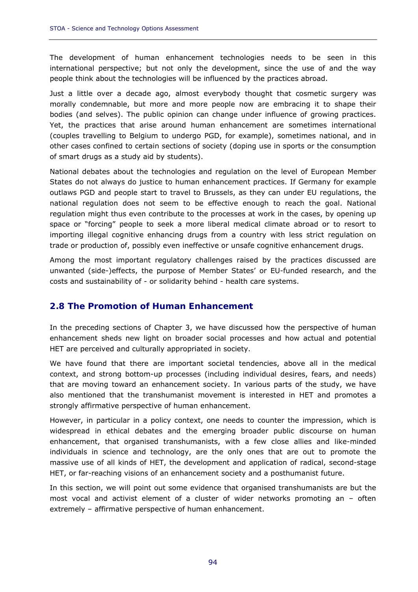The development of human enhancement technologies needs to be seen in this international perspective; but not only the development, since the use of and the way people think about the technologies will be influenced by the practices abroad.

Just a little over a decade ago, almost everybody thought that cosmetic surgery was morally condemnable, but more and more people now are embracing it to shape their bodies (and selves). The public opinion can change under influence of growing practices. Yet, the practices that arise around human enhancement are sometimes international (couples travelling to Belgium to undergo PGD, for example), sometimes national, and in other cases confined to certain sections of society (doping use in sports or the consumption of smart drugs as a study aid by students).

National debates about the technologies and regulation on the level of European Member States do not always do justice to human enhancement practices. If Germany for example outlaws PGD and people start to travel to Brussels, as they can under EU regulations, the national regulation does not seem to be effective enough to reach the goal. National regulation might thus even contribute to the processes at work in the cases, by opening up space or "forcing" people to seek a more liberal medical climate abroad or to resort to importing illegal cognitive enhancing drugs from a country with less strict regulation on trade or production of, possibly even ineffective or unsafe cognitive enhancement drugs.

Among the most important regulatory challenges raised by the practices discussed are unwanted (side-)effects, the purpose of Member States' or EU-funded research, and the costs and sustainability of - or solidarity behind - health care systems.

# **2.8 The Promotion of Human Enhancement**

In the preceding sections of Chapter 3, we have discussed how the perspective of human enhancement sheds new light on broader social processes and how actual and potential HET are perceived and culturally appropriated in society.

We have found that there are important societal tendencies, above all in the medical context, and strong bottom-up processes (including individual desires, fears, and needs) that are moving toward an enhancement society. In various parts of the study, we have also mentioned that the transhumanist movement is interested in HET and promotes a strongly affirmative perspective of human enhancement.

However, in particular in a policy context, one needs to counter the impression, which is widespread in ethical debates and the emerging broader public discourse on human enhancement, that organised transhumanists, with a few close allies and like-minded individuals in science and technology, are the only ones that are out to promote the massive use of all kinds of HET, the development and application of radical, second-stage HET, or far-reaching visions of an enhancement society and a posthumanist future.

In this section, we will point out some evidence that organised transhumanists are but the most vocal and activist element of a cluster of wider networks promoting an – often extremely – affirmative perspective of human enhancement.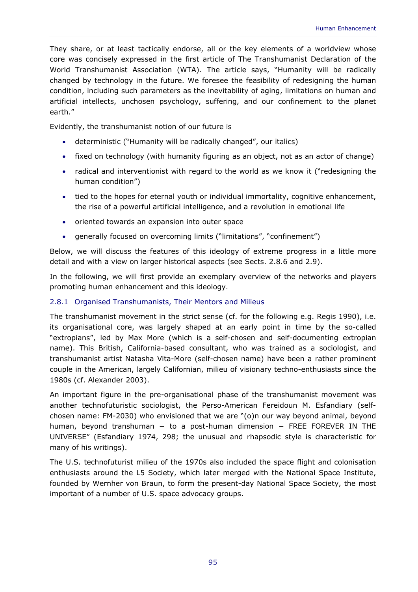They share, or at least tactically endorse, all or the key elements of a worldview whose core was concisely expressed in the first article of *The Transhumanist Declaration* of the World Transhumanist Association (WTA). The article says, "Humanity will be radically changed by technology in the future. We foresee the feasibility of redesigning the human condition, including such parameters as the inevitability of aging, limitations on human and artificial intellects, unchosen psychology, suffering, and our confinement to the planet earth."

Evidently, the transhumanist notion of our future is

- deterministic ("Humanity *will be* radically changed", *our italics*)
- fixed on technology (with humanity figuring as an object, not as an actor of change)
- radical and interventionist with regard to the world as we know it ("redesigning the human condition")
- tied to the hopes for eternal youth or individual immortality, cognitive enhancement, the rise of a powerful artificial intelligence, and a revolution in emotional life
- oriented towards an expansion into outer space
- generally focused on overcoming limits ("limitations", "confinement")

Below, we will discuss the features of this ideology of extreme progress in a little more detail and with a view on larger historical aspects (see Sects. 2.8.6 and 2.9).

In the following, we will first provide an exemplary overview of the networks and players promoting human enhancement and this ideology.

# 2.8.1 Organised Transhumanists, Their Mentors and Milieus

The transhumanist movement in the strict sense (cf. for the following e.g. Regis 1990), i.e. its organisational core, was largely shaped at an early point in time by the so-called "extropians", led by Max More (which is a self-chosen and self-documenting extropian name). This British, California-based consultant, who was trained as a sociologist, and transhumanist artist Natasha Vita-More (self-chosen name) have been a rather prominent couple in the American, largely Californian, milieu of visionary techno-enthusiasts since the 1980s (cf. Alexander 2003).

An important figure in the pre-organisational phase of the transhumanist movement was another technofuturistic sociologist, the Perso-American Fereidoun M. Esfandiary (selfchosen name: FM-2030) who envisioned that we are "(o)n our way beyond animal, beyond human, beyond transhuman − to a post-human dimension − FREE FOREVER IN THE UNIVERSE" (Esfandiary 1974, 298; the unusual and rhapsodic style is characteristic for many of his writings).

The U.S. technofuturist milieu of the 1970s also included the space flight and colonisation enthusiasts around the L5 Society, which later merged with the National Space Institute, founded by Wernher von Braun, to form the present-day National Space Society, the most important of a number of U.S. space advocacy groups.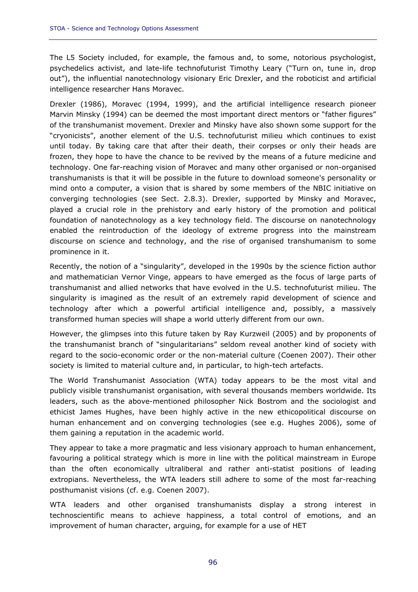The L5 Society included, for example, the famous and, to some, notorious psychologist, psychedelics activist, and late-life technofuturist Timothy Leary ("Turn on, tune in, drop out"), the influential nanotechnology visionary Eric Drexler, and the roboticist and artificial intelligence researcher Hans Moravec.

Drexler (1986), Moravec (1994, 1999), and the artificial intelligence research pioneer Marvin Minsky (1994) can be deemed the most important direct mentors or "father figures" of the transhumanist movement. Drexler and Minsky have also shown some support for the "cryonicists", another element of the U.S. technofuturist milieu which continues to exist until today. By taking care that after their death, their corpses or only their heads are frozen, they hope to have the chance to be revived by the means of a future medicine and technology. One far-reaching vision of Moravec and many other organised or non-organised transhumanists is that it will be possible in the future to download someone's personality or mind onto a computer, a vision that is shared by some members of the NBIC initiative on converging technologies (see Sect. 2.8.3). Drexler, supported by Minsky and Moravec, played a crucial role in the prehistory and early history of the promotion and political foundation of nanotechnology as a key technology field. The discourse on nanotechnology enabled the reintroduction of the ideology of extreme progress into the mainstream discourse on science and technology, and the rise of organised transhumanism to some prominence in it.

Recently, the notion of a "singularity", developed in the 1990s by the science fiction author and mathematician Vernor Vinge, appears to have emerged as the focus of large parts of transhumanist and allied networks that have evolved in the U.S. technofuturist milieu. The singularity is imagined as the result of an extremely rapid development of science and technology after which a powerful artificial intelligence and, possibly, a massively transformed human species will shape a world utterly different from our own.

However, the glimpses into this future taken by Ray Kurzweil (2005) and by proponents of the transhumanist branch of "singularitarians" seldom reveal another kind of society with regard to the socio-economic order or the non-material culture (Coenen 2007). Their other society is limited to material culture and, in particular, to high-tech artefacts.

The World Transhumanist Association (WTA) today appears to be the most vital and publicly visible transhumanist organisation, with several thousands members worldwide. Its leaders, such as the above-mentioned philosopher Nick Bostrom and the sociologist and ethicist James Hughes, have been highly active in the new ethicopolitical discourse on human enhancement and on converging technologies (see e.g. Hughes 2006), some of them gaining a reputation in the academic world.

They appear to take a more pragmatic and less visionary approach to human enhancement, favouring a political strategy which is more in line with the political mainstream in Europe than the often economically ultraliberal and rather anti-statist positions of leading extropians. Nevertheless, the WTA leaders still adhere to some of the most far-reaching posthumanist visions (cf. e.g. Coenen 2007).

WTA leaders and other organised transhumanists display a strong interest in technoscientific means to achieve happiness, a total control of emotions, and an improvement of human character, arguing, for example for a use of HET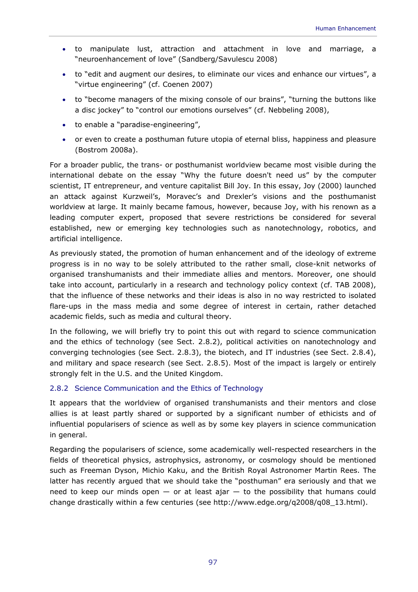- to manipulate lust, attraction and attachment in love and marriage, a "neuroenhancement of love" (Sandberg/Savulescu 2008)
- to "edit and augment our desires, to eliminate our vices and enhance our virtues", a "virtue engineering" (cf. Coenen 2007)
- to "become managers of the mixing console of our brains", "turning the buttons like a disc jockey" to "control our emotions ourselves" (cf. Nebbeling 2008),
- to enable a "paradise-engineering",
- or even to create a posthuman future utopia of eternal bliss, happiness and pleasure (Bostrom 2008a).

For a broader public, the trans- or posthumanist worldview became most visible during the international debate on the essay "Why the future doesn't need us" by the computer scientist, IT entrepreneur, and venture capitalist Bill Joy. In this essay, Joy (2000) launched an attack against Kurzweil's, Moravec's and Drexler's visions and the posthumanist worldview at large. It mainly became famous, however, because Joy, with his renown as a leading computer expert, proposed that severe restrictions be considered for several established, new or emerging key technologies such as nanotechnology, robotics, and artificial intelligence.

As previously stated, the promotion of human enhancement and of the ideology of extreme progress is in no way to be solely attributed to the rather small, close-knit networks of organised transhumanists and their immediate allies and mentors. Moreover, one should take into account, particularly in a research and technology policy context (cf. TAB 2008), that the influence of these networks and their ideas is also in no way restricted to isolated flare-ups in the mass media and some degree of interest in certain, rather detached academic fields, such as media and cultural theory.

In the following, we will briefly try to point this out with regard to science communication and the ethics of technology (see Sect. 2.8.2), political activities on nanotechnology and converging technologies (see Sect. 2.8.3), the biotech, and IT industries (see Sect. 2.8.4), and military and space research (see Sect. 2.8.5). Most of the impact is largely or entirely strongly felt in the U.S. and the United Kingdom.

### 2.8.2 Science Communication and the Ethics of Technology

It appears that the worldview of organised transhumanists and their mentors and close allies is at least partly shared or supported by a significant number of ethicists and of influential popularisers of science as well as by some key players in science communication in general.

Regarding the popularisers of science, some academically well-respected researchers in the fields of theoretical physics, astrophysics, astronomy, or cosmology should be mentioned such as Freeman Dyson, Michio Kaku, and the British Royal Astronomer Martin Rees. The latter has recently argued that we should take the "posthuman" era seriously and that we need to keep our minds open  $-$  or at least ajar  $-$  to the possibility that humans could change drastically within a few centuries (see http://www.edge.org/q2008/q08\_13.html).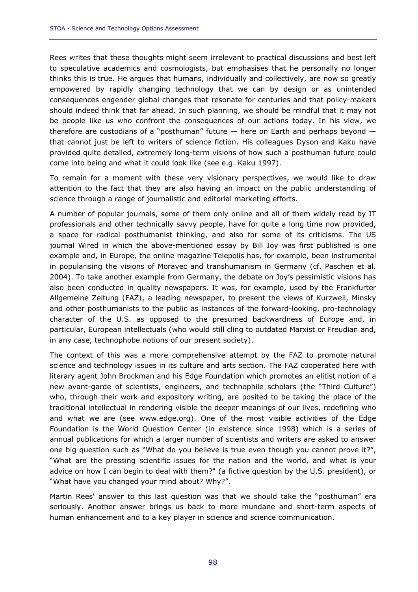Rees writes that these thoughts might seem irrelevant to practical discussions and best left to speculative academics and cosmologists, but emphasises that he personally no longer thinks this is true. He argues that humans, individually and collectively, are now so greatly empowered by rapidly changing technology that we can by design or as unintended consequences engender global changes that resonate for centuries and that policy-makers should indeed think that far ahead. In such planning, we should be mindful that it may not be people like us who confront the consequences of our actions today. In his view, we therefore are custodians of a "posthuman" future — here on Earth and perhaps beyond that cannot just be left to writers of science fiction. His colleagues Dyson and Kaku have provided quite detailed, extremely long-term visions of how such a posthuman future could come into being and what it could look like (see e.g. Kaku 1997).

To remain for a moment with these very visionary perspectives, we would like to draw attention to the fact that they are also having an impact on the public understanding of science through a range of journalistic and editorial marketing efforts.

A number of popular journals, some of them only online and all of them widely read by IT professionals and other technically savvy people, have for quite a long time now provided, a space for radical posthumanist thinking, and also for some of its criticisms. The US journal Wired in which the above-mentioned essay by Bill Joy was first published is one example and, in Europe, the online magazine Telepolis has, for example, been instrumental in popularising the visions of Moravec and transhumanism in Germany (cf. Paschen et al. 2004). To take another example from Germany, the debate on Joy's pessimistic visions has also been conducted in quality newspapers. It was, for example, used by the *Frankfurter Allgemeine Zeitung (FAZ)*, a leading newspaper, to present the views of Kurzweil, Minsky and other posthumanists to the public as instances of the forward-looking, pro-technology character of the U.S. as opposed to the presumed backwardness of Europe and, in particular, European intellectuals (who would still cling to outdated Marxist or Freudian and, in any case, technophobe notions of our present society).

The context of this was a more comprehensive attempt by the *FAZ* to promote natural science and technology issues in its culture and arts section. The *FAZ* cooperated here with literary agent John Brockman and his Edge Foundation which promotes an elitist notion of a new avant-garde of scientists, engineers, and technophile scholars (the "Third Culture") who, through their work and expository writing, are posited to be taking the place of the traditional intellectual in rendering visible the deeper meanings of our lives, redefining who and what we are (see www.edge.org). One of the most visible activities of the Edge Foundation is the *World Question Center* (in existence since 1998) which is a series of annual publications for which a larger number of scientists and writers are asked to answer one big question such as "What do you believe is true even though you cannot prove it?", "What are the pressing scientific issues for the nation and the world, and what is your advice on how I can begin to deal with them?" (a fictive question by the U.S. president), or "What have you changed your mind about? Why?".

Martin Rees' answer to this last question was that we should take the "posthuman" era seriously. Another answer brings us back to more mundane and short-term aspects of human enhancement and to a key player in science and science communication.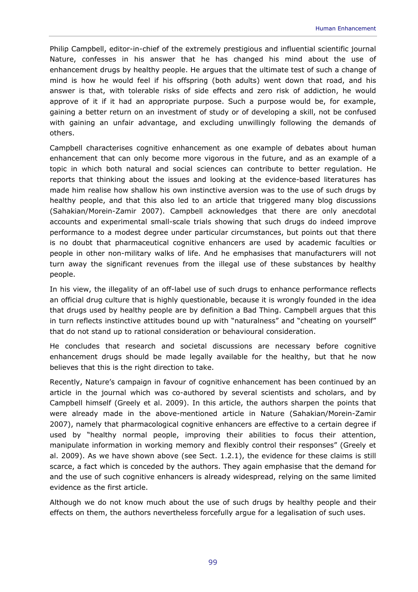Philip Campbell, editor-in-chief of the extremely prestigious and influential scientific journal *Nature*, confesses in his answer that he has changed his mind about the use of enhancement drugs by healthy people. He argues that the ultimate test of such a change of mind is how he would feel if his offspring (both adults) went down that road, and his answer is that, with tolerable risks of side effects and zero risk of addiction, he would approve of it if it had an appropriate purpose. Such a purpose would be, for example, gaining a better return on an investment of study or of developing a skill, not be confused with gaining an unfair advantage, and excluding unwillingly following the demands of others.

Campbell characterises cognitive enhancement as one example of debates about human enhancement that can only become more vigorous in the future, and as an example of a topic in which both natural and social sciences can contribute to better regulation. He reports that thinking about the issues and looking at the evidence-based literatures has made him realise how shallow his own instinctive aversion was to the use of such drugs by healthy people, and that this also led to an article that triggered many blog discussions (Sahakian/Morein-Zamir 2007). Campbell acknowledges that there are only anecdotal accounts and experimental small-scale trials showing that such drugs do indeed improve performance to a modest degree under particular circumstances, but points out that there is no doubt that pharmaceutical cognitive enhancers are used by academic faculties or people in other non-military walks of life. And he emphasises that manufacturers will not turn away the significant revenues from the illegal use of these substances by healthy people.

In his view, the illegality of an off-label use of such drugs to enhance performance reflects an official drug culture that is highly questionable, because it is wrongly founded in the idea that drugs used by healthy people are by definition a Bad Thing. Campbell argues that this in turn reflects instinctive attitudes bound up with "naturalness" and "cheating on yourself" that do not stand up to rational consideration or behavioural consideration.

He concludes that research and societal discussions are necessary before cognitive enhancement drugs should be made legally available for the healthy, but that he now believes that this is the right direction to take.

Recently, *Nature*'s campaign in favour of cognitive enhancement has been continued by an article in the journal which was co-authored by several scientists and scholars, and by Campbell himself (Greely et al. 2009). In this article, the authors sharpen the points that were already made in the above-mentioned article in *Nature* (Sahakian/Morein-Zamir 2007), namely that pharmacological cognitive enhancers are effective to a certain degree if used by "healthy normal people, improving their abilities to focus their attention, manipulate information in working memory and flexibly control their responses" (Greely et al. 2009). As we have shown above (see Sect. 1.2.1), the evidence for these claims is still scarce, a fact which is conceded by the authors. They again emphasise that the demand for and the use of such cognitive enhancers is already widespread, relying on the same limited evidence as the first article.

Although we do not know much about the use of such drugs by healthy people and their effects on them, the authors nevertheless forcefully argue for a legalisation of such uses.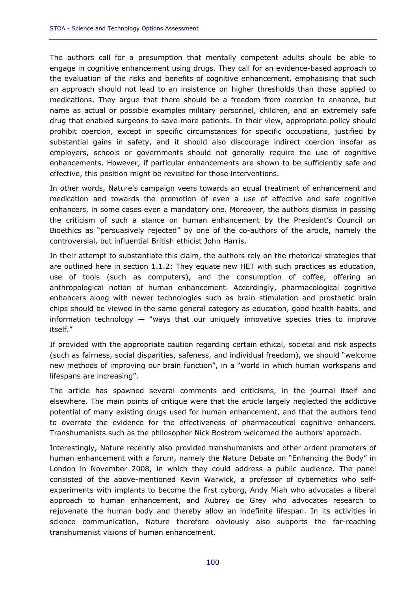The authors call for a presumption that mentally competent adults should be able to engage in cognitive enhancement using drugs. They call for an evidence-based approach to the evaluation of the risks and benefits of cognitive enhancement, emphasising that such an approach should not lead to an insistence on higher thresholds than those applied to medications. They argue that there should be a freedom from coercion to enhance, but name as actual or possible examples military personnel, children, and an extremely safe drug that enabled surgeons to save more patients. In their view, appropriate policy should prohibit coercion, except in specific circumstances for specific occupations, justified by substantial gains in safety, and it should also discourage indirect coercion insofar as employers, schools or governments should not generally require the use of cognitive enhancements. However, if particular enhancements are shown to be sufficiently safe and effective, this position might be revisited for those interventions.

In other words, *Nature*'s campaign veers towards an equal treatment of enhancement and medication and towards the promotion of even a use of effective and safe cognitive enhancers, in some cases even a mandatory one. Moreover, the authors dismiss in passing the criticism of such a stance on human enhancement by the President's Council on Bioethics as "persuasively rejected" by one of the co-authors of the article, namely the controversial, but influential British ethicist John Harris.

In their attempt to substantiate this claim, the authors rely on the rhetorical strategies that are outlined here in section 1.1.2: They equate new HET with such practices as education, use of tools (such as computers), and the consumption of coffee, offering an anthropological notion of human enhancement. Accordingly, pharmacological cognitive enhancers along with newer technologies such as brain stimulation and prosthetic brain chips should be viewed in the same general category as education, good health habits, and information technology  $-$  "ways that our uniquely innovative species tries to improve itself."

If provided with the appropriate caution regarding certain ethical, societal and risk aspects (such as fairness, social disparities, safeness, and individual freedom), we should "welcome new methods of improving our brain function", in a "world in which human workspans and lifespans are increasing".

The article has spawned several comments and criticisms, in the journal itself and elsewhere. The main points of critique were that the article largely neglected the addictive potential of many existing drugs used for human enhancement, and that the authors tend to overrate the evidence for the effectiveness of pharmaceutical cognitive enhancers. Transhumanists such as the philosopher Nick Bostrom welcomed the authors' approach.

Interestingly, *Nature* recently also provided transhumanists and other ardent promoters of human enhancement with a forum, namely the *Nature Debate* on "Enhancing the Body" in London in November 2008, in which they could address a public audience. The panel consisted of the above-mentioned Kevin Warwick, a professor of cybernetics who selfexperiments with implants to become the first cyborg, Andy Miah who advocates a liberal approach to human enhancement, and Aubrey de Grey who advocates research to rejuvenate the human body and thereby allow an indefinite lifespan. In its activities in science communication, *Nature* therefore obviously also supports the far-reaching transhumanist visions of human enhancement.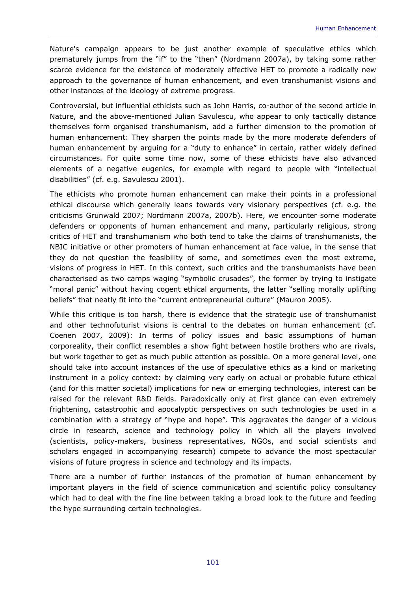*Nature*'s campaign appears to be just another example of speculative ethics which prematurely jumps from the "if" to the "then" (Nordmann 2007a), by taking some rather scarce evidence for the existence of moderately effective HET to promote a radically new approach to the governance of human enhancement, and even transhumanist visions and other instances of the ideology of extreme progress.

Controversial, but influential ethicists such as John Harris, co-author of the second article in *Nature*, and the above-mentioned Julian Savulescu, who appear to only tactically distance themselves form organised transhumanism, add a further dimension to the promotion of human enhancement: They sharpen the points made by the more moderate defenders of human enhancement by arguing for a "duty to enhance" in certain, rather widely defined circumstances. For quite some time now, some of these ethicists have also advanced elements of a negative eugenics, for example with regard to people with "intellectual disabilities" (cf. e.g. Savulescu 2001).

The ethicists who promote human enhancement can make their points in a professional ethical discourse which generally leans towards very visionary perspectives (cf. e.g. the criticisms Grunwald 2007; Nordmann 2007a, 2007b). Here, we encounter some moderate defenders or opponents of human enhancement and many, particularly religious, strong critics of HET and transhumanism who both tend to take the claims of transhumanists, the NBIC initiative or other promoters of human enhancement at face value, in the sense that they do not question the feasibility of some, and sometimes even the most extreme, visions of progress in HET. In this context, such critics and the transhumanists have been characterised as two camps waging "symbolic crusades", the former by trying to instigate "moral panic" without having cogent ethical arguments, the latter "selling morally uplifting beliefs" that neatly fit into the "current entrepreneurial culture" (Mauron 2005).

While this critique is too harsh, there is evidence that the strategic use of transhumanist and other technofuturist visions is central to the debates on human enhancement (cf. Coenen 2007, 2009): In terms of policy issues and basic assumptions of human corporeality, their conflict resembles a show fight between hostile brothers who are rivals, but work together to get as much public attention as possible. On a more general level, one should take into account instances of the use of speculative ethics as a kind or marketing instrument in a policy context: by claiming very early on actual or probable future ethical (and for this matter societal) implications for new or emerging technologies, interest can be raised for the relevant R&D fields. Paradoxically only at first glance can even extremely frightening, catastrophic and apocalyptic perspectives on such technologies be used in a combination with a strategy of "hype and hope". This aggravates the danger of a vicious circle in research, science and technology policy in which all the players involved (scientists, policy-makers, business representatives, NGOs, and social scientists and scholars engaged in accompanying research) compete to advance the most spectacular visions of future progress in science and technology and its impacts.

There are a number of further instances of the promotion of human enhancement by important players in the field of science communication and scientific policy consultancy which had to deal with the fine line between taking a broad look to the future and feeding the hype surrounding certain technologies.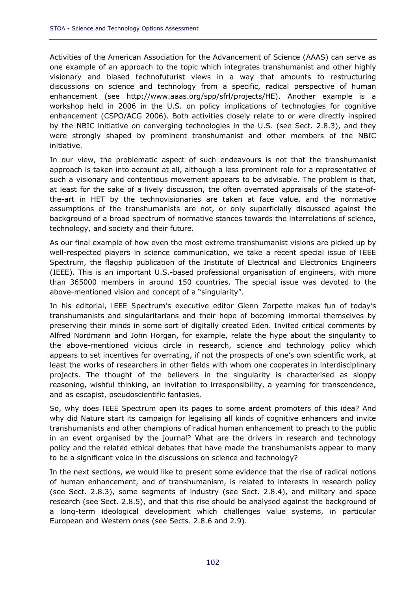Activities of the American Association for the Advancement of Science (AAAS) can serve as one example of an approach to the topic which integrates transhumanist and other highly visionary and biased technofuturist views in a way that amounts to restructuring discussions on science and technology from a specific, radical perspective of human enhancement (see http://www.aaas.org/spp/sfrl/projects/HE). Another example is a workshop held in 2006 in the U.S. on policy implications of technologies for cognitive enhancement (CSPO/ACG 2006). Both activities closely relate to or were directly inspired by the NBIC initiative on converging technologies in the U.S. (see Sect. 2.8.3), and they were strongly shaped by prominent transhumanist and other members of the NBIC initiative.

In our view, the problematic aspect of such endeavours is not that the transhumanist approach is taken into account at all, although a less prominent role for a representative of such a visionary and contentious movement appears to be advisable. The problem is that, at least for the sake of a lively discussion, the often overrated appraisals of the state-ofthe-art in HET by the technovisionaries are taken at face value, and the normative assumptions of the transhumanists are not, or only superficially discussed against the background of a broad spectrum of normative stances towards the interrelations of science, technology, and society and their future.

As our final example of how even the most extreme transhumanist visions are picked up by well-respected players in science communication, we take a recent special issue of *IEEE Spectrum*, the flagship publication of the Institute of Electrical and Electronics Engineers (IEEE). This is an important U.S.-based professional organisation of engineers, with more than 365000 members in around 150 countries. The special issue was devoted to the above-mentioned vision and concept of a "singularity".

In his editorial, *IEEE Spectrum*'s executive editor Glenn Zorpette makes fun of today's transhumanists and singularitarians and their hope of becoming immortal themselves by preserving their minds in some sort of digitally created Eden. Invited critical comments by Alfred Nordmann and John Horgan, for example, relate the hype about the singularity to the above-mentioned vicious circle in research, science and technology policy which appears to set incentives for overrating, if not the prospects of one's own scientific work, at least the works of researchers in other fields with whom one cooperates in interdisciplinary projects. The thought of the believers in the singularity is characterised as sloppy reasoning, wishful thinking, an invitation to irresponsibility, a yearning for transcendence, and as escapist, pseudoscientific fantasies.

So, why does *IEEE Spectrum* open its pages to some ardent promoters of this idea? And why did *Nature* start its campaign for legalising all kinds of cognitive enhancers and invite transhumanists and other champions of radical human enhancement to preach to the public in an event organised by the journal? What are the drivers in research and technology policy and the related ethical debates that have made the transhumanists appear to many to be a significant voice in the discussions on science and technology?

In the next sections, we would like to present some evidence that the rise of radical notions of human enhancement, and of transhumanism, is related to interests in research policy (see Sect. 2.8.3), some segments of industry (see Sect. 2.8.4), and military and space research (see Sect. 2.8.5), and that this rise should be analysed against the background of a long-term ideological development which challenges value systems, in particular European and Western ones (see Sects. 2.8.6 and 2.9).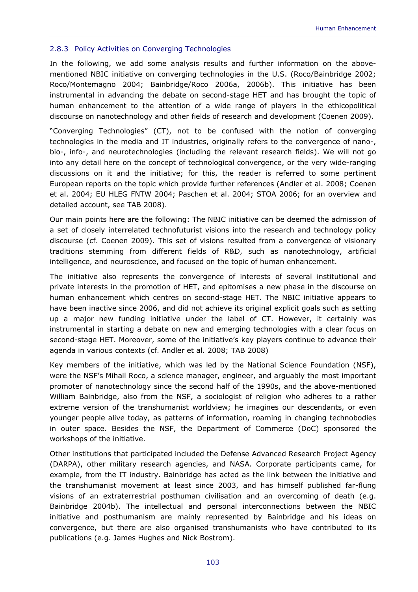# 2.8.3 Policy Activities on Converging Technologies

In the following, we add some analysis results and further information on the abovementioned NBIC initiative on converging technologies in the U.S. (Roco/Bainbridge 2002; Roco/Montemagno 2004; Bainbridge/Roco 2006a, 2006b). This initiative has been instrumental in advancing the debate on second-stage HET and has brought the topic of human enhancement to the attention of a wide range of players in the ethicopolitical discourse on nanotechnology and other fields of research and development (Coenen 2009).

"Converging Technologies" (CT), not to be confused with the notion of converging technologies in the media and IT industries, originally refers to the convergence of nano-, bio-, info-, and neurotechnologies (including the relevant research fields). We will not go into any detail here on the concept of technological convergence, or the very wide-ranging discussions on it and the initiative; for this, the reader is referred to some pertinent European reports on the topic which provide further references (Andler et al. 2008; Coenen et al. 2004; EU HLEG FNTW 2004; Paschen et al. 2004; STOA 2006; for an overview and detailed account, see TAB 2008).

Our main points here are the following: The NBIC initiative can be deemed the admission of a set of closely interrelated technofuturist visions into the research and technology policy discourse (cf. Coenen 2009). This set of visions resulted from a convergence of visionary traditions stemming from different fields of R&D, such as nanotechnology, artificial intelligence, and neuroscience, and focused on the topic of human enhancement.

The initiative also represents the convergence of interests of several institutional and private interests in the promotion of HET, and epitomises a new phase in the discourse on human enhancement which centres on second-stage HET. The NBIC initiative appears to have been inactive since 2006, and did not achieve its original explicit goals such as setting up a major new funding initiative under the label of CT. However, it certainly was instrumental in starting a debate on new and emerging technologies with a clear focus on second-stage HET. Moreover, some of the initiative's key players continue to advance their agenda in various contexts (cf. Andler et al. 2008; TAB 2008)

Key members of the initiative, which was led by the National Science Foundation (NSF), were the NSF's Mihail Roco, a science manager, engineer, and arguably the most important promoter of nanotechnology since the second half of the 1990s, and the above-mentioned William Bainbridge, also from the NSF, a sociologist of religion who adheres to a rather extreme version of the transhumanist worldview; he imagines our descendants, or even younger people alive today, as patterns of information, roaming in changing technobodies in outer space. Besides the NSF, the Department of Commerce (DoC) sponsored the workshops of the initiative.

Other institutions that participated included the Defense Advanced Research Project Agency (DARPA), other military research agencies, and NASA. Corporate participants came, for example, from the IT industry. Bainbridge has acted as the link between the initiative and the transhumanist movement at least since 2003, and has himself published far-flung visions of an extraterrestrial posthuman civilisation and an overcoming of death (e.g. Bainbridge 2004b). The intellectual and personal interconnections between the NBIC initiative and posthumanism are mainly represented by Bainbridge and his ideas on convergence, but there are also organised transhumanists who have contributed to its publications (e.g. James Hughes and Nick Bostrom).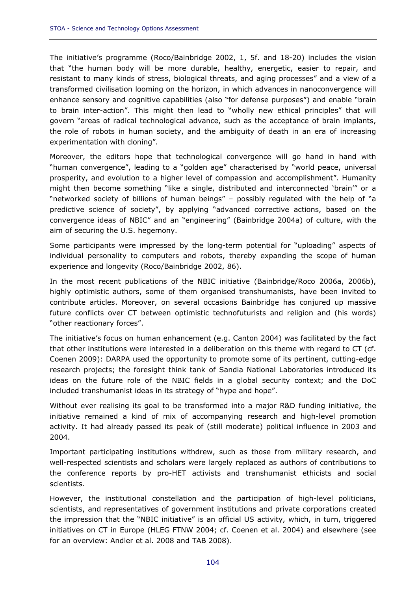The initiative's programme (Roco/Bainbridge 2002, 1, 5f. and 18-20) includes the vision that "the human body will be more durable, healthy, energetic, easier to repair, and resistant to many kinds of stress, biological threats, and aging processes" and a view of a transformed civilisation looming on the horizon, in which advances in nanoconvergence will enhance sensory and cognitive capabilities (also "for defense purposes") and enable "brain to brain inter-action". This might then lead to "wholly new ethical principles" that will govern "areas of radical technological advance, such as the acceptance of brain implants, the role of robots in human society, and the ambiguity of death in an era of increasing experimentation with cloning".

Moreover, the editors hope that technological convergence will go hand in hand with "human convergence", leading to a "golden age" characterised by "world peace, universal prosperity, and evolution to a higher level of compassion and accomplishment". Humanity might then become something "like a single, distributed and interconnected 'brain'" or a "networked society of billions of human beings" – possibly regulated with the help of "a predictive science of society", by applying "advanced corrective actions, based on the convergence ideas of NBIC" and an "engineering" (Bainbridge 2004a) of culture, with the aim of securing the U.S. hegemony.

Some participants were impressed by the long-term potential for "uploading" aspects of individual personality to computers and robots, thereby expanding the scope of human experience and longevity (Roco/Bainbridge 2002, 86).

In the most recent publications of the NBIC initiative (Bainbridge/Roco 2006a, 2006b), highly optimistic authors, some of them organised transhumanists, have been invited to contribute articles. Moreover, on several occasions Bainbridge has conjured up massive future conflicts over CT between optimistic technofuturists and religion and (his words) "other reactionary forces".

The initiative's focus on human enhancement (e.g. Canton 2004) was facilitated by the fact that other institutions were interested in a deliberation on this theme with regard to CT (cf. Coenen 2009): DARPA used the opportunity to promote some of its pertinent, cutting-edge research projects; the foresight think tank of Sandia National Laboratories introduced its ideas on the future role of the NBIC fields in a global security context; and the DoC included transhumanist ideas in its strategy of "hype and hope".

Without ever realising its goal to be transformed into a major R&D funding initiative, the initiative remained a kind of mix of accompanying research and high-level promotion activity. It had already passed its peak of (still moderate) political influence in 2003 and 2004.

Important participating institutions withdrew, such as those from military research, and well-respected scientists and scholars were largely replaced as authors of contributions to the conference reports by pro-HET activists and transhumanist ethicists and social scientists.

However, the institutional constellation and the participation of high-level politicians, scientists, and representatives of government institutions and private corporations created the impression that the "NBIC initiative" is an official US activity, which, in turn, triggered initiatives on CT in Europe (HLEG FTNW 2004; cf. Coenen et al. 2004) and elsewhere (see for an overview: Andler et al. 2008 and TAB 2008).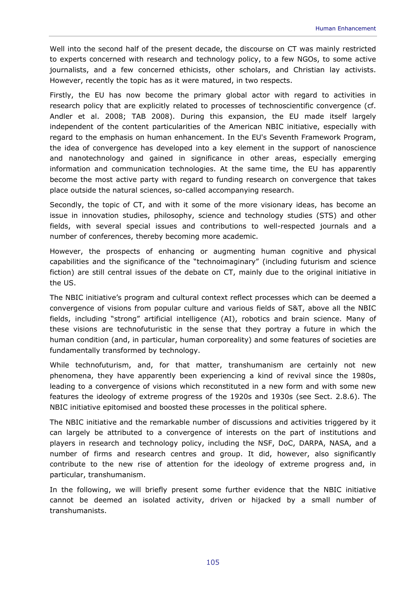Well into the second half of the present decade, the discourse on CT was mainly restricted to experts concerned with research and technology policy, to a few NGOs, to some active journalists, and a few concerned ethicists, other scholars, and Christian lay activists. However, recently the topic has as it were matured, in two respects.

Firstly, the EU has now become the primary global actor with regard to activities in research policy that are explicitly related to processes of technoscientific convergence (cf. Andler et al. 2008; TAB 2008). During this expansion, the EU made itself largely independent of the content particularities of the American NBIC initiative, especially with regard to the emphasis on human enhancement. In the EU's Seventh Framework Program, the idea of convergence has developed into a key element in the support of nanoscience and nanotechnology and gained in significance in other areas, especially emerging information and communication technologies. At the same time, the EU has apparently become the most active party with regard to funding research on convergence that takes place outside the natural sciences, so-called accompanying research.

Secondly, the topic of CT, and with it some of the more visionary ideas, has become an issue in innovation studies, philosophy, science and technology studies (STS) and other fields, with several special issues and contributions to well-respected journals and a number of conferences, thereby becoming more academic.

However, the prospects of enhancing or augmenting human cognitive and physical capabilities and the significance of the "technoimaginary" (including futurism and science fiction) are still central issues of the debate on CT, mainly due to the original initiative in the US.

The NBIC initiative's program and cultural context reflect processes which can be deemed a convergence of visions from popular culture and various fields of S&T, above all the NBIC fields, including "strong" artificial intelligence (AI), robotics and brain science. Many of these visions are technofuturistic in the sense that they portray a future in which the human condition (and, in particular, human corporeality) and some features of societies are fundamentally transformed by technology.

While technofuturism, and, for that matter, transhumanism are certainly not new phenomena, they have apparently been experiencing a kind of revival since the 1980s, leading to a convergence of visions which reconstituted in a new form and with some new features the ideology of extreme progress of the 1920s and 1930s (see Sect. 2.8.6). The NBIC initiative epitomised and boosted these processes in the political sphere.

The NBIC initiative and the remarkable number of discussions and activities triggered by it can largely be attributed to a convergence of interests on the part of institutions and players in research and technology policy, including the NSF, DoC, DARPA, NASA, and a number of firms and research centres and group. It did, however, also significantly contribute to the new rise of attention for the ideology of extreme progress and, in particular, transhumanism.

In the following, we will briefly present some further evidence that the NBIC initiative cannot be deemed an isolated activity, driven or hijacked by a small number of transhumanists.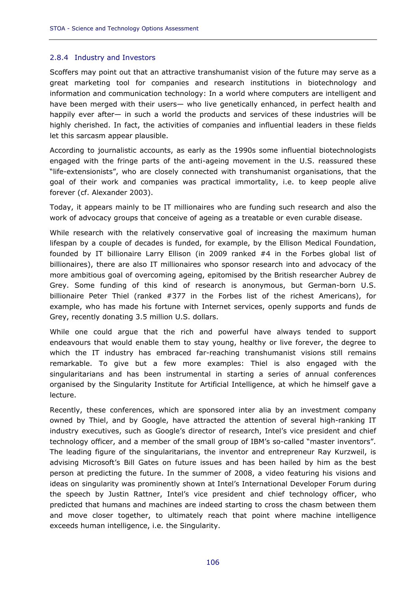### 2.8.4 Industry and Investors

Scoffers may point out that an attractive transhumanist vision of the future may serve as a great marketing tool for companies and research institutions in biotechnology and information and communication technology: In a world where computers are intelligent and have been merged with their users— who live genetically enhanced, in perfect health and happily ever after— in such a world the products and services of these industries will be highly cherished. In fact, the activities of companies and influential leaders in these fields let this sarcasm appear plausible.

According to journalistic accounts, as early as the 1990s some influential biotechnologists engaged with the fringe parts of the anti-ageing movement in the U.S. reassured these "life-extensionists", who are closely connected with transhumanist organisations, that the goal of their work and companies was practical immortality, i.e. to keep people alive forever (cf. Alexander 2003).

Today, it appears mainly to be IT millionaires who are funding such research and also the work of advocacy groups that conceive of ageing as a treatable or even curable disease.

While research with the relatively conservative goal of increasing the maximum human lifespan by a couple of decades is funded, for example, by the Ellison Medical Foundation, founded by IT billionaire Larry Ellison (in 2009 ranked #4 in the Forbes global list of billionaires), there are also IT millionaires who sponsor research into and advocacy of the more ambitious goal of overcoming ageing, epitomised by the British researcher Aubrey de Grey. Some funding of this kind of research is anonymous, but German-born U.S. billionaire Peter Thiel (ranked #377 in the Forbes list of the richest Americans), for example, who has made his fortune with Internet services, openly supports and funds de Grey, recently donating 3.5 million U.S. dollars.

While one could argue that the rich and powerful have always tended to support endeavours that would enable them to stay young, healthy or live forever, the degree to which the IT industry has embraced far-reaching transhumanist visions still remains remarkable. To give but a few more examples: Thiel is also engaged with the singularitarians and has been instrumental in starting a series of annual conferences organised by the Singularity Institute for Artificial Intelligence, at which he himself gave a lecture.

Recently, these conferences, which are sponsored inter alia by an investment company owned by Thiel, and by Google, have attracted the attention of several high-ranking IT industry executives, such as Google's director of research, Intel's vice president and chief technology officer, and a member of the small group of IBM's so-called "master inventors". The leading figure of the singularitarians, the inventor and entrepreneur Ray Kurzweil, is advising Microsoft's Bill Gates on future issues and has been hailed by him as the best person at predicting the future. In the summer of 2008, a video featuring his visions and ideas on singularity was prominently shown at Intel's International Developer Forum during the speech by Justin Rattner, Intel's vice president and chief technology officer, who predicted that humans and machines are indeed starting to cross the chasm between them and move closer together, to ultimately reach that point where machine intelligence exceeds human intelligence, i.e. the Singularity.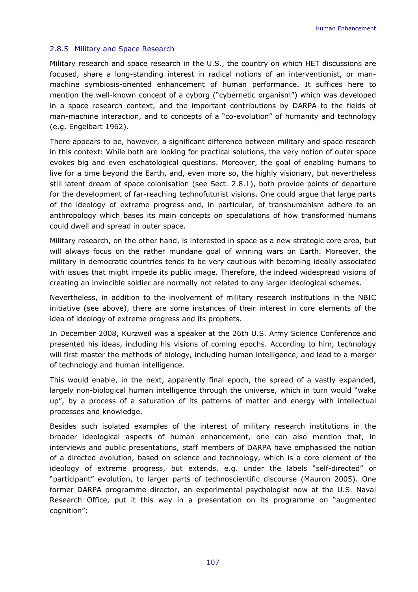#### 2.8.5 Military and Space Research

Military research and space research in the U.S., the country on which HET discussions are focused, share a long-standing interest in radical notions of an interventionist, or manmachine symbiosis-oriented enhancement of human performance. It suffices here to mention the well-known concept of a cyborg ("cybernetic organism") which was developed in a space research context, and the important contributions by DARPA to the fields of man-machine interaction, and to concepts of a "co-evolution" of humanity and technology (e.g. Engelbart 1962).

There appears to be, however, a significant difference between military and space research in this context: While both are looking for practical solutions, the very notion of outer space evokes big and even eschatological questions. Moreover, the goal of enabling humans to live for a time beyond the Earth, and, even more so, the highly visionary, but nevertheless still latent dream of space colonisation (see Sect. 2.8.1), both provide points of departure for the development of far-reaching technofuturist visions. One could argue that large parts of the ideology of extreme progress and, in particular, of transhumanism adhere to an anthropology which bases its main concepts on speculations of how transformed humans could dwell and spread in outer space.

Military research, on the other hand, is interested in space as a new strategic core area, but will always focus on the rather mundane goal of winning wars on Earth. Moreover, the military in democratic countries tends to be very cautious with becoming ideally associated with issues that might impede its public image. Therefore, the indeed widespread visions of creating an invincible soldier are normally not related to any larger ideological schemes.

Nevertheless, in addition to the involvement of military research institutions in the NBIC initiative (see above), there are some instances of their interest in core elements of the idea of ideology of extreme progress and its prophets.

In December 2008, Kurzweil was a speaker at the 26th U.S. Army Science Conference and presented his ideas, including his visions of coming epochs. According to him, technology will first master the methods of biology, including human intelligence, and lead to a merger of technology and human intelligence.

This would enable, in the next, apparently final epoch, the spread of a vastly expanded, largely non-biological human intelligence through the universe, which in turn would "wake up", by a process of a saturation of its patterns of matter and energy with intellectual processes and knowledge.

Besides such isolated examples of the interest of military research institutions in the broader ideological aspects of human enhancement, one can also mention that, in interviews and public presentations, staff members of DARPA have emphasised the notion of a directed evolution, based on science and technology, which is a core element of the ideology of extreme progress, but extends, e.g. under the labels "self-directed" or "participant" evolution, to larger parts of technoscientific discourse (Mauron 2005). One former DARPA programme director, an experimental psychologist now at the U.S. Naval Research Office, put it this way in a presentation on its programme on "augmented cognition":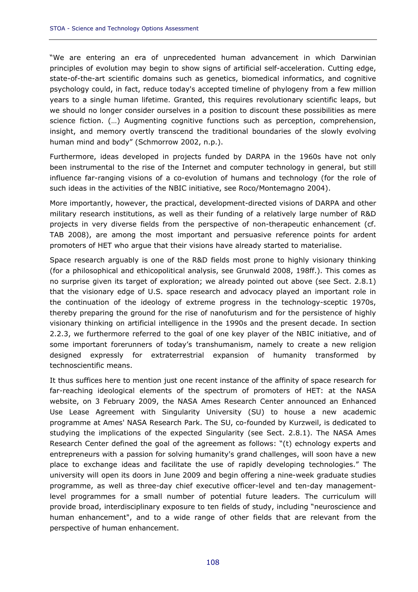"We are entering an era of unprecedented human advancement in which Darwinian principles of evolution may begin to show signs of artificial self-acceleration. Cutting edge, state-of-the-art scientific domains such as genetics, biomedical informatics, and cognitive psychology could, in fact, reduce today's accepted timeline of phylogeny from a few million years to a single human lifetime. Granted, this requires revolutionary scientific leaps, but we should no longer consider ourselves in a position to discount these possibilities as mere science fiction. (…) Augmenting cognitive functions such as perception, comprehension, insight, and memory overtly transcend the traditional boundaries of the slowly evolving human mind and body" (Schmorrow 2002, n.p.).

Furthermore, ideas developed in projects funded by DARPA in the 1960s have not only been instrumental to the rise of the Internet and computer technology in general, but still influence far-ranging visions of a co-evolution of humans and technology (for the role of such ideas in the activities of the NBIC initiative, see Roco/Montemagno 2004).

More importantly, however, the practical, development-directed visions of DARPA and other military research institutions, as well as their funding of a relatively large number of R&D projects in very diverse fields from the perspective of non-therapeutic enhancement (cf. TAB 2008), are among the most important and persuasive reference points for ardent promoters of HET who argue that their visions have already started to materialise.

Space research arguably is one of the R&D fields most prone to highly visionary thinking (for a philosophical and ethicopolitical analysis, see Grunwald 2008, 198ff.). This comes as no surprise given its target of exploration; we already pointed out above (see Sect. 2.8.1) that the visionary edge of U.S. space research and advocacy played an important role in the continuation of the ideology of extreme progress in the technology-sceptic 1970s, thereby preparing the ground for the rise of nanofuturism and for the persistence of highly visionary thinking on artificial intelligence in the 1990s and the present decade. In section 2.2.3, we furthermore referred to the goal of one key player of the NBIC initiative, and of some important forerunners of today's transhumanism, namely to create a new religion designed expressly for extraterrestrial expansion of humanity transformed by technoscientific means.

It thus suffices here to mention just one recent instance of the affinity of space research for far-reaching ideological elements of the spectrum of promoters of HET: at the NASA website, on 3 February 2009, the NASA Ames Research Center announced an Enhanced Use Lease Agreement with Singularity University (SU) to house a new academic programme at Ames' NASA Research Park. The SU, co-founded by Kurzweil, is dedicated to studying the implications of the expected Singularity (see Sect. 2.8.1). The NASA Ames Research Center defined the goal of the agreement as follows: "(t) echnology experts and entrepreneurs with a passion for solving humanity's grand challenges, will soon have a new place to exchange ideas and facilitate the use of rapidly developing technologies." The university will open its doors in June 2009 and begin offering a nine-week graduate studies programme, as well as three-day chief executive officer-level and ten-day managementlevel programmes for a small number of potential future leaders. The curriculum will provide broad, interdisciplinary exposure to ten fields of study, including "neuroscience and human enhancement", and to a wide range of other fields that are relevant from the perspective of human enhancement.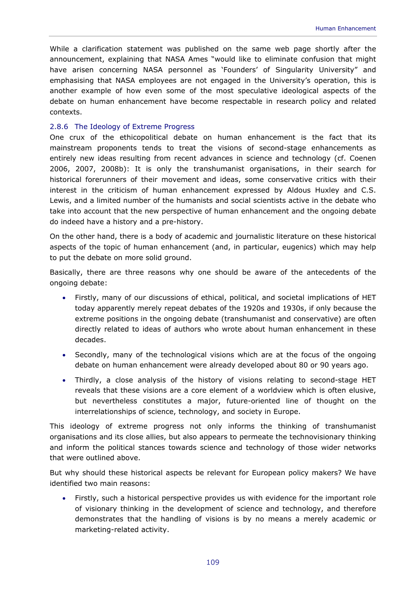While a clarification statement was published on the same web page shortly after the announcement, explaining that NASA Ames "would like to eliminate confusion that might have arisen concerning NASA personnel as 'Founders' of Singularity University" and emphasising that NASA employees are not engaged in the University's operation, this is another example of how even some of the most speculative ideological aspects of the debate on human enhancement have become respectable in research policy and related contexts.

#### 2.8.6 The Ideology of Extreme Progress

One crux of the ethicopolitical debate on human enhancement is the fact that its mainstream proponents tends to treat the visions of second-stage enhancements as entirely new ideas resulting from recent advances in science and technology (cf. Coenen 2006, 2007, 2008b): It is only the transhumanist organisations, in their search for historical forerunners of their movement and ideas, some conservative critics with their interest in the criticism of human enhancement expressed by Aldous Huxley and C.S. Lewis, and a limited number of the humanists and social scientists active in the debate who take into account that the new perspective of human enhancement and the ongoing debate do indeed have a history and a pre-history.

On the other hand, there is a body of academic and journalistic literature on these historical aspects of the topic of human enhancement (and, in particular, eugenics) which may help to put the debate on more solid ground.

Basically, there are three reasons why one should be aware of the antecedents of the ongoing debate:

- Firstly, many of our discussions of ethical, political, and societal implications of HET today apparently merely repeat debates of the 1920s and 1930s, if only because the extreme positions in the ongoing debate (transhumanist and conservative) are often directly related to ideas of authors who wrote about human enhancement in these decades.
- Secondly, many of the technological visions which are at the focus of the ongoing debate on human enhancement were already developed about 80 or 90 years ago.
- Thirdly, a close analysis of the history of visions relating to second-stage HET reveals that these visions are a core element of a worldview which is often elusive, but nevertheless constitutes a major, future-oriented line of thought on the interrelationships of science, technology, and society in Europe.

This ideology of extreme progress not only informs the thinking of transhumanist organisations and its close allies, but also appears to permeate the technovisionary thinking and inform the political stances towards science and technology of those wider networks that were outlined above.

But why should these historical aspects be relevant for European policy makers? We have identified two main reasons:

• Firstly, such a historical perspective provides us with evidence for the important role of visionary thinking in the development of science and technology, and therefore demonstrates that the handling of visions is by no means a merely academic or marketing-related activity.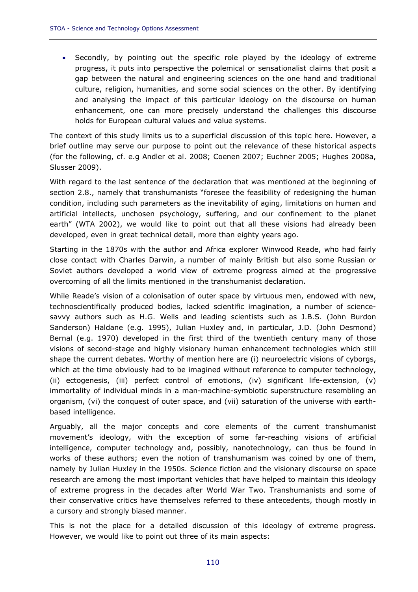• Secondly, by pointing out the specific role played by the ideology of extreme progress, it puts into perspective the polemical or sensationalist claims that posit a gap between the natural and engineering sciences on the one hand and traditional culture, religion, humanities, and some social sciences on the other. By identifying and analysing the impact of this particular ideology on the discourse on human enhancement, one can more precisely understand the challenges this discourse holds for European cultural values and value systems.

The context of this study limits us to a superficial discussion of this topic here. However, a brief outline may serve our purpose to point out the relevance of these historical aspects (for the following, cf. e.g Andler et al. 2008; Coenen 2007; Euchner 2005; Hughes 2008a, Slusser 2009).

With regard to the last sentence of the declaration that was mentioned at the beginning of section 2.8., namely that transhumanists "foresee the feasibility of redesigning the human condition, including such parameters as the inevitability of aging, limitations on human and artificial intellects, unchosen psychology, suffering, and our confinement to the planet earth" (WTA 2002), we would like to point out that all these visions had already been developed, even in great technical detail, more than eighty years ago.

Starting in the 1870s with the author and Africa explorer Winwood Reade, who had fairly close contact with Charles Darwin, a number of mainly British but also some Russian or Soviet authors developed a world view of extreme progress aimed at the progressive overcoming of all the limits mentioned in the transhumanist declaration.

While Reade's vision of a colonisation of outer space by virtuous men, endowed with new, technoscientifically produced bodies, lacked scientific imagination, a number of sciencesavvy authors such as H.G. Wells and leading scientists such as J.B.S. (John Burdon Sanderson) Haldane (e.g. 1995), Julian Huxley and, in particular, J.D. (John Desmond) Bernal (e.g. 1970) developed in the first third of the twentieth century many of those visions of second-stage and highly visionary human enhancement technologies which still shape the current debates. Worthy of mention here are (i) neuroelectric visions of cyborgs, which at the time obviously had to be imagined without reference to computer technology, (ii) ectogenesis, (iii) perfect control of emotions, (iv) significant life-extension, (v) immortality of individual minds in a man-machine-symbiotic superstructure resembling an organism, (vi) the conquest of outer space, and (vii) saturation of the universe with earthbased intelligence.

Arguably, all the major concepts and core elements of the current transhumanist movement's ideology, with the exception of some far-reaching visions of artificial intelligence, computer technology and, possibly, nanotechnology, can thus be found in works of these authors; even the notion of transhumanism was coined by one of them, namely by Julian Huxley in the 1950s. Science fiction and the visionary discourse on space research are among the most important vehicles that have helped to maintain this ideology of extreme progress in the decades after World War Two. Transhumanists and some of their conservative critics have themselves referred to these antecedents, though mostly in a cursory and strongly biased manner.

This is not the place for a detailed discussion of this ideology of extreme progress. However, we would like to point out three of its main aspects: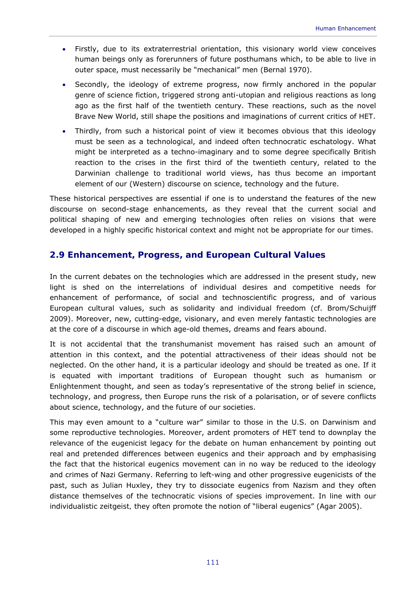- Firstly, due to its extraterrestrial orientation, this visionary world view conceives human beings only as forerunners of future posthumans which, to be able to live in outer space, must necessarily be "mechanical" men (Bernal 1970).
- Secondly, the ideology of extreme progress, now firmly anchored in the popular genre of science fiction, triggered strong anti-utopian and religious reactions as long ago as the first half of the twentieth century. These reactions, such as the novel *Brave New World*, still shape the positions and imaginations of current critics of HET.
- Thirdly, from such a historical point of view it becomes obvious that this ideology must be seen as a technological, and indeed often technocratic eschatology. What might be interpreted as a techno-imaginary and to some degree specifically British reaction to the crises in the first third of the twentieth century, related to the Darwinian challenge to traditional world views, has thus become an important element of our (Western) discourse on science, technology and the future.

These historical perspectives are essential if one is to understand the features of the new discourse on second-stage enhancements, as they reveal that the current social and political shaping of new and emerging technologies often relies on visions that were developed in a highly specific historical context and might not be appropriate for our times.

## **2.9 Enhancement, Progress, and European Cultural Values**

In the current debates on the technologies which are addressed in the present study, new light is shed on the interrelations of individual desires and competitive needs for enhancement of performance, of social and technoscientific progress, and of various European cultural values, such as solidarity and individual freedom (cf. Brom/Schuijff 2009). Moreover, new, cutting-edge, visionary, and even merely fantastic technologies are at the core of a discourse in which age-old themes, dreams and fears abound.

It is not accidental that the transhumanist movement has raised such an amount of attention in this context, and the potential attractiveness of their ideas should not be neglected. On the other hand, it is a particular ideology and should be treated as one. If it is equated with important traditions of European thought such as humanism or Enlightenment thought, and seen as today's representative of the strong belief in science, technology, and progress, then Europe runs the risk of a polarisation, or of severe conflicts about science, technology, and the future of our societies.

This may even amount to a "culture war" similar to those in the U.S. on Darwinism and some reproductive technologies. Moreover, ardent promoters of HET tend to downplay the relevance of the eugenicist legacy for the debate on human enhancement by pointing out real and pretended differences between eugenics and their approach and by emphasising the fact that the historical eugenics movement can in no way be reduced to the ideology and crimes of Nazi Germany. Referring to left-wing and other progressive eugenicists of the past, such as Julian Huxley, they try to dissociate eugenics from Nazism and they often distance themselves of the technocratic visions of species improvement. In line with our individualistic *zeitgeist,* they often promote the notion of "liberal eugenics" (Agar 2005).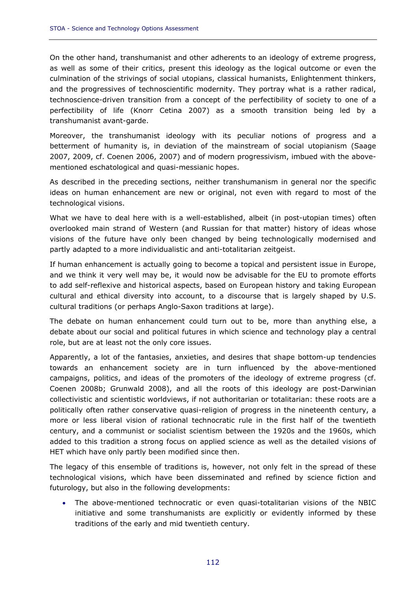On the other hand, transhumanist and other adherents to an ideology of extreme progress, as well as some of their critics, present this ideology as the logical outcome or even the culmination of the strivings of social utopians, classical humanists, Enlightenment thinkers, and the progressives of technoscientific modernity. They portray what is a rather radical, technoscience-driven transition from a concept of the perfectibility of society to one of a perfectibility of life (Knorr Cetina 2007) as a smooth transition being led by a transhumanist avant-garde.

Moreover, the transhumanist ideology with its peculiar notions of progress and a betterment of humanity is, in deviation of the mainstream of social utopianism (Saage 2007, 2009, cf. Coenen 2006, 2007) and of modern progressivism, imbued with the abovementioned eschatological and quasi-messianic hopes.

As described in the preceding sections, neither transhumanism in general nor the specific ideas on human enhancement are new or original, not even with regard to most of the technological visions.

What we have to deal here with is a well-established, albeit (in post-utopian times) often overlooked main strand of Western (and Russian for that matter) history of ideas whose visions of the future have only been changed by being technologically modernised and partly adapted to a more individualistic and anti-totalitarian *zeitgeist*.

If human enhancement is actually going to become a topical and persistent issue in Europe, and we think it very well may be, it would now be advisable for the EU to promote efforts to add self-reflexive and historical aspects, based on European history and taking European cultural and ethical diversity into account, to a discourse that is largely shaped by U.S. cultural traditions (or perhaps Anglo-Saxon traditions at large).

The debate on human enhancement could turn out to be, more than anything else, a debate about our social and political futures in which science and technology play a central role, but are at least not the only core issues.

Apparently, a lot of the fantasies, anxieties, and desires that shape bottom-up tendencies towards an enhancement society are in turn influenced by the above-mentioned campaigns, politics, and ideas of the promoters of the ideology of extreme progress (cf. Coenen 2008b; Grunwald 2008), and all the roots of this ideology are post-Darwinian collectivistic and scientistic worldviews, if not authoritarian or totalitarian: these roots are a politically often rather conservative quasi-religion of progress in the nineteenth century, a more or less liberal vision of rational technocratic rule in the first half of the twentieth century, and a communist or socialist scientism between the 1920s and the 1960s, which added to this tradition a strong focus on applied science as well as the detailed visions of HET which have only partly been modified since then.

The legacy of this ensemble of traditions is, however, not only felt in the spread of these technological visions, which have been disseminated and refined by science fiction and futurology, but also in the following developments:

• The above-mentioned technocratic or even quasi-totalitarian visions of the NBIC initiative and some transhumanists are explicitly or evidently informed by these traditions of the early and mid twentieth century.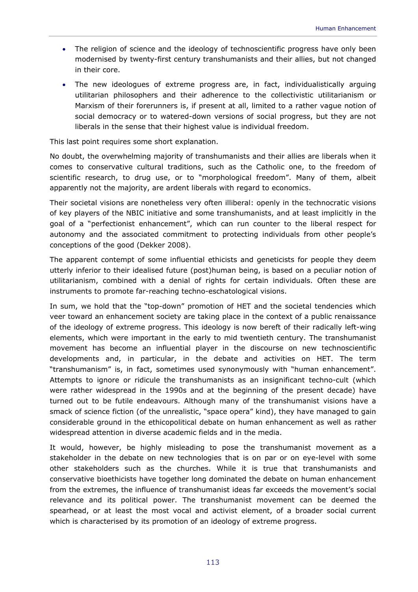- The religion of science and the ideology of technoscientific progress have only been modernised by twenty-first century transhumanists and their allies, but not changed in their core.
- The new ideologues of extreme progress are, in fact, individualistically arguing utilitarian philosophers and their adherence to the collectivistic utilitarianism or Marxism of their forerunners is, if present at all, limited to a rather vague notion of social democracy or to watered-down versions of social progress, but they are not liberals in the sense that their highest value is individual freedom.

This last point requires some short explanation.

No doubt, the overwhelming majority of transhumanists and their allies are liberals when it comes to conservative cultural traditions, such as the Catholic one, to the freedom of scientific research, to drug use, or to "morphological freedom". Many of them, albeit apparently not the majority, are ardent liberals with regard to economics.

Their societal visions are nonetheless very often illiberal: openly in the technocratic visions of key players of the NBIC initiative and some transhumanists, and at least implicitly in the goal of a "perfectionist enhancement", which can run counter to the liberal respect for autonomy and the associated commitment to protecting individuals from other people's conceptions of the good (Dekker 2008).

The apparent contempt of some influential ethicists and geneticists for people they deem utterly inferior to their idealised future (post)human being, is based on a peculiar notion of utilitarianism, combined with a denial of rights for certain individuals. Often these are instruments to promote far-reaching techno-eschatological visions.

In sum, we hold that the "top-down" promotion of HET and the societal tendencies which veer toward an enhancement society are taking place in the context of a public renaissance of the ideology of extreme progress. This ideology is now bereft of their radically left-wing elements, which were important in the early to mid twentieth century. The transhumanist movement has become an influential player in the discourse on new technoscientific developments and, in particular, in the debate and activities on HET. The term "transhumanism" is, in fact, sometimes used synonymously with "human enhancement". Attempts to ignore or ridicule the transhumanists as an insignificant techno-cult (which were rather widespread in the 1990s and at the beginning of the present decade) have turned out to be futile endeavours. Although many of the transhumanist visions have a smack of science fiction (of the unrealistic, "space opera" kind), they have managed to gain considerable ground in the ethicopolitical debate on human enhancement as well as rather widespread attention in diverse academic fields and in the media.

It would, however, be highly misleading to pose the transhumanist movement as a stakeholder in the debate on new technologies that is on par or on eye-level with some other stakeholders such as the churches. While it is true that transhumanists and conservative bioethicists have together long dominated the debate on human enhancement from the extremes, the influence of transhumanist ideas far exceeds the movement's social relevance and its political power. The transhumanist movement can be deemed the spearhead, or at least the most vocal and activist element, of a broader social current which is characterised by its promotion of an ideology of extreme progress.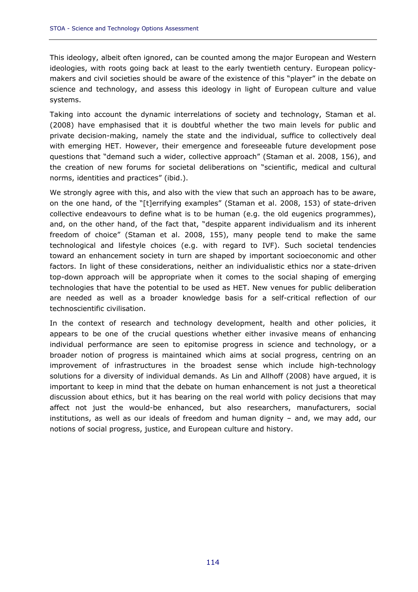This ideology, albeit often ignored, can be counted among the major European and Western ideologies, with roots going back at least to the early twentieth century. European policymakers and civil societies should be aware of the existence of this "player" in the debate on science and technology, and assess this ideology in light of European culture and value systems.

Taking into account the dynamic interrelations of society and technology, Staman et al. (2008) have emphasised that it is doubtful whether the two main levels for public and private decision-making, namely the state and the individual, suffice to collectively deal with emerging HET. However, their emergence and foreseeable future development pose questions that "demand such a wider, collective approach" (Staman et al. 2008, 156), and the creation of new forums for societal deliberations on "scientific, medical and cultural norms, identities and practices" (ibid.).

We strongly agree with this, and also with the view that such an approach has to be aware, on the one hand, of the "[t]errifying examples" (Staman et al. 2008, 153) of state-driven collective endeavours to define what is to be human (e.g. the old eugenics programmes), and, on the other hand, of the fact that, "despite apparent individualism and its inherent freedom of choice" (Staman et al. 2008, 155), many people tend to make the same technological and lifestyle choices (e.g. with regard to IVF). Such societal tendencies toward an enhancement society in turn are shaped by important socioeconomic and other factors. In light of these considerations, neither an individualistic ethics nor a state-driven top-down approach will be appropriate when it comes to the social shaping of emerging technologies that have the potential to be used as HET. New venues for public deliberation are needed as well as a broader knowledge basis for a self-critical reflection of our technoscientific civilisation.

In the context of research and technology development, health and other policies, it appears to be one of the crucial questions whether either invasive means of enhancing individual performance are seen to epitomise progress in science and technology, or a broader notion of progress is maintained which aims at social progress, centring on an improvement of infrastructures in the broadest sense which include high-technology solutions for a diversity of individual demands. As Lin and Allhoff (2008) have argued, it is important to keep in mind that the debate on human enhancement is not just a theoretical discussion about ethics, but it has bearing on the real world with policy decisions that may affect not just the would-be enhanced, but also researchers, manufacturers, social institutions, as well as our ideals of freedom and human dignity – and, we may add, our notions of social progress, justice, and European culture and history.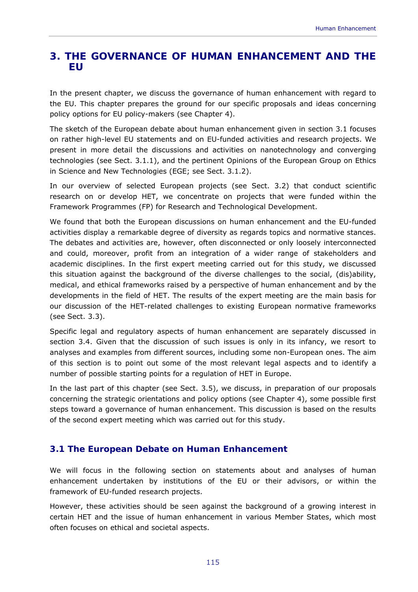# **3. THE GOVERNANCE OF HUMAN ENHANCEMENT AND THE EU**

In the present chapter, we discuss the governance of human enhancement with regard to the EU. This chapter prepares the ground for our specific proposals and ideas concerning policy options for EU policy-makers (see Chapter 4).

The sketch of the European debate about human enhancement given in section 3.1 focuses on rather high-level EU statements and on EU-funded activities and research projects. We present in more detail the discussions and activities on nanotechnology and converging technologies (see Sect. 3.1.1), and the pertinent Opinions of the European Group on Ethics in Science and New Technologies (EGE; see Sect. 3.1.2).

In our overview of selected European projects (see Sect. 3.2) that conduct scientific research on or develop HET, we concentrate on projects that were funded within the Framework Programmes (FP) for Research and Technological Development.

We found that both the European discussions on human enhancement and the EU-funded activities display a remarkable degree of diversity as regards topics and normative stances. The debates and activities are, however, often disconnected or only loosely interconnected and could, moreover, profit from an integration of a wider range of stakeholders and academic disciplines. In the first expert meeting carried out for this study, we discussed this situation against the background of the diverse challenges to the social, (dis)ability, medical, and ethical frameworks raised by a perspective of human enhancement and by the developments in the field of HET. The results of the expert meeting are the main basis for our discussion of the HET-related challenges to existing European normative frameworks (see Sect. 3.3).

Specific legal and regulatory aspects of human enhancement are separately discussed in section 3.4. Given that the discussion of such issues is only in its infancy, we resort to analyses and examples from different sources, including some non-European ones. The aim of this section is to point out some of the most relevant legal aspects and to identify a number of possible starting points for a regulation of HET in Europe.

In the last part of this chapter (see Sect. 3.5), we discuss, in preparation of our proposals concerning the strategic orientations and policy options (see Chapter 4), some possible first steps toward a governance of human enhancement. This discussion is based on the results of the second expert meeting which was carried out for this study.

## **3.1 The European Debate on Human Enhancement**

We will focus in the following section on statements about and analyses of human enhancement undertaken by institutions of the EU or their advisors, or within the framework of EU-funded research projects.

However, these activities should be seen against the background of a growing interest in certain HET and the issue of human enhancement in various Member States, which most often focuses on ethical and societal aspects.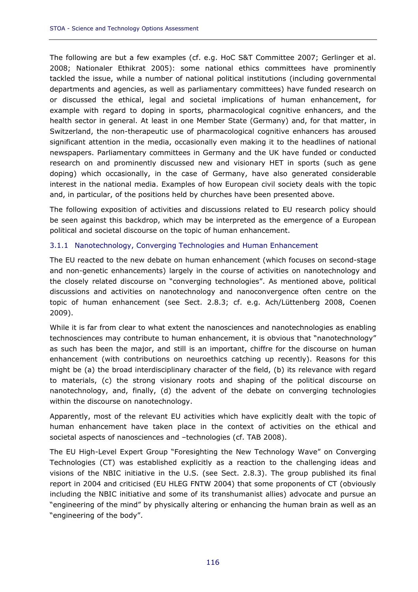The following are but a few examples (cf. e.g. HoC S&T Committee 2007; Gerlinger et al. 2008; Nationaler Ethikrat 2005): some national ethics committees have prominently tackled the issue, while a number of national political institutions (including governmental departments and agencies, as well as parliamentary committees) have funded research on or discussed the ethical, legal and societal implications of human enhancement, for example with regard to doping in sports, pharmacological cognitive enhancers, and the health sector in general. At least in one Member State (Germany) and, for that matter, in Switzerland, the non-therapeutic use of pharmacological cognitive enhancers has aroused significant attention in the media, occasionally even making it to the headlines of national newspapers. Parliamentary committees in Germany and the UK have funded or conducted research on and prominently discussed new and visionary HET in sports (such as gene doping) which occasionally, in the case of Germany, have also generated considerable interest in the national media. Examples of how European civil society deals with the topic and, in particular, of the positions held by churches have been presented above.

The following exposition of activities and discussions related to EU research policy should be seen against this backdrop, which may be interpreted as the emergence of a European political and societal discourse on the topic of human enhancement.

#### 3.1.1 Nanotechnology, Converging Technologies and Human Enhancement

The EU reacted to the new debate on human enhancement (which focuses on second-stage and non-genetic enhancements) largely in the course of activities on nanotechnology and the closely related discourse on "converging technologies". As mentioned above, political discussions and activities on nanotechnology and nanoconvergence often centre on the topic of human enhancement (see Sect. 2.8.3; cf. e.g. Ach/Lüttenberg 2008, Coenen 2009).

While it is far from clear to what extent the nanosciences and nanotechnologies as enabling technosciences may contribute to human enhancement, it is obvious that "nanotechnology" as such has been the major, and still is an important, *chiffre* for the discourse on human enhancement (with contributions on neuroethics catching up recently). Reasons for this might be (a) the broad interdisciplinary character of the field, (b) its relevance with regard to materials, (c) the strong visionary roots and shaping of the political discourse on nanotechnology, and, finally, (d) the advent of the debate on converging technologies within the discourse on nanotechnology.

Apparently, most of the relevant EU activities which have explicitly dealt with the topic of human enhancement have taken place in the context of activities on the ethical and societal aspects of nanosciences and –technologies (cf. TAB 2008).

The EU High-Level Expert Group "Foresighting the New Technology Wave" on Converging Technologies (CT) was established explicitly as a reaction to the challenging ideas and visions of the NBIC initiative in the U.S. (see Sect. 2.8.3). The group published its final report in 2004 and criticised (EU HLEG FNTW 2004) that some proponents of CT (obviously including the NBIC initiative and some of its transhumanist allies) advocate and pursue an "engineering of the mind" by physically altering or enhancing the human brain as well as an "engineering of the body".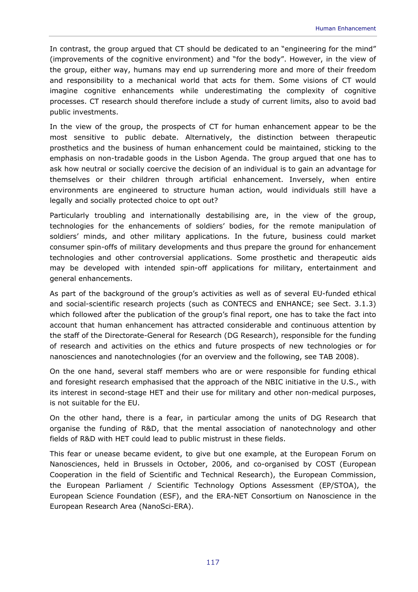In contrast, the group argued that CT should be dedicated to an "engineering for the mind" (improvements of the cognitive environment) and "for the body". However, in the view of the group, either way, humans may end up surrendering more and more of their freedom and responsibility to a mechanical world that acts for them. Some visions of CT would imagine cognitive enhancements while underestimating the complexity of cognitive processes. CT research should therefore include a study of current limits, also to avoid bad public investments.

In the view of the group, the prospects of CT for human enhancement appear to be the most sensitive to public debate. Alternatively, the distinction between therapeutic prosthetics and the business of human enhancement could be maintained, sticking to the emphasis on non-tradable goods in the Lisbon Agenda. The group argued that one has to ask how neutral or socially coercive the decision of an individual is to gain an advantage for themselves or their children through artificial enhancement. Inversely, when entire environments are engineered to structure human action, would individuals still have a legally and socially protected choice to opt out?

Particularly troubling and internationally destabilising are, in the view of the group, technologies for the enhancements of soldiers' bodies, for the remote manipulation of soldiers' minds, and other military applications. In the future, business could market consumer spin-offs of military developments and thus prepare the ground for enhancement technologies and other controversial applications. Some prosthetic and therapeutic aids may be developed with intended spin-off applications for military, entertainment and general enhancements.

As part of the background of the group's activities as well as of several EU-funded ethical and social-scientific research projects (such as CONTECS and ENHANCE; see Sect. 3.1.3) which followed after the publication of the group's final report, one has to take the fact into account that human enhancement has attracted considerable and continuous attention by the staff of the Directorate-General for Research (DG Research), responsible for the funding of research and activities on the ethics and future prospects of new technologies or for nanosciences and nanotechnologies (for an overview and the following, see TAB 2008).

On the one hand, several staff members who are or were responsible for funding ethical and foresight research emphasised that the approach of the NBIC initiative in the U.S., with its interest in second-stage HET and their use for military and other non-medical purposes, is not suitable for the EU.

On the other hand, there is a fear, in particular among the units of DG Research that organise the funding of R&D, that the mental association of nanotechnology and other fields of R&D with HET could lead to public mistrust in these fields.

This fear or unease became evident, to give but one example, at the European Forum on Nanosciences, held in Brussels in October, 2006, and co-organised by COST (European Cooperation in the field of Scientific and Technical Research), the European Commission, the European Parliament / Scientific Technology Options Assessment (EP/STOA), the European Science Foundation (ESF), and the ERA-NET Consortium on Nanoscience in the European Research Area (NanoSci-ERA).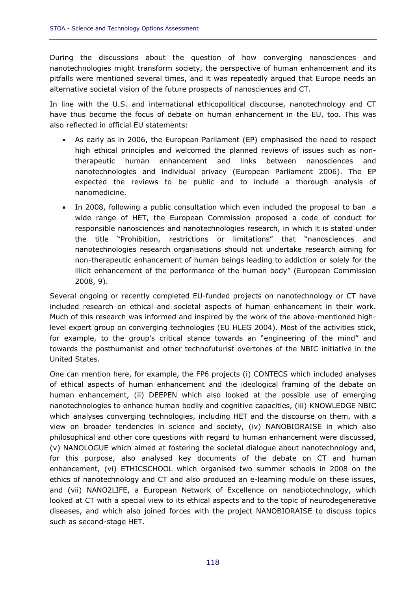During the discussions about the question of how converging nanosciences and nanotechnologies might transform society, the perspective of human enhancement and its pitfalls were mentioned several times, and it was repeatedly argued that Europe needs an alternative societal vision of the future prospects of nanosciences and CT.

In line with the U.S. and international ethicopolitical discourse, nanotechnology and CT have thus become the focus of debate on human enhancement in the EU, too. This was also reflected in official EU statements:

- As early as in 2006, the European Parliament (EP) emphasised the need to respect high ethical principles and welcomed the planned reviews of issues such as nontherapeutic human enhancement and links between nanosciences and nanotechnologies and individual privacy (European Parliament 2006). The EP expected the reviews to be public and to include a thorough analysis of nanomedicine.
- In 2008, following a public consultation which even included the proposal to ban a wide range of HET, the European Commission proposed a code of conduct for responsible nanosciences and nanotechnologies research, in which it is stated under the title "Prohibition, restrictions or limitations" that "nanosciences and nanotechnologies research organisations should not undertake research aiming for non-therapeutic enhancement of human beings leading to addiction or solely for the illicit enhancement of the performance of the human body" (European Commission 2008, 9).

Several ongoing or recently completed EU-funded projects on nanotechnology or CT have included research on ethical and societal aspects of human enhancement in their work. Much of this research was informed and inspired by the work of the above-mentioned highlevel expert group on converging technologies (EU HLEG 2004). Most of the activities stick, for example, to the group's critical stance towards an "engineering of the mind" and towards the posthumanist and other technofuturist overtones of the NBIC initiative in the United States.

One can mention here, for example, the FP6 projects (i) CONTECS which included analyses of ethical aspects of human enhancement and the ideological framing of the debate on human enhancement, (ii) DEEPEN which also looked at the possible use of emerging nanotechnologies to enhance human bodily and cognitive capacities, (iii) KNOWLEDGE NBIC which analyses converging technologies, including HET and the discourse on them, with a view on broader tendencies in science and society, (iv) NANOBIORAISE in which also philosophical and other core questions with regard to human enhancement were discussed, (v) NANOLOGUE which aimed at fostering the societal dialogue about nanotechnology and, for this purpose, also analysed key documents of the debate on CT and human enhancement, (vi) ETHICSCHOOL which organised two summer schools in 2008 on the ethics of nanotechnology and CT and also produced an e-learning module on these issues, and (vii) NANO2LIFE, a European Network of Excellence on nanobiotechnology, which looked at CT with a special view to its ethical aspects and to the topic of neurodegenerative diseases, and which also joined forces with the project NANOBIORAISE to discuss topics such as second-stage HET.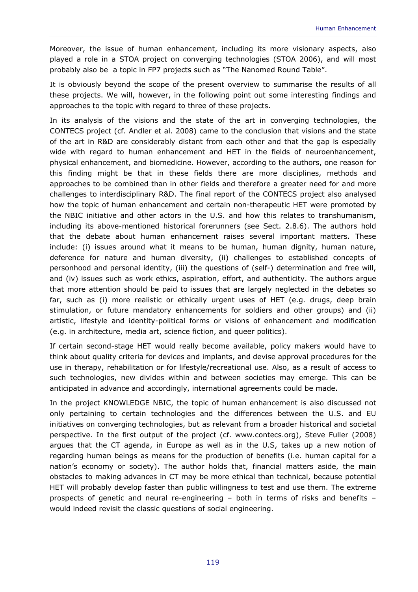Moreover, the issue of human enhancement, including its more visionary aspects, also played a role in a STOA project on converging technologies (STOA 2006), and will most probably also be a topic in FP7 projects such as "The Nanomed Round Table".

It is obviously beyond the scope of the present overview to summarise the results of all these projects. We will, however, in the following point out some interesting findings and approaches to the topic with regard to three of these projects.

In its analysis of the visions and the state of the art in converging technologies, the CONTECS project (cf. Andler et al. 2008) came to the conclusion that visions and the state of the art in R&D are considerably distant from each other and that the gap is especially wide with regard to human enhancement and HET in the fields of neuroenhancement, physical enhancement, and biomedicine. However, according to the authors, one reason for this finding might be that in these fields there are more disciplines, methods and approaches to be combined than in other fields and therefore a greater need for and more challenges to interdisciplinary R&D. The final report of the CONTECS project also analysed how the topic of human enhancement and certain non-therapeutic HET were promoted by the NBIC initiative and other actors in the U.S. and how this relates to transhumanism, including its above-mentioned historical forerunners (see Sect. 2.8.6). The authors hold that the debate about human enhancement raises several important matters. These include: (i) issues around what it means to be human, human dignity, human nature, deference for nature and human diversity, (ii) challenges to established concepts of personhood and personal identity, (iii) the questions of (self-) determination and free will, and (iv) issues such as work ethics, aspiration, effort, and authenticity. The authors argue that more attention should be paid to issues that are largely neglected in the debates so far, such as (i) more realistic or ethically urgent uses of HET (e.g. drugs, deep brain stimulation, or future mandatory enhancements for soldiers and other groups) and (ii) artistic, lifestyle and identity-political forms or visions of enhancement and modification (e.g. in architecture, media art, science fiction, and queer politics).

If certain second-stage HET would really become available, policy makers would have to think about quality criteria for devices and implants, and devise approval procedures for the use in therapy, rehabilitation or for lifestyle/recreational use. Also, as a result of access to such technologies, new divides within and between societies may emerge. This can be anticipated in advance and accordingly, international agreements could be made.

In the project KNOWLEDGE NBIC, the topic of human enhancement is also discussed not only pertaining to certain technologies and the differences between the U.S. and EU initiatives on converging technologies, but as relevant from a broader historical and societal perspective. In the first output of the project (cf. www.contecs.org), Steve Fuller (2008) argues that the CT agenda, in Europe as well as in the U.S, takes up a new notion of regarding human beings as means for the production of benefits (i.e. human capital for a nation's economy or society). The author holds that, financial matters aside, the main obstacles to making advances in CT may be more ethical than technical, because potential HET will probably develop faster than public willingness to test and use them. The extreme prospects of genetic and neural re-engineering – both in terms of risks and benefits – would indeed revisit the classic questions of social engineering.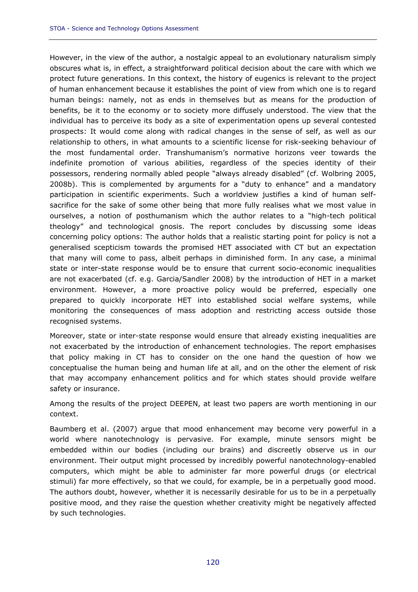However, in the view of the author, a nostalgic appeal to an evolutionary naturalism simply obscures what is, in effect, a straightforward political decision about the care with which we protect future generations. In this context, the history of eugenics is relevant to the project of human enhancement because it establishes the point of view from which one is to regard human beings: namely, not as ends in themselves but as means for the production of benefits, be it to the economy or to society more diffusely understood. The view that the individual has to perceive its body as a site of experimentation opens up several contested prospects: It would come along with radical changes in the sense of self, as well as our relationship to others, in what amounts to a scientific license for risk-seeking behaviour of the most fundamental order. Transhumanism's normative horizons veer towards the indefinite promotion of various abilities, regardless of the species identity of their possessors, rendering normally abled people "always already disabled" (cf. Wolbring 2005, 2008b). This is complemented by arguments for a "duty to enhance" and a mandatory participation in scientific experiments. Such a worldview justifies a kind of human selfsacrifice for the sake of some other being that more fully realises what we most value in ourselves, a notion of posthumanism which the author relates to a "high-tech political theology" and technological gnosis. The report concludes by discussing some ideas concerning policy options: The author holds that a realistic starting point for policy is not a generalised scepticism towards the promised HET associated with CT but an expectation that many will come to pass, albeit perhaps in diminished form. In any case, a minimal state or inter-state response would be to ensure that current socio-economic inequalities are not exacerbated (cf. e.g. Garcia/Sandler 2008) by the introduction of HET in a market environment. However, a more proactive policy would be preferred, especially one prepared to quickly incorporate HET into established social welfare systems, while monitoring the consequences of mass adoption and restricting access outside those recognised systems.

Moreover, state or inter-state response would ensure that already existing inequalities are not exacerbated by the introduction of enhancement technologies. The report emphasises that policy making in CT has to consider on the one hand the question of how we conceptualise the human being and human life at all, and on the other the element of risk that may accompany enhancement politics and for which states should provide welfare safety or insurance.

Among the results of the project DEEPEN, at least two papers are worth mentioning in our context.

Baumberg et al. (2007) argue that mood enhancement may become very powerful in a world where nanotechnology is pervasive. For example, minute sensors might be embedded within our bodies (including our brains) and discreetly observe us in our environment. Their output might processed by incredibly powerful nanotechnology-enabled computers, which might be able to administer far more powerful drugs (or electrical stimuli) far more effectively, so that we could, for example, be in a perpetually good mood. The authors doubt, however, whether it is necessarily desirable for us to be in a perpetually positive mood, and they raise the question whether creativity might be negatively affected by such technologies.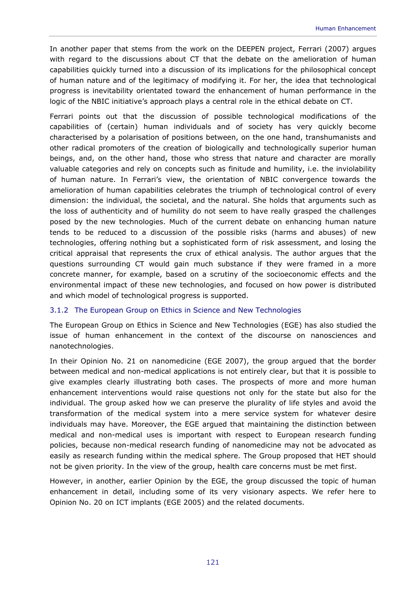In another paper that stems from the work on the DEEPEN project, Ferrari (2007) argues with regard to the discussions about CT that the debate on the amelioration of human capabilities quickly turned into a discussion of its implications for the philosophical concept of human nature and of the legitimacy of modifying it. For her, the idea that technological progress is inevitability orientated toward the enhancement of human performance in the logic of the NBIC initiative's approach plays a central role in the ethical debate on CT.

Ferrari points out that the discussion of possible technological modifications of the capabilities of (certain) human individuals and of society has very quickly become characterised by a polarisation of positions between, on the one hand, transhumanists and other radical promoters of the creation of biologically and technologically superior human beings, and, on the other hand, those who stress that nature and character are morally valuable categories and rely on concepts such as finitude and humility, i.e. the inviolability of human nature. In Ferrari's view, the orientation of NBIC convergence towards the amelioration of human capabilities celebrates the triumph of technological control of every dimension: the individual, the societal, and the natural. She holds that arguments such as the loss of authenticity and of humility do not seem to have really grasped the challenges posed by the new technologies. Much of the current debate on enhancing human nature tends to be reduced to a discussion of the possible risks (harms and abuses) of new technologies, offering nothing but a sophisticated form of risk assessment, and losing the critical appraisal that represents the crux of ethical analysis. The author argues that the questions surrounding CT would gain much substance if they were framed in a more concrete manner, for example, based on a scrutiny of the socioeconomic effects and the environmental impact of these new technologies, and focused on how power is distributed and which model of technological progress is supported.

### 3.1.2 The European Group on Ethics in Science and New Technologies

The European Group on Ethics in Science and New Technologies (EGE) has also studied the issue of human enhancement in the context of the discourse on nanosciences and nanotechnologies.

In their Opinion No. 21 on nanomedicine (EGE 2007), the group argued that the border between medical and non-medical applications is not entirely clear, but that it is possible to give examples clearly illustrating both cases. The prospects of more and more human enhancement interventions would raise questions not only for the state but also for the individual. The group asked how we can preserve the plurality of life styles and avoid the transformation of the medical system into a mere service system for whatever desire individuals may have. Moreover, the EGE argued that maintaining the distinction between medical and non-medical uses is important with respect to European research funding policies, because non-medical research funding of nanomedicine may not be advocated as easily as research funding within the medical sphere. The Group proposed that HET should not be given priority. In the view of the group, health care concerns must be met first.

However, in another, earlier Opinion by the EGE, the group discussed the topic of human enhancement in detail, including some of its very visionary aspects. We refer here to Opinion No. 20 on ICT implants (EGE 2005) and the related documents.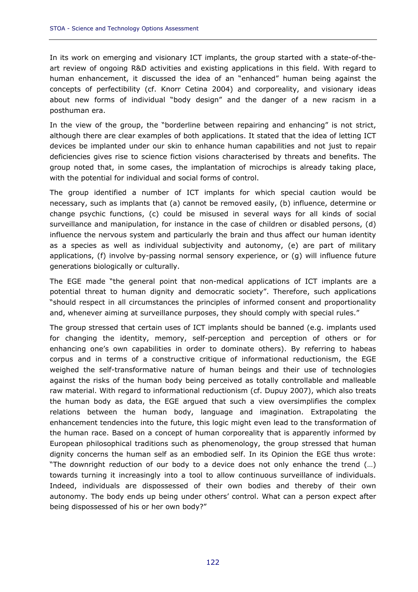In its work on emerging and visionary ICT implants, the group started with a state-of-theart review of ongoing R&D activities and existing applications in this field. With regard to human enhancement, it discussed the idea of an "enhanced" human being against the concepts of perfectibility (cf. Knorr Cetina 2004) and corporeality, and visionary ideas about new forms of individual "body design" and the danger of a new racism in a posthuman era.

In the view of the group, the "borderline between repairing and enhancing" is not strict, although there are clear examples of both applications. It stated that the idea of letting ICT devices be implanted under our skin to enhance human capabilities and not just to repair deficiencies gives rise to science fiction visions characterised by threats and benefits. The group noted that, in some cases, the implantation of microchips is already taking place, with the potential for individual and social forms of control.

The group identified a number of ICT implants for which special caution would be necessary, such as implants that (a) cannot be removed easily, (b) influence, determine or change psychic functions, (c) could be misused in several ways for all kinds of social surveillance and manipulation, for instance in the case of children or disabled persons, (d) influence the nervous system and particularly the brain and thus affect our human identity as a species as well as individual subjectivity and autonomy, (e) are part of military applications, (f) involve by-passing normal sensory experience, or (g) will influence future generations biologically or culturally.

The EGE made "the general point that non-medical applications of ICT implants are a potential threat to human dignity and democratic society". Therefore, such applications "should respect in all circumstances the principles of informed consent and proportionality and, whenever aiming at surveillance purposes, they should comply with special rules."

The group stressed that certain uses of ICT implants should be banned (e.g. implants used for changing the identity, memory, self-perception and perception of others or for enhancing one's own capabilities in order to dominate others). By referring to habeas corpus and in terms of a constructive critique of informational reductionism, the EGE weighed the self-transformative nature of human beings and their use of technologies against the risks of the human body being perceived as totally controllable and malleable raw material. With regard to informational reductionism (cf. Dupuy 2007), which also treats the human body as data, the EGE argued that such a view oversimplifies the complex relations between the human body, language and imagination. Extrapolating the enhancement tendencies into the future, this logic might even lead to the transformation of the human race. Based on a concept of human corporeality that is apparently informed by European philosophical traditions such as phenomenology, the group stressed that human dignity concerns the human self as an embodied self. In its Opinion the EGE thus wrote: "The downright reduction of our body to a device does not only enhance the trend (…) towards turning it increasingly into a tool to allow continuous surveillance of individuals. Indeed, individuals are dispossessed of their own bodies and thereby of their own autonomy. The body ends up being under others' control. What can a person expect after being dispossessed of his or her own body?"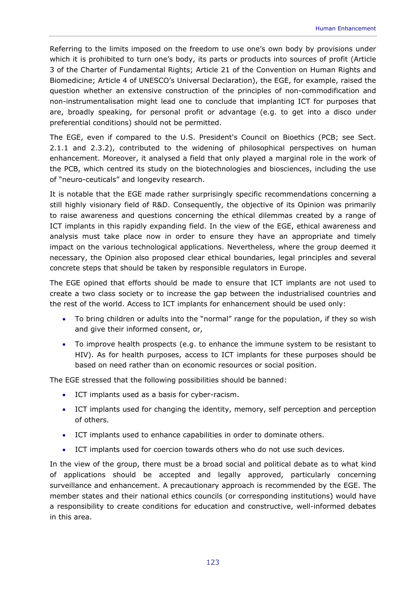Referring to the limits imposed on the freedom to use one's own body by provisions under which it is prohibited to turn one's body, its parts or products into sources of profit (Article 3 of the Charter of Fundamental Rights; Article 21 of the Convention on Human Rights and Biomedicine; Article 4 of UNESCO's Universal Declaration), the EGE, for example, raised the question whether an extensive construction of the principles of non-commodification and non-instrumentalisation might lead one to conclude that implanting ICT for purposes that are, broadly speaking, for personal profit or advantage (e.g. to get into a disco under preferential conditions) should not be permitted.

The EGE, even if compared to the U.S. President's Council on Bioethics (PCB; see Sect. 2.1.1 and 2.3.2), contributed to the widening of philosophical perspectives on human enhancement. Moreover, it analysed a field that only played a marginal role in the work of the PCB, which centred its study on the biotechnologies and biosciences, including the use of "neuro-ceuticals" and longevity research.

It is notable that the EGE made rather surprisingly specific recommendations concerning a still highly visionary field of R&D. Consequently, the objective of its Opinion was primarily to raise awareness and questions concerning the ethical dilemmas created by a range of ICT implants in this rapidly expanding field. In the view of the EGE, ethical awareness and analysis must take place now in order to ensure they have an appropriate and timely impact on the various technological applications. Nevertheless, where the group deemed it necessary, the Opinion also proposed clear ethical boundaries, legal principles and several concrete steps that should be taken by responsible regulators in Europe.

The EGE opined that efforts should be made to ensure that ICT implants are not used to create a two class society or to increase the gap between the industrialised countries and the rest of the world. Access to ICT implants for enhancement should be used only:

- To bring children or adults into the "normal" range for the population, if they so wish and give their informed consent, or,
- To improve health prospects (e.g. to enhance the immune system to be resistant to HIV). As for health purposes, access to ICT implants for these purposes should be based on need rather than on economic resources or social position.

The EGE stressed that the following possibilities should be banned:

- ICT implants used as a basis for cyber-racism.
- ICT implants used for changing the identity, memory, self perception and perception of others.
- ICT implants used to enhance capabilities in order to dominate others.
- ICT implants used for coercion towards others who do not use such devices.

In the view of the group, there must be a broad social and political debate as to what kind of applications should be accepted and legally approved, particularly concerning surveillance and enhancement. A precautionary approach is recommended by the EGE. The member states and their national ethics councils (or corresponding institutions) would have a responsibility to create conditions for education and constructive, well-informed debates in this area.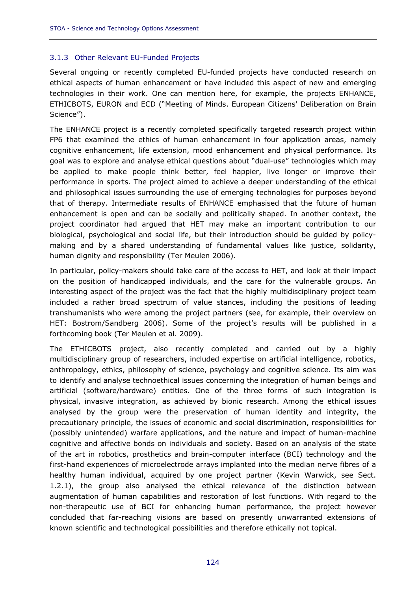### 3.1.3 Other Relevant EU-Funded Projects

Several ongoing or recently completed EU-funded projects have conducted research on ethical aspects of human enhancement or have included this aspect of new and emerging technologies in their work. One can mention here, for example, the projects ENHANCE, ETHICBOTS, EURON and ECD ("Meeting of Minds. European Citizens' Deliberation on Brain Science").

The ENHANCE project is a recently completed specifically targeted research project within FP6 that examined the ethics of human enhancement in four application areas, namely cognitive enhancement, life extension, mood enhancement and physical performance. Its goal was to explore and analyse ethical questions about "dual-use" technologies which may be applied to make people think better, feel happier, live longer or improve their performance in sports. The project aimed to achieve a deeper understanding of the ethical and philosophical issues surrounding the use of emerging technologies for purposes beyond that of therapy. Intermediate results of ENHANCE emphasised that the future of human enhancement is open and can be socially and politically shaped. In another context, the project coordinator had argued that HET may make an important contribution to our biological, psychological and social life, but their introduction should be guided by policymaking and by a shared understanding of fundamental values like justice, solidarity, human dignity and responsibility (Ter Meulen 2006).

In particular, policy-makers should take care of the access to HET, and look at their impact on the position of handicapped individuals, and the care for the vulnerable groups. An interesting aspect of the project was the fact that the highly multidisciplinary project team included a rather broad spectrum of value stances, including the positions of leading transhumanists who were among the project partners (see, for example, their overview on HET: Bostrom/Sandberg 2006). Some of the project's results will be published in a forthcoming book (Ter Meulen et al. 2009).

The ETHICBOTS project, also recently completed and carried out by a highly multidisciplinary group of researchers, included expertise on artificial intelligence, robotics, anthropology, ethics, philosophy of science, psychology and cognitive science. Its aim was to identify and analyse technoethical issues concerning the integration of human beings and artificial (software/hardware) entities. One of the three forms of such integration is physical, invasive integration, as achieved by bionic research. Among the ethical issues analysed by the group were the preservation of human identity and integrity, the precautionary principle, the issues of economic and social discrimination, responsibilities for (possibly unintended) warfare applications, and the nature and impact of human-machine cognitive and affective bonds on individuals and society. Based on an analysis of the state of the art in robotics, prosthetics and brain-computer interface (BCI) technology and the first-hand experiences of microelectrode arrays implanted into the median nerve fibres of a healthy human individual, acquired by one project partner (Kevin Warwick, see Sect. 1.2.1), the group also analysed the ethical relevance of the distinction between augmentation of human capabilities and restoration of lost functions. With regard to the non-therapeutic use of BCI for enhancing human performance, the project however concluded that far-reaching visions are based on presently unwarranted extensions of known scientific and technological possibilities and therefore ethically not topical.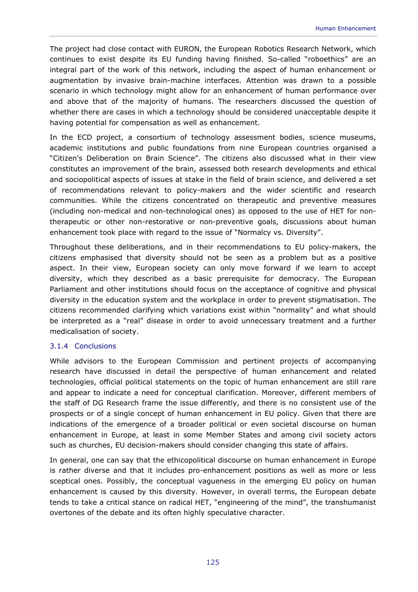The project had close contact with EURON, the European Robotics Research Network, which continues to exist despite its EU funding having finished. So-called "roboethics" are an integral part of the work of this network, including the aspect of human enhancement or augmentation by invasive brain-machine interfaces. Attention was drawn to a possible scenario in which technology might allow for an enhancement of human performance over and above that of the majority of humans. The researchers discussed the question of whether there are cases in which a technology should be considered unacceptable despite it having potential for compensation as well as enhancement.

In the ECD project, a consortium of technology assessment bodies, science museums, academic institutions and public foundations from nine European countries organised a "Citizen's Deliberation on Brain Science". The citizens also discussed what in their view constitutes an improvement of the brain, assessed both research developments and ethical and sociopolitical aspects of issues at stake in the field of brain science, and delivered a set of recommendations relevant to policy-makers and the wider scientific and research communities. While the citizens concentrated on therapeutic and preventive measures (including non-medical and non-technological ones) as opposed to the use of HET for nontherapeutic or other non-restorative or non-preventive goals, discussions about human enhancement took place with regard to the issue of "Normalcy vs. Diversity".

Throughout these deliberations, and in their recommendations to EU policy-makers, the citizens emphasised that diversity should not be seen as a problem but as a positive aspect. In their view, European society can only move forward if we learn to accept diversity, which they described as a basic prerequisite for democracy. The European Parliament and other institutions should focus on the acceptance of cognitive and physical diversity in the education system and the workplace in order to prevent stigmatisation. The citizens recommended clarifying which variations exist within "normality" and what should be interpreted as a "real" disease in order to avoid unnecessary treatment and a further medicalisation of society.

### 3.1.4 Conclusions

While advisors to the European Commission and pertinent projects of accompanying research have discussed in detail the perspective of human enhancement and related technologies, official political statements on the topic of human enhancement are still rare and appear to indicate a need for conceptual clarification. Moreover, different members of the staff of DG Research frame the issue differently, and there is no consistent use of the prospects or of a single concept of human enhancement in EU policy. Given that there are indications of the emergence of a broader political or even societal discourse on human enhancement in Europe, at least in some Member States and among civil society actors such as churches, EU decision-makers should consider changing this state of affairs.

In general, one can say that the ethicopolitical discourse on human enhancement in Europe is rather diverse and that it includes pro-enhancement positions as well as more or less sceptical ones. Possibly, the conceptual vagueness in the emerging EU policy on human enhancement is caused by this diversity. However, in overall terms, the European debate tends to take a critical stance on radical HET, "engineering of the mind", the transhumanist overtones of the debate and its often highly speculative character.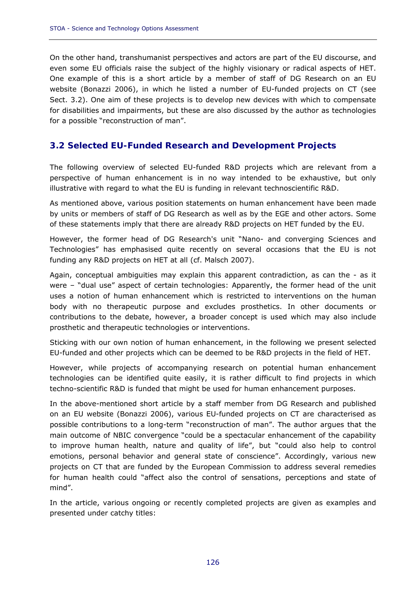On the other hand, transhumanist perspectives and actors are part of the EU discourse, and even some EU officials raise the subject of the highly visionary or radical aspects of HET. One example of this is a short article by a member of staff of DG Research on an EU website (Bonazzi 2006), in which he listed a number of EU-funded projects on CT (see Sect. 3.2). One aim of these projects is to develop new devices with which to compensate for disabilities and impairments, but these are also discussed by the author as technologies for a possible "reconstruction of man".

### **3.2 Selected EU-Funded Research and Development Projects**

The following overview of selected EU-funded R&D projects which are relevant from a perspective of human enhancement is in no way intended to be exhaustive, but only illustrative with regard to what the EU is funding in relevant technoscientific R&D.

As mentioned above, various position statements on human enhancement have been made by units or members of staff of DG Research as well as by the EGE and other actors. Some of these statements imply that there are already R&D projects on HET funded by the EU.

However, the former head of DG Research's unit "Nano- and converging Sciences and Technologies" has emphasised quite recently on several occasions that the EU is not funding any R&D projects on HET at all (cf. Malsch 2007).

Again, conceptual ambiguities may explain this apparent contradiction, as can the - as it were – "dual use" aspect of certain technologies: Apparently, the former head of the unit uses a notion of human enhancement which is restricted to interventions on the human body with no therapeutic purpose and excludes prosthetics. In other documents or contributions to the debate, however, a broader concept is used which may also include prosthetic and therapeutic technologies or interventions.

Sticking with our own notion of human enhancement, in the following we present selected EU-funded and other projects which can be deemed to be R&D projects in the field of HET.

However, while projects of accompanying research on potential human enhancement technologies can be identified quite easily, it is rather difficult to find projects in which techno-scientific R&D is funded that might be used for human enhancement purposes.

In the above-mentioned short article by a staff member from DG Research and published on an EU website (Bonazzi 2006), various EU-funded projects on CT are characterised as possible contributions to a long-term "reconstruction of man". The author argues that the main outcome of NBIC convergence "could be a spectacular enhancement of the capability to improve human health, nature and quality of life", but "could also help to control emotions, personal behavior and general state of conscience". Accordingly, various new projects on CT that are funded by the European Commission to address several remedies for human health could "affect also the control of sensations, perceptions and state of mind".

In the article, various ongoing or recently completed projects are given as examples and presented under catchy titles: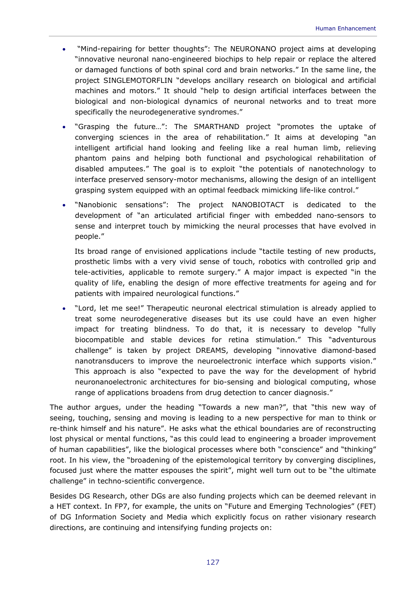- "Mind-repairing for better thoughts": The NEURONANO project aims at developing "innovative neuronal nano-engineered biochips to help repair or replace the altered or damaged functions of both spinal cord and brain networks." In the same line, the project SINGLEMOTORFLIN "develops ancillary research on biological and artificial machines and motors." It should "help to design artificial interfaces between the biological and non-biological dynamics of neuronal networks and to treat more specifically the neurodegenerative syndromes."
- "Grasping the future…": The SMARTHAND project "promotes the uptake of converging sciences in the area of rehabilitation." It aims at developing "an intelligent artificial hand looking and feeling like a real human limb, relieving phantom pains and helping both functional and psychological rehabilitation of disabled amputees." The goal is to exploit "the potentials of nanotechnology to interface preserved sensory-motor mechanisms, allowing the design of an intelligent grasping system equipped with an optimal feedback mimicking life-like control."
- "Nanobionic sensations": The project NANOBIOTACT is dedicated to the development of "an articulated artificial finger with embedded nano-sensors to sense and interpret touch by mimicking the neural processes that have evolved in people."

Its broad range of envisioned applications include "tactile testing of new products, prosthetic limbs with a very vivid sense of touch, robotics with controlled grip and tele-activities, applicable to remote surgery." A major impact is expected "in the quality of life, enabling the design of more effective treatments for ageing and for patients with impaired neurological functions."

• "Lord, let me see!" Therapeutic neuronal electrical stimulation is already applied to treat some neurodegenerative diseases but its use could have an even higher impact for treating blindness. To do that, it is necessary to develop "fully biocompatible and stable devices for retina stimulation." This "adventurous challenge" is taken by project DREAMS, developing "innovative diamond-based nanotransducers to improve the neuroelectronic interface which supports vision." This approach is also "expected to pave the way for the development of hybrid neuronanoelectronic architectures for bio-sensing and biological computing, whose range of applications broadens from drug detection to cancer diagnosis."

The author argues, under the heading "Towards a new man?", that "this new way of seeing, touching, sensing and moving is leading to a new perspective for man to think or re-think himself and his nature". He asks what the ethical boundaries are of reconstructing lost physical or mental functions, "as this could lead to engineering a broader improvement of human capabilities", like the biological processes where both "conscience" and "thinking" root. In his view, the "broadening of the epistemological territory by converging disciplines, focused just where the matter espouses the spirit", might well turn out to be "the ultimate challenge" in techno-scientific convergence.

Besides DG Research, other DGs are also funding projects which can be deemed relevant in a HET context. In FP7, for example, the units on "Future and Emerging Technologies" (FET) of DG Information Society and Media which explicitly focus on rather visionary research directions, are continuing and intensifying funding projects on: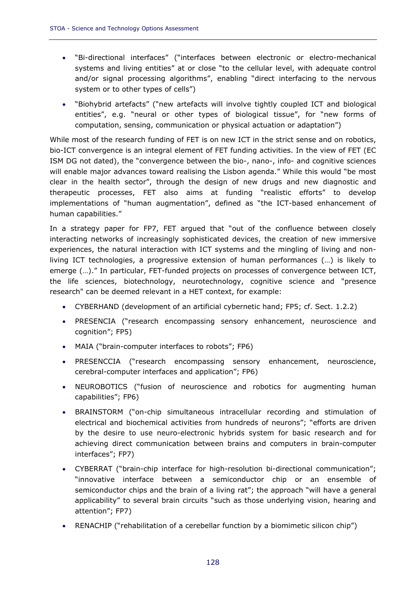- "Bi-directional interfaces" ("interfaces between electronic or electro-mechanical systems and living entities" at or close "to the cellular level, with adequate control and/or signal processing algorithms", enabling "direct interfacing to the nervous system or to other types of cells")
- "Biohybrid artefacts" ("new artefacts will involve tightly coupled ICT and biological entities", e.g. "neural or other types of biological tissue", for "new forms of computation, sensing, communication or physical actuation or adaptation")

While most of the research funding of FET is on new ICT in the strict sense and on robotics, bio-ICT convergence is an integral element of FET funding activities. In the view of FET (EC ISM DG not dated), the "convergence between the bio-, nano-, info- and cognitive sciences will enable major advances toward realising the Lisbon agenda." While this would "be most clear in the health sector", through the design of new drugs and new diagnostic and therapeutic processes, FET also aims at funding "realistic efforts" to develop implementations of "human augmentation", defined as "the ICT-based enhancement of human capabilities."

In a strategy paper for FP7, FET argued that "out of the confluence between closely interacting networks of increasingly sophisticated devices, the creation of new immersive experiences, the natural interaction with ICT systems and the mingling of living and nonliving ICT technologies, a progressive extension of human performances (…) is likely to emerge (…)." In particular, FET-funded projects on processes of convergence between ICT, the life sciences, biotechnology, neurotechnology, cognitive science and "presence research" can be deemed relevant in a HET context, for example:

- CYBERHAND (development of an artificial cybernetic hand; FP5; cf. Sect. 1.2.2)
- PRESENCIA ("research encompassing sensory enhancement, neuroscience and cognition"; FP5)
- MAIA ("brain-computer interfaces to robots"; FP6)
- PRESENCCIA ("research encompassing sensory enhancement, neuroscience, cerebral-computer interfaces and application"; FP6)
- NEUROBOTICS ("fusion of neuroscience and robotics for augmenting human capabilities"; FP6)
- BRAINSTORM ("on-chip simultaneous intracellular recording and stimulation of electrical and biochemical activities from hundreds of neurons"; "efforts are driven by the desire to use neuro-electronic hybrids system for basic research and for achieving direct communication between brains and computers in brain-computer interfaces"; FP7)
- CYBERRAT ("brain-chip interface for high-resolution bi-directional communication"; "innovative interface between a semiconductor chip or an ensemble of semiconductor chips and the brain of a living rat"; the approach "will have a general applicability" to several brain circuits "such as those underlying vision, hearing and attention"; FP7)
- RENACHIP ("rehabilitation of a cerebellar function by a biomimetic silicon chip")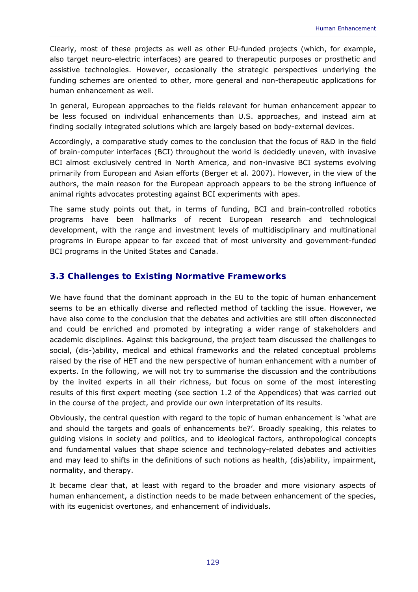Clearly, most of these projects as well as other EU-funded projects (which, for example, also target neuro-electric interfaces) are geared to therapeutic purposes or prosthetic and assistive technologies. However, occasionally the strategic perspectives underlying the funding schemes are oriented to other, more general and non-therapeutic applications for human enhancement as well.

In general, European approaches to the fields relevant for human enhancement appear to be less focused on individual enhancements than U.S. approaches, and instead aim at finding socially integrated solutions which are largely based on body-external devices.

Accordingly, a comparative study comes to the conclusion that the focus of R&D in the field of brain-computer interfaces (BCI) throughout the world is decidedly uneven, with invasive BCI almost exclusively centred in North America, and non-invasive BCI systems evolving primarily from European and Asian efforts (Berger et al. 2007). However, in the view of the authors, the main reason for the European approach appears to be the strong influence of animal rights advocates protesting against BCI experiments with apes.

The same study points out that, in terms of funding, BCI and brain-controlled robotics programs have been hallmarks of recent European research and technological development, with the range and investment levels of multidisciplinary and multinational programs in Europe appear to far exceed that of most university and government-funded BCI programs in the United States and Canada.

### **3.3 Challenges to Existing Normative Frameworks**

We have found that the dominant approach in the EU to the topic of human enhancement seems to be an ethically diverse and reflected method of tackling the issue. However, we have also come to the conclusion that the debates and activities are still often disconnected and could be enriched and promoted by integrating a wider range of stakeholders and academic disciplines. Against this background, the project team discussed the challenges to social, (dis-)ability, medical and ethical frameworks and the related conceptual problems raised by the rise of HET and the new perspective of human enhancement with a number of experts. In the following, we will not try to summarise the discussion and the contributions by the invited experts in all their richness, but focus on some of the most interesting results of this first expert meeting (see section 1.2 of the Appendices) that was carried out in the course of the project, and provide our own interpretation of its results.

Obviously, the central question with regard to the topic of human enhancement is 'what are and should the targets and goals of enhancements be?'. Broadly speaking, this relates to guiding visions in society and politics, and to ideological factors, anthropological concepts and fundamental values that shape science and technology-related debates and activities and may lead to shifts in the definitions of such notions as health, (dis)ability, impairment, normality, and therapy.

It became clear that, at least with regard to the broader and more visionary aspects of human enhancement, a distinction needs to be made between enhancement of the species, with its eugenicist overtones, and enhancement of individuals.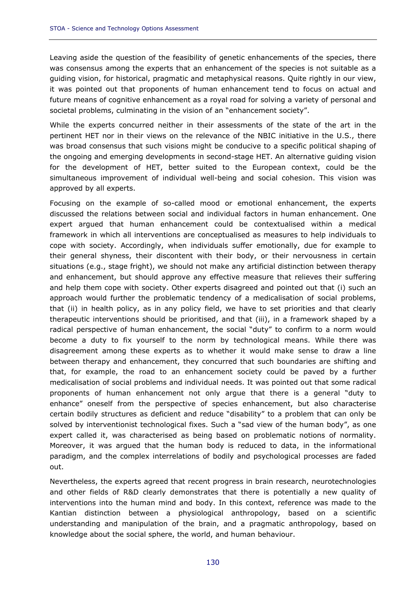Leaving aside the question of the feasibility of genetic enhancements of the species, there was consensus among the experts that an enhancement of the species is not suitable as a guiding vision, for historical, pragmatic and metaphysical reasons. Quite rightly in our view, it was pointed out that proponents of human enhancement tend to focus on actual and future means of cognitive enhancement as a royal road for solving a variety of personal and societal problems, culminating in the vision of an "enhancement society".

While the experts concurred neither in their assessments of the state of the art in the pertinent HET nor in their views on the relevance of the NBIC initiative in the U.S., there was broad consensus that such visions might be conducive to a specific political shaping of the ongoing and emerging developments in second-stage HET. An alternative guiding vision for the development of HET, better suited to the European context, could be the simultaneous improvement of individual well-being and social cohesion. This vision was approved by all experts.

Focusing on the example of so-called mood or emotional enhancement, the experts discussed the relations between social and individual factors in human enhancement. One expert argued that human enhancement could be contextualised within a medical framework in which all interventions are conceptualised as measures to help individuals to cope with society. Accordingly, when individuals suffer emotionally, due for example to their general shyness, their discontent with their body, or their nervousness in certain situations (e.g., stage fright), we should not make any artificial distinction between therapy and enhancement, but should approve any effective measure that relieves their suffering and help them cope with society. Other experts disagreed and pointed out that (i) such an approach would further the problematic tendency of a medicalisation of social problems, that (ii) in health policy, as in any policy field, we have to set priorities and that clearly therapeutic interventions should be prioritised, and that (iii), in a framework shaped by a radical perspective of human enhancement, the social "duty" to confirm to a norm would become a duty to fix yourself to the norm by technological means. While there was disagreement among these experts as to whether it would make sense to draw a line between therapy and enhancement, they concurred that such boundaries are shifting and that, for example, the road to an enhancement society could be paved by a further medicalisation of social problems and individual needs. It was pointed out that some radical proponents of human enhancement not only argue that there is a general "duty to enhance" oneself from the perspective of species enhancement, but also characterise certain bodily structures as deficient and reduce "disability" to a problem that can only be solved by interventionist technological fixes. Such a "sad view of the human body", as one expert called it, was characterised as being based on problematic notions of normality. Moreover, it was argued that the human body is reduced to data, in the informational paradigm, and the complex interrelations of bodily and psychological processes are faded out.

Nevertheless, the experts agreed that recent progress in brain research, neurotechnologies and other fields of R&D clearly demonstrates that there is potentially a new quality of interventions into the human mind and body. In this context, reference was made to the Kantian distinction between a physiological anthropology, based on a scientific understanding and manipulation of the brain, and a pragmatic anthropology, based on knowledge about the social sphere, the world, and human behaviour.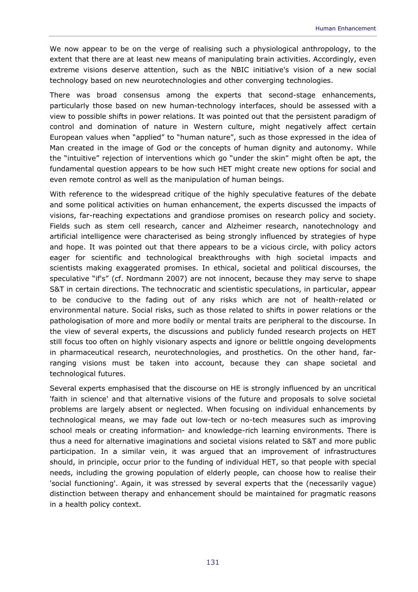We now appear to be on the verge of realising such a physiological anthropology, to the extent that there are at least new means of manipulating brain activities. Accordingly, even extreme visions deserve attention, such as the NBIC initiative's vision of a new social technology based on new neurotechnologies and other converging technologies.

There was broad consensus among the experts that second-stage enhancements, particularly those based on new human-technology interfaces, should be assessed with a view to possible shifts in power relations. It was pointed out that the persistent paradigm of control and domination of nature in Western culture, might negatively affect certain European values when "applied" to "human nature", such as those expressed in the idea of Man created in the image of God or the concepts of human dignity and autonomy. While the "intuitive" rejection of interventions which go "under the skin" might often be apt, the fundamental question appears to be how such HET might create new options for social and even remote control as well as the manipulation of human beings.

With reference to the widespread critique of the highly speculative features of the debate and some political activities on human enhancement, the experts discussed the impacts of visions, far-reaching expectations and grandiose promises on research policy and society. Fields such as stem cell research, cancer and Alzheimer research, nanotechnology and artificial intelligence were characterised as being strongly influenced by strategies of hype and hope. It was pointed out that there appears to be a vicious circle, with policy actors eager for scientific and technological breakthroughs with high societal impacts and scientists making exaggerated promises. In ethical, societal and political discourses, the speculative "if's" (cf. Nordmann 2007) are not innocent, because they may serve to shape S&T in certain directions. The technocratic and scientistic speculations, in particular, appear to be conducive to the fading out of any risks which are not of health-related or environmental nature. Social risks, such as those related to shifts in power relations or the pathologisation of more and more bodily or mental traits are peripheral to the discourse. In the view of several experts, the discussions and publicly funded research projects on HET still focus too often on highly visionary aspects and ignore or belittle ongoing developments in pharmaceutical research, neurotechnologies, and prosthetics. On the other hand, farranging visions must be taken into account, because they can shape societal and technological futures.

Several experts emphasised that the discourse on HE is strongly influenced by an uncritical 'faith in science' and that alternative visions of the future and proposals to solve societal problems are largely absent or neglected. When focusing on individual enhancements by technological means, we may fade out low-tech or no-tech measures such as improving school meals or creating information- and knowledge-rich learning environments. There is thus a need for alternative imaginations and societal visions related to S&T and more public participation. In a similar vein, it was argued that an improvement of infrastructures should, in principle, occur prior to the funding of individual HET, so that people with special needs, including the growing population of elderly people, can choose how to realise their 'social functioning'. Again, it was stressed by several experts that the (necessarily vague) distinction between therapy and enhancement should be maintained for pragmatic reasons in a health policy context.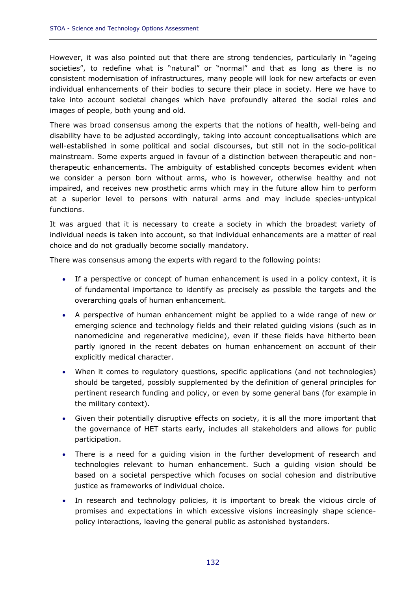However, it was also pointed out that there are strong tendencies, particularly in "ageing societies", to redefine what is "natural" or "normal" and that as long as there is no consistent modernisation of infrastructures, many people will look for new artefacts or even individual enhancements of their bodies to secure their place in society. Here we have to take into account societal changes which have profoundly altered the social roles and images of people, both young and old.

There was broad consensus among the experts that the notions of health, well-being and disability have to be adjusted accordingly, taking into account conceptualisations which are well-established in some political and social discourses, but still not in the socio-political mainstream. Some experts argued in favour of a distinction between therapeutic and nontherapeutic enhancements. The ambiguity of established concepts becomes evident when we consider a person born without arms, who is however, otherwise healthy and not impaired, and receives new prosthetic arms which may in the future allow him to perform at a superior level to persons with natural arms and may include species-untypical functions.

It was argued that it is necessary to create a society in which the broadest variety of individual needs is taken into account, so that individual enhancements are a matter of real choice and do not gradually become socially mandatory.

There was consensus among the experts with regard to the following points:

- If a perspective or concept of human enhancement is used in a policy context, it is of fundamental importance to identify as precisely as possible the targets and the overarching goals of human enhancement.
- A perspective of human enhancement might be applied to a wide range of new or emerging science and technology fields and their related guiding visions (such as in nanomedicine and regenerative medicine), even if these fields have hitherto been partly ignored in the recent debates on human enhancement on account of their explicitly medical character.
- When it comes to regulatory questions, specific applications (and not technologies) should be targeted, possibly supplemented by the definition of general principles for pertinent research funding and policy, or even by some general bans (for example in the military context).
- Given their potentially disruptive effects on society, it is all the more important that the governance of HET starts early, includes all stakeholders and allows for public participation.
- There is a need for a guiding vision in the further development of research and technologies relevant to human enhancement. Such a guiding vision should be based on a societal perspective which focuses on social cohesion and distributive justice as frameworks of individual choice.
- In research and technology policies, it is important to break the vicious circle of promises and expectations in which excessive visions increasingly shape sciencepolicy interactions, leaving the general public as astonished bystanders.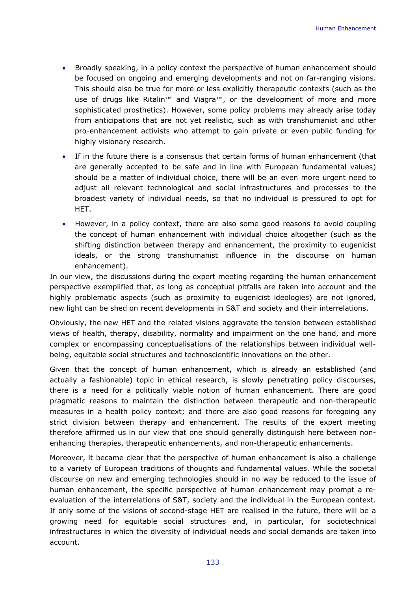- Broadly speaking, in a policy context the perspective of human enhancement should be focused on ongoing and emerging developments and not on far-ranging visions. This should also be true for more or less explicitly therapeutic contexts (such as the use of drugs like Ritalin<sup>™</sup> and Viagra<sup>™</sup>, or the development of more and more sophisticated prosthetics). However, some policy problems may already arise today from anticipations that are not yet realistic, such as with transhumanist and other pro-enhancement activists who attempt to gain private or even public funding for highly visionary research.
- If in the future there is a consensus that certain forms of human enhancement (that are generally accepted to be safe and in line with European fundamental values) should be a matter of individual choice, there will be an even more urgent need to adjust all relevant technological and social infrastructures and processes to the broadest variety of individual needs, so that no individual is pressured to opt for HET.
- However, in a policy context, there are also some good reasons to avoid coupling the concept of human enhancement with individual choice altogether (such as the shifting distinction between therapy and enhancement, the proximity to eugenicist ideals, or the strong transhumanist influence in the discourse on human enhancement).

In our view, the discussions during the expert meeting regarding the human enhancement perspective exemplified that, as long as conceptual pitfalls are taken into account and the highly problematic aspects (such as proximity to eugenicist ideologies) are not ignored, new light can be shed on recent developments in S&T and society and their interrelations.

Obviously, the new HET and the related visions aggravate the tension between established views of health, therapy, disability, normality and impairment on the one hand, and more complex or encompassing conceptualisations of the relationships between individual wellbeing, equitable social structures and technoscientific innovations on the other.

Given that the concept of human enhancement, which is already an established (and actually a fashionable) topic in ethical research, is slowly penetrating policy discourses, there is a need for a politically viable notion of human enhancement. There are good pragmatic reasons to maintain the distinction between therapeutic and non-therapeutic measures in a health policy context; and there are also good reasons for foregoing any strict division between therapy and enhancement. The results of the expert meeting therefore affirmed us in our view that one should generally distinguish here between nonenhancing therapies, therapeutic enhancements, and non-therapeutic enhancements.

Moreover, it became clear that the perspective of human enhancement is also a challenge to a variety of European traditions of thoughts and fundamental values. While the societal discourse on new and emerging technologies should in no way be reduced to the issue of human enhancement, the specific perspective of human enhancement may prompt a reevaluation of the interrelations of S&T, society and the individual in the European context. If only some of the visions of second-stage HET are realised in the future, there will be a growing need for equitable social structures and, in particular, for sociotechnical infrastructures in which the diversity of individual needs and social demands are taken into account.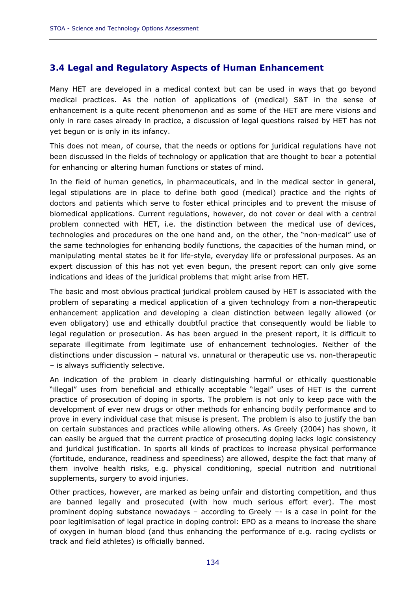# **3.4 Legal and Regulatory Aspects of Human Enhancement**

Many HET are developed in a medical context but can be used in ways that go beyond medical practices. As the notion of applications of (medical) S&T in the sense of enhancement is a quite recent phenomenon and as some of the HET are mere visions and only in rare cases already in practice, a discussion of legal questions raised by HET has not yet begun or is only in its infancy.

This does not mean, of course, that the needs or options for juridical regulations have not been discussed in the fields of technology or application that are thought to bear a potential for enhancing or altering human functions or states of mind.

In the field of human genetics, in pharmaceuticals, and in the medical sector in general, legal stipulations are in place to define both good (medical) practice and the rights of doctors and patients which serve to foster ethical principles and to prevent the misuse of biomedical applications. Current regulations, however, do not cover or deal with a central problem connected with HET, i.e. the distinction between the medical use of devices, technologies and procedures on the one hand and, on the other, the "non-medical" use of the same technologies for enhancing bodily functions, the capacities of the human mind, or manipulating mental states be it for life-style, everyday life or professional purposes. As an expert discussion of this has not yet even begun, the present report can only give some indications and ideas of the juridical problems that might arise from HET.

The basic and most obvious practical juridical problem caused by HET is associated with the problem of separating a medical application of a given technology from a non-therapeutic enhancement application and developing a clean distinction between legally allowed (or even obligatory) use and ethically doubtful practice that consequently would be liable to legal regulation or prosecution. As has been argued in the present report, it is difficult to separate illegitimate from legitimate use of enhancement technologies. Neither of the distinctions under discussion – natural vs. unnatural or therapeutic use vs. non-therapeutic – is always sufficiently selective.

An indication of the problem in clearly distinguishing harmful or ethically questionable "illegal" uses from beneficial and ethically acceptable "legal" uses of HET is the current practice of prosecution of doping in sports. The problem is not only to keep pace with the development of ever new drugs or other methods for enhancing bodily performance and to prove in every individual case that misuse is present. The problem is also to justify the ban on certain substances and practices while allowing others. As Greely (2004) has shown, it can easily be argued that the current practice of prosecuting doping lacks logic consistency and juridical justification. In sports all kinds of practices to increase physical performance (fortitude, endurance, readiness and speediness) are allowed, despite the fact that many of them involve health risks, e.g. physical conditioning, special nutrition and nutritional supplements, surgery to avoid injuries.

Other practices, however, are marked as being unfair and distorting competition, and thus are banned legally and prosecuted (with how much serious effort ever). The most prominent doping substance nowadays – according to Greely –- is a case in point for the poor legitimisation of legal practice in doping control: EPO as a means to increase the share of oxygen in human blood (and thus enhancing the performance of e.g. racing cyclists or track and field athletes) is officially banned.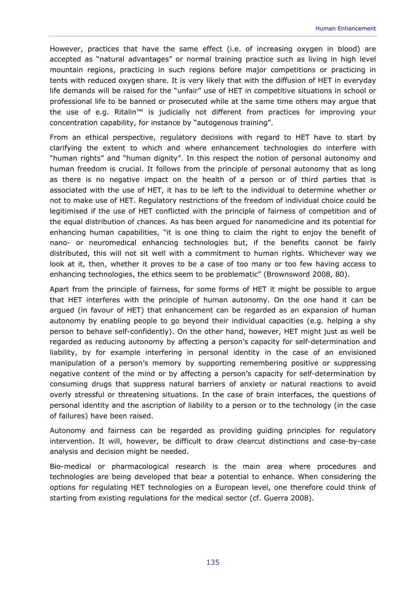However, practices that have the same effect (i.e. of increasing oxygen in blood) are accepted as "natural advantages" or normal training practice such as living in high level mountain regions, practicing in such regions before major competitions or practicing in tents with reduced oxygen share. It is very likely that with the diffusion of HET in everyday life demands will be raised for the "unfair" use of HET in competitive situations in school or professional life to be banned or prosecuted while at the same time others may argue that the use of e.g. Ritalin™ is judicially not different from practices for improving your concentration capability, for instance by "autogenous training".

From an ethical perspective, regulatory decisions with regard to HET have to start by clarifying the extent to which and where enhancement technologies do interfere with "human rights" and "human dignity". In this respect the notion of personal autonomy and human freedom is crucial. It follows from the principle of personal autonomy that as long as there is no negative impact on the health of a person or of third parties that is associated with the use of HET, it has to be left to the individual to determine whether or not to make use of HET. Regulatory restrictions of the freedom of individual choice could be legitimised if the use of HET conflicted with the principle of fairness of competition and of the equal distribution of chances. As has been argued for nanomedicine and its potential for enhancing human capabilities, "it is one thing to claim the right to enjoy the benefit of nano- or neuromedical enhancing technologies but, if the benefits cannot be fairly distributed, this will not sit well with a commitment to human rights. Whichever way we look at it, then, whether it proves to be a case of too many or too few having access to enhancing technologies, the ethics seem to be problematic" (Brownsword 2008, 80).

Apart from the principle of fairness, for some forms of HET it might be possible to argue that HET interferes with the principle of human autonomy. On the one hand it can be argued (in favour of HET) that enhancement can be regarded as an expansion of human autonomy by enabling people to go beyond their individual capacities (e.g. helping a shy person to behave self-confidently). On the other hand, however, HET might just as well be regarded as reducing autonomy by affecting a person's capacity for self-determination and liability, by for example interfering in personal identity in the case of an envisioned manipulation of a person's memory by supporting remembering positive or suppressing negative content of the mind or by affecting a person's capacity for self-determination by consuming drugs that suppress natural barriers of anxiety or natural reactions to avoid overly stressful or threatening situations. In the case of brain interfaces, the questions of personal identity and the ascription of liability to a person or to the technology (in the case of failures) have been raised.

Autonomy and fairness can be regarded as providing guiding principles for regulatory intervention. It will, however, be difficult to draw clearcut distinctions and case-by-case analysis and decision might be needed.

Bio-medical or pharmacological research is the main area where procedures and technologies are being developed that bear a potential to enhance. When considering the options for regulating HET technologies on a European level, one therefore could think of starting from existing regulations for the medical sector (cf. Guerra 2008).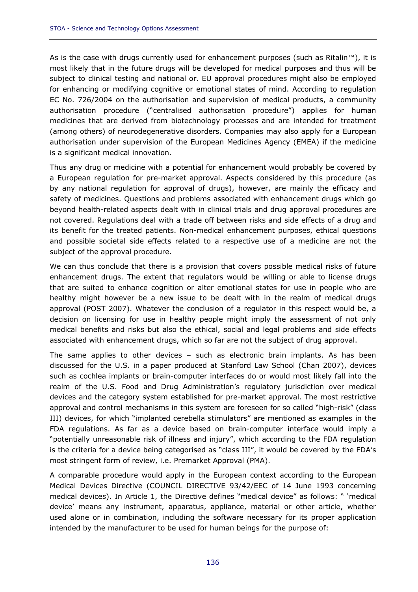As is the case with drugs currently used for enhancement purposes (such as Ritalin™), it is most likely that in the future drugs will be developed for medical purposes and thus will be subject to clinical testing and national or. EU approval procedures might also be employed for enhancing or modifying cognitive or emotional states of mind. According to regulation EC No. 726/2004 on the authorisation and supervision of medical products, a community authorisation procedure ("centralised authorisation procedure") applies for human medicines that are derived from biotechnology processes and are intended for treatment (among others) of neurodegenerative disorders. Companies may also apply for a European authorisation under supervision of the European Medicines Agency (EMEA) if the medicine is a significant medical innovation.

Thus any drug or medicine with a potential for enhancement would probably be covered by a European regulation for pre-market approval. Aspects considered by this procedure (as by any national regulation for approval of drugs), however, are mainly the efficacy and safety of medicines. Questions and problems associated with enhancement drugs which go beyond health-related aspects dealt with in clinical trials and drug approval procedures are not covered. Regulations deal with a trade off between risks and side effects of a drug and its benefit for the treated patients. Non-medical enhancement purposes, ethical questions and possible societal side effects related to a respective use of a medicine are not the subject of the approval procedure.

We can thus conclude that there is a provision that covers possible medical risks of future enhancement drugs. The extent that regulators would be willing or able to license drugs that are suited to enhance cognition or alter emotional states for use in people who are healthy might however be a new issue to be dealt with in the realm of medical drugs approval (POST 2007). Whatever the conclusion of a regulator in this respect would be, a decision on licensing for use in healthy people might imply the assessment of not only medical benefits and risks but also the ethical, social and legal problems and side effects associated with enhancement drugs, which so far are not the subject of drug approval.

The same applies to other devices – such as electronic brain implants. As has been discussed for the U.S. in a paper produced at Stanford Law School (Chan 2007), devices such as cochlea implants or brain-computer interfaces do or would most likely fall into the realm of the U.S. Food and Drug Administration's regulatory jurisdiction over medical devices and the category system established for pre-market approval. The most restrictive approval and control mechanisms in this system are foreseen for so called "high-risk" (class III) devices, for which "implanted cerebella stimulators" are mentioned as examples in the FDA regulations. As far as a device based on brain-computer interface would imply a "potentially unreasonable risk of illness and injury", which according to the FDA regulation is the criteria for a device being categorised as "class III", it would be covered by the FDA's most stringent form of review, i.e. Premarket Approval (PMA).

A comparable procedure would apply in the European context according to the European Medical Devices Directive (COUNCIL DIRECTIVE 93/42/EEC of 14 June 1993 concerning medical devices). In Article 1, the Directive defines "medical device" as follows: " 'medical device' means any instrument, apparatus, appliance, material or other article, whether used alone or in combination, including the software necessary for its proper application intended by the manufacturer to be used for human beings for the purpose of: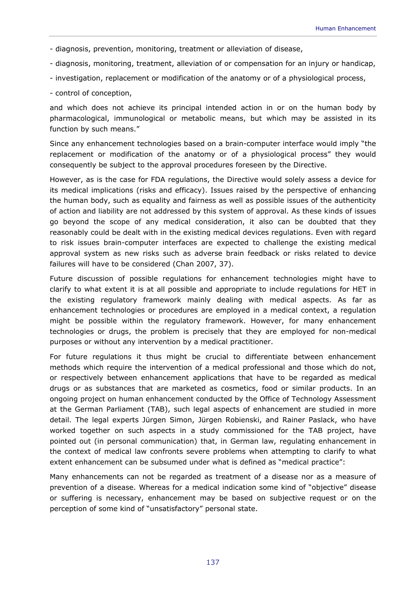- diagnosis, prevention, monitoring, treatment or alleviation of disease,
- diagnosis, monitoring, treatment, alleviation of or compensation for an injury or handicap,
- investigation, replacement or modification of the anatomy or of a physiological process,
- control of conception,

and which does not achieve its principal intended action in or on the human body by pharmacological, immunological or metabolic means, but which may be assisted in its function by such means."

Since any enhancement technologies based on a brain-computer interface would imply "the replacement or modification of the anatomy or of a physiological process" they would consequently be subject to the approval procedures foreseen by the Directive.

However, as is the case for FDA regulations, the Directive would solely assess a device for its medical implications (risks and efficacy). Issues raised by the perspective of enhancing the human body, such as equality and fairness as well as possible issues of the authenticity of action and liability are not addressed by this system of approval. As these kinds of issues go beyond the scope of any medical consideration, it also can be doubted that they reasonably could be dealt with in the existing medical devices regulations. Even with regard to risk issues brain-computer interfaces are expected to challenge the existing medical approval system as new risks such as adverse brain feedback or risks related to device failures will have to be considered (Chan 2007, 37).

Future discussion of possible regulations for enhancement technologies might have to clarify to what extent it is at all possible and appropriate to include regulations for HET in the existing regulatory framework mainly dealing with medical aspects. As far as enhancement technologies or procedures are employed in a medical context, a regulation might be possible within the regulatory framework. However, for many enhancement technologies or drugs, the problem is precisely that they are employed for non-medical purposes or without any intervention by a medical practitioner.

For future regulations it thus might be crucial to differentiate between enhancement methods which require the intervention of a medical professional and those which do not, or respectively between enhancement applications that have to be regarded as medical drugs or as substances that are marketed as cosmetics, food or similar products. In an ongoing project on human enhancement conducted by the Office of Technology Assessment at the German Parliament (TAB), such legal aspects of enhancement are studied in more detail. The legal experts Jürgen Simon, Jürgen Robienski, and Rainer Paslack, who have worked together on such aspects in a study commissioned for the TAB project, have pointed out (in personal communication) that, in German law, regulating enhancement in the context of medical law confronts severe problems when attempting to clarify to what extent enhancement can be subsumed under what is defined as "medical practice":

Many enhancements can not be regarded as treatment of a disease nor as a measure of prevention of a disease. Whereas for a medical indication some kind of "objective" disease or suffering is necessary, enhancement may be based on subjective request or on the perception of some kind of "unsatisfactory" personal state.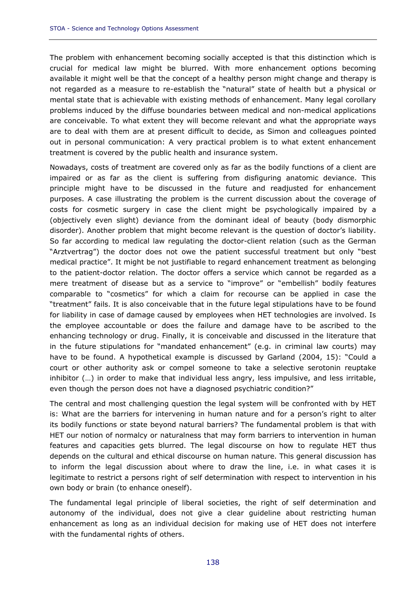The problem with enhancement becoming socially accepted is that this distinction which is crucial for medical law might be blurred. With more enhancement options becoming available it might well be that the concept of a healthy person might change and therapy is not regarded as a measure to re-establish the "natural" state of health but a physical or mental state that is achievable with existing methods of enhancement. Many legal corollary problems induced by the diffuse boundaries between medical and non-medical applications are conceivable. To what extent they will become relevant and what the appropriate ways are to deal with them are at present difficult to decide, as Simon and colleagues pointed out in personal communication: A very practical problem is to what extent enhancement treatment is covered by the public health and insurance system.

Nowadays, costs of treatment are covered only as far as the bodily functions of a client are impaired or as far as the client is suffering from disfiguring anatomic deviance. This principle might have to be discussed in the future and readjusted for enhancement purposes. A case illustrating the problem is the current discussion about the coverage of costs for cosmetic surgery in case the client might be psychologically impaired by a (objectively even slight) deviance from the dominant ideal of beauty (body dismorphic disorder). Another problem that might become relevant is the question of doctor's liability. So far according to medical law regulating the doctor-client relation (such as the German "Arztvertrag") the doctor does not owe the patient successful treatment but only "best medical practice". It might be not justifiable to regard enhancement treatment as belonging to the patient-doctor relation. The doctor offers a service which cannot be regarded as a mere treatment of disease but as a service to "improve" or "embellish" bodily features comparable to "cosmetics" for which a claim for recourse can be applied in case the "treatment" fails. It is also conceivable that in the future legal stipulations have to be found for liability in case of damage caused by employees when HET technologies are involved. Is the employee accountable or does the failure and damage have to be ascribed to the enhancing technology or drug. Finally, it is conceivable and discussed in the literature that in the future stipulations for "mandated enhancement" (e.g. in criminal law courts) may have to be found. A hypothetical example is discussed by Garland (2004, 15): "Could a court or other authority ask or compel someone to take a selective serotonin reuptake inhibitor (…) in order to make that individual less angry, less impulsive, and less irritable, even though the person does not have a diagnosed psychiatric condition?"

The central and most challenging question the legal system will be confronted with by HET is: What are the barriers for intervening in human nature and for a person's right to alter its bodily functions or state beyond natural barriers? The fundamental problem is that with HET our notion of normalcy or naturalness that may form barriers to intervention in human features and capacities gets blurred. The legal discourse on how to regulate HET thus depends on the cultural and ethical discourse on human nature. This general discussion has to inform the legal discussion about where to draw the line, i.e. in what cases it is legitimate to restrict a persons right of self determination with respect to intervention in his own body or brain (to enhance oneself).

The fundamental legal principle of liberal societies, the right of self determination and autonomy of the individual, does not give a clear guideline about restricting human enhancement as long as an individual decision for making use of HET does not interfere with the fundamental rights of others.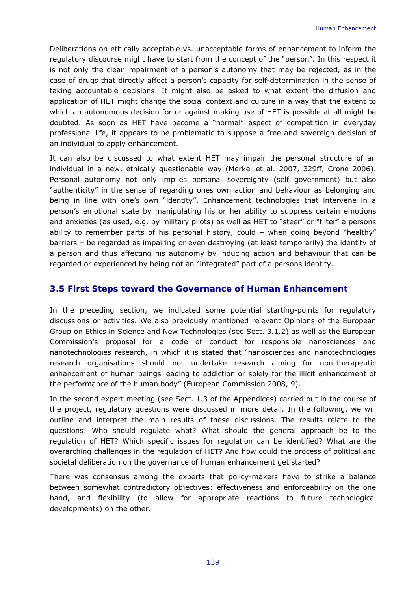Deliberations on ethically acceptable vs. unacceptable forms of enhancement to inform the regulatory discourse might have to start from the concept of the "person". In this respect it is not only the clear impairment of a person's autonomy that may be rejected, as in the case of drugs that directly affect a person's capacity for self-determination in the sense of taking accountable decisions. It might also be asked to what extent the diffusion and application of HET might change the social context and culture in a way that the extent to which an autonomous decision for or against making use of HET is possible at all might be doubted. As soon as HET have become a "normal" aspect of competition in everyday professional life, it appears to be problematic to suppose a free and sovereign decision of an individual to apply enhancement.

It can also be discussed to what extent HET may impair the personal structure of an individual in a new, ethically questionable way (Merkel et al. 2007, 329ff, Crone 2006). Personal autonomy not only implies personal sovereignty (self government) but also "authenticity" in the sense of regarding ones own action and behaviour as belonging and being in line with one's own "identity". Enhancement technologies that intervene in a person's emotional state by manipulating his or her ability to suppress certain emotions and anxieties (as used, e.g. by military pilots) as well as HET to "steer" or "filter" a persons ability to remember parts of his personal history, could – when going beyond "healthy" barriers – be regarded as impairing or even destroying (at least temporarily) the identity of a person and thus affecting his autonomy by inducing action and behaviour that can be regarded or experienced by being not an "integrated" part of a persons identity.

### **3.5 First Steps toward the Governance of Human Enhancement**

In the preceding section, we indicated some potential starting-points for regulatory discussions or activities. We also previously mentioned relevant Opinions of the European Group on Ethics in Science and New Technologies (see Sect. 3.1.2) as well as the European Commission's proposal for a code of conduct for responsible nanosciences and nanotechnologies research, in which it is stated that "nanosciences and nanotechnologies research organisations should not undertake research aiming for non-therapeutic enhancement of human beings leading to addiction or solely for the illicit enhancement of the performance of the human body" (European Commission 2008, 9).

In the second expert meeting (see Sect. 1.3 of the Appendices) carried out in the course of the project, regulatory questions were discussed in more detail. In the following, we will outline and interpret the main results of these discussions. The results relate to the questions: Who should regulate what? What should the general approach be to the regulation of HET? Which specific issues for regulation can be identified? What are the overarching challenges in the regulation of HET? And how could the process of political and societal deliberation on the governance of human enhancement get started?

There was consensus among the experts that policy-makers have to strike a balance between somewhat contradictory objectives: effectiveness and enforceability on the one hand, and flexibility (to allow for appropriate reactions to future technological developments) on the other.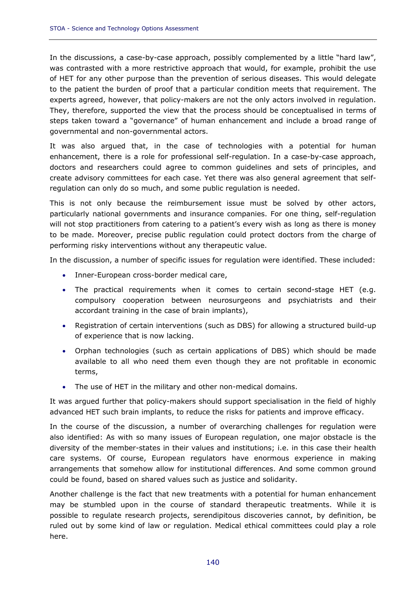In the discussions, a case-by-case approach, possibly complemented by a little "hard law", was contrasted with a more restrictive approach that would, for example, prohibit the use of HET for any other purpose than the prevention of serious diseases. This would delegate to the patient the burden of proof that a particular condition meets that requirement. The experts agreed, however, that policy-makers are not the only actors involved in regulation. They, therefore, supported the view that the process should be conceptualised in terms of steps taken toward a "governance" of human enhancement and include a broad range of governmental and non-governmental actors.

It was also argued that, in the case of technologies with a potential for human enhancement, there is a role for professional self-regulation. In a case-by-case approach, doctors and researchers could agree to common guidelines and sets of principles, and create advisory committees for each case. Yet there was also general agreement that selfregulation can only do so much, and some public regulation is needed.

This is not only because the reimbursement issue must be solved by other actors, particularly national governments and insurance companies. For one thing, self-regulation will not stop practitioners from catering to a patient's every wish as long as there is money to be made. Moreover, precise public regulation could protect doctors from the charge of performing risky interventions without any therapeutic value.

In the discussion, a number of specific issues for regulation were identified. These included:

- Inner-European cross-border medical care,
- The practical requirements when it comes to certain second-stage HET (e.g. compulsory cooperation between neurosurgeons and psychiatrists and their accordant training in the case of brain implants),
- Registration of certain interventions (such as DBS) for allowing a structured build-up of experience that is now lacking.
- Orphan technologies (such as certain applications of DBS) which should be made available to all who need them even though they are not profitable in economic terms,
- The use of HET in the military and other non-medical domains.

It was argued further that policy-makers should support specialisation in the field of highly advanced HET such brain implants, to reduce the risks for patients and improve efficacy.

In the course of the discussion, a number of overarching challenges for regulation were also identified: As with so many issues of European regulation, one major obstacle is the diversity of the member-states in their values and institutions; i.e. in this case their health care systems. Of course, European regulators have enormous experience in making arrangements that somehow allow for institutional differences. And some common ground could be found, based on shared values such as justice and solidarity.

Another challenge is the fact that new treatments with a potential for human enhancement may be stumbled upon in the course of standard therapeutic treatments. While it is possible to regulate research projects, serendipitous discoveries cannot, by definition, be ruled out by some kind of law or regulation. Medical ethical committees could play a role here.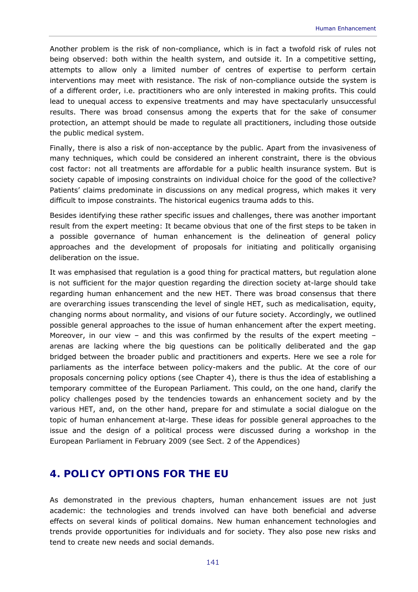Another problem is the risk of non-compliance, which is in fact a twofold risk of rules not being observed: both within the health system, and outside it. In a competitive setting, attempts to allow only a limited number of centres of expertise to perform certain interventions may meet with resistance. The risk of non-compliance outside the system is of a different order, i.e. practitioners who are only interested in making profits. This could lead to unequal access to expensive treatments and may have spectacularly unsuccessful results. There was broad consensus among the experts that for the sake of consumer protection, an attempt should be made to regulate all practitioners, including those outside the public medical system.

Finally, there is also a risk of non-acceptance by the public. Apart from the invasiveness of many techniques, which could be considered an inherent constraint, there is the obvious cost factor: not all treatments are affordable for a public health insurance system. But is society capable of imposing constraints on individual choice for the good of the collective? Patients' claims predominate in discussions on any medical progress, which makes it very difficult to impose constraints. The historical eugenics trauma adds to this.

Besides identifying these rather specific issues and challenges, there was another important result from the expert meeting: It became obvious that one of the first steps to be taken in a possible governance of human enhancement is the delineation of general policy approaches and the development of proposals for initiating and politically organising deliberation on the issue.

It was emphasised that regulation is a good thing for practical matters, but regulation alone is not sufficient for the major question regarding the direction society at-large should take regarding human enhancement and the new HET. There was broad consensus that there are overarching issues transcending the level of single HET, such as medicalisation, equity, changing norms about normality, and visions of our future society. Accordingly, we outlined possible general approaches to the issue of human enhancement after the expert meeting. Moreover, in our view – and this was confirmed by the results of the expert meeting – arenas are lacking where the big questions can be politically deliberated and the gap bridged between the broader public and practitioners and experts. Here we see a role for parliaments as the interface between policy-makers and the public. At the core of our proposals concerning policy options (see Chapter 4), there is thus the idea of establishing a temporary committee of the European Parliament. This could, on the one hand, clarify the policy challenges posed by the tendencies towards an enhancement society and by the various HET, and, on the other hand, prepare for and stimulate a social dialogue on the topic of human enhancement at-large. These ideas for possible general approaches to the issue and the design of a political process were discussed during a workshop in the European Parliament in February 2009 (see Sect. 2 of the Appendices)

# **4. POLICY OPTIONS FOR THE EU**

As demonstrated in the previous chapters, human enhancement issues are not just academic: the technologies and trends involved can have both beneficial and adverse effects on several kinds of political domains. New human enhancement technologies and trends provide opportunities for individuals and for society. They also pose new risks and tend to create new needs and social demands.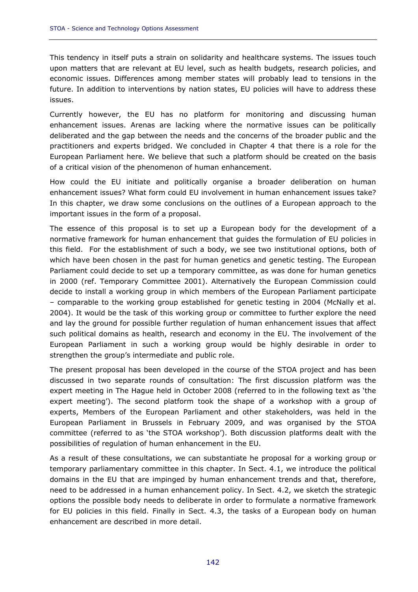This tendency in itself puts a strain on solidarity and healthcare systems. The issues touch upon matters that are relevant at EU level, such as health budgets, research policies, and economic issues. Differences among member states will probably lead to tensions in the future. In addition to interventions by nation states, EU policies will have to address these issues.

Currently however, the EU has no platform for monitoring and discussing human enhancement issues. Arenas are lacking where the normative issues can be politically deliberated and the gap between the needs and the concerns of the broader public and the practitioners and experts bridged. We concluded in Chapter 4 that there is a role for the European Parliament here. We believe that such a platform should be created on the basis of a critical vision of the phenomenon of human enhancement.

How could the EU initiate and politically organise a broader deliberation on human enhancement issues? What form could EU involvement in human enhancement issues take? In this chapter, we draw some conclusions on the outlines of a European approach to the important issues in the form of a proposal.

The essence of this proposal is to set up a European body for the development of a normative framework for human enhancement that guides the formulation of EU policies in this field. For the establishment of such a body, we see two institutional options, both of which have been chosen in the past for human genetics and genetic testing. The European Parliament could decide to set up a temporary committee, as was done for human genetics in 2000 (ref. Temporary Committee 2001). Alternatively the European Commission could decide to install a working group in which members of the European Parliament participate – comparable to the working group established for genetic testing in 2004 (McNally et al. 2004). It would be the task of this working group or committee to further explore the need and lay the ground for possible further regulation of human enhancement issues that affect such political domains as health, research and economy in the EU. The involvement of the European Parliament in such a working group would be highly desirable in order to strengthen the group's intermediate and public role.

The present proposal has been developed in the course of the STOA project and has been discussed in two separate rounds of consultation: The first discussion platform was the expert meeting in The Hague held in October 2008 (referred to in the following text as 'the expert meeting'). The second platform took the shape of a workshop with a group of experts, Members of the European Parliament and other stakeholders, was held in the European Parliament in Brussels in February 2009, and was organised by the STOA committee (referred to as 'the STOA workshop'). Both discussion platforms dealt with the possibilities of regulation of human enhancement in the EU.

As a result of these consultations, we can substantiate he proposal for a working group or temporary parliamentary committee in this chapter. In Sect. 4.1, we introduce the political domains in the EU that are impinged by human enhancement trends and that, therefore, need to be addressed in a human enhancement policy. In Sect. 4.2, we sketch the strategic options the possible body needs to deliberate in order to formulate a normative framework for EU policies in this field. Finally in Sect. 4.3, the tasks of a European body on human enhancement are described in more detail.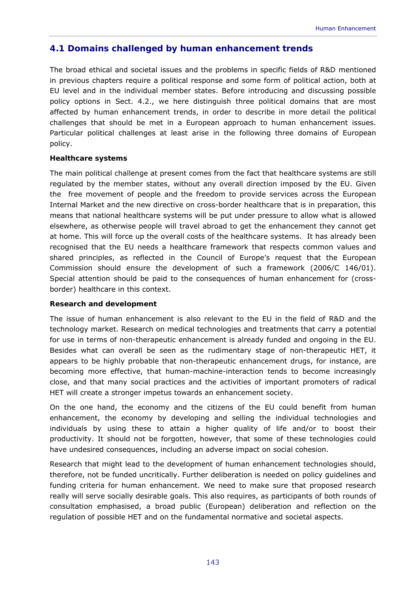# **4.1 Domains challenged by human enhancement trends**

The broad ethical and societal issues and the problems in specific fields of R&D mentioned in previous chapters require a political response and some form of political action, both at EU level and in the individual member states. Before introducing and discussing possible policy options in Sect. 4.2., we here distinguish three political domains that are most affected by human enhancement trends, in order to describe in more detail the political challenges that should be met in a European approach to human enhancement issues. Particular political challenges at least arise in the following three domains of European policy.

# *Healthcare systems*

The main political challenge at present comes from the fact that healthcare systems are still regulated by the member states, without any overall direction imposed by the EU. Given the free movement of people and the freedom to provide services across the European Internal Market and the new directive on cross-border healthcare that is in preparation, this means that national healthcare systems will be put under pressure to allow what is allowed elsewhere, as otherwise people will travel abroad to get the enhancement they cannot get at home. This will force up the overall costs of the healthcare systems. It has already been recognised that the EU needs a healthcare framework that respects common values and shared principles, as reflected in the Council of Europe's request that the European Commission should ensure the development of such a framework (2006/C 146/01). Special attention should be paid to the consequences of human enhancement for (crossborder) healthcare in this context.

### *Research and development*

The issue of human enhancement is also relevant to the EU in the field of R&D and the technology market. Research on medical technologies and treatments that carry a potential for use in terms of non-therapeutic enhancement is already funded and ongoing in the EU. Besides what can overall be seen as the rudimentary stage of non-therapeutic HET, it appears to be highly probable that non-therapeutic enhancement drugs, for instance, are becoming more effective, that human-machine-interaction tends to become increasingly close, and that many social practices and the activities of important promoters of radical HET will create a stronger impetus towards an enhancement society.

On the one hand, the economy and the citizens of the EU could benefit from human enhancement, the economy by developing and selling the individual technologies and individuals by using these to attain a higher quality of life and/or to boost their productivity. It should not be forgotten, however, that some of these technologies could have undesired consequences, including an adverse impact on social cohesion.

Research that might lead to the development of human enhancement technologies should, therefore, not be funded uncritically. Further deliberation is needed on policy guidelines and funding criteria for human enhancement. We need to make sure that proposed research really will serve socially desirable goals. This also requires, as participants of both rounds of consultation emphasised, a broad public (European) deliberation and reflection on the regulation of possible HET and on the fundamental normative and societal aspects.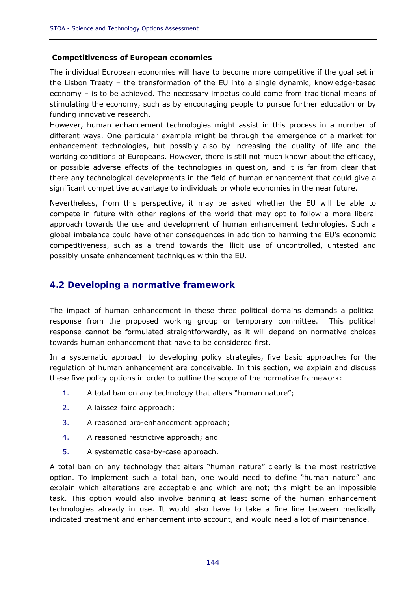### *Competitiveness of European economies*

The individual European economies will have to become more competitive if the goal set in the Lisbon Treaty – the transformation of the EU into a single dynamic, knowledge-based economy – is to be achieved. The necessary impetus could come from traditional means of stimulating the economy, such as by encouraging people to pursue further education or by funding innovative research.

However, human enhancement technologies might assist in this process in a number of different ways. One particular example might be through the emergence of a market for enhancement technologies, but possibly also by increasing the quality of life and the working conditions of Europeans. However, there is still not much known about the efficacy, or possible adverse effects of the technologies in question, and it is far from clear that there any technological developments in the field of human enhancement that could give a significant competitive advantage to individuals or whole economies in the near future.

Nevertheless, from this perspective, it may be asked whether the EU will be able to compete in future with other regions of the world that may opt to follow a more liberal approach towards the use and development of human enhancement technologies. Such a global imbalance could have other consequences in addition to harming the EU's economic competitiveness, such as a trend towards the illicit use of uncontrolled, untested and possibly unsafe enhancement techniques within the EU.

# **4.2 Developing a normative framework**

The impact of human enhancement in these three political domains demands a political response from the proposed working group or temporary committee. This political response cannot be formulated straightforwardly, as it will depend on normative choices towards human enhancement that have to be considered first.

In a systematic approach to developing policy strategies, five basic approaches for the regulation of human enhancement are conceivable. In this section, we explain and discuss these five policy options in order to outline the scope of the normative framework:

- 1. A total ban on any technology that alters "human nature";
- 2. A *laissez-faire* approach;
- 3. A reasoned pro-enhancement approach;
- 4. A reasoned restrictive approach; and
- 5. A systematic case-by-case approach.

A total ban on any technology that alters "human nature" clearly is the most restrictive option. To implement such a total ban, one would need to define "human nature" and explain which alterations are acceptable and which are not; this might be an impossible task. This option would also involve banning at least some of the human enhancement technologies already in use. It would also have to take a fine line between medically indicated treatment and enhancement into account, and would need a lot of maintenance.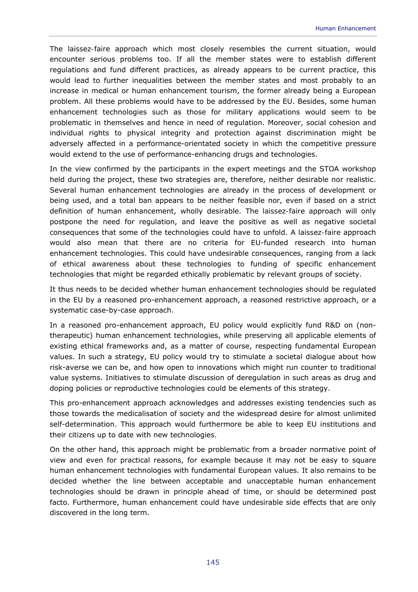The *laissez-faire* approach which most closely resembles the current situation, would encounter serious problems too. If all the member states were to establish different regulations and fund different practices, as already appears to be current practice, this would lead to further inequalities between the member states and most probably to an increase in medical or human enhancement tourism, the former already being a European problem. All these problems would have to be addressed by the EU. Besides, some human enhancement technologies such as those for military applications would seem to be problematic in themselves and hence in need of regulation. Moreover, social cohesion and individual rights to physical integrity and protection against discrimination might be adversely affected in a performance-orientated society in which the competitive pressure would extend to the use of performance-enhancing drugs and technologies.

In the view confirmed by the participants in the expert meetings and the STOA workshop held during the project, these two strategies are, therefore, neither desirable nor realistic. Several human enhancement technologies are already in the process of development or being used, and a total ban appears to be neither feasible nor, even if based on a strict definition of human enhancement, wholly desirable. The *laissez-faire* approach will only postpone the need for regulation, and leave the positive as well as negative societal consequences that some of the technologies could have to unfold. A *laissez-faire* approach would also mean that there are no criteria for EU-funded research into human enhancement technologies. This could have undesirable consequences, ranging from a lack of ethical awareness about these technologies to funding of specific enhancement technologies that might be regarded ethically problematic by relevant groups of society.

It thus needs to be decided whether human enhancement technologies should be regulated in the EU by a reasoned pro-enhancement approach, a reasoned restrictive approach, or a systematic case-by-case approach.

In a reasoned pro-enhancement approach, EU policy would explicitly fund R&D on (nontherapeutic) human enhancement technologies, while preserving all applicable elements of existing ethical frameworks and, as a matter of course, respecting fundamental European values. In such a strategy, EU policy would try to stimulate a societal dialogue about how risk-averse we can be, and how open to innovations which might run counter to traditional value systems. Initiatives to stimulate discussion of deregulation in such areas as drug and doping policies or reproductive technologies could be elements of this strategy.

This pro-enhancement approach acknowledges and addresses existing tendencies such as those towards the medicalisation of society and the widespread desire for almost unlimited self-determination. This approach would furthermore be able to keep EU institutions and their citizens up to date with new technologies.

On the other hand, this approach might be problematic from a broader normative point of view and even for practical reasons, for example because it may not be easy to square human enhancement technologies with fundamental European values. It also remains to be decided whether the line between acceptable and unacceptable human enhancement technologies should be drawn in principle ahead of time, or should be determined post facto. Furthermore, human enhancement could have undesirable side effects that are only discovered in the long term.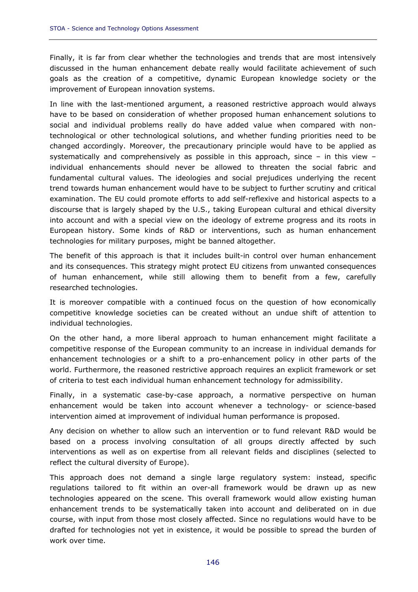Finally, it is far from clear whether the technologies and trends that are most intensively discussed in the human enhancement debate really would facilitate achievement of such goals as the creation of a competitive, dynamic European knowledge society or the improvement of European innovation systems.

In line with the last-mentioned argument, a reasoned restrictive approach would always have to be based on consideration of whether proposed human enhancement solutions to social and individual problems really do have added value when compared with nontechnological or other technological solutions, and whether funding priorities need to be changed accordingly. Moreover, the precautionary principle would have to be applied as systematically and comprehensively as possible in this approach, since – in this view – individual enhancements should never be allowed to threaten the social fabric and fundamental cultural values. The ideologies and social prejudices underlying the recent trend towards human enhancement would have to be subject to further scrutiny and critical examination. The EU could promote efforts to add self-reflexive and historical aspects to a discourse that is largely shaped by the U.S., taking European cultural and ethical diversity into account and with a special view on the ideology of extreme progress and its roots in European history. Some kinds of R&D or interventions, such as human enhancement technologies for military purposes, might be banned altogether.

The benefit of this approach is that it includes built-in control over human enhancement and its consequences. This strategy might protect EU citizens from unwanted consequences of human enhancement, while still allowing them to benefit from a few, carefully researched technologies.

It is moreover compatible with a continued focus on the question of how economically competitive knowledge societies can be created without an undue shift of attention to individual technologies.

On the other hand, a more liberal approach to human enhancement might facilitate a competitive response of the European community to an increase in individual demands for enhancement technologies or a shift to a pro-enhancement policy in other parts of the world. Furthermore, the reasoned restrictive approach requires an explicit framework or set of criteria to test each individual human enhancement technology for admissibility.

Finally, in a systematic case-by-case approach, a normative perspective on human enhancement would be taken into account whenever a technology- or science-based intervention aimed at improvement of individual human performance is proposed.

Any decision on whether to allow such an intervention or to fund relevant R&D would be based on a process involving consultation of all groups directly affected by such interventions as well as on expertise from all relevant fields and disciplines (selected to reflect the cultural diversity of Europe).

This approach does not demand a single large regulatory system: instead, specific regulations tailored to fit within an over-all framework would be drawn up as new technologies appeared on the scene. This overall framework would allow existing human enhancement trends to be systematically taken into account and deliberated on in due course, with input from those most closely affected. Since no regulations would have to be drafted for technologies not yet in existence, it would be possible to spread the burden of work over time.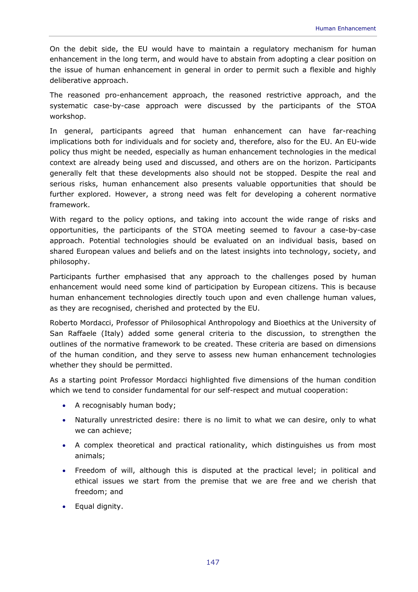On the debit side, the EU would have to maintain a regulatory mechanism for human enhancement in the long term, and would have to abstain from adopting a clear position on the issue of human enhancement in general in order to permit such a flexible and highly deliberative approach.

The reasoned pro-enhancement approach, the reasoned restrictive approach, and the systematic case-by-case approach were discussed by the participants of the STOA workshop.

In general, participants agreed that human enhancement can have far-reaching implications both for individuals and for society and, therefore, also for the EU. An EU-wide policy thus might be needed, especially as human enhancement technologies in the medical context are already being used and discussed, and others are on the horizon. Participants generally felt that these developments also should not be stopped. Despite the real and serious risks, human enhancement also presents valuable opportunities that should be further explored. However, a strong need was felt for developing a coherent normative framework.

With regard to the policy options, and taking into account the wide range of risks and opportunities, the participants of the STOA meeting seemed to favour a case-by-case approach. Potential technologies should be evaluated on an individual basis, based on shared European values and beliefs and on the latest insights into technology, society, and philosophy.

Participants further emphasised that any approach to the challenges posed by human enhancement would need some kind of participation by European citizens. This is because human enhancement technologies directly touch upon and even challenge human values, as they are recognised, cherished and protected by the EU.

Roberto Mordacci, Professor of Philosophical Anthropology and Bioethics at the University of San Raffaele (Italy) added some general criteria to the discussion, to strengthen the outlines of the normative framework to be created. These criteria are based on dimensions of the human condition, and they serve to assess new human enhancement technologies whether they should be permitted.

As a starting point Professor Mordacci highlighted five dimensions of the human condition which we tend to consider fundamental for our self-respect and mutual cooperation:

- A recognisably human body;
- Naturally unrestricted desire: there is no limit to what we can desire, only to what we can achieve;
- A complex theoretical and practical rationality, which distinguishes us from most animals;
- Freedom of will, although this is disputed at the practical level; in political and ethical issues we start from the premise that we are free and we cherish that freedom; and
- Equal dignity.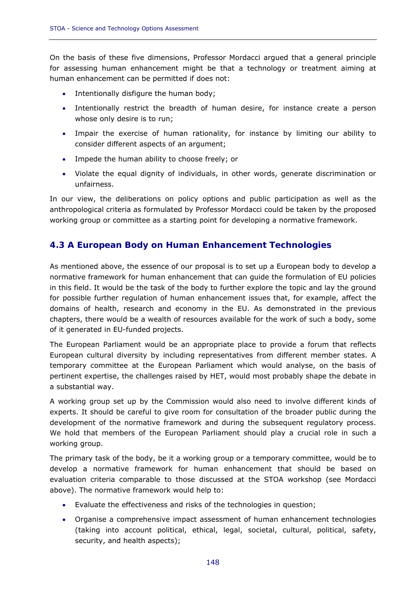On the basis of these five dimensions, Professor Mordacci argued that a general principle for assessing human enhancement might be that a technology or treatment aiming at human enhancement can be permitted if does not:

- Intentionally disfigure the human body;
- Intentionally restrict the breadth of human desire, for instance create a person whose only desire is to run;
- Impair the exercise of human rationality, for instance by limiting our ability to consider different aspects of an argument;
- Impede the human ability to choose freely; or
- Violate the equal dignity of individuals, in other words, generate discrimination or unfairness.

In our view, the deliberations on policy options and public participation as well as the anthropological criteria as formulated by Professor Mordacci could be taken by the proposed working group or committee as a starting point for developing a normative framework.

# **4.3 A European Body on Human Enhancement Technologies**

As mentioned above, the essence of our proposal is to set up a European body to develop a normative framework for human enhancement that can guide the formulation of EU policies in this field. It would be the task of the body to further explore the topic and lay the ground for possible further regulation of human enhancement issues that, for example, affect the domains of health, research and economy in the EU. As demonstrated in the previous chapters, there would be a wealth of resources available for the work of such a body, some of it generated in EU-funded projects.

The European Parliament would be an appropriate place to provide a forum that reflects European cultural diversity by including representatives from different member states. A temporary committee at the European Parliament which would analyse, on the basis of pertinent expertise, the challenges raised by HET, would most probably shape the debate in a substantial way.

A working group set up by the Commission would also need to involve different kinds of experts. It should be careful to give room for consultation of the broader public during the development of the normative framework and during the subsequent regulatory process. We hold that members of the European Parliament should play a crucial role in such a working group.

The primary task of the body, be it a working group or a temporary committee, would be to develop a normative framework for human enhancement that should be based on evaluation criteria comparable to those discussed at the STOA workshop (see Mordacci above). The normative framework would help to:

- Evaluate the effectiveness and risks of the technologies in question;
- Organise a comprehensive impact assessment of human enhancement technologies (taking into account political, ethical, legal, societal, cultural, political, safety, security, and health aspects);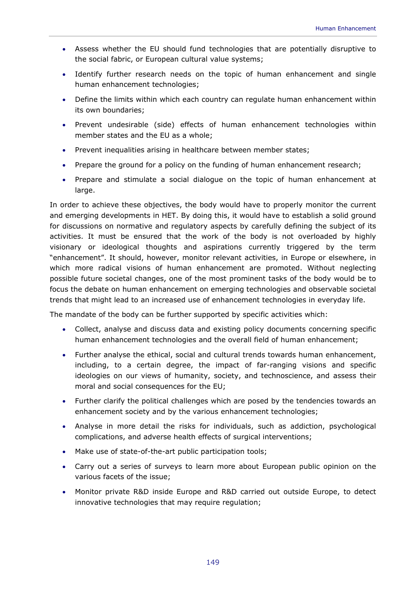- Assess whether the EU should fund technologies that are potentially disruptive to the social fabric, or European cultural value systems;
- Identify further research needs on the topic of human enhancement and single human enhancement technologies;
- Define the limits within which each country can regulate human enhancement within its own boundaries;
- Prevent undesirable (side) effects of human enhancement technologies within member states and the EU as a whole;
- Prevent inequalities arising in healthcare between member states;
- Prepare the ground for a policy on the funding of human enhancement research;
- Prepare and stimulate a social dialogue on the topic of human enhancement at large.

In order to achieve these objectives, the body would have to properly monitor the current and emerging developments in HET. By doing this, it would have to establish a solid ground for discussions on normative and regulatory aspects by carefully defining the subject of its activities. It must be ensured that the work of the body is not overloaded by highly visionary or ideological thoughts and aspirations currently triggered by the term "enhancement". It should, however, monitor relevant activities, in Europe or elsewhere, in which more radical visions of human enhancement are promoted. Without neglecting possible future societal changes, one of the most prominent tasks of the body would be to focus the debate on human enhancement on emerging technologies and observable societal trends that might lead to an increased use of enhancement technologies in everyday life.

The mandate of the body can be further supported by specific activities which:

- Collect, analyse and discuss data and existing policy documents concerning specific human enhancement technologies and the overall field of human enhancement;
- Further analyse the ethical, social and cultural trends towards human enhancement, including, to a certain degree, the impact of far-ranging visions and specific ideologies on our views of humanity, society, and technoscience, and assess their moral and social consequences for the EU;
- Further clarify the political challenges which are posed by the tendencies towards an enhancement society and by the various enhancement technologies;
- Analyse in more detail the risks for individuals, such as addiction, psychological complications, and adverse health effects of surgical interventions;
- Make use of state-of-the-art public participation tools;
- Carry out a series of surveys to learn more about European public opinion on the various facets of the issue;
- Monitor private R&D inside Europe and R&D carried out outside Europe, to detect innovative technologies that may require regulation;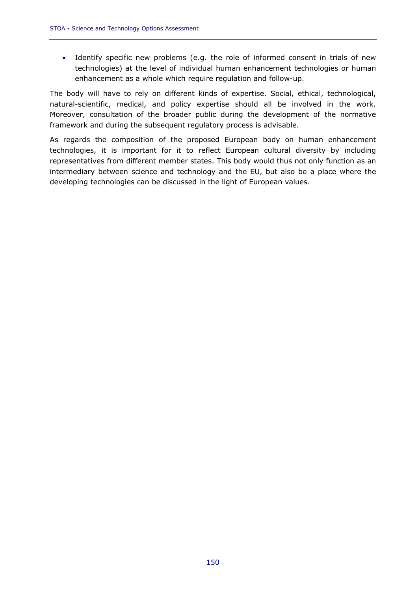• Identify specific new problems (e.g. the role of informed consent in trials of new technologies) at the level of individual human enhancement technologies or human enhancement as a whole which require regulation and follow-up.

The body will have to rely on different kinds of expertise. Social, ethical, technological, natural-scientific, medical, and policy expertise should all be involved in the work. Moreover, consultation of the broader public during the development of the normative framework and during the subsequent regulatory process is advisable.

As regards the composition of the proposed European body on human enhancement technologies, it is important for it to reflect European cultural diversity by including representatives from different member states. This body would thus not only function as an intermediary between science and technology and the EU, but also be a place where the developing technologies can be discussed in the light of European values.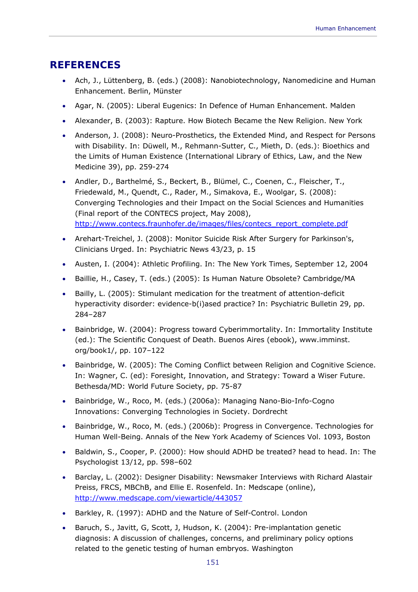# **REFERENCES**

- Ach, J., Lüttenberg, B. (eds.) (2008): Nanobiotechnology, Nanomedicine and Human Enhancement. Berlin, Münster
- Agar, N. (2005): Liberal Eugenics: In Defence of Human Enhancement. Malden
- Alexander, B. (2003): Rapture. How Biotech Became the New Religion. New York
- Anderson, J. (2008): Neuro-Prosthetics, the Extended Mind, and Respect for Persons with Disability. In: Düwell, M., Rehmann-Sutter, C., Mieth, D. (eds.): Bioethics and the Limits of Human Existence (International Library of Ethics, Law, and the New Medicine 39), pp. 259-274
- Andler, D., Barthelmé, S., Beckert, B., Blümel, C., Coenen, C., Fleischer, T., Friedewald, M., Quendt, C., Rader, M., Simakova, E., Woolgar, S. (2008): Converging Technologies and their Impact on the Social Sciences and Humanities (Final report of the CONTECS project, May 2008), http://www.contecs.fraunhofer.de/images/files/contecs\_report\_complete.pdf
- Arehart-Treichel, J. (2008): Monitor Suicide Risk After Surgery for Parkinson's, Clinicians Urged. In: Psychiatric News 43/23, p. 15
- Austen, I. (2004): Athletic Profiling. In: The New York Times, September 12, 2004
- Baillie, H., Casey, T. (eds.) (2005): Is Human Nature Obsolete? Cambridge/MA
- Bailly, L. (2005): Stimulant medication for the treatment of attention-deficit hyperactivity disorder: evidence-b(i)ased practice? In: Psychiatric Bulletin 29, pp. 284–287
- Bainbridge, W. (2004): Progress toward Cyberimmortality. In: Immortality Institute (ed.): The Scientific Conquest of Death. Buenos Aires (ebook), www.imminst. org/book1/, pp. 107–122
- Bainbridge, W. (2005): The Coming Conflict between Religion and Cognitive Science. In: Wagner, C. (ed): Foresight, Innovation, and Strategy: Toward a Wiser Future. Bethesda/MD: World Future Society, pp. 75-87
- Bainbridge, W., Roco, M. (eds.) (2006a): Managing Nano-Bio-Info-Cogno Innovations: Converging Technologies in Society. Dordrecht
- Bainbridge, W., Roco, M. (eds.) (2006b): Progress in Convergence. Technologies for Human Well-Being. Annals of the New York Academy of Sciences Vol. 1093, Boston
- Baldwin, S., Cooper, P. (2000): How should ADHD be treated? head to head. In: The Psychologist 13/12, pp. 598–602
- Barclay, L. (2002): Designer Disability: Newsmaker Interviews with Richard Alastair Preiss, FRCS, MBChB, and Ellie E. Rosenfeld. In: Medscape (online), http://www.medscape.com/viewarticle/443057
- Barkley, R. (1997): ADHD and the Nature of Self-Control. London
- Baruch, S., Javitt, G, Scott, J, Hudson, K. (2004): Pre-implantation genetic diagnosis: A discussion of challenges, concerns, and preliminary policy options related to the genetic testing of human embryos. Washington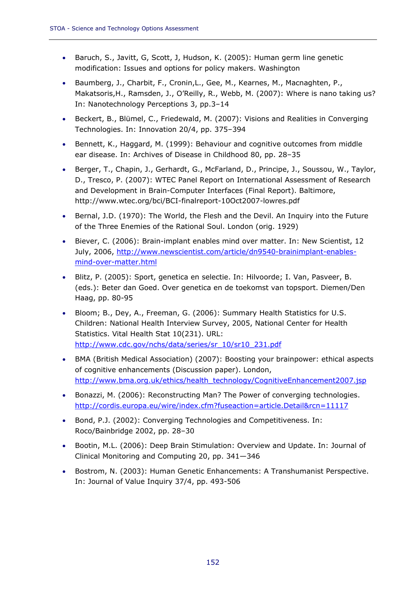- Baruch, S., Javitt, G, Scott, J, Hudson, K. (2005): Human germ line genetic modification: Issues and options for policy makers. Washington
- Baumberg, J., Charbit, F., Cronin,L., Gee, M., Kearnes, M., Macnaghten, P., Makatsoris,H., Ramsden, J., O'Reilly, R., Webb, M. (2007): Where is nano taking us? In: Nanotechnology Perceptions 3, pp.3–14
- Beckert, B., Blümel, C., Friedewald, M. (2007): Visions and Realities in Converging Technologies. In: Innovation 20/4, pp. 375–394
- Bennett, K., Haggard, M. (1999): Behaviour and cognitive outcomes from middle ear disease. In: Archives of Disease in Childhood 80, pp. 28–35
- Berger, T., Chapin, J., Gerhardt, G., McFarland, D., Principe, J., Soussou, W., Taylor, D., Tresco, P. (2007): WTEC Panel Report on International Assessment of Research and Development in Brain-Computer Interfaces (Final Report). Baltimore, http://www.wtec.org/bci/BCI-finalreport-10Oct2007-lowres.pdf
- Bernal, J.D. (1970): The World, the Flesh and the Devil. An Inquiry into the Future of the Three Enemies of the Rational Soul. London (orig. 1929)
- Biever, C. (2006): Brain-implant enables mind over matter. In: New Scientist, 12 July, 2006, http://www.newscientist.com/article/dn9540-brainimplant-enablesmind-over-matter.html
- Blitz, P. (2005): Sport, genetica en selectie. In: Hilvoorde; I. Van, Pasveer, B. (eds.): Beter dan Goed. Over genetica en de toekomst van topsport. Diemen/Den Haag, pp. 80-95
- Bloom; B., Dey, A., Freeman, G. (2006): Summary Health Statistics for U.S. Children: National Health Interview Survey, 2005, National Center for Health Statistics. Vital Health Stat 10(231). URL: http://www.cdc.gov/nchs/data/series/sr\_10/sr10\_231.pdf
- BMA (British Medical Association) (2007): Boosting your brainpower: ethical aspects of cognitive enhancements (Discussion paper). London, http://www.bma.org.uk/ethics/health\_technology/CognitiveEnhancement2007.jsp
- Bonazzi, M. (2006): Reconstructing Man? The Power of converging technologies. http://cordis.europa.eu/wire/index.cfm?fuseaction=article.Detail&rcn=11117
- Bond, P.J. (2002): Converging Technologies and Competitiveness. In: Roco/Bainbridge 2002, pp. 28–30
- Bootin, M.L. (2006): Deep Brain Stimulation: Overview and Update. In: Journal of Clinical Monitoring and Computing 20, pp. 341—346
- Bostrom, N. (2003): Human Genetic Enhancements: A Transhumanist Perspective. In: Journal of Value Inquiry 37/4, pp. 493-506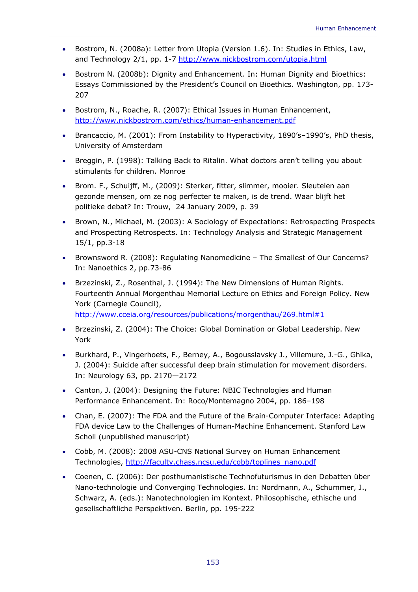- Bostrom, N. (2008a): Letter from Utopia (Version 1.6). In: Studies in Ethics, Law, and Technology 2/1, pp. 1-7 http://www.nickbostrom.com/utopia.html
- Bostrom N. (2008b): Dignity and Enhancement. In: Human Dignity and Bioethics: Essays Commissioned by the President's Council on Bioethics. Washington, pp. 173- 207
- Bostrom, N., Roache, R. (2007): Ethical Issues in Human Enhancement, http://www.nickbostrom.com/ethics/human-enhancement.pdf
- Brancaccio, M. (2001): From Instability to Hyperactivity, 1890's–1990's, PhD thesis, University of Amsterdam
- Breggin, P. (1998): Talking Back to Ritalin. What doctors aren't telling you about stimulants for children. Monroe
- Brom. F., Schuijff, M., (2009): Sterker, fitter, slimmer, mooier. Sleutelen aan gezonde mensen, om ze nog perfecter te maken, is de trend. Waar blijft het politieke debat? In: Trouw, 24 January 2009, p. 39
- Brown, N., Michael, M. (2003): A Sociology of Expectations: Retrospecting Prospects and Prospecting Retrospects. In: Technology Analysis and Strategic Management 15/1, pp.3-18
- Brownsword R. (2008): Regulating Nanomedicine The Smallest of Our Concerns? In: Nanoethics 2, pp.73-86
- Brzezinski, Z., Rosenthal, J. (1994): The New Dimensions of Human Rights. Fourteenth Annual Morgenthau Memorial Lecture on Ethics and Foreign Policy. New York (Carnegie Council), http://www.cceia.org/resources/publications/morgenthau/269.html#1
- Brzezinski, Z. (2004): The Choice: Global Domination or Global Leadership. New York
- Burkhard, P., Vingerhoets, F., Berney, A., Bogousslavsky J., Villemure, J.-G., Ghika, J. (2004): Suicide after successful deep brain stimulation for movement disorders. In: Neurology 63, pp. 2170—2172
- Canton, J. (2004): Designing the Future: NBIC Technologies and Human Performance Enhancement. In: Roco/Montemagno 2004, pp. 186–198
- Chan, E. (2007): The FDA and the Future of the Brain-Computer Interface: Adapting FDA device Law to the Challenges of Human-Machine Enhancement. Stanford Law Scholl (unpublished manuscript)
- Cobb, M. (2008): 2008 ASU-CNS National Survey on Human Enhancement Technologies, http://faculty.chass.ncsu.edu/cobb/toplines\_nano.pdf
- Coenen, C. (2006): Der posthumanistische Technofuturismus in den Debatten über Nano-technologie und Converging Technologies. In: Nordmann, A., Schummer, J., Schwarz, A. (eds.): Nanotechnologien im Kontext. Philosophische, ethische und gesellschaftliche Perspektiven. Berlin, pp. 195-222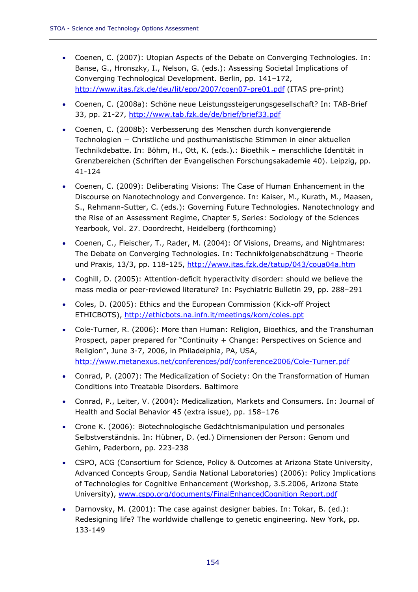- Coenen, C. (2007): Utopian Aspects of the Debate on Converging Technologies. In: Banse, G., Hronszky, I., Nelson, G. (eds.): Assessing Societal Implications of Converging Technological Development. Berlin, pp. 141–172, http://www.itas.fzk.de/deu/lit/epp/2007/coen07-pre01.pdf (ITAS pre-print)
- Coenen, C. (2008a): Schöne neue Leistungssteigerungsgesellschaft? In: TAB-Brief 33, pp. 21-27, http://www.tab.fzk.de/de/brief/brief33.pdf
- Coenen, C. (2008b): Verbesserung des Menschen durch konvergierende Technologien − Christliche und posthumanistische Stimmen in einer aktuellen Technikdebatte. In: Böhm, H., Ott, K. (eds.).: Bioethik – menschliche Identität in Grenzbereichen (Schriften der Evangelischen Forschungsakademie 40). Leipzig, pp. 41-124
- Coenen, C. (2009): Deliberating Visions: The Case of Human Enhancement in the Discourse on Nanotechnology and Convergence. In: Kaiser, M., Kurath, M., Maasen, S., Rehmann-Sutter, C. (eds.): Governing Future Technologies. Nanotechnology and the Rise of an Assessment Regime, Chapter 5, Series: Sociology of the Sciences Yearbook, Vol. 27. Doordrecht, Heidelberg (forthcoming)
- Coenen, C., Fleischer, T., Rader, M. (2004): Of Visions, Dreams, and Nightmares: The Debate on Converging Technologies. In: Technikfolgenabschätzung - Theorie und Praxis, 13/3, pp. 118-125, http://www.itas.fzk.de/tatup/043/coua04a.htm
- Coghill, D. (2005): Attention-deficit hyperactivity disorder: should we believe the mass media or peer-reviewed literature? In: Psychiatric Bulletin 29, pp. 288–291
- Coles, D. (2005): Ethics and the European Commission (Kick-off Project ETHICBOTS), http://ethicbots.na.infn.it/meetings/kom/coles.ppt
- Cole-Turner, R. (2006): More than Human: Religion, Bioethics, and the Transhuman Prospect, paper prepared for "Continuity + Change: Perspectives on Science and Religion", June 3-7, 2006, in Philadelphia, PA, USA, http://www.metanexus.net/conferences/pdf/conference2006/Cole-Turner.pdf
- Conrad, P. (2007): The Medicalization of Society: On the Transformation of Human Conditions into Treatable Disorders. Baltimore
- Conrad, P., Leiter, V. (2004): Medicalization, Markets and Consumers. In: Journal of Health and Social Behavior 45 (extra issue), pp. 158–176
- Crone K. (2006): Biotechnologische Gedächtnismanipulation und personales Selbstverständnis. In: Hübner, D. (ed.) Dimensionen der Person: Genom und Gehirn, Paderborn, pp. 223-238
- CSPO, ACG (Consortium for Science, Policy & Outcomes at Arizona State University, Advanced Concepts Group, Sandia National Laboratories) (2006): Policy Implications of Technologies for Cognitive Enhancement (Workshop, 3.5.2006, Arizona State University), www.cspo.org/documents/FinalEnhancedCognition Report.pdf
- Darnovsky, M. (2001): The case against designer babies. In: Tokar, B. (ed.): Redesigning life? The worldwide challenge to genetic engineering. New York, pp. 133-149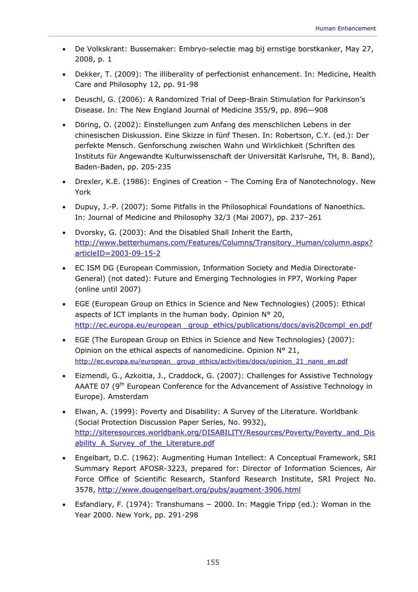- De Volkskrant: Bussemaker: Embryo-selectie mag bij ernstige borstkanker, May 27, 2008, p. 1
- Dekker, T. (2009): The illiberality of perfectionist enhancement. In: Medicine, Health Care and Philosophy 12, pp. 91-98
- Deuschl, G. (2006): A Randomized Trial of Deep-Brain Stimulation for Parkinson's Disease. In: The New England Journal of Medicine 355/9, pp. 896—908
- Döring, O. (2002): Einstellungen zum Anfang des menschlichen Lebens in der chinesischen Diskussion. Eine Skizze in fünf Thesen. In: Robertson, C.Y. (ed.): Der perfekte Mensch. Genforschung zwischen Wahn und Wirklichkeit (Schriften des Instituts für Angewandte Kulturwissenschaft der Universität Karlsruhe, TH, 8. Band), Baden-Baden, pp. 205-235
- Drexler, K.E. (1986): Engines of Creation The Coming Era of Nanotechnology. New York
- Dupuy, J.-P. (2007): Some Pitfalls in the Philosophical Foundations of Nanoethics. In: Journal of Medicine and Philosophy 32/3 (Mai 2007), pp. 237–261
- Dvorsky, G. (2003): And the Disabled Shall Inherit the Earth, http://www.betterhumans.com/Features/Columns/Transitory\_Human/column.aspx? articleID=2003-09-15-2
- EC ISM DG (European Commission, Information Society and Media Directorate-General) (not dated): Future and Emerging Technologies in FP7, Working Paper (online until 2007)
- EGE (European Group on Ethics in Science and New Technologies) (2005): Ethical aspects of ICT implants in the human body. Opinion N° 20, http://ec.europa.eu/european group ethics/publications/docs/avis20compl\_en.pdf
- EGE (The European Group on Ethics in Science and New Technologies) (2007): Opinion on the ethical aspects of nanomedicine. Opinion N° 21, http://ec.europa.eu/european\_ group\_ethics/activities/docs/opinion\_21\_nano\_en.pdf
- Eizmendi, G., Azkoitia, J., Craddock, G. (2007): Challenges for Assistive Technology AAATE 07 (9<sup>th</sup> European Conference for the Advancement of Assistive Technology in Europe). Amsterdam
- Elwan, A. (1999): Poverty and Disability: A Survey of the Literature. Worldbank (Social Protection Discussion Paper Series, No. 9932), http://siteresources.worldbank.org/DISABILITY/Resources/Poverty/Poverty\_and\_Dis ability A Survey of the Literature.pdf
- Engelbart, D.C. (1962): Augmenting Human Intellect: A Conceptual Framework, SRI Summary Report AFOSR-3223, prepared for: Director of Information Sciences, Air Force Office of Scientific Research, Stanford Research Institute, SRI Project No. 3578, http://www.dougengelbart.org/pubs/augment-3906.html
- Esfandiary, F. (1974): Transhumans − 2000. In: Maggie Tripp (ed.): Woman in the Year 2000. New York, pp. 291-298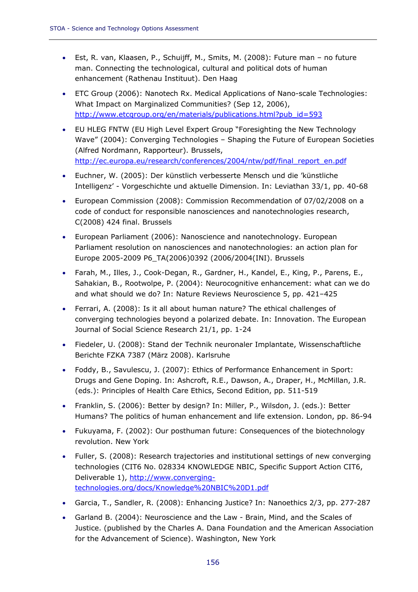- Est, R. van, Klaasen, P., Schuijff, M., Smits, M. (2008): Future man no future man. Connecting the technological, cultural and political dots of human enhancement (Rathenau Instituut). Den Haag
- ETC Group (2006): Nanotech Rx. Medical Applications of Nano-scale Technologies: What Impact on Marginalized Communities? (Sep 12, 2006), http://www.etcgroup.org/en/materials/publications.html?pub\_id=593
- EU HLEG FNTW (EU High Level Expert Group "Foresighting the New Technology Wave" (2004): Converging Technologies – Shaping the Future of European Societies (Alfred Nordmann, Rapporteur). Brussels, http://ec.europa.eu/research/conferences/2004/ntw/pdf/final\_report\_en.pdf
- Euchner, W. (2005): Der künstlich verbesserte Mensch und die 'künstliche Intelligenz' - Vorgeschichte und aktuelle Dimension. In: Leviathan 33/1, pp. 40-68
- European Commission (2008): Commission Recommendation of 07/02/2008 on a code of conduct for responsible nanosciences and nanotechnologies research, C(2008) 424 final. Brussels
- European Parliament (2006): Nanoscience and nanotechnology. European Parliament resolution on nanosciences and nanotechnologies: an action plan for Europe 2005-2009 P6\_TA(2006)0392 (2006/2004(INI). Brussels
- Farah, M., Illes, J., Cook-Degan, R., Gardner, H., Kandel, E., King, P., Parens, E., Sahakian, B., Rootwolpe, P. (2004): Neurocognitive enhancement: what can we do and what should we do? In: Nature Reviews Neuroscience 5, pp. 421–425
- Ferrari, A. (2008): Is it all about human nature? The ethical challenges of converging technologies beyond a polarized debate. In: Innovation. The European Journal of Social Science Research 21/1, pp. 1-24
- Fiedeler, U. (2008): Stand der Technik neuronaler Implantate, Wissenschaftliche Berichte FZKA 7387 (März 2008). Karlsruhe
- Foddy, B., Savulescu, J. (2007): Ethics of Performance Enhancement in Sport: Drugs and Gene Doping. In: Ashcroft, R.E., Dawson, A., Draper, H., McMillan, J.R. (eds.): Principles of Health Care Ethics, Second Edition, pp. 511-519
- Franklin, S. (2006): Better by design? In: Miller, P., Wilsdon, J. (eds.): Better Humans? The politics of human enhancement and life extension. London, pp. 86-94
- Fukuyama, F. (2002): Our posthuman future: Consequences of the biotechnology revolution. New York
- Fuller, S. (2008): Research trajectories and institutional settings of new converging technologies (CIT6 No. 028334 KNOWLEDGE NBIC, Specific Support Action CIT6, Deliverable 1), http://www.convergingtechnologies.org/docs/Knowledge%20NBIC%20D1.pdf
- Garcia, T., Sandler, R. (2008): Enhancing Justice? In: Nanoethics 2/3, pp. 277-287
- Garland B. (2004): Neuroscience and the Law Brain, Mind, and the Scales of Justice. (published by the Charles A. Dana Foundation and the American Association for the Advancement of Science). Washington, New York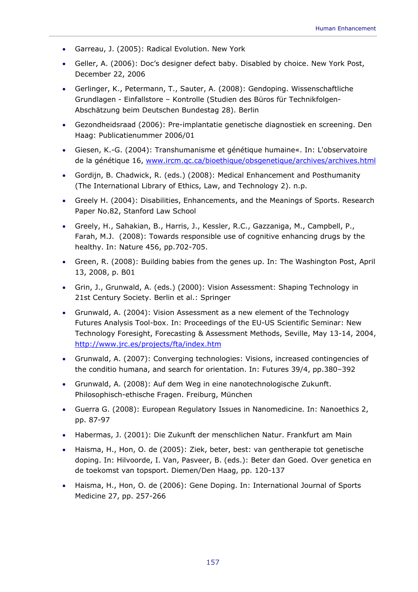- Garreau, J. (2005): Radical Evolution. New York
- Geller, A. (2006): Doc's designer defect baby. Disabled by choice. New York Post, December 22, 2006
- Gerlinger, K., Petermann, T., Sauter, A. (2008): Gendoping. Wissenschaftliche Grundlagen - Einfallstore – Kontrolle (Studien des Büros für Technikfolgen-Abschätzung beim Deutschen Bundestag 28). Berlin
- Gezondheidsraad (2006): Pre-implantatie genetische diagnostiek en screening. Den Haag: Publicatienummer 2006/01
- Giesen, K.-G. (2004): Transhumanisme et génétique humaine«. In: L'observatoire de la génétique 16, www.ircm.qc.ca/bioethique/obsgenetique/archives/archives.html
- Gordijn, B. Chadwick, R. (eds.) (2008): Medical Enhancement and Posthumanity (The International Library of Ethics, Law, and Technology 2). n.p.
- Greely H. (2004): Disabilities, Enhancements, and the Meanings of Sports. Research Paper No.82, Stanford Law School
- Greely, H., Sahakian, B., Harris, J., Kessler, R.C., Gazzaniga, M., Campbell, P., Farah, M.J. (2008): Towards responsible use of cognitive enhancing drugs by the healthy. In: Nature 456, pp.702-705.
- Green, R. (2008): Building babies from the genes up. In: The Washington Post, April 13, 2008, p. B01
- Grin, J., Grunwald, A. (eds.) (2000): Vision Assessment: Shaping Technology in 21st Century Society. Berlin et al.: Springer
- Grunwald, A. (2004): Vision Assessment as a new element of the Technology Futures Analysis Tool-box. In: Proceedings of the EU-US Scientific Seminar: New Technology Foresight, Forecasting & Assessment Methods, Seville, May 13-14, 2004, http://www.jrc.es/projects/fta/index.htm
- Grunwald, A. (2007): Converging technologies: Visions, increased contingencies of the conditio humana, and search for orientation. In: Futures 39/4, pp.380–392
- Grunwald, A. (2008): Auf dem Weg in eine nanotechnologische Zukunft. Philosophisch-ethische Fragen. Freiburg, München
- Guerra G. (2008): European Regulatory Issues in Nanomedicine. In: Nanoethics 2, pp. 87-97
- Habermas, J. (2001): Die Zukunft der menschlichen Natur. Frankfurt am Main
- Haisma, H., Hon, O. de (2005): Ziek, beter, best: van gentherapie tot genetische doping. In: Hilvoorde, I. Van, Pasveer, B. (eds.): Beter dan Goed. Over genetica en de toekomst van topsport. Diemen/Den Haag, pp. 120-137
- Haisma, H., Hon, O. de (2006): Gene Doping. In: International Journal of Sports Medicine 27, pp. 257-266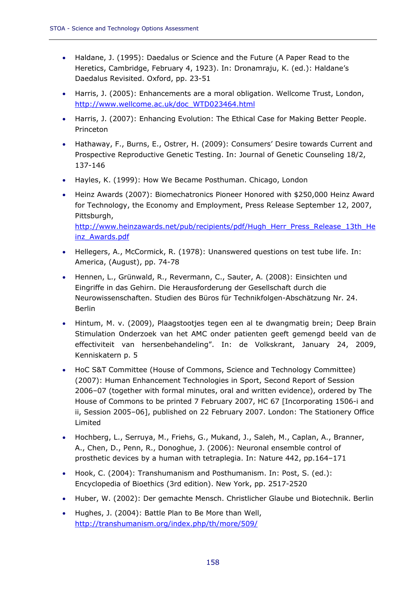inz\_Awards.pdf

- Haldane, J. (1995): Daedalus or Science and the Future (A Paper Read to the Heretics, Cambridge, February 4, 1923). In: Dronamraju, K. (ed.): Haldane's Daedalus Revisited. Oxford, pp. 23-51
- Harris, J. (2005): Enhancements are a moral obligation. Wellcome Trust, London, http://www.wellcome.ac.uk/doc\_WTD023464.html
- Harris, J. (2007): Enhancing Evolution: The Ethical Case for Making Better People. Princeton
- Hathaway, F., Burns, E., Ostrer, H. (2009): Consumers' Desire towards Current and Prospective Reproductive Genetic Testing. In: Journal of Genetic Counseling 18/2, 137-146
- Hayles, K. (1999): How We Became Posthuman. Chicago, London
- Heinz Awards (2007): Biomechatronics Pioneer Honored with \$250,000 Heinz Award for Technology, the Economy and Employment, Press Release September 12, 2007, Pittsburgh, http://www.heinzawards.net/pub/recipients/pdf/Hugh\_Herr\_Press\_Release\_13th\_He
- Hellegers, A., McCormick, R. (1978): Unanswered questions on test tube life. In: America, (August), pp. 74-78
- Hennen, L., Grünwald, R., Revermann, C., Sauter, A. (2008): Einsichten und Eingriffe in das Gehirn. Die Herausforderung der Gesellschaft durch die Neurowissenschaften. Studien des Büros für Technikfolgen-Abschätzung Nr. 24. Berlin
- Hintum, M. v. (2009), Plaagstootjes tegen een al te dwangmatig brein; Deep Brain Stimulation Onderzoek van het AMC onder patienten geeft gemengd beeld van de effectiviteit van hersenbehandeling". In: de Volkskrant, January 24, 2009, Kenniskatern p. 5
- HoC S&T Committee (House of Commons, Science and Technology Committee) (2007): Human Enhancement Technologies in Sport, Second Report of Session 2006–07 (together with formal minutes, oral and written evidence), ordered by The House of Commons to be printed 7 February 2007, HC 67 [Incorporating 1506-i and ii, Session 2005–06], published on 22 February 2007. London: The Stationery Office Limited
- Hochberg, L., Serruya, M., Friehs, G., Mukand, J., Saleh, M., Caplan, A., Branner, A., Chen, D., Penn, R., Donoghue, J. (2006): Neuronal ensemble control of prosthetic devices by a human with tetraplegia. In: Nature 442, pp.164–171
- Hook, C. (2004): Transhumanism and Posthumanism. In: Post, S. (ed.): Encyclopedia of Bioethics (3rd edition). New York, pp. 2517-2520
- Huber, W. (2002): Der gemachte Mensch. Christlicher Glaube und Biotechnik. Berlin
- Hughes, J. (2004): Battle Plan to Be More than Well, http://transhumanism.org/index.php/th/more/509/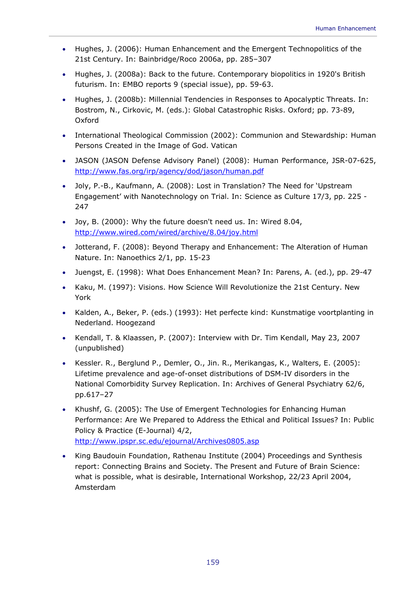- Hughes, J. (2006): Human Enhancement and the Emergent Technopolitics of the 21st Century. In: Bainbridge/Roco 2006a, pp. 285–307
- Hughes, J. (2008a): Back to the future. Contemporary biopolitics in 1920's British futurism. In: EMBO reports 9 (special issue), pp. 59-63.
- Hughes, J. (2008b): Millennial Tendencies in Responses to Apocalyptic Threats. In: Bostrom, N., Cirkovic, M. (eds.): Global Catastrophic Risks. Oxford; pp. 73-89, Oxford
- International Theological Commission (2002): Communion and Stewardship: Human Persons Created in the Image of God. Vatican
- JASON (JASON Defense Advisory Panel) (2008): Human Performance, JSR-07-625, http://www.fas.org/irp/agency/dod/jason/human.pdf
- Joly, P.-B., Kaufmann, A. (2008): Lost in Translation? The Need for 'Upstream Engagement' with Nanotechnology on Trial. In: Science as Culture 17/3, pp. 225 - 247
- Joy, B. (2000): Why the future doesn't need us. In: Wired 8.04, http://www.wired.com/wired/archive/8.04/joy.html
- Jotterand, F. (2008): Beyond Therapy and Enhancement: The Alteration of Human Nature. In: Nanoethics 2/1, pp. 15-23
- Juengst, E. (1998): What Does Enhancement Mean? In: Parens, A. (ed.), pp. 29-47
- Kaku, M. (1997): Visions. How Science Will Revolutionize the 21st Century. New York
- Kalden, A., Beker, P. (eds.) (1993): Het perfecte kind: Kunstmatige voortplanting in Nederland. Hoogezand
- Kendall, T. & Klaassen, P. (2007): Interview with Dr. Tim Kendall, May 23, 2007 (unpublished)
- Kessler. R., Berglund P., Demler, O., Jin. R., Merikangas, K., Walters, E. (2005): Lifetime prevalence and age-of-onset distributions of DSM-IV disorders in the National Comorbidity Survey Replication. In: Archives of General Psychiatry 62/6, pp.617–27
- Khushf, G. (2005): The Use of Emergent Technologies for Enhancing Human Performance: Are We Prepared to Address the Ethical and Political Issues? In: Public Policy & Practice (E-Journal) 4/2, http://www.ipspr.sc.edu/ejournal/Archives0805.asp
- King Baudouin Foundation, Rathenau Institute (2004) Proceedings and Synthesis report: Connecting Brains and Society. The Present and Future of Brain Science: what is possible, what is desirable, International Workshop, 22/23 April 2004, Amsterdam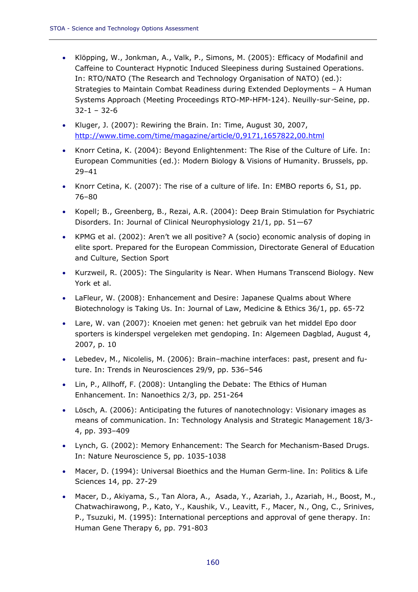- Klöpping, W., Jonkman, A., Valk, P., Simons, M. (2005): Efficacy of Modafinil and Caffeine to Counteract Hypnotic Induced Sleepiness during Sustained Operations. In: RTO/NATO (The Research and Technology Organisation of NATO) (ed.): Strategies to Maintain Combat Readiness during Extended Deployments – A Human Systems Approach (Meeting Proceedings RTO-MP-HFM-124). Neuilly-sur-Seine, pp. 32-1 – 32-6
- Kluger, J. (2007): Rewiring the Brain. In: Time, August 30, 2007, http://www.time.com/time/magazine/article/0,9171,1657822,00.html
- Knorr Cetina, K. (2004): Beyond Enlightenment: The Rise of the Culture of Life. In: European Communities (ed.): Modern Biology & Visions of Humanity. Brussels, pp. 29–41
- Knorr Cetina, K. (2007): The rise of a culture of life. In: EMBO reports 6, S1, pp. 76–80
- Kopell; B., Greenberg, B., Rezai, A.R. (2004): Deep Brain Stimulation for Psychiatric Disorders. In: Journal of Clinical Neurophysiology 21/1, pp. 51—67
- KPMG et al. (2002): Aren't we all positive? A (socio) economic analysis of doping in elite sport. Prepared for the European Commission, Directorate General of Education and Culture, Section Sport
- Kurzweil, R. (2005): The Singularity is Near. When Humans Transcend Biology. New York et al.
- LaFleur, W. (2008): Enhancement and Desire: Japanese Qualms about Where Biotechnology is Taking Us. In: Journal of Law, Medicine & Ethics 36/1, pp. 65-72
- Lare, W. van (2007): Knoeien met genen: het gebruik van het middel Epo door sporters is kinderspel vergeleken met gendoping. In: Algemeen Dagblad, August 4, 2007, p. 10
- Lebedev, M., Nicolelis, M. (2006): Brain–machine interfaces: past, present and future. In: Trends in Neurosciences 29/9, pp. 536–546
- Lin, P., Allhoff, F. (2008): Untangling the Debate: The Ethics of Human Enhancement. In: Nanoethics 2/3, pp. 251-264
- Lösch, A. (2006): Anticipating the futures of nanotechnology: Visionary images as means of communication. In: Technology Analysis and Strategic Management 18/3- 4, pp. 393–409
- Lynch, G. (2002): Memory Enhancement: The Search for Mechanism-Based Drugs. In: Nature Neuroscience 5, pp. 1035-1038
- Macer, D. (1994): Universal Bioethics and the Human Germ-line. In: Politics & Life Sciences 14, pp. 27-29
- Macer, D., Akiyama, S., Tan Alora, A., Asada, Y., Azariah, J., Azariah, H., Boost, M., Chatwachirawong, P., Kato, Y., Kaushik, V., Leavitt, F., Macer, N., Ong, C., Srinives, P., Tsuzuki, M. (1995): International perceptions and approval of gene therapy. In: Human Gene Therapy 6, pp. 791-803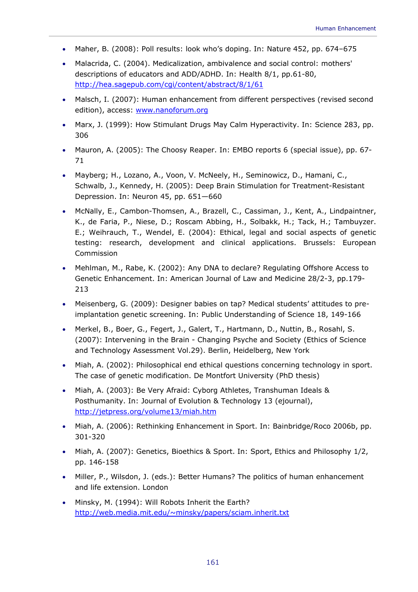- Maher, B. (2008): Poll results: look who's doping. In: Nature 452, pp. 674–675
- Malacrida, C. (2004). Medicalization, ambivalence and social control: mothers' descriptions of educators and ADD/ADHD. In: Health 8/1, pp.61-80, http://hea.sagepub.com/cgi/content/abstract/8/1/61
- Malsch, I. (2007): Human enhancement from different perspectives (revised second edition), access: www.nanoforum.org
- Marx, J. (1999): How Stimulant Drugs May Calm Hyperactivity. In: Science 283, pp. 306
- Mauron, A. (2005): The Choosy Reaper. In: EMBO reports 6 (special issue), pp. 67- 71
- Mayberg; H., Lozano, A., Voon, V. McNeely, H., Seminowicz, D., Hamani, C., Schwalb, J., Kennedy, H. (2005): Deep Brain Stimulation for Treatment-Resistant Depression. In: Neuron 45, pp. 651—660
- McNally, E., Cambon-Thomsen, A., Brazell, C., Cassiman, J., Kent, A., Lindpaintner, K., de Faria, P., Niese, D.; Roscam Abbing, H., Solbakk, H.; Tack, H.; Tambuyzer. E.; Weihrauch, T., Wendel, E. (2004): Ethical, legal and social aspects of genetic testing: research, development and clinical applications. Brussels: European Commission
- Mehlman, M., Rabe, K. (2002): Any DNA to declare? Regulating Offshore Access to Genetic Enhancement. In: American Journal of Law and Medicine 28/2-3, pp.179- 213
- Meisenberg, G. (2009): Designer babies on tap? Medical students' attitudes to preimplantation genetic screening. In: Public Understanding of Science 18, 149-166
- Merkel, B., Boer, G., Fegert, J., Galert, T., Hartmann, D., Nuttin, B., Rosahl, S. (2007): Intervening in the Brain - Changing Psyche and Society (Ethics of Science and Technology Assessment Vol.29). Berlin, Heidelberg, New York
- Miah, A. (2002): Philosophical end ethical questions concerning technology in sport. The case of genetic modification. De Montfort University (PhD thesis)
- Miah, A. (2003): Be Very Afraid: Cyborg Athletes, Transhuman Ideals & Posthumanity. In: Journal of Evolution & Technology 13 (ejournal), http://jetpress.org/volume13/miah.htm
- Miah, A. (2006): Rethinking Enhancement in Sport. In: Bainbridge/Roco 2006b, pp. 301-320
- Miah, A. (2007): Genetics, Bioethics & Sport. In: Sport, Ethics and Philosophy 1/2, pp. 146-158
- Miller, P., Wilsdon, J. (eds.): Better Humans? The politics of human enhancement and life extension. London
- Minsky, M. (1994): Will Robots Inherit the Earth? http://web.media.mit.edu/~minsky/papers/sciam.inherit.txt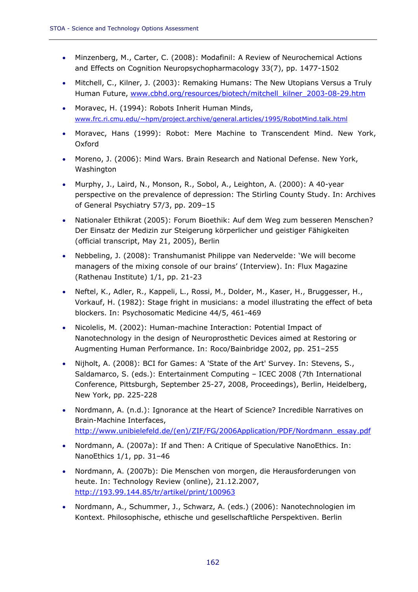- Minzenberg, M., Carter, C. (2008): Modafinil: A Review of Neurochemical Actions and Effects on Cognition Neuropsychopharmacology 33(7), pp. 1477-1502
- Mitchell, C., Kilner, J. (2003): Remaking Humans: The New Utopians Versus a Truly Human Future, www.cbhd.org/resources/biotech/mitchell\_kilner\_2003-08-29.htm
- Moravec, H. (1994): Robots Inherit Human Minds, www.frc.ri.cmu.edu/~hpm/project.archive/general.articles/1995/RobotMind.talk.html
- Moravec, Hans (1999): Robot: Mere Machine to Transcendent Mind. New York, Oxford
- Moreno, J. (2006): Mind Wars. Brain Research and National Defense. New York, Washington
- Murphy, J., Laird, N., Monson, R., Sobol, A., Leighton, A. (2000): A 40-year perspective on the prevalence of depression: The Stirling County Study. In: Archives of General Psychiatry 57/3, pp. 209–15
- Nationaler Ethikrat (2005): Forum Bioethik: Auf dem Weg zum besseren Menschen? Der Einsatz der Medizin zur Steigerung körperlicher und geistiger Fähigkeiten (official transcript, May 21, 2005), Berlin
- Nebbeling, J. (2008): Transhumanist Philippe van Nedervelde: 'We will become managers of the mixing console of our brains' (Interview). In: Flux Magazine (Rathenau Institute) 1/1, pp. 21-23
- Neftel, K., Adler, R., Kappeli, L., Rossi, M., Dolder, M., Kaser, H., Bruggesser, H., Vorkauf, H. (1982): Stage fright in musicians: a model illustrating the effect of beta blockers. In: Psychosomatic Medicine 44/5, 461-469
- Nicolelis, M. (2002): Human-machine Interaction: Potential Impact of Nanotechnology in the design of Neuroprosthetic Devices aimed at Restoring or Augmenting Human Performance. In: Roco/Bainbridge 2002, pp. 251–255
- Nijholt, A. (2008): BCI for Games: A 'State of the Art' Survey. In: Stevens, S., Saldamarco, S. (eds.): Entertainment Computing – ICEC 2008 (7th International Conference, Pittsburgh, September 25-27, 2008, Proceedings), Berlin, Heidelberg, New York, pp. 225-228
- Nordmann, A. (n.d.): Ignorance at the Heart of Science? Incredible Narratives on Brain-Machine Interfaces, http://www.unibielefeld.de/(en)/ZIF/FG/2006Application/PDF/Nordmann\_essay.pdf
- Nordmann, A. (2007a): If and Then: A Critique of Speculative NanoEthics. In: NanoEthics 1/1, pp. 31–46
- Nordmann, A. (2007b): Die Menschen von morgen, die Herausforderungen von heute. In: Technology Review (online), 21.12.2007, http://193.99.144.85/tr/artikel/print/100963
- Nordmann, A., Schummer, J., Schwarz, A. (eds.) (2006): Nanotechnologien im Kontext. Philosophische, ethische und gesellschaftliche Perspektiven. Berlin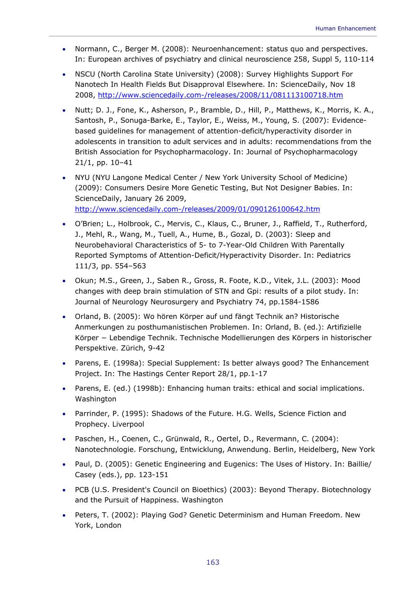- Normann, C., Berger M. (2008): Neuroenhancement: status quo and perspectives. In: European archives of psychiatry and clinical neuroscience 258, Suppl 5, 110-114
- NSCU (North Carolina State University) (2008): Survey Highlights Support For Nanotech In Health Fields But Disapproval Elsewhere. In: ScienceDaily, Nov 18 2008, http://www.sciencedaily.com-/releases/2008/11/081113100718.htm
- Nutt; D. J., Fone, K., Asherson, P., Bramble, D., Hill, P., Matthews, K., Morris, K. A., Santosh, P., Sonuga-Barke, E., Taylor, E., Weiss, M., Young, S. (2007): Evidencebased guidelines for management of attention-deficit/hyperactivity disorder in adolescents in transition to adult services and in adults: recommendations from the British Association for Psychopharmacology. In: Journal of Psychopharmacology 21/1, pp. 10–41
- NYU (NYU Langone Medical Center / New York University School of Medicine) (2009): Consumers Desire More Genetic Testing, But Not Designer Babies. In: ScienceDaily, January 26 2009, http://www.sciencedaily.com-/releases/2009/01/090126100642.htm
- O'Brien; L., Holbrook, C., Mervis, C., Klaus, C., Bruner, J., Raffield, T., Rutherford, J., Mehl, R., Wang, M., Tuell, A., Hume, B., Gozal, D. (2003): Sleep and Neurobehavioral Characteristics of 5- to 7-Year-Old Children With Parentally Reported Symptoms of Attention-Deficit/Hyperactivity Disorder. In: Pediatrics 111/3, pp. 554–563
- Okun; M.S., Green, J., Saben R., Gross, R. Foote, K.D., Vitek, J.L. (2003): Mood changes with deep brain stimulation of STN and Gpi: results of a pilot study. In: Journal of Neurology Neurosurgery and Psychiatry 74, pp.1584-1586
- Orland, B. (2005): Wo hören Körper auf und fängt Technik an? Historische Anmerkungen zu posthumanistischen Problemen. In: Orland, B. (ed.): Artifizielle Körper − Lebendige Technik. Technische Modellierungen des Körpers in historischer Perspektive. Zürich, 9-42
- Parens, E. (1998a): Special Supplement: Is better always good? The Enhancement Project. In: The Hastings Center Report 28/1, pp.1-17
- Parens, E. (ed.) (1998b): Enhancing human traits: ethical and social implications. Washington
- Parrinder, P. (1995): Shadows of the Future. H.G. Wells, Science Fiction and Prophecy. Liverpool
- Paschen, H., Coenen, C., Grünwald, R., Oertel, D., Revermann, C. (2004): Nanotechnologie. Forschung, Entwicklung, Anwendung. Berlin, Heidelberg, New York
- Paul, D. (2005): Genetic Engineering and Eugenics: The Uses of History. In: Baillie/ Casey (eds.), pp. 123-151
- PCB (U.S. President's Council on Bioethics) (2003): Beyond Therapy. Biotechnology and the Pursuit of Happiness. Washington
- Peters, T. (2002): Playing God? Genetic Determinism and Human Freedom. New York, London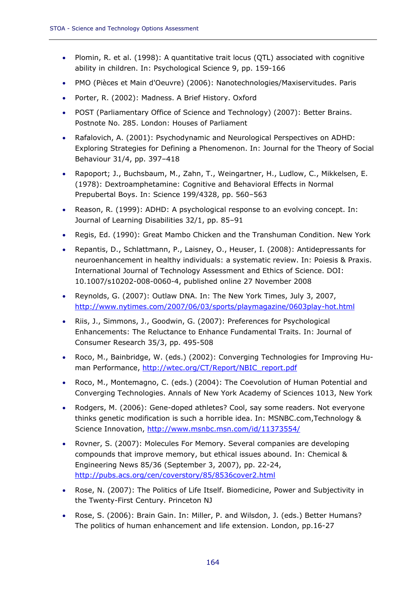- Plomin, R. et al. (1998): A quantitative trait locus (QTL) associated with cognitive ability in children. In: Psychological Science 9, pp. 159-166
- PMO (Pièces et Main d'Oeuvre) (2006): Nanotechnologies/Maxiservitudes. Paris
- Porter, R. (2002): Madness. A Brief History. Oxford
- POST (Parliamentary Office of Science and Technology) (2007): Better Brains. Postnote No. 285. London: Houses of Parliament
- Rafalovich, A. (2001): Psychodynamic and Neurological Perspectives on ADHD: Exploring Strategies for Defining a Phenomenon. In: Journal for the Theory of Social Behaviour 31/4, pp. 397–418
- Rapoport; J., Buchsbaum, M., Zahn, T., Weingartner, H., Ludlow, C., Mikkelsen, E. (1978): Dextroamphetamine: Cognitive and Behavioral Effects in Normal Prepubertal Boys. In: Science 199/4328, pp. 560–563
- Reason, R. (1999): ADHD: A psychological response to an evolving concept. In: Journal of Learning Disabilities 32/1, pp. 85–91
- Regis, Ed. (1990): Great Mambo Chicken and the Transhuman Condition. New York
- Repantis, D., Schlattmann, P., Laisney, O., Heuser, I. (2008): Antidepressants for neuroenhancement in healthy individuals: a systematic review. In: Poiesis & Praxis. International Journal of Technology Assessment and Ethics of Science. DOI: 10.1007/s10202-008-0060-4, published online 27 November 2008
- Reynolds, G. (2007): Outlaw DNA. In: The New York Times, July 3, 2007, http://www.nytimes.com/2007/06/03/sports/playmagazine/0603play-hot.html
- Riis, J., Simmons, J., Goodwin, G. (2007): Preferences for Psychological Enhancements: The Reluctance to Enhance Fundamental Traits. In: Journal of Consumer Research 35/3, pp. 495-508
- Roco, M., Bainbridge, W. (eds.) (2002): Converging Technologies for Improving Human Performance, http://wtec.org/CT/Report/NBIC\_report.pdf
- Roco, M., Montemagno, C. (eds.) (2004): The Coevolution of Human Potential and Converging Technologies. Annals of New York Academy of Sciences 1013, New York
- Rodgers, M. (2006): Gene-doped athletes? Cool, say some readers. Not everyone thinks genetic modification is such a horrible idea. In: MSNBC.com,Technology & Science Innovation, http://www.msnbc.msn.com/id/11373554/
- Rovner, S. (2007): Molecules For Memory. Several companies are developing compounds that improve memory, but ethical issues abound. In: Chemical & Engineering News 85/36 (September 3, 2007), pp. 22-24, http://pubs.acs.org/cen/coverstory/85/8536cover2.html
- Rose, N. (2007): The Politics of Life Itself. Biomedicine, Power and Subjectivity in the Twenty-First Century. Princeton NJ
- Rose, S. (2006): Brain Gain. In: Miller, P. and Wilsdon, J. (eds.) Better Humans? The politics of human enhancement and life extension. London, pp.16-27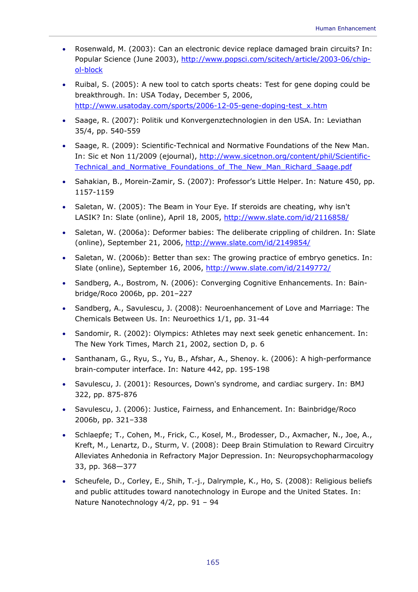- Rosenwald, M. (2003): Can an electronic device replace damaged brain circuits? In: Popular Science (June 2003), http://www.popsci.com/scitech/article/2003-06/chipol-block
- Ruibal, S. (2005): A new tool to catch sports cheats: Test for gene doping could be breakthrough. In: USA Today, December 5, 2006, http://www.usatoday.com/sports/2006-12-05-gene-doping-test\_x.htm
- Saage, R. (2007): Politik und Konvergenztechnologien in den USA. In: Leviathan 35/4, pp. 540-559
- Saage, R. (2009): Scientific-Technical and Normative Foundations of the New Man. In: Sic et Non 11/2009 (ejournal), http://www.sicetnon.org/content/phil/Scientific-Technical and Normative Foundations of The New Man Richard Saage.pdf
- Sahakian, B., Morein-Zamir, S. (2007): Professor's Little Helper. In: Nature 450, pp. 1157-1159
- Saletan, W. (2005): The Beam in Your Eye. If steroids are cheating, why isn't LASIK? In: Slate (online), April 18, 2005, http://www.slate.com/id/2116858/
- Saletan, W. (2006a): Deformer babies: The deliberate crippling of children. In: Slate (online), September 21, 2006, http://www.slate.com/id/2149854/
- Saletan, W. (2006b): Better than sex: The growing practice of embryo genetics. In: Slate (online), September 16, 2006, http://www.slate.com/id/2149772/
- Sandberg, A., Bostrom, N. (2006): Converging Cognitive Enhancements. In: Bainbridge/Roco 2006b, pp. 201–227
- Sandberg, A., Savulescu, J. (2008): Neuroenhancement of Love and Marriage: The Chemicals Between Us. In: Neuroethics 1/1, pp. 31-44
- Sandomir, R. (2002): Olympics: Athletes may next seek genetic enhancement. In: The New York Times, March 21, 2002, section D, p. 6
- Santhanam, G., Ryu, S., Yu, B., Afshar, A., Shenoy. k. (2006): A high-performance brain-computer interface. In: Nature 442, pp. 195-198
- Savulescu, J. (2001): Resources, Down's syndrome, and cardiac surgery. In: BMJ 322, pp. 875-876
- Savulescu, J. (2006): Justice, Fairness, and Enhancement. In: Bainbridge/Roco 2006b, pp. 321–338
- Schlaepfe; T., Cohen, M., Frick, C., Kosel, M., Brodesser, D., Axmacher, N., Joe, A., Kreft, M., Lenartz, D., Sturm, V. (2008): Deep Brain Stimulation to Reward Circuitry Alleviates Anhedonia in Refractory Major Depression. In: Neuropsychopharmacology 33, pp. 368—377
- Scheufele, D., Corley, E., Shih, T.-j., Dalrymple, K., Ho, S. (2008): Religious beliefs and public attitudes toward nanotechnology in Europe and the United States. In: Nature Nanotechnology 4/2, pp. 91 – 94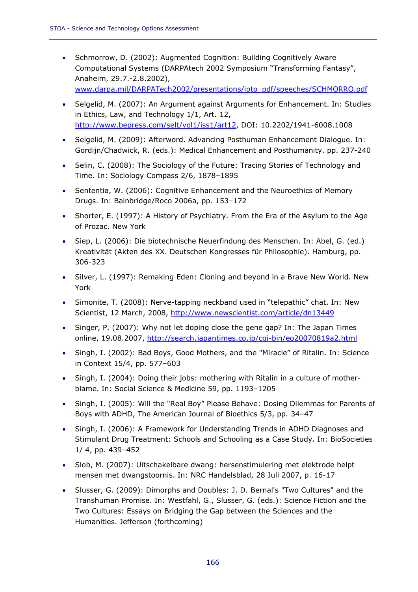- Schmorrow, D. (2002): Augmented Cognition: Building Cognitively Aware Computational Systems (DARPAtech 2002 Symposium "Transforming Fantasy", Anaheim, 29.7.-2.8.2002), www.darpa.mil/DARPATech2002/presentations/ipto\_pdf/speeches/SCHMORRO.pdf
- Selgelid, M. (2007): An Argument against Arguments for Enhancement. In: Studies in Ethics, Law, and Technology 1/1, Art. 12, http://www.bepress.com/selt/vol1/iss1/art12, DOI: 10.2202/1941-6008.1008
- Selgelid, M. (2009): Afterword. Advancing Posthuman Enhancement Dialogue. In: Gordijn/Chadwick, R. (eds.): Medical Enhancement and Posthumanity. pp. 237-240
- Selin, C. (2008): The Sociology of the Future: Tracing Stories of Technology and Time. In: Sociology Compass 2/6, 1878–1895
- Sententia, W. (2006): Cognitive Enhancement and the Neuroethics of Memory Drugs. In: Bainbridge/Roco 2006a, pp. 153–172
- Shorter, E. (1997): A History of Psychiatry. From the Era of the Asylum to the Age of Prozac. New York
- Siep, L. (2006): Die biotechnische Neuerfindung des Menschen. In: Abel, G. (ed.) Kreativität (Akten des XX. Deutschen Kongresses für Philosophie). Hamburg, pp. 306-323
- Silver, L. (1997): Remaking Eden: Cloning and beyond in a Brave New World. New York
- Simonite, T. (2008): Nerve-tapping neckband used in "telepathic" chat. In: New Scientist, 12 March, 2008, http://www.newscientist.com/article/dn13449
- Singer, P. (2007): Why not let doping close the gene gap? In: The Japan Times online, 19.08.2007, http://search.japantimes.co.jp/cgi-bin/eo20070819a2.html
- Singh, I. (2002): Bad Boys, Good Mothers, and the "Miracle" of Ritalin. In: Science in Context 15/4, pp. 577–603
- Singh, I. (2004): Doing their jobs: mothering with Ritalin in a culture of motherblame. In: Social Science & Medicine 59, pp. 1193–1205
- Singh, I. (2005): Will the "Real Boy" Please Behave: Dosing Dilemmas for Parents of Boys with ADHD, The American Journal of Bioethics 5/3, pp. 34–47
- Singh, I. (2006): A Framework for Understanding Trends in ADHD Diagnoses and Stimulant Drug Treatment: Schools and Schooling as a Case Study. In: BioSocieties 1/ 4, pp. 439–452
- Slob, M. (2007): Uitschakelbare dwang: hersenstimulering met elektrode helpt mensen met dwangstoornis. In: NRC Handelsblad, 28 Juli 2007, p. 16-17
- Slusser, G. (2009): Dimorphs and Doubles: J. D. Bernal's "Two Cultures" and the Transhuman Promise. In: Westfahl, G., Slusser, G. (eds.): Science Fiction and the Two Cultures: Essays on Bridging the Gap between the Sciences and the Humanities. Jefferson (forthcoming)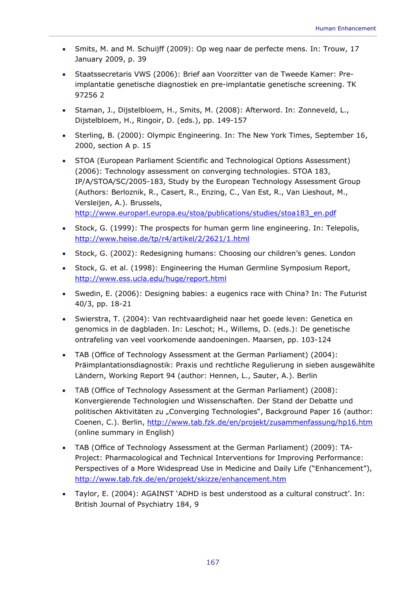- Smits, M. and M. Schuijff (2009): Op weg naar de perfecte mens. In: Trouw, 17 January 2009, p. 39
- Staatssecretaris VWS (2006): Brief aan Voorzitter van de Tweede Kamer: Preimplantatie genetische diagnostiek en pre-implantatie genetische screening. TK 97256 2
- Staman, J., Dijstelbloem, H., Smits, M. (2008): Afterword. In: Zonneveld, L., Dijstelbloem, H., Ringoir, D. (eds.), pp. 149-157
- Sterling, B. (2000): Olympic Engineering. In: The New York Times, September 16, 2000, section A p. 15
- STOA (European Parliament Scientific and Technological Options Assessment) (2006): Technology assessment on converging technologies. STOA 183, IP/A/STOA/SC/2005-183, Study by the European Technology Assessment Group (Authors: Berloznik, R., Casert, R., Enzing, C., Van Est, R., Van Lieshout, M., Versleijen, A.). Brussels, http://www.europarl.europa.eu/stoa/publications/studies/stoa183\_en.pdf
- Stock, G. (1999): The prospects for human germ line engineering. In: Telepolis, http://www.heise.de/tp/r4/artikel/2/2621/1.html
- Stock, G. (2002): Redesigning humans: Choosing our children's genes. London
- Stock, G. et al. (1998): Engineering the Human Germline Symposium Report, http://www.ess.ucla.edu/huge/report.html
- Swedin, E. (2006): Designing babies: a eugenics race with China? In: The Futurist 40/3, pp. 18-21
- Swierstra, T. (2004): Van rechtvaardigheid naar het goede leven: Genetica en genomics in de dagbladen. In: Leschot; H., Willems, D. (eds.): De genetische ontrafeling van veel voorkomende aandoeningen. Maarsen, pp. 103-124
- TAB (Office of Technology Assessment at the German Parliament) (2004): Präimplantationsdiagnostik: Praxis und rechtliche Regulierung in sieben ausgewählte Ländern, Working Report 94 (author: Hennen, L., Sauter, A.). Berlin
- TAB (Office of Technology Assessment at the German Parliament) (2008): Konvergierende Technologien und Wissenschaften. Der Stand der Debatte und politischen Aktivitäten zu "Converging Technologies", Background Paper 16 (author: Coenen, C.). Berlin, http://www.tab.fzk.de/en/projekt/zusammenfassung/hp16.htm (online summary in English)
- TAB (Office of Technology Assessment at the German Parliament) (2009): TA-Project: Pharmacological and Technical Interventions for Improving Performance: Perspectives of a More Widespread Use in Medicine and Daily Life ("Enhancement"), http://www.tab.fzk.de/en/projekt/skizze/enhancement.htm
- Taylor, E. (2004): AGAINST 'ADHD is best understood as a cultural construct'. In: British Journal of Psychiatry 184, 9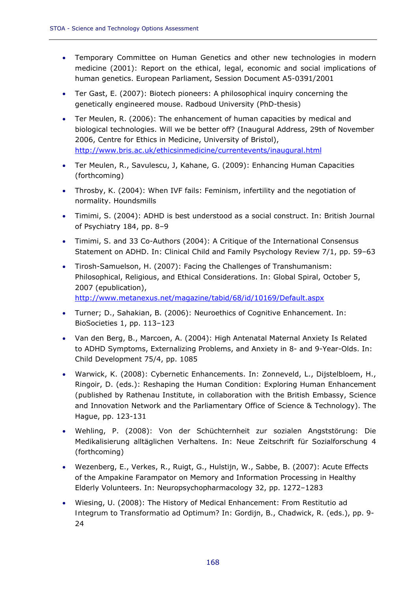- Temporary Committee on Human Genetics and other new technologies in modern medicine (2001): Report on the ethical, legal, economic and social implications of human genetics. European Parliament, Session Document A5-0391/2001
- Ter Gast, E. (2007): Biotech pioneers: A philosophical inquiry concerning the genetically engineered mouse. Radboud University (PhD-thesis)
- Ter Meulen, R. (2006): The enhancement of human capacities by medical and biological technologies. Will we be better off? (Inaugural Address, 29th of November 2006, Centre for Ethics in Medicine, University of Bristol), http://www.bris.ac.uk/ethicsinmedicine/currentevents/inaugural.html
- Ter Meulen, R., Savulescu, J, Kahane, G. (2009): Enhancing Human Capacities (forthcoming)
- Throsby, K. (2004): When IVF fails: Feminism, infertility and the negotiation of normality. Houndsmills
- Timimi, S. (2004): ADHD is best understood as a social construct. In: British Journal of Psychiatry 184, pp. 8–9
- Timimi, S. and 33 Co-Authors (2004): A Critique of the International Consensus Statement on ADHD. In: Clinical Child and Family Psychology Review 7/1, pp. 59–63
- Tirosh-Samuelson, H. (2007): Facing the Challenges of Transhumanism: Philosophical, Religious, and Ethical Considerations. In: Global Spiral, October 5, 2007 (epublication), http://www.metanexus.net/magazine/tabid/68/id/10169/Default.aspx
- Turner; D., Sahakian, B. (2006): Neuroethics of Cognitive Enhancement. In: BioSocieties 1, pp. 113–123
- Van den Berg, B., Marcoen, A. (2004): High Antenatal Maternal Anxiety Is Related to ADHD Symptoms, Externalizing Problems, and Anxiety in 8- and 9-Year-Olds. In: Child Development 75/4, pp. 1085
- Warwick, K. (2008): Cybernetic Enhancements. In: Zonneveld, L., Dijstelbloem, H., Ringoir, D. (eds.): Reshaping the Human Condition: Exploring Human Enhancement (published by Rathenau Institute, in collaboration with the British Embassy, Science and Innovation Network and the Parliamentary Office of Science & Technology). The Hague, pp. 123-131
- Wehling, P. (2008): Von der Schüchternheit zur sozialen Angststörung: Die Medikalisierung alltäglichen Verhaltens. In: Neue Zeitschrift für Sozialforschung 4 (forthcoming)
- Wezenberg, E., Verkes, R., Ruigt, G., Hulstijn, W., Sabbe, B. (2007): Acute Effects of the Ampakine Farampator on Memory and Information Processing in Healthy Elderly Volunteers. In: Neuropsychopharmacology 32, pp. 1272–1283
- Wiesing, U. (2008): The History of Medical Enhancement: From *Restitutio ad Integrum* to *Transformatio ad Optimum*? In: Gordijn, B., Chadwick, R. (eds.), pp. 9- 24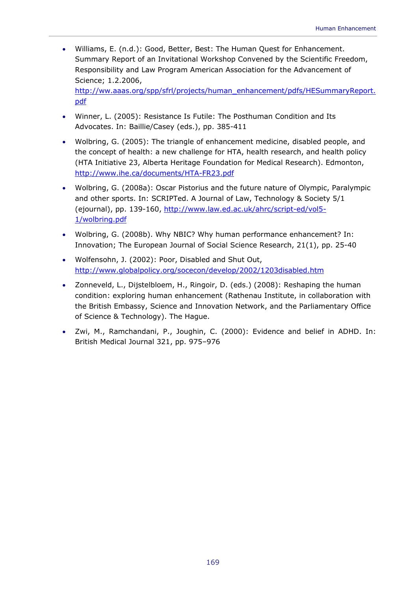• Williams, E. (n.d.): Good, Better, Best: The Human Quest for Enhancement. Summary Report of an Invitational Workshop Convened by the Scientific Freedom, Responsibility and Law Program American Association for the Advancement of Science; 1.2.2006,

http://ww.aaas.org/spp/sfrl/projects/human\_enhancement/pdfs/HESummaryReport. pdf

- Winner, L. (2005): Resistance Is Futile: The Posthuman Condition and Its Advocates. In: Baillie/Casey (eds.), pp. 385-411
- Wolbring, G. (2005): The triangle of enhancement medicine, disabled people, and the concept of health: a new challenge for HTA, health research, and health policy (HTA Initiative 23, Alberta Heritage Foundation for Medical Research). Edmonton, http://www.ihe.ca/documents/HTA-FR23.pdf
- Wolbring, G. (2008a): Oscar Pistorius and the future nature of Olympic, Paralympic and other sports. In: SCRIPTed. A Journal of Law, Technology & Society 5/1 (ejournal), pp. 139-160, http://www.law.ed.ac.uk/ahrc/script-ed/vol5- 1/wolbring.pdf
- Wolbring, G. (2008b). Why NBIC? Why human performance enhancement? In: Innovation; The European Journal of Social Science Research, 21(1), pp. 25-40
- Wolfensohn, J. (2002): Poor, Disabled and Shut Out, http://www.globalpolicy.org/socecon/develop/2002/1203disabled.htm
- Zonneveld, L., Dijstelbloem, H., Ringoir, D. (eds.) (2008): Reshaping the human condition: exploring human enhancement (Rathenau Institute, in collaboration with the British Embassy, Science and Innovation Network, and the Parliamentary Office of Science & Technology). The Hague.
- Zwi, M., Ramchandani, P., Joughin, C. (2000): Evidence and belief in ADHD. In: British Medical Journal 321, pp. 975–976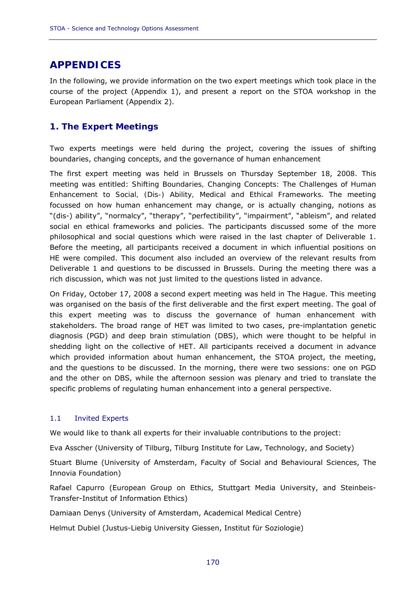# **APPENDICES**

In the following, we provide information on the two expert meetings which took place in the course of the project (Appendix 1), and present a report on the STOA workshop in the European Parliament (Appendix 2).

# **1. The Expert Meetings**

Two experts meetings were held during the project, covering the issues of shifting boundaries, changing concepts, and the governance of human enhancement

The first expert meeting was held in Brussels on Thursday September 18, 2008. This meeting was entitled: *Shifting Boundaries, Changing Concepts: The Challenges of Human Enhancement to Social, (Dis-) Ability, Medical and Ethical Frameworks*. The meeting focussed on how human enhancement may change, or is actually changing, notions as "(dis-) ability", "normalcy", "therapy", "perfectibility", "impairment", "ableism", and related social en ethical frameworks and policies. The participants discussed some of the more philosophical and social questions which were raised in the last chapter of Deliverable 1. Before the meeting, all participants received a document in which influential positions on HE were compiled. This document also included an overview of the relevant results from Deliverable 1 and questions to be discussed in Brussels. During the meeting there was a rich discussion, which was not just limited to the questions listed in advance.

On Friday, October 17, 2008 a second expert meeting was held in The Hague. This meeting was organised on the basis of the first deliverable and the first expert meeting. The goal of this expert meeting was to discuss the governance of human enhancement with stakeholders. The broad range of HET was limited to two cases, pre-implantation genetic diagnosis (PGD) and deep brain stimulation (DBS), which were thought to be helpful in shedding light on the collective of HET. All participants received a document in advance which provided information about human enhancement, the STOA project, the meeting, and the questions to be discussed. In the morning, there were two sessions: one on PGD and the other on DBS, while the afternoon session was plenary and tried to translate the specific problems of regulating human enhancement into a general perspective.

# 1.1 Invited Experts

We would like to thank all experts for their invaluable contributions to the project:

Eva Asscher (University of Tilburg, Tilburg Institute for Law, Technology, and Society)

Stuart Blume (University of Amsterdam, Faculty of Social and Behavioural Sciences, The Innovia Foundation)

Rafael Capurro (European Group on Ethics, Stuttgart Media University, and Steinbeis-Transfer-Institut of Information Ethics)

Damiaan Denys (University of Amsterdam, Academical Medical Centre)

Helmut Dubiel (Justus-Liebig University Giessen, Institut für Soziologie)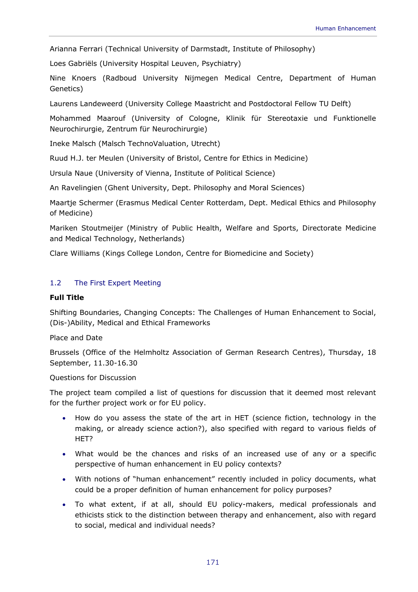Arianna Ferrari (Technical University of Darmstadt, Institute of Philosophy)

Loes Gabriëls (University Hospital Leuven, Psychiatry)

Nine Knoers (Radboud University Nijmegen Medical Centre, Department of Human Genetics)

Laurens Landeweerd (University College Maastricht and Postdoctoral Fellow TU Delft)

Mohammed Maarouf (University of Cologne, Klinik für Stereotaxie und Funktionelle Neurochirurgie, Zentrum für Neurochirurgie)

Ineke Malsch (Malsch TechnoValuation, Utrecht)

Ruud H.J. ter Meulen (University of Bristol, Centre for Ethics in Medicine)

Ursula Naue (University of Vienna, Institute of Political Science)

An Ravelingien (Ghent University, Dept. Philosophy and Moral Sciences)

Maartje Schermer (Erasmus Medical Center Rotterdam, Dept. Medical Ethics and Philosophy of Medicine)

Mariken Stoutmeijer (Ministry of Public Health, Welfare and Sports, Directorate Medicine and Medical Technology, Netherlands)

Clare Williams (Kings College London, Centre for Biomedicine and Society)

## 1.2 The First Expert Meeting

### *Full Title*

Shifting Boundaries, Changing Concepts: The Challenges of Human Enhancement to Social, (Dis-)Ability, Medical and Ethical Frameworks

### *Place and Date*

Brussels (Office of the Helmholtz Association of German Research Centres), Thursday, 18 September, 11.30-16.30

## *Questions for Discussion*

The project team compiled a list of questions for discussion that it deemed most relevant for the further project work or for EU policy.

- How do you assess the state of the art in HET (science fiction, technology in the making, or already science action?), also specified with regard to various fields of HET?
- What would be the chances and risks of an increased use of any or a specific perspective of human enhancement in EU policy contexts?
- With notions of "human enhancement" recently included in policy documents, what could be a proper definition of human enhancement for policy purposes?
- To what extent, if at all, should EU policy-makers, medical professionals and ethicists stick to the distinction between therapy and enhancement, also with regard to social, medical and individual needs?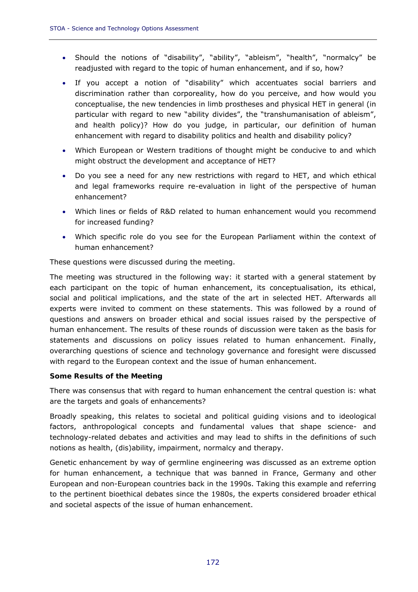- Should the notions of "disability", "ability", "ableism", "health", "normalcy" be readjusted with regard to the topic of human enhancement, and if so, how?
- If you accept a notion of "disability" which accentuates social barriers and discrimination rather than corporeality, how do you perceive, and how would you conceptualise, the new tendencies in limb prostheses and physical HET in general (in particular with regard to new "ability divides", the "transhumanisation of ableism", and health policy)? How do you judge, in particular, our definition of human enhancement with regard to disability politics and health and disability policy?
- Which European or Western traditions of thought might be conducive to and which might obstruct the development and acceptance of HET?
- Do you see a need for any new restrictions with regard to HET, and which ethical and legal frameworks require re-evaluation in light of the perspective of human enhancement?
- Which lines or fields of R&D related to human enhancement would you recommend for increased funding?
- Which specific role do you see for the European Parliament within the context of human enhancement?

These questions were discussed during the meeting.

The meeting was structured in the following way: it started with a general statement by each participant on the topic of human enhancement, its conceptualisation, its ethical, social and political implications, and the state of the art in selected HET. Afterwards all experts were invited to comment on these statements. This was followed by a round of questions and answers on broader ethical and social issues raised by the perspective of human enhancement. The results of these rounds of discussion were taken as the basis for statements and discussions on policy issues related to human enhancement. Finally, overarching questions of science and technology governance and foresight were discussed with regard to the European context and the issue of human enhancement.

### *Some Results of the Meeting*

There was consensus that with regard to human enhancement the central question is: what are the targets and goals of enhancements?

Broadly speaking, this relates to societal and political guiding visions and to ideological factors, anthropological concepts and fundamental values that shape science- and technology-related debates and activities and may lead to shifts in the definitions of such notions as health, (dis)ability, impairment, normalcy and therapy.

Genetic enhancement by way of germline engineering was discussed as an extreme option for human enhancement, a technique that was banned in France, Germany and other European and non-European countries back in the 1990s. Taking this example and referring to the pertinent bioethical debates since the 1980s, the experts considered broader ethical and societal aspects of the issue of human enhancement.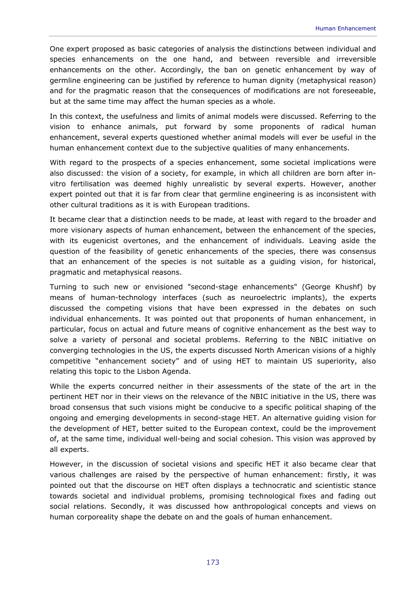One expert proposed as basic categories of analysis the distinctions between individual and species enhancements on the one hand, and between reversible and irreversible enhancements on the other. Accordingly, the ban on genetic enhancement by way of germline engineering can be justified by reference to human dignity (metaphysical reason) and for the pragmatic reason that the consequences of modifications are not foreseeable, but at the same time may affect the human species as a whole.

In this context, the usefulness and limits of animal models were discussed. Referring to the vision to enhance animals, put forward by some proponents of radical human enhancement, several experts questioned whether animal models will ever be useful in the human enhancement context due to the subjective qualities of many enhancements.

With regard to the prospects of a species enhancement, some societal implications were also discussed: the vision of a society, for example, in which all children are born after invitro fertilisation was deemed highly unrealistic by several experts. However, another expert pointed out that it is far from clear that germline engineering is as inconsistent with other cultural traditions as it is with European traditions.

It became clear that a distinction needs to be made, at least with regard to the broader and more visionary aspects of human enhancement, between the enhancement of the species, with its eugenicist overtones, and the enhancement of individuals. Leaving aside the question of the feasibility of genetic enhancements of the species, there was consensus that an enhancement of the species is not suitable as a guiding vision, for historical, pragmatic and metaphysical reasons.

Turning to such new or envisioned "second-stage enhancements" (George Khushf) by means of human-technology interfaces (such as neuroelectric implants), the experts discussed the competing visions that have been expressed in the debates on such individual enhancements. It was pointed out that proponents of human enhancement, in particular, focus on actual and future means of cognitive enhancement as the best way to solve a variety of personal and societal problems. Referring to the NBIC initiative on converging technologies in the US, the experts discussed North American visions of a highly competitive "enhancement society" and of using HET to maintain US superiority, also relating this topic to the Lisbon Agenda.

While the experts concurred neither in their assessments of the state of the art in the pertinent HET nor in their views on the relevance of the NBIC initiative in the US, there was broad consensus that such visions might be conducive to a specific political shaping of the ongoing and emerging developments in second-stage HET. An alternative guiding vision for the development of HET, better suited to the European context, could be the improvement of, at the same time, individual well-being and social cohesion. This vision was approved by all experts.

However, in the discussion of societal visions and specific HET it also became clear that various challenges are raised by the perspective of human enhancement: firstly, it was pointed out that the discourse on HET often displays a technocratic and scientistic stance towards societal and individual problems, promising technological fixes and fading out social relations. Secondly, it was discussed how anthropological concepts and views on human corporeality shape the debate on and the goals of human enhancement.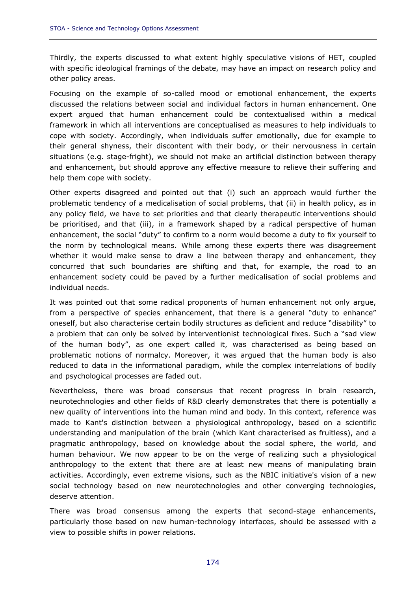Thirdly, the experts discussed to what extent highly speculative visions of HET, coupled with specific ideological framings of the debate, may have an impact on research policy and other policy areas.

Focusing on the example of so-called mood or emotional enhancement, the experts discussed the relations between social and individual factors in human enhancement. One expert argued that human enhancement could be contextualised within a medical framework in which all interventions are conceptualised as measures to help individuals to cope with society. Accordingly, when individuals suffer emotionally, due for example to their general shyness, their discontent with their body, or their nervousness in certain situations (e.g. stage-fright), we should not make an artificial distinction between therapy and enhancement, but should approve any effective measure to relieve their suffering and help them cope with society.

Other experts disagreed and pointed out that (i) such an approach would further the problematic tendency of a medicalisation of social problems, that (ii) in health policy, as in any policy field, we have to set priorities and that clearly therapeutic interventions should be prioritised, and that (iii), in a framework shaped by a radical perspective of human enhancement, the social "duty" to confirm to a norm would become a duty to fix yourself to the norm by technological means. While among these experts there was disagreement whether it would make sense to draw a line between therapy and enhancement, they concurred that such boundaries are shifting and that, for example, the road to an enhancement society could be paved by a further medicalisation of social problems and individual needs.

It was pointed out that some radical proponents of human enhancement not only argue, from a perspective of species enhancement, that there is a general "duty to enhance" oneself, but also characterise certain bodily structures as deficient and reduce "disability" to a problem that can only be solved by interventionist technological fixes. Such a "sad view of the human body", as one expert called it, was characterised as being based on problematic notions of normalcy. Moreover, it was argued that the human body is also reduced to data in the informational paradigm, while the complex interrelations of bodily and psychological processes are faded out.

Nevertheless, there was broad consensus that recent progress in brain research, neurotechnologies and other fields of R&D clearly demonstrates that there is potentially a new quality of interventions into the human mind and body. In this context, reference was made to Kant's distinction between a physiological anthropology, based on a scientific understanding and manipulation of the brain (which Kant characterised as fruitless), and a pragmatic anthropology, based on knowledge about the social sphere, the world, and human behaviour. We now appear to be on the verge of realizing such a physiological anthropology to the extent that there are at least new means of manipulating brain activities. Accordingly, even extreme visions, such as the NBIC initiative's vision of a new social technology based on new neurotechnologies and other converging technologies, deserve attention.

There was broad consensus among the experts that second-stage enhancements, particularly those based on new human-technology interfaces, should be assessed with a view to possible shifts in power relations.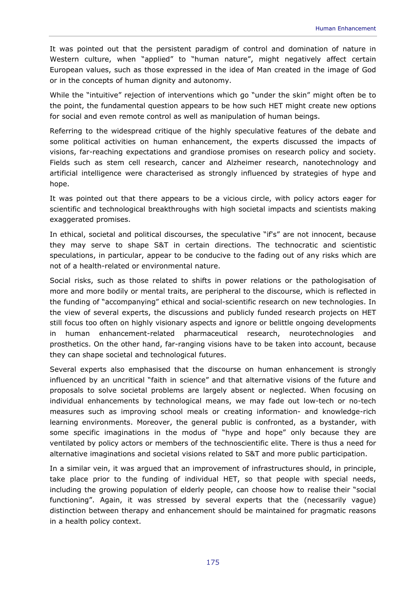It was pointed out that the persistent paradigm of control and domination of nature in Western culture, when "applied" to "human nature", might negatively affect certain European values, such as those expressed in the idea of Man created in the image of God or in the concepts of human dignity and autonomy.

While the "intuitive" rejection of interventions which go "under the skin" might often be to the point, the fundamental question appears to be how such HET might create new options for social and even remote control as well as manipulation of human beings.

Referring to the widespread critique of the highly speculative features of the debate and some political activities on human enhancement, the experts discussed the impacts of visions, far-reaching expectations and grandiose promises on research policy and society. Fields such as stem cell research, cancer and Alzheimer research, nanotechnology and artificial intelligence were characterised as strongly influenced by strategies of hype and hope.

It was pointed out that there appears to be a vicious circle, with policy actors eager for scientific and technological breakthroughs with high societal impacts and scientists making exaggerated promises.

In ethical, societal and political discourses, the speculative "if's" are not innocent, because they may serve to shape S&T in certain directions. The technocratic and scientistic speculations, in particular, appear to be conducive to the fading out of any risks which are not of a health-related or environmental nature.

Social risks, such as those related to shifts in power relations or the pathologisation of more and more bodily or mental traits, are peripheral to the discourse, which is reflected in the funding of "accompanying" ethical and social-scientific research on new technologies. In the view of several experts, the discussions and publicly funded research projects on HET still focus too often on highly visionary aspects and ignore or belittle ongoing developments in human enhancement-related pharmaceutical research, neurotechnologies and prosthetics. On the other hand, far-ranging visions have to be taken into account, because they can shape societal and technological futures.

Several experts also emphasised that the discourse on human enhancement is strongly influenced by an uncritical "faith in science" and that alternative visions of the future and proposals to solve societal problems are largely absent or neglected. When focusing on individual enhancements by technological means, we may fade out low-tech or no-tech measures such as improving school meals or creating information- and knowledge-rich learning environments. Moreover, the general public is confronted, as a bystander, with some specific imaginations in the modus of "hype and hope" only because they are ventilated by policy actors or members of the technoscientific elite. There is thus a need for alternative imaginations and societal visions related to S&T and more public participation.

In a similar vein, it was argued that an improvement of infrastructures should, in principle, take place prior to the funding of individual HET, so that people with special needs, including the growing population of elderly people, can choose how to realise their "social functioning". Again, it was stressed by several experts that the (necessarily vague) distinction between therapy and enhancement should be maintained for pragmatic reasons in a health policy context.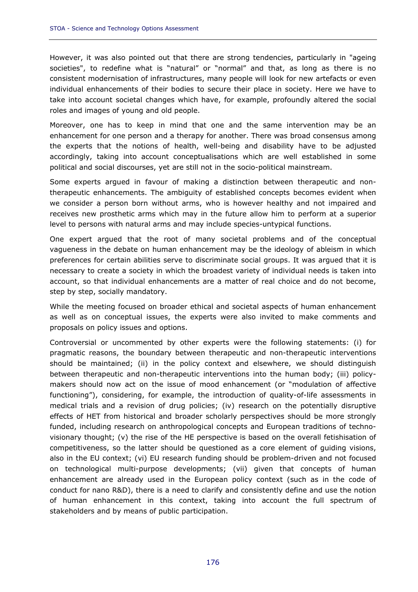However, it was also pointed out that there are strong tendencies, particularly in "ageing societies", to redefine what is "natural" or "normal" and that, as long as there is no consistent modernisation of infrastructures, many people will look for new artefacts or even individual enhancements of their bodies to secure their place in society. Here we have to take into account societal changes which have, for example, profoundly altered the social roles and images of young and old people.

Moreover, one has to keep in mind that one and the same intervention may be an enhancement for one person and a therapy for another. There was broad consensus among the experts that the notions of health, well-being and disability have to be adjusted accordingly, taking into account conceptualisations which are well established in some political and social discourses, yet are still not in the socio-political mainstream.

Some experts argued in favour of making a distinction between therapeutic and nontherapeutic enhancements. The ambiguity of established concepts becomes evident when we consider a person born without arms, who is however healthy and not impaired and receives new prosthetic arms which may in the future allow him to perform at a superior level to persons with natural arms and may include species-untypical functions.

One expert argued that the root of many societal problems and of the conceptual vagueness in the debate on human enhancement may be the ideology of ableism in which preferences for certain abilities serve to discriminate social groups. It was argued that it is necessary to create a society in which the broadest variety of individual needs is taken into account, so that individual enhancements are a matter of real choice and do not become, step by step, socially mandatory.

While the meeting focused on broader ethical and societal aspects of human enhancement as well as on conceptual issues, the experts were also invited to make comments and proposals on policy issues and options.

Controversial or uncommented by other experts were the following statements: (i) for pragmatic reasons, the boundary between therapeutic and non-therapeutic interventions should be maintained; (ii) in the policy context and elsewhere, we should distinguish between therapeutic and non-therapeutic interventions into the human body; (iii) policymakers should now act on the issue of mood enhancement (or "modulation of affective functioning"), considering, for example, the introduction of quality-of-life assessments in medical trials and a revision of drug policies; (iv) research on the potentially disruptive effects of HET from historical and broader scholarly perspectives should be more strongly funded, including research on anthropological concepts and European traditions of technovisionary thought; (v) the rise of the HE perspective is based on the overall fetishisation of competitiveness, so the latter should be questioned as a core element of guiding visions, also in the EU context; (vi) EU research funding should be problem-driven and not focused on technological multi-purpose developments; (vii) given that concepts of human enhancement are already used in the European policy context (such as in the code of conduct for nano R&D), there is a need to clarify and consistently define and use the notion of human enhancement in this context, taking into account the full spectrum of stakeholders and by means of public participation.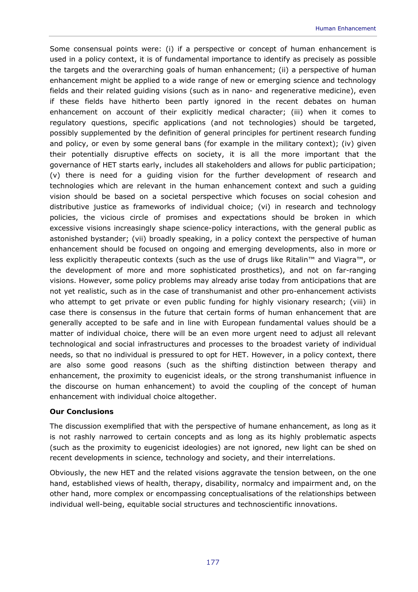Some consensual points were: (i) if a perspective or concept of human enhancement is used in a policy context, it is of fundamental importance to identify as precisely as possible the targets and the overarching goals of human enhancement; (ii) a perspective of human enhancement might be applied to a wide range of new or emerging science and technology fields and their related guiding visions (such as in nano- and regenerative medicine), even if these fields have hitherto been partly ignored in the recent debates on human enhancement on account of their explicitly medical character; (iii) when it comes to regulatory questions, specific applications (and not technologies) should be targeted, possibly supplemented by the definition of general principles for pertinent research funding and policy, or even by some general bans (for example in the military context); (iv) given their potentially disruptive effects on society, it is all the more important that the governance of HET starts early, includes all stakeholders and allows for public participation; (v) there is need for a guiding vision for the further development of research and technologies which are relevant in the human enhancement context and such a guiding vision should be based on a societal perspective which focuses on social cohesion and distributive justice as frameworks of individual choice; (vi) in research and technology policies, the vicious circle of promises and expectations should be broken in which excessive visions increasingly shape science-policy interactions, with the general public as astonished bystander; (vii) broadly speaking, in a policy context the perspective of human enhancement should be focused on ongoing and emerging developments, also in more or less explicitly therapeutic contexts (such as the use of drugs like Ritalin™ and Viagra™, or the development of more and more sophisticated prosthetics), and not on far-ranging visions. However, some policy problems may already arise today from anticipations that are not yet realistic, such as in the case of transhumanist and other pro-enhancement activists who attempt to get private or even public funding for highly visionary research; (viii) in case there is consensus in the future that certain forms of human enhancement that are generally accepted to be safe and in line with European fundamental values should be a matter of individual choice, there will be an even more urgent need to adjust all relevant technological and social infrastructures and processes to the broadest variety of individual needs, so that no individual is pressured to opt for HET. However, in a policy context, there are also some good reasons (such as the shifting distinction between therapy and enhancement, the proximity to eugenicist ideals, or the strong transhumanist influence in the discourse on human enhancement) to avoid the coupling of the concept of human enhancement with individual choice altogether.

### *Our Conclusions*

The discussion exemplified that with the perspective of humane enhancement, as long as it is not rashly narrowed to certain concepts and as long as its highly problematic aspects (such as the proximity to eugenicist ideologies) are not ignored, new light can be shed on recent developments in science, technology and society, and their interrelations.

Obviously, the new HET and the related visions aggravate the tension between, on the one hand, established views of health, therapy, disability, normalcy and impairment and, on the other hand, more complex or encompassing conceptualisations of the relationships between individual well-being, equitable social structures and technoscientific innovations.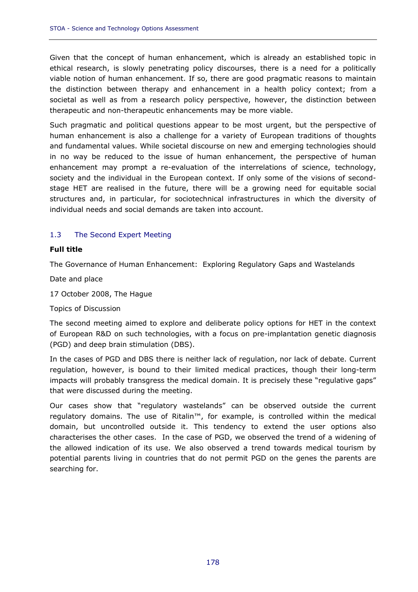Given that the concept of human enhancement, which is already an established topic in ethical research, is slowly penetrating policy discourses, there is a need for a politically viable notion of human enhancement. If so, there are good pragmatic reasons to maintain the distinction between therapy and enhancement in a health policy context; from a societal as well as from a research policy perspective, however, the distinction between therapeutic and non-therapeutic enhancements may be more viable.

Such pragmatic and political questions appear to be most urgent, but the perspective of human enhancement is also a challenge for a variety of European traditions of thoughts and fundamental values. While societal discourse on new and emerging technologies should in no way be reduced to the issue of human enhancement, the perspective of human enhancement may prompt a re-evaluation of the interrelations of science, technology, society and the individual in the European context. If only some of the visions of secondstage HET are realised in the future, there will be a growing need for equitable social structures and, in particular, for sociotechnical infrastructures in which the diversity of individual needs and social demands are taken into account.

# 1.3 The Second Expert Meeting

## *Full title*

The Governance of Human Enhancement: Exploring Regulatory Gaps and Wastelands

*Date and place* 

17 October 2008, The Hague

### *Topics of Discussion*

The second meeting aimed to explore and deliberate policy options for HET in the context of European R&D on such technologies, with a focus on pre-implantation genetic diagnosis (PGD) and deep brain stimulation (DBS).

In the cases of PGD and DBS there is neither lack of regulation, nor lack of debate. Current regulation, however, is bound to their limited medical practices, though their long-term impacts will probably transgress the medical domain. It is precisely these "regulative gaps" that were discussed during the meeting.

Our cases show that "regulatory wastelands" can be observed outside the current regulatory domains. The use of Ritalin™, for example, is controlled within the medical domain, but uncontrolled outside it. This tendency to extend the user options also characterises the other cases. In the case of PGD, we observed the trend of a widening of the allowed indication of its use. We also observed a trend towards medical tourism by potential parents living in countries that do not permit PGD on the genes the parents are searching for.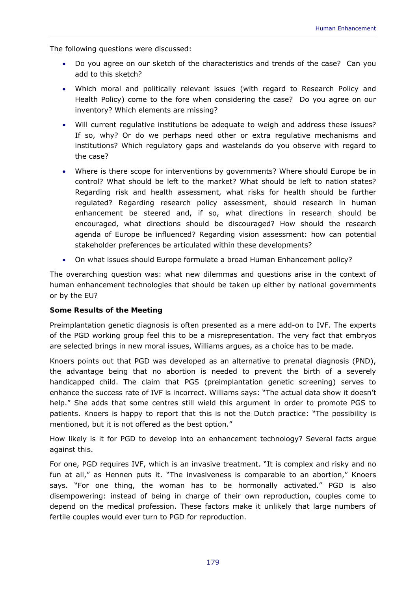The following questions were discussed:

- Do you agree on our sketch of the characteristics and trends of the case? Can you add to this sketch?
- Which moral and politically relevant issues (with regard to Research Policy and Health Policy) come to the fore when considering the case? Do you agree on our inventory? Which elements are missing?
- Will current regulative institutions be adequate to weigh and address these issues? If so, why? Or do we perhaps need other or extra regulative mechanisms and institutions? Which regulatory gaps and wastelands do you observe with regard to the case?
- Where is there scope for interventions by governments? Where should Europe be in control? What should be left to the market? What should be left to nation states? Regarding risk and health assessment, what risks for health should be further regulated? Regarding research policy assessment, should research in human enhancement be steered and, if so, what directions in research should be encouraged, what directions should be discouraged? How should the research agenda of Europe be influenced? Regarding vision assessment: how can potential stakeholder preferences be articulated within these developments?
- On what issues should Europe formulate a broad Human Enhancement policy?

The overarching question was: what new dilemmas and questions arise in the context of human enhancement technologies that should be taken up either by national governments or by the EU?

# *Some Results of the Meeting*

Preimplantation genetic diagnosis is often presented as a mere add-on to IVF. The experts of the PGD working group feel this to be a misrepresentation. The very fact that embryos are selected brings in new moral issues, Williams argues, as a choice has to be made.

Knoers points out that PGD was developed as an alternative to prenatal diagnosis (PND), the advantage being that no abortion is needed to prevent the birth of a severely handicapped child. The claim that PGS (preimplantation genetic screening) serves to enhance the success rate of IVF is incorrect. Williams says: "The actual data show it doesn't help." She adds that some centres still wield this argument in order to promote PGS to patients. Knoers is happy to report that this is not the Dutch practice: "The possibility is mentioned, but it is not offered as the best option."

How likely is it for PGD to develop into an enhancement technology? Several facts argue against this.

For one, PGD requires IVF, which is an invasive treatment. "It is complex and risky and no fun at all," as Hennen puts it. "The invasiveness is comparable to an abortion," Knoers says. "For one thing, the woman has to be hormonally activated." PGD is also disempowering: instead of being in charge of their own reproduction, couples come to depend on the medical profession. These factors make it unlikely that large numbers of fertile couples would ever turn to PGD for reproduction.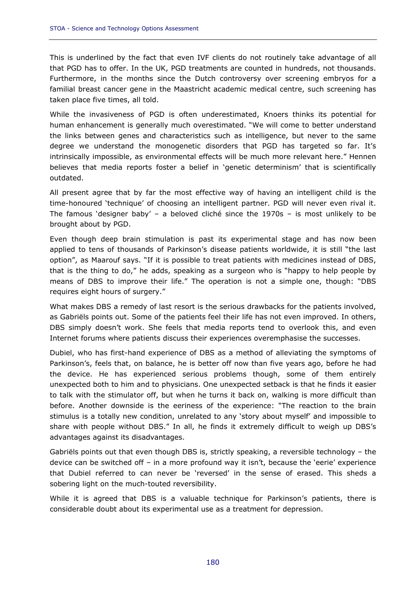This is underlined by the fact that even IVF clients do not routinely take advantage of all that PGD has to offer. In the UK, PGD treatments are counted in hundreds, not thousands. Furthermore, in the months since the Dutch controversy over screening embryos for a familial breast cancer gene in the Maastricht academic medical centre, such screening has taken place five times, all told.

While the invasiveness of PGD is often underestimated, Knoers thinks its potential for human enhancement is generally much overestimated. "We will come to better understand the links between genes and characteristics such as intelligence, but never to the same degree we understand the monogenetic disorders that PGD has targeted so far. It's intrinsically impossible, as environmental effects will be much more relevant here." Hennen believes that media reports foster a belief in 'genetic determinism' that is scientifically outdated.

All present agree that by far the most effective way of having an intelligent child is the time-honoured 'technique' of choosing an intelligent partner. PGD will never even rival it. The famous 'designer baby' – a beloved cliché since the 1970s – is most unlikely to be brought about by PGD.

Even though deep brain stimulation is past its experimental stage and has now been applied to tens of thousands of Parkinson's disease patients worldwide, it is still "the last option", as Maarouf says. "If it is possible to treat patients with medicines instead of DBS, that is the thing to do," he adds, speaking as a surgeon who is "happy to help people by means of DBS to improve their life." The operation is not a simple one, though: "DBS requires eight hours of surgery."

What makes DBS a remedy of last resort is the serious drawbacks for the patients involved, as Gabriëls points out. Some of the patients feel their life has not even improved. In others, DBS simply doesn't work. She feels that media reports tend to overlook this, and even Internet forums where patients discuss their experiences overemphasise the successes.

Dubiel, who has first-hand experience of DBS as a method of alleviating the symptoms of Parkinson's, feels that, on balance, he is better off now than five years ago, before he had the device. He has experienced serious problems though, some of them entirely unexpected both to him and to physicians. One unexpected setback is that he finds it easier to talk with the stimulator off, but when he turns it back on, walking is more difficult than before. Another downside is the eeriness of the experience: "The reaction to the brain stimulus is a totally new condition, unrelated to any 'story about myself' and impossible to share with people without DBS." In all, he finds it extremely difficult to weigh up DBS's advantages against its disadvantages.

Gabriëls points out that even though DBS is, strictly speaking, a reversible technology – the device can be switched off – in a more profound way it isn't, because the 'eerie' experience that Dubiel referred to can never be 'reversed' in the sense of erased. This sheds a sobering light on the much-touted reversibility.

While it is agreed that DBS is a valuable technique for Parkinson's patients, there is considerable doubt about its experimental use as a treatment for depression.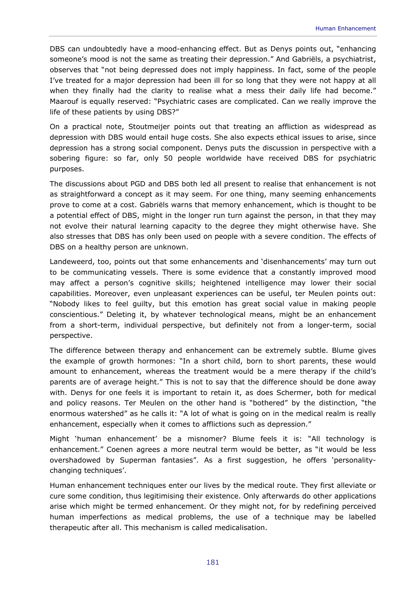DBS can undoubtedly have a mood-enhancing effect. But as Denys points out, "enhancing someone's mood is not the same as treating their depression." And Gabriëls, a psychiatrist, observes that "not being depressed does not imply happiness. In fact, some of the people I've treated for a major depression had been ill for so long that they were not happy at all when they finally had the clarity to realise what a mess their daily life had become." Maarouf is equally reserved: "Psychiatric cases are complicated. Can we really improve the life of these patients by using DBS?"

On a practical note, Stoutmeijer points out that treating an affliction as widespread as depression with DBS would entail huge costs. She also expects ethical issues to arise, since depression has a strong social component. Denys puts the discussion in perspective with a sobering figure: so far, only 50 people worldwide have received DBS for psychiatric purposes.

The discussions about PGD and DBS both led all present to realise that enhancement is not as straightforward a concept as it may seem. For one thing, many seeming enhancements prove to come at a cost. Gabriëls warns that memory enhancement, which is thought to be a potential effect of DBS, might in the longer run turn against the person, in that they may not evolve their natural learning capacity to the degree they might otherwise have. She also stresses that DBS has only been used on people with a severe condition. The effects of DBS on a healthy person are unknown.

Landeweerd, too, points out that some enhancements and 'disenhancements' may turn out to be communicating vessels. There is some evidence that a constantly improved mood may affect a person's cognitive skills; heightened intelligence may lower their social capabilities. Moreover, even unpleasant experiences can be useful, ter Meulen points out: "Nobody likes to feel guilty, but this emotion has great social value in making people conscientious." Deleting it, by whatever technological means, might be an enhancement from a short-term, individual perspective, but definitely not from a longer-term, social perspective.

The difference between therapy and enhancement can be extremely subtle. Blume gives the example of growth hormones: "In a short child, born to short parents, these would amount to enhancement, whereas the treatment would be a mere therapy if the child's parents are of average height." This is not to say that the difference should be done away with. Denys for one feels it is important to retain it, as does Schermer, both for medical and policy reasons. Ter Meulen on the other hand is "bothered" by the distinction, "the enormous watershed" as he calls it: "A lot of what is going on in the medical realm is really enhancement, especially when it comes to afflictions such as depression."

Might 'human enhancement' be a misnomer? Blume feels it is: "All technology is enhancement." Coenen agrees a more neutral term would be better, as "it would be less overshadowed by Superman fantasies". As a first suggestion, he offers 'personalitychanging techniques'.

Human enhancement techniques enter our lives by the medical route. They first alleviate or cure some condition, thus legitimising their existence. Only afterwards do other applications arise which might be termed enhancement. Or they might not, for by redefining perceived human imperfections as medical problems, the use of a technique may be labelled therapeutic after all. This mechanism is called medicalisation.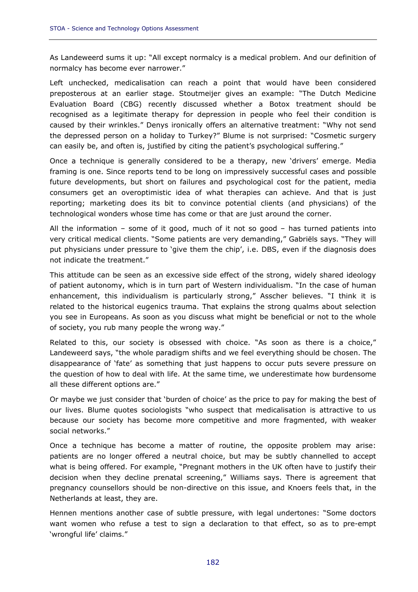As Landeweerd sums it up: "All except normalcy is a medical problem. And our definition of normalcy has become ever narrower."

Left unchecked, medicalisation can reach a point that would have been considered preposterous at an earlier stage. Stoutmeijer gives an example: "The Dutch Medicine Evaluation Board (CBG) recently discussed whether a Botox treatment should be recognised as a legitimate therapy for depression in people who feel their condition is caused by their wrinkles." Denys ironically offers an alternative treatment: "Why not send the depressed person on a holiday to Turkey?" Blume is not surprised: "Cosmetic surgery can easily be, and often is, justified by citing the patient's psychological suffering."

Once a technique is generally considered to be a therapy, new 'drivers' emerge. Media framing is one. Since reports tend to be long on impressively successful cases and possible future developments, but short on failures and psychological cost for the patient, media consumers get an overoptimistic idea of what therapies can achieve. And that is just reporting; marketing does its bit to convince potential clients (and physicians) of the technological wonders whose time has come or that are just around the corner.

All the information – some of it good, much of it not so good – has turned patients into very critical medical clients. "Some patients are very demanding," Gabriëls says. "They will put physicians under pressure to 'give them the chip', i.e. DBS, even if the diagnosis does not indicate the treatment."

This attitude can be seen as an excessive side effect of the strong, widely shared ideology of patient autonomy, which is in turn part of Western individualism. "In the case of human enhancement, this individualism is particularly strong," Asscher believes. "I think it is related to the historical eugenics trauma. That explains the strong qualms about selection you see in Europeans. As soon as you discuss what might be beneficial or not to the whole of society, you rub many people the wrong way."

Related to this, our society is obsessed with choice. "As soon as there is a choice," Landeweerd says, "the whole paradigm shifts and we feel everything should be chosen. The disappearance of 'fate' as something that just happens to occur puts severe pressure on the question of how to deal with life. At the same time, we underestimate how burdensome all these different options are."

Or maybe we just consider that 'burden of choice' as the price to pay for making the best of our lives. Blume quotes sociologists "who suspect that medicalisation is attractive to us because our society has become more competitive and more fragmented, with weaker social networks."

Once a technique has become a matter of routine, the opposite problem may arise: patients are no longer offered a neutral choice, but may be subtly channelled to accept what is being offered. For example, "Pregnant mothers in the UK often have to justify their decision when they decline prenatal screening," Williams says. There is agreement that pregnancy counsellors should be non-directive on this issue, and Knoers feels that, in the Netherlands at least, they are.

Hennen mentions another case of subtle pressure, with legal undertones: "Some doctors want women who refuse a test to sign a declaration to that effect, so as to pre-empt 'wrongful life' claims."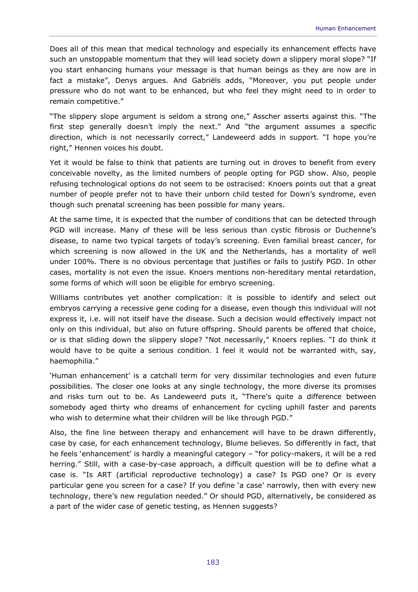Does all of this mean that medical technology and especially its enhancement effects have such an unstoppable momentum that they will lead society down a slippery moral slope? "If you start enhancing humans your message is that human beings as they are now are in fact a mistake", Denys argues. And Gabriëls adds, "Moreover, you put people under pressure who do not want to be enhanced, but who feel they might need to in order to remain competitive."

"The slippery slope argument is seldom a strong one," Asscher asserts against this. "The first step generally doesn't imply the next." And "the argument assumes a specific direction, which is not necessarily correct," Landeweerd adds in support. "I hope you're right," Hennen voices his doubt.

Yet it would be false to think that patients are turning out in droves to benefit from every conceivable novelty, as the limited numbers of people opting for PGD show. Also, people refusing technological options do not seem to be ostracised: Knoers points out that a great number of people prefer not to have their unborn child tested for Down's syndrome, even though such prenatal screening has been possible for many years.

At the same time, it is expected that the number of conditions that can be detected through PGD will increase. Many of these will be less serious than cystic fibrosis or Duchenne's disease, to name two typical targets of today's screening. Even familial breast cancer, for which screening is now allowed in the UK and the Netherlands, has a mortality of well under 100%. There is no obvious percentage that justifies or fails to justify PGD. In other cases, mortality is not even the issue. Knoers mentions non-hereditary mental retardation, some forms of which will soon be eligible for embryo screening.

Williams contributes yet another complication: it is possible to identify and select out embryos carrying a recessive gene coding for a disease, even though this individual will not express it, i.e. will not itself have the disease. Such a decision would effectively impact not only on this individual, but also on future offspring. Should parents be offered that choice, or is that sliding down the slippery slope? "Not necessarily," Knoers replies. "I do think it would have to be quite a serious condition. I feel it would not be warranted with, say, haemophilia."

'Human enhancement' is a catchall term for very dissimilar technologies and even future possibilities. The closer one looks at any single technology, the more diverse its promises and risks turn out to be. As Landeweerd puts it, "There's quite a difference between somebody aged thirty who dreams of enhancement for cycling uphill faster and parents who wish to determine what their children will be like through PGD."

Also, the fine line between therapy and enhancement will have to be drawn differently, case by case, for each enhancement technology, Blume believes. So differently in fact, that he feels 'enhancement' is hardly a meaningful category – "for policy-makers, it will be a red herring." Still, with a case-by-case approach, a difficult question will be to define what a case is. "Is ART (artificial reproductive technology) a case? Is PGD one? Or is every particular gene you screen for a case? If you define 'a case' narrowly, then with every new technology, there's new regulation needed." Or should PGD, alternatively, be considered as a part of the wider case of genetic testing, as Hennen suggests?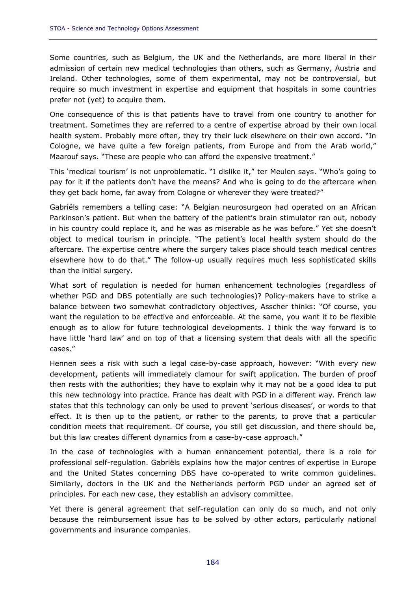Some countries, such as Belgium, the UK and the Netherlands, are more liberal in their admission of certain new medical technologies than others, such as Germany, Austria and Ireland. Other technologies, some of them experimental, may not be controversial, but require so much investment in expertise and equipment that hospitals in some countries prefer not (yet) to acquire them.

One consequence of this is that patients have to travel from one country to another for treatment. Sometimes they are referred to a centre of expertise abroad by their own local health system. Probably more often, they try their luck elsewhere on their own accord. "In Cologne, we have quite a few foreign patients, from Europe and from the Arab world," Maarouf says. "These are people who can afford the expensive treatment."

This 'medical tourism' is not unproblematic. "I dislike it," ter Meulen says. "Who's going to pay for it if the patients don't have the means? And who is going to do the aftercare when they get back home, far away from Cologne or wherever they were treated?"

Gabriëls remembers a telling case: "A Belgian neurosurgeon had operated on an African Parkinson's patient. But when the battery of the patient's brain stimulator ran out, nobody in his country could replace it, and he was as miserable as he was before." Yet she doesn't object to medical tourism in principle. "The patient's local health system should do the aftercare. The expertise centre where the surgery takes place should teach medical centres elsewhere how to do that." The follow-up usually requires much less sophisticated skills than the initial surgery.

What sort of regulation is needed for human enhancement technologies (regardless of whether PGD and DBS potentially are such technologies)? Policy-makers have to strike a balance between two somewhat contradictory objectives, Asscher thinks: "Of course, you want the regulation to be effective and enforceable. At the same, you want it to be flexible enough as to allow for future technological developments. I think the way forward is to have little 'hard law' and on top of that a licensing system that deals with all the specific cases."

Hennen sees a risk with such a legal case-by-case approach, however: "With every new development, patients will immediately clamour for swift application. The burden of proof then rests with the authorities; they have to explain why it may not be a good idea to put this new technology into practice. France has dealt with PGD in a different way. French law states that this technology can only be used to prevent 'serious diseases', or words to that effect. It is then up to the patient, or rather to the parents, to prove that a particular condition meets that requirement. Of course, you still get discussion, and there should be, but this law creates different dynamics from a case-by-case approach."

In the case of technologies with a human enhancement potential, there is a role for professional self-regulation. Gabriëls explains how the major centres of expertise in Europe and the United States concerning DBS have co-operated to write common guidelines. Similarly, doctors in the UK and the Netherlands perform PGD under an agreed set of principles. For each new case, they establish an advisory committee.

Yet there is general agreement that self-regulation can only do so much, and not only because the reimbursement issue has to be solved by other actors, particularly national governments and insurance companies.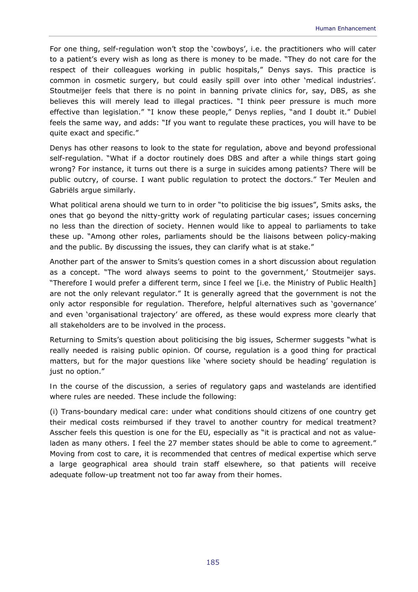For one thing, self-regulation won't stop the 'cowboys', i.e. the practitioners who will cater to a patient's every wish as long as there is money to be made. "They do not care for the respect of their colleagues working in public hospitals," Denys says. This practice is common in cosmetic surgery, but could easily spill over into other 'medical industries'. Stoutmeijer feels that there is no point in banning private clinics for, say, DBS, as she believes this will merely lead to illegal practices. "I think peer pressure is much more effective than legislation." "I know these people," Denys replies, "and I doubt it." Dubiel feels the same way, and adds: "If you want to regulate these practices, you will have to be quite exact and specific."

Denys has other reasons to look to the state for regulation, above and beyond professional self-regulation. "What if a doctor routinely does DBS and after a while things start going wrong? For instance, it turns out there is a surge in suicides among patients? There will be public outcry, of course. I want public regulation to protect the doctors." Ter Meulen and Gabriëls argue similarly.

What political arena should we turn to in order "to politicise the big issues", Smits asks, the ones that go beyond the nitty-gritty work of regulating particular cases; issues concerning no less than the direction of society. Hennen would like to appeal to parliaments to take these up. "Among other roles, parliaments should be the liaisons between policy-making and the public. By discussing the issues, they can clarify what is at stake."

Another part of the answer to Smits's question comes in a short discussion about regulation as a concept. "The word always seems to point to the government,' Stoutmeijer says. "Therefore I would prefer a different term, since I feel we [i.e. the Ministry of Public Health] are not the only relevant regulator." It is generally agreed that the government is not the only actor responsible for regulation. Therefore, helpful alternatives such as 'governance' and even 'organisational trajectory' are offered, as these would express more clearly that all stakeholders are to be involved in the process.

Returning to Smits's question about politicising the big issues, Schermer suggests "what is really needed is raising public opinion. Of course, regulation is a good thing for practical matters, but for the major questions like 'where society should be heading' regulation is just no option."

*In the course of the discussion, a series of regulatory gaps and wastelands are identified where rules are needed. These include the following:* 

(i) Trans-boundary medical care: under what conditions should citizens of one country get their medical costs reimbursed if they travel to another country for medical treatment? Asscher feels this question is one for the EU, especially as "it is practical and not as valueladen as many others. I feel the 27 member states should be able to come to agreement." Moving from cost to care, it is recommended that centres of medical expertise which serve a large geographical area should train staff elsewhere, so that patients will receive adequate follow-up treatment not too far away from their homes.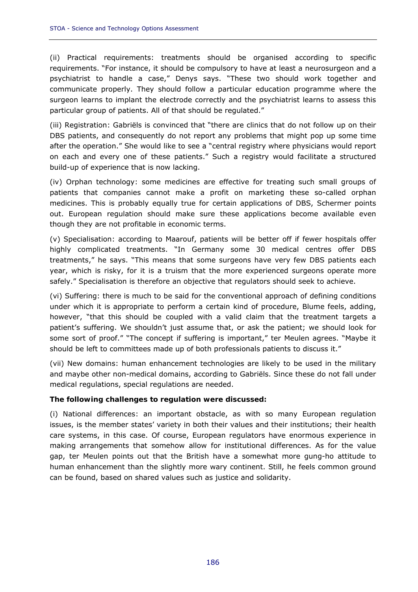(ii) Practical requirements: treatments should be organised according to specific requirements. "For instance, it should be compulsory to have at least a neurosurgeon and a psychiatrist to handle a case," Denys says. "These two should work together and communicate properly. They should follow a particular education programme where the surgeon learns to implant the electrode correctly and the psychiatrist learns to assess this particular group of patients. All of that should be regulated."

(iii) Registration: Gabriëls is convinced that "there are clinics that do not follow up on their DBS patients, and consequently do not report any problems that might pop up some time after the operation." She would like to see a "central registry where physicians would report on each and every one of these patients." Such a registry would facilitate a structured build-up of experience that is now lacking.

(iv) Orphan technology: some medicines are effective for treating such small groups of patients that companies cannot make a profit on marketing these so-called orphan medicines. This is probably equally true for certain applications of DBS, Schermer points out. European regulation should make sure these applications become available even though they are not profitable in economic terms.

(v) Specialisation: according to Maarouf, patients will be better off if fewer hospitals offer highly complicated treatments. "In Germany some 30 medical centres offer DBS treatments," he says. "This means that some surgeons have very few DBS patients each year, which is risky, for it is a truism that the more experienced surgeons operate more safely." Specialisation is therefore an objective that regulators should seek to achieve.

(vi) Suffering: there is much to be said for the conventional approach of defining conditions under which it is appropriate to perform a certain kind of procedure, Blume feels, adding, however, "that this should be coupled with a valid claim that the treatment targets a patient's suffering. We shouldn't just assume that, or ask the patient; we should look for some sort of proof." "The concept if suffering is important," ter Meulen agrees. "Maybe it should be left to committees made up of both professionals patients to discuss it."

(vii) New domains: human enhancement technologies are likely to be used in the military and maybe other non-medical domains, according to Gabriëls. Since these do not fall under medical regulations, special regulations are needed.

# *The following challenges to regulation were discussed:*

(i) National differences: an important obstacle, as with so many European regulation issues, is the member states' variety in both their values and their institutions; their health care systems, in this case. Of course, European regulators have enormous experience in making arrangements that somehow allow for institutional differences. As for the value gap, ter Meulen points out that the British have a somewhat more gung-ho attitude to human enhancement than the slightly more wary continent. Still, he feels common ground can be found, based on shared values such as justice and solidarity.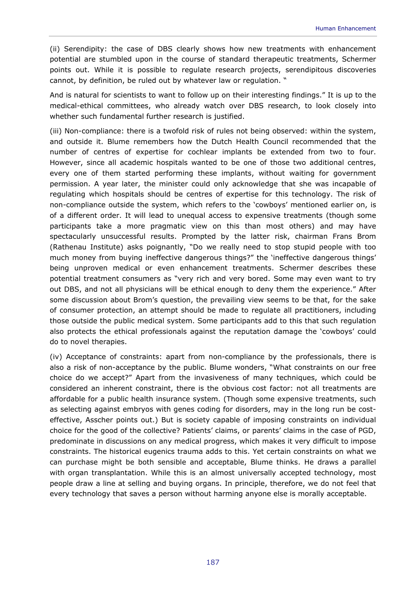(ii) Serendipity: the case of DBS clearly shows how new treatments with enhancement potential are stumbled upon in the course of standard therapeutic treatments, Schermer points out. While it is possible to regulate research projects, serendipitous discoveries cannot, by definition, be ruled out by whatever law or regulation. "

And is natural for scientists to want to follow up on their interesting findings." It is up to the medical-ethical committees, who already watch over DBS research, to look closely into whether such fundamental further research is justified.

(iii) Non-compliance: there is a twofold risk of rules not being observed: within the system, and outside it. Blume remembers how the Dutch Health Council recommended that the number of centres of expertise for cochlear implants be extended from two to four. However, since all academic hospitals wanted to be one of those two additional centres, every one of them started performing these implants, without waiting for government permission. A year later, the minister could only acknowledge that she was incapable of regulating which hospitals should be centres of expertise for this technology. The risk of non-compliance outside the system, which refers to the 'cowboys' mentioned earlier on, is of a different order. It will lead to unequal access to expensive treatments (though some participants take a more pragmatic view on this than most others) and may have spectacularly unsuccessful results. Prompted by the latter risk, chairman Frans Brom (Rathenau Institute) asks poignantly, "Do we really need to stop stupid people with too much money from buying ineffective dangerous things?" the 'ineffective dangerous things' being unproven medical or even enhancement treatments. Schermer describes these potential treatment consumers as "very rich and very bored. Some may even want to try out DBS, and not all physicians will be ethical enough to deny them the experience." After some discussion about Brom's question, the prevailing view seems to be that, for the sake of consumer protection, an attempt should be made to regulate all practitioners, including those outside the public medical system. Some participants add to this that such regulation also protects the ethical professionals against the reputation damage the 'cowboys' could do to novel therapies.

(iv) Acceptance of constraints: apart from non-compliance by the professionals, there is also a risk of non-acceptance by the public. Blume wonders, "What constraints on our free choice do we accept?" Apart from the invasiveness of many techniques, which could be considered an inherent constraint, there is the obvious cost factor: not all treatments are affordable for a public health insurance system. (Though some expensive treatments, such as selecting against embryos with genes coding for disorders, may in the long run be costeffective, Asscher points out.) But is society capable of imposing constraints on individual choice for the good of the collective? Patients' claims, or parents' claims in the case of PGD, predominate in discussions on any medical progress, which makes it very difficult to impose constraints. The historical eugenics trauma adds to this. Yet certain constraints on what we can purchase might be both sensible and acceptable, Blume thinks. He draws a parallel with organ transplantation. While this is an almost universally accepted technology, most people draw a line at selling and buying organs. In principle, therefore, we do not feel that every technology that saves a person without harming anyone else is morally acceptable.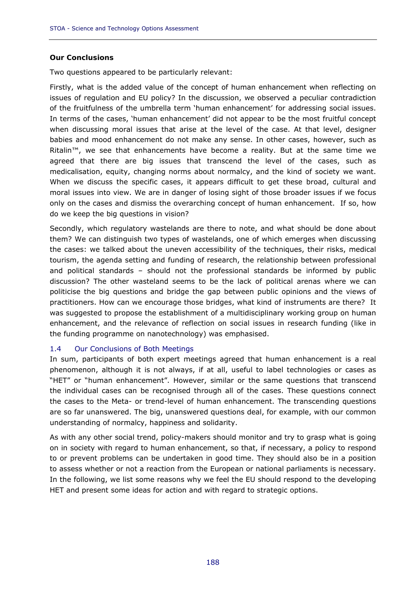# *Our Conclusions*

Two questions appeared to be particularly relevant:

Firstly, what is the added value of the concept of human enhancement when reflecting on issues of regulation and EU policy? In the discussion, we observed a peculiar contradiction of the fruitfulness of the umbrella term 'human enhancement' for addressing social issues. In terms of the cases, 'human enhancement' did not appear to be the most fruitful concept when discussing moral issues that arise at the level of the case. At that level, designer babies and mood enhancement do not make any sense. In other cases, however, such as Ritalin™, we see that enhancements have become a reality. But at the same time we agreed that there are big issues that transcend the level of the cases, such as medicalisation, equity, changing norms about normalcy, and the kind of society we want. When we discuss the specific cases, it appears difficult to get these broad, cultural and moral issues into view. We are in danger of losing sight of those broader issues if we focus only on the cases and dismiss the overarching concept of human enhancement. If so, how do we keep the big questions in vision?

Secondly, which regulatory wastelands are there to note, and what should be done about them? We can distinguish two types of wastelands, one of which emerges when discussing the cases: we talked about the uneven accessibility of the techniques, their risks, medical tourism, the agenda setting and funding of research, the relationship between professional and political standards – should not the professional standards be informed by public discussion? The other wasteland seems to be the lack of political arenas where we can politicise the big questions and bridge the gap between public opinions and the views of practitioners. How can we encourage those bridges, what kind of instruments are there? It was suggested to propose the establishment of a multidisciplinary working group on human enhancement, and the relevance of reflection on social issues in research funding (like in the funding programme on nanotechnology) was emphasised.

# 1.4 Our Conclusions of Both Meetings

In sum, participants of both expert meetings agreed that human enhancement is a real phenomenon, although it is not always, if at all, useful to label technologies or cases as "HET" or "human enhancement". However, similar or the same questions that transcend the individual cases can be recognised through all of the cases. These questions connect the cases to the Meta- or trend-level of human enhancement. The transcending questions are so far unanswered. The big, unanswered questions deal, for example, with our common understanding of normalcy, happiness and solidarity.

As with any other social trend, policy-makers should monitor and try to grasp what is going on in society with regard to human enhancement, so that, if necessary, a policy to respond to or prevent problems can be undertaken in good time. They should also be in a position to assess whether or not a reaction from the European or national parliaments is necessary. In the following, we list some reasons why we feel the EU should respond to the developing HET and present some ideas for action and with regard to strategic options.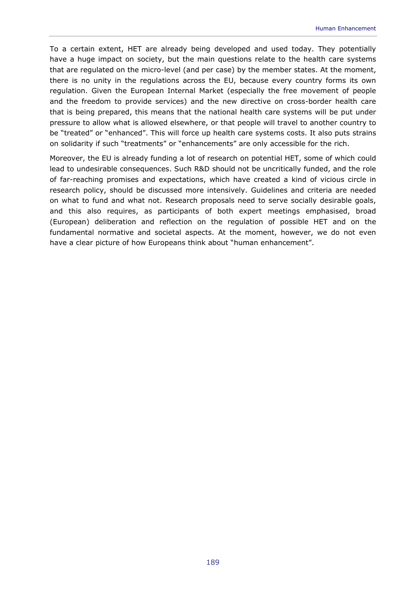To a certain extent, HET are already being developed and used today. They potentially have a huge impact on society, but the main questions relate to the health care systems that are regulated on the micro-level (and per case) by the member states. At the moment, there is no unity in the regulations across the EU, because every country forms its own regulation. Given the European Internal Market (especially the free movement of people and the freedom to provide services) and the new directive on cross-border health care that is being prepared, this means that the national health care systems will be put under pressure to allow what is allowed elsewhere, or that people will travel to another country to be "treated" or "enhanced". This will force up health care systems costs. It also puts strains on solidarity if such "treatments" or "enhancements" are only accessible for the rich.

Moreover, the EU is already funding a lot of research on potential HET, some of which could lead to undesirable consequences. Such R&D should not be uncritically funded, and the role of far-reaching promises and expectations, which have created a kind of vicious circle in research policy, should be discussed more intensively. Guidelines and criteria are needed on what to fund and what not. Research proposals need to serve socially desirable goals, and this also requires, as participants of both expert meetings emphasised, broad (European) deliberation and reflection on the regulation of possible HET and on the fundamental normative and societal aspects. At the moment, however, we do not even have a clear picture of how Europeans think about "human enhancement".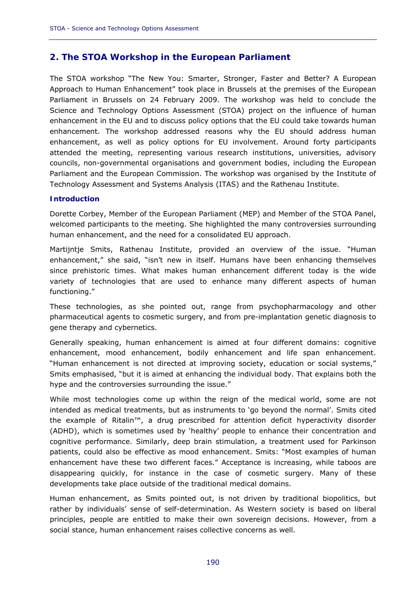# **2. The STOA Workshop in the European Parliament**

The STOA workshop "The New You: Smarter, Stronger, Faster and Better? A European Approach to Human Enhancement" took place in Brussels at the premises of the European Parliament in Brussels on 24 February 2009. The workshop was held to conclude the Science and Technology Options Assessment (STOA) project on the influence of human enhancement in the EU and to discuss policy options that the EU could take towards human enhancement. The workshop addressed reasons why the EU should address human enhancement, as well as policy options for EU involvement. Around forty participants attended the meeting, representing various research institutions, universities, advisory councils, non-governmental organisations and government bodies, including the European Parliament and the European Commission. The workshop was organised by the Institute of Technology Assessment and Systems Analysis (ITAS) and the Rathenau Institute.

# **Introduction**

Dorette Corbey, Member of the European Parliament (MEP) and Member of the STOA Panel, welcomed participants to the meeting. She highlighted the many controversies surrounding human enhancement, and the need for a consolidated EU approach.

Martijntje Smits, Rathenau Institute, provided an overview of the issue. "Human enhancement," she said, "isn't new in itself. Humans have been enhancing themselves since prehistoric times. What makes human enhancement different today is the wide variety of *technologies* that are used to *enhance* many different aspects of human functioning."

These technologies, as she pointed out, range from psychopharmacology and other pharmaceutical agents to cosmetic surgery, and from pre-implantation genetic diagnosis to gene therapy and cybernetics.

Generally speaking, human enhancement is aimed at four different domains: cognitive enhancement, mood enhancement, bodily enhancement and life span enhancement. "Human enhancement is not directed at improving society, education or social systems," Smits emphasised, "but it is aimed at enhancing the individual body. That explains both the hype and the controversies surrounding the issue."

While most technologies come up within the reign of the medical world, some are not intended as medical treatments, but as instruments to 'go beyond the normal'. Smits cited the example of Ritalin™, a drug prescribed for attention deficit hyperactivity disorder (ADHD), which is sometimes used by 'healthy' people to enhance their concentration and cognitive performance. Similarly, deep brain stimulation, a treatment used for Parkinson patients, could also be effective as mood enhancement. Smits: "Most examples of human enhancement have these two different faces." Acceptance is increasing, while taboos are disappearing quickly, for instance in the case of cosmetic surgery. Many of these developments take place outside of the traditional medical domains.

Human enhancement, as Smits pointed out, is not driven by traditional biopolitics, but rather by individuals' sense of self-determination. As Western society is based on liberal principles, people are entitled to make their own sovereign decisions. However, from a social stance, human enhancement raises collective concerns as well.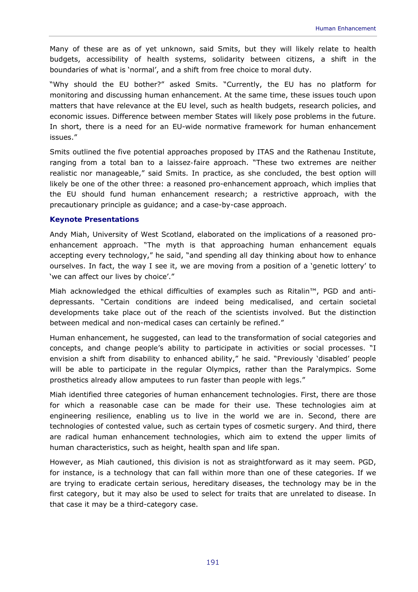Many of these are as of yet unknown, said Smits, but they will likely relate to health budgets, accessibility of health systems, solidarity between citizens, a shift in the boundaries of what is 'normal', and a shift from free choice to moral duty.

"Why should the EU bother?" asked Smits. "Currently, the EU has no platform for monitoring and discussing human enhancement. At the same time, these issues touch upon matters that have relevance at the EU level, such as health budgets, research policies, and economic issues. Difference between member States will likely pose problems in the future. In short, there is a need for an EU-wide normative framework for human enhancement issues."

Smits outlined the five potential approaches proposed by ITAS and the Rathenau Institute, ranging from a total ban to a *laissez-faire* approach. "These two extremes are neither realistic nor manageable," said Smits. In practice, as she concluded, the best option will likely be one of the other three: a reasoned pro-enhancement approach, which implies that the EU should fund human enhancement research; a restrictive approach, with the precautionary principle as guidance; and a case-by-case approach.

# **Keynote Presentations**

Andy Miah, University of West Scotland, elaborated on the implications of a reasoned proenhancement approach. "The myth is that approaching human enhancement equals accepting every technology," he said, "and spending all day thinking about how to enhance ourselves. In fact, the way I see it, we are moving from a position of a 'genetic lottery' to 'we can affect our lives by choice'."

Miah acknowledged the ethical difficulties of examples such as Ritalin™, PGD and antidepressants. "Certain conditions are indeed being medicalised, and certain societal developments take place out of the reach of the scientists involved. But the distinction between medical and non-medical cases can certainly be refined."

Human enhancement, he suggested, can lead to the transformation of social categories and concepts, and change people's ability to participate in activities or social processes. "I envision a shift from disability to enhanced ability," he said. "Previously 'disabled' people will be able to participate in the regular Olympics, rather than the Paralympics. Some prosthetics already allow amputees to run faster than people with legs."

Miah identified three categories of human enhancement technologies. First, there are those for which a reasonable case can be made for their use. These technologies aim at engineering resilience, enabling us to live in the world we are in. Second, there are technologies of contested value, such as certain types of cosmetic surgery. And third, there are radical human enhancement technologies, which aim to extend the upper limits of human characteristics, such as height, health span and life span.

However, as Miah cautioned, this division is not as straightforward as it may seem. PGD, for instance, is a technology that can fall within more than one of these categories. If we are trying to eradicate certain serious, hereditary diseases, the technology may be in the first category, but it may also be used to select for traits that are unrelated to disease. In that case it may be a third-category case.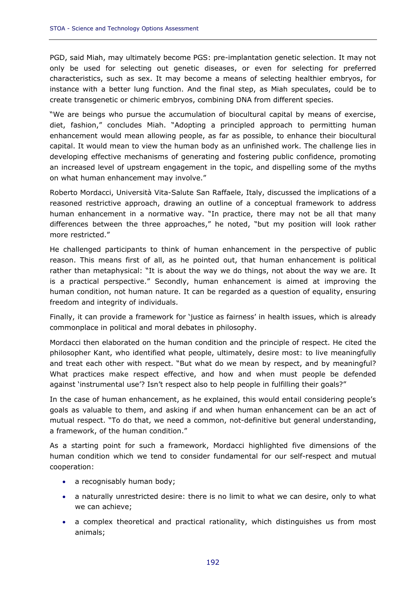PGD, said Miah, may ultimately become PGS: pre-implantation genetic selection. It may not only be used for selecting out genetic diseases, or even for selecting for preferred characteristics, such as sex. It may become a means of selecting healthier embryos, for instance with a better lung function. And the final step, as Miah speculates, could be to create transgenetic or chimeric embryos, combining DNA from different species.

"We are beings who pursue the accumulation of biocultural capital by means of exercise, diet, fashion," concludes Miah. "Adopting a principled approach to permitting human enhancement would mean allowing people, as far as possible, to enhance their biocultural capital. It would mean to view the human body as an unfinished work. The challenge lies in developing effective mechanisms of generating and fostering public confidence, promoting an increased level of upstream engagement in the topic, and dispelling some of the myths on what human enhancement may involve."

Roberto Mordacci, Università Vita-Salute San Raffaele, Italy, discussed the implications of a reasoned restrictive approach, drawing an outline of a conceptual framework to address human enhancement in a normative way. "In practice, there may not be all that many differences between the three approaches," he noted, "but my position will look rather more restricted."

He challenged participants to think of human enhancement in the perspective of public reason. This means first of all, as he pointed out, that human enhancement is political rather than metaphysical: "It is about the way we *do* things, not about the way we *are*. It is a practical perspective." Secondly, human enhancement is aimed at improving the human *condition*, not human *nature*. It can be regarded as a question of equality, ensuring freedom and integrity of individuals.

Finally, it can provide a framework for 'justice as fairness' in health issues, which is already commonplace in political and moral debates in philosophy.

Mordacci then elaborated on the human condition and the principle of respect. He cited the philosopher Kant, who identified what people, ultimately, desire most: to live meaningfully and treat each other with respect. "But what do we *mean* by respect, and by meaningful? What practices make respect effective, and how and when must people be defended against 'instrumental use'? Isn't respect also to help people in fulfilling their goals?"

In the case of human enhancement, as he explained, this would entail considering people's goals as valuable to them, and asking if and when human enhancement can be an act of mutual respect. "To do that, we need a common, not-definitive but general understanding, a framework, of the human condition."

As a starting point for such a framework, Mordacci highlighted five dimensions of the human condition which we tend to consider fundamental for our self-respect and mutual cooperation:

- a recognisably human body;
- a naturally unrestricted desire: there is no limit to what we can desire, only to what we can achieve;
- a complex theoretical and practical rationality, which distinguishes us from most animals;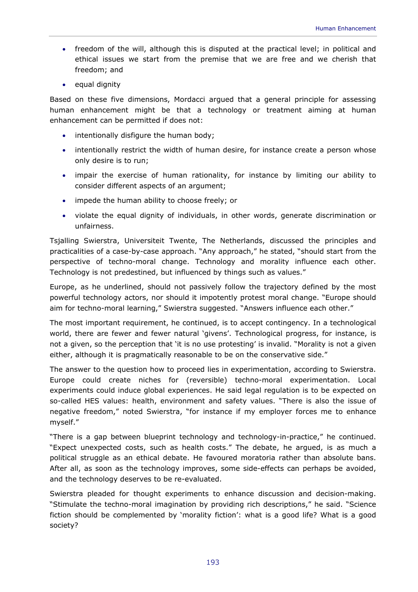- freedom of the will, although this is disputed at the practical level; in political and ethical issues we start from the premise that we are free and we cherish that freedom; and
- equal dignity

Based on these five dimensions, Mordacci argued that a general principle for assessing human enhancement might be that a technology or treatment aiming at human enhancement can be permitted if does not:

- intentionally disfigure the human body;
- intentionally restrict the width of human desire, for instance create a person whose only desire is to run;
- impair the exercise of human rationality, for instance by limiting our ability to consider different aspects of an argument;
- impede the human ability to choose freely; or
- violate the equal dignity of individuals, in other words, generate discrimination or unfairness.

Tsjalling Swierstra, Universiteit Twente, The Netherlands, discussed the principles and practicalities of a case-by-case approach. "Any approach," he stated, "should start from the perspective of techno-moral change. Technology and morality influence each other. Technology is not predestined, but influenced by things such as values."

Europe, as he underlined, should not passively follow the trajectory defined by the most powerful technology actors, nor should it impotently protest moral change. "Europe should aim for techno-moral learning," Swierstra suggested. "Answers influence each other."

The most important requirement, he continued, is to accept contingency. In a technological world, there are fewer and fewer natural 'givens'. Technological progress, for instance, is not a given, so the perception that 'it is no use protesting' is invalid. "Morality is not a given either, although it is pragmatically reasonable to be on the conservative side."

The answer to the question how to proceed lies in experimentation, according to Swierstra. Europe could create niches for (reversible) techno-moral experimentation. Local experiments could induce global experiences. He said legal regulation is to be expected on so-called HES values: health, environment and safety values. "There is also the issue of negative freedom," noted Swierstra, "for instance if my employer forces me to enhance myself."

"There is a gap between blueprint technology and technology-in-practice," he continued. "Expect unexpected costs, such as health costs." The debate, he argued, is as much a political struggle as an ethical debate. He favoured moratoria rather than absolute bans. After all, as soon as the technology improves, some side-effects can perhaps be avoided, and the technology deserves to be re-evaluated.

Swierstra pleaded for thought experiments to enhance discussion and decision-making. "Stimulate the techno-moral imagination by providing rich descriptions," he said. "Science fiction should be complemented by 'morality fiction': what is a good life? What is a good society?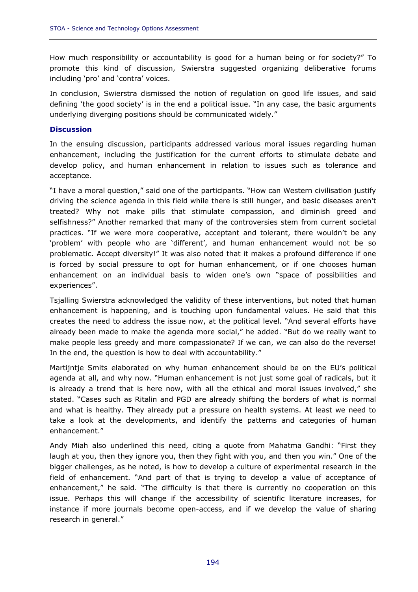How much responsibility or accountability is good for a human being or for society?" To promote this kind of discussion, Swierstra suggested organizing deliberative forums including 'pro' and 'contra' voices.

In conclusion, Swierstra dismissed the notion of regulation on good life issues, and said defining 'the good society' is in the end a political issue. "In any case, the basic arguments underlying diverging positions should be communicated widely."

#### **Discussion**

In the ensuing discussion, participants addressed various moral issues regarding human enhancement, including the justification for the current efforts to stimulate debate and develop policy, and human enhancement in relation to issues such as tolerance and acceptance.

"I have a moral question," said one of the participants. "How can Western civilisation justify driving the science agenda in this field while there is still hunger, and basic diseases aren't treated? Why not make pills that stimulate compassion, and diminish greed and selfishness?" Another remarked that many of the controversies stem from current societal practices. "If we were more cooperative, acceptant and tolerant, there wouldn't be any 'problem' with people who are 'different', and human enhancement would not be so problematic. Accept diversity!" It was also noted that it makes a profound difference if one is forced by social pressure to opt for human enhancement, or if one chooses human enhancement on an individual basis to widen one's own "space of possibilities and experiences".

Tsjalling Swierstra acknowledged the validity of these interventions, but noted that human enhancement *is* happening, and *is* touching upon fundamental values. He said that this creates the need to address the issue now, at the political level. "And several efforts have already been made to make the agenda more social," he added. "But do we really want to make people less greedy and more compassionate? If we can, we can also do the reverse! In the end, the question is how to deal with accountability."

Martijntje Smits elaborated on why human enhancement should be on the EU's political agenda at all, and why now. "Human enhancement is not just some goal of radicals, but it is already a trend that is here now, with all the ethical and moral issues involved," she stated. "Cases such as Ritalin and PGD are already shifting the borders of what is normal and what is healthy. They already put a pressure on health systems. At least we need to take a look at the developments, and identify the patterns and categories of human enhancement."

Andy Miah also underlined this need, citing a quote from Mahatma Gandhi: "First they laugh at you, then they ignore you, then they fight with you, and then you win." One of the bigger challenges, as he noted, is how to develop a culture of experimental research in the field of enhancement. "And part of that is trying to develop a value of acceptance of enhancement," he said. "The difficulty is that there is currently no cooperation on this issue. Perhaps this will change if the accessibility of scientific literature increases, for instance if more journals become open-access, and if we develop the value of sharing research in general."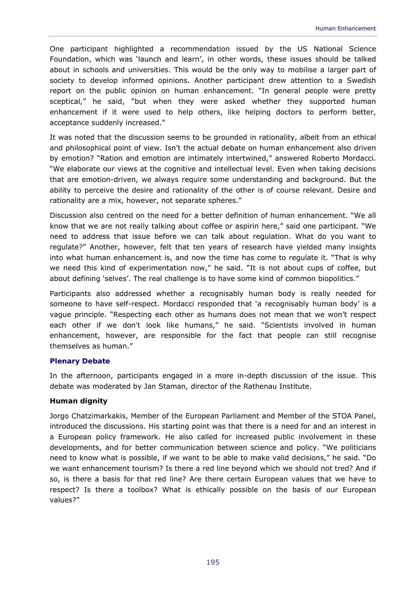One participant highlighted a recommendation issued by the US National Science Foundation, which was 'launch and learn', in other words, these issues should be talked about in schools and universities. This would be the only way to mobilise a larger part of society to develop informed opinions. Another participant drew attention to a Swedish report on the public opinion on human enhancement. "In general people were pretty sceptical," he said, "but when they were asked whether they supported human enhancement if it were used to help others, like helping doctors to perform better, acceptance suddenly increased."

It was noted that the discussion seems to be grounded in rationality, albeit from an ethical and philosophical point of view. Isn't the actual debate on human enhancement also driven by emotion? "Ration and emotion are intimately intertwined," answered Roberto Mordacci. "We elaborate our views at the cognitive and intellectual level. Even when taking decisions that are emotion-driven, we always require some understanding and background. But the ability to perceive the desire and rationality of the other is of course relevant. Desire and rationality are a mix, however, not separate spheres."

Discussion also centred on the need for a better definition of human enhancement. "We all know that we are not *really* talking about coffee or aspirin here," said one participant. "We need to address that issue before we can talk about regulation. What do you want to regulate?" Another, however, felt that ten years of research have yielded many insights into what human enhancement is, and now the time has come to regulate it. "That is why we need this kind of experimentation now," he said. "It is not about cups of coffee, but about defining 'selves'. The real challenge is to have some kind of common biopolitics."

Participants also addressed whether a recognisably human body is really needed for someone to have self-respect. Mordacci responded that 'a recognisably human body' is a vague principle. "Respecting each other as humans does not mean that we won't respect each other if we *don't* look like humans," he said. "Scientists involved in human enhancement, however, are responsible for the fact that people can still recognise *themselves* as human."

# **Plenary Debate**

In the afternoon, participants engaged in a more in-depth discussion of the issue. This debate was moderated by Jan Staman, director of the Rathenau Institute.

# *Human dignity*

Jorgo Chatzimarkakis, Member of the European Parliament and Member of the STOA Panel, introduced the discussions. His starting point was that there is a need for and an interest in a European policy framework. He also called for increased public involvement in these developments, and for better communication between science and policy. "We politicians need to know what is possible, if we want to be able to make valid decisions," he said. "Do we want enhancement tourism? Is there a red line beyond which we should not tred? And if so, is there a basis for that red line? Are there certain European values that we have to respect? Is there a toolbox? What is ethically possible on the basis of our European values?"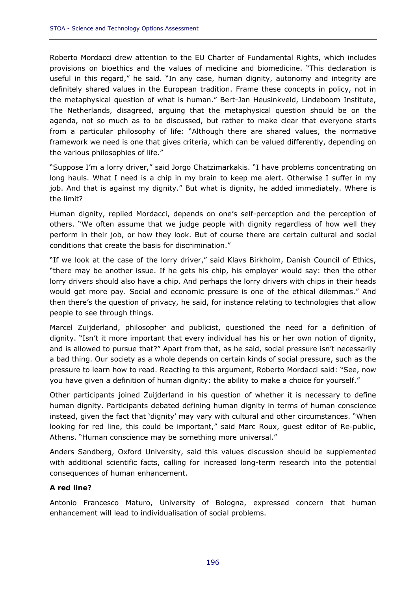Roberto Mordacci drew attention to the EU Charter of Fundamental Rights, which includes provisions on bioethics and the values of medicine and biomedicine. "This declaration is useful in this regard," he said. "In any case, human dignity, autonomy and integrity are definitely shared values in the European tradition. Frame these concepts in policy, not in the metaphysical question of what is human." Bert-Jan Heusinkveld, Lindeboom Institute, The Netherlands, disagreed, arguing that the metaphysical question should be on the agenda, not so much as to be discussed, but rather to make clear that everyone starts from a particular philosophy of life: "Although there are shared values, the normative framework we need is one that gives criteria, which can be valued differently, depending on the various philosophies of life."

"Suppose I'm a lorry driver," said Jorgo Chatzimarkakis. "I have problems concentrating on long hauls. What I need is a chip in my brain to keep me alert. Otherwise I suffer in my job. And that is against my dignity." But what *is* dignity, he added immediately. Where is the limit?

Human dignity, replied Mordacci, depends on one's self-perception and the perception of others. "We often assume that we judge people with dignity regardless of how well they perform in their job, or how they look. But of course there are certain cultural and social conditions that create the basis for discrimination."

"If we look at the case of the lorry driver," said Klavs Birkholm, Danish Council of Ethics, "there may be another issue. If he gets his chip, his employer would say: then the other lorry drivers should also have a chip. And perhaps the lorry drivers with chips in their heads would get more pay. Social and economic pressure is one of the ethical dilemmas." And then there's the question of privacy, he said, for instance relating to technologies that allow people to see through things.

Marcel Zuijderland, philosopher and publicist, questioned the need for a definition of dignity. "Isn't it more important that every individual has his or her own notion of dignity, and is allowed to pursue that?" Apart from that, as he said, social pressure isn't necessarily a bad thing. Our society as a whole depends on certain kinds of social pressure, such as the pressure to learn how to read. Reacting to this argument, Roberto Mordacci said: "See, now you have given a definition of human dignity: the ability to make a choice for yourself."

Other participants joined Zuijderland in his question of whether it is necessary to define human dignity. Participants debated defining human dignity in terms of human conscience instead, given the fact that 'dignity' may vary with cultural and other circumstances. "When looking for red line, this could be important," said Marc Roux, guest editor of *Re-public*, Athens. "Human conscience may be something more universal."

Anders Sandberg, Oxford University, said this values discussion should be supplemented with additional scientific facts, calling for increased long-term research into the potential consequences of human enhancement.

# *A red line?*

Antonio Francesco Maturo, University of Bologna, expressed concern that human enhancement will lead to individualisation of social problems.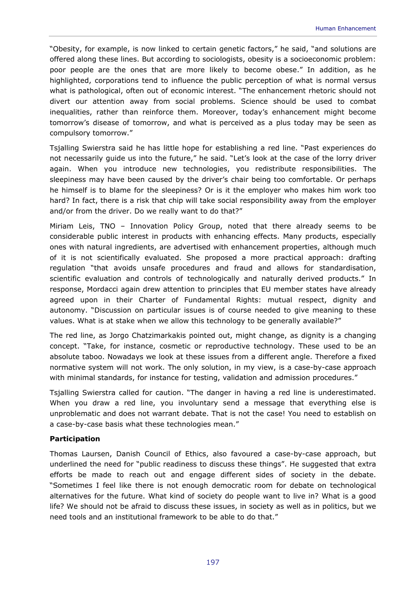"Obesity, for example, is now linked to certain genetic factors," he said, "and solutions are offered along these lines. But according to sociologists, obesity is a socioeconomic problem: poor people are the ones that are more likely to become obese." In addition, as he highlighted, corporations tend to influence the public perception of what is normal versus what is pathological, often out of economic interest. "The enhancement rhetoric should not divert our attention away from social problems. Science should be used to combat inequalities, rather than reinforce them. Moreover, today's enhancement might become tomorrow's disease of tomorrow, and what is perceived as a plus today may be seen as compulsory tomorrow."

Tsjalling Swierstra said he has little hope for establishing a red line. "Past experiences do not necessarily guide us into the future," he said. "Let's look at the case of the lorry driver again. When you introduce new technologies, you redistribute responsibilities. The sleepiness may have been caused by the driver's chair being too comfortable. Or perhaps he himself is to blame for the sleepiness? Or is it the employer who makes him work too hard? In fact, there is a risk that chip will take social responsibility away from the employer and/or from the driver. Do we really want to do that?"

Miriam Leis, TNO – Innovation Policy Group, noted that there already seems to be considerable public interest in products with enhancing effects. Many products, especially ones with natural ingredients, are advertised with enhancement properties, although much of it is not scientifically evaluated. She proposed a more practical approach: drafting regulation "that avoids unsafe procedures and fraud and allows for standardisation, scientific evaluation and controls of technologically and naturally derived products." In response, Mordacci again drew attention to principles that EU member states have already agreed upon in their Charter of Fundamental Rights: mutual respect, dignity and autonomy. "Discussion on particular issues is of course needed to give meaning to these values. What is at stake when we allow this technology to be generally available?"

The red line, as Jorgo Chatzimarkakis pointed out, might change, as dignity is a changing concept. "Take, for instance, cosmetic or reproductive technology. These used to be an absolute taboo. Nowadays we look at these issues from a different angle. Therefore a fixed normative system will not work. The only solution, in my view, is a case-by-case approach with minimal standards, for instance for testing, validation and admission procedures."

Tsjalling Swierstra called for caution. "The danger in having a red line is underestimated. When you draw a red line, you involuntary send a message that everything else is unproblematic and does not warrant debate. That is not the case! You need to establish on a case-by-case basis what these technologies mean."

# *Participation*

Thomas Laursen, Danish Council of Ethics, also favoured a case-by-case approach, but underlined the need for "public readiness to discuss these things". He suggested that extra efforts be made to reach out and engage different sides of society in the debate. "Sometimes I feel like there is not enough democratic room for debate on technological alternatives for the future. What kind of society do people want to live in? What *is* a good life? We should not be afraid to discuss these issues, in society as well as in politics, but we need tools and an institutional framework to be able to do that."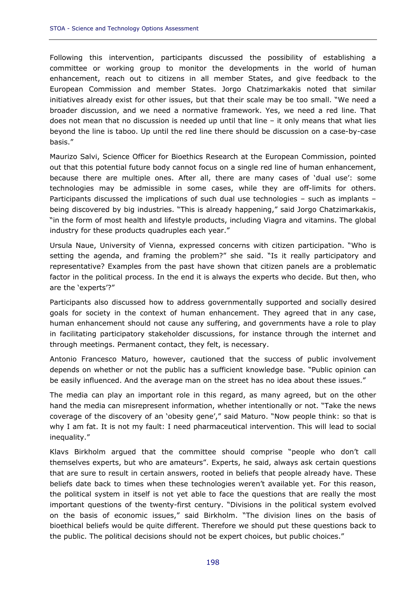Following this intervention, participants discussed the possibility of establishing a committee or working group to monitor the developments in the world of human enhancement, reach out to citizens in all member States, and give feedback to the European Commission and member States. Jorgo Chatzimarkakis noted that similar initiatives already exist for other issues, but that their scale may be too small. "We need a broader discussion, and we need a normative framework. Yes, we need a red line. That does not mean that no discussion is needed up until that line – it only means that what lies beyond the line is taboo. Up until the red line there should be discussion on a case-by-case basis."

Maurizo Salvi, Science Officer for Bioethics Research at the European Commission, pointed out that this potential future body cannot focus on a single red line of human enhancement, because there are multiple ones. After all, there are many cases of 'dual use': some technologies may be admissible in some cases, while they are off-limits for others. Participants discussed the implications of such dual use technologies – such as implants – being discovered by big industries. "This is already happening," said Jorgo Chatzimarkakis, "in the form of most health and lifestyle products, including Viagra and vitamins. The global industry for these products quadruples each year."

Ursula Naue, University of Vienna, expressed concerns with citizen participation. "Who is setting the agenda, and framing the problem?" she said. "Is it really participatory and representative? Examples from the past have shown that citizen panels are a problematic factor in the political process. In the end it is always the experts who decide. But then, who are the 'experts'?"

Participants also discussed how to address governmentally supported and socially desired goals for society in the context of human enhancement. They agreed that in any case, human enhancement should not cause any suffering, and governments have a role to play in facilitating participatory stakeholder discussions, for instance through the internet and through meetings. Permanent contact, they felt, is necessary.

Antonio Francesco Maturo, however, cautioned that the success of public involvement depends on whether or not the public has a sufficient knowledge base. "Public opinion can be easily influenced. And the average man on the street has no idea about these issues."

The media can play an important role in this regard, as many agreed, but on the other hand the media can misrepresent information, whether intentionally or not. "Take the news coverage of the discovery of an 'obesity gene'," said Maturo. "Now people think: so that is why I am fat. It is not my fault: I need pharmaceutical intervention. This will lead to social inequality."

Klavs Birkholm argued that the committee should comprise "people who don't call themselves experts, but who are amateurs". Experts, he said, always ask certain questions that are sure to result in certain answers, rooted in beliefs that people already have. These beliefs date back to times when these technologies weren't available yet. For this reason, the political system in itself is not yet able to face the questions that are really the most important questions of the twenty-first century. "Divisions in the political system evolved on the basis of economic issues," said Birkholm. "The division lines on the basis of bioethical beliefs would be quite different. Therefore we should put these questions back to the public. The political decisions should not be expert choices, but public choices."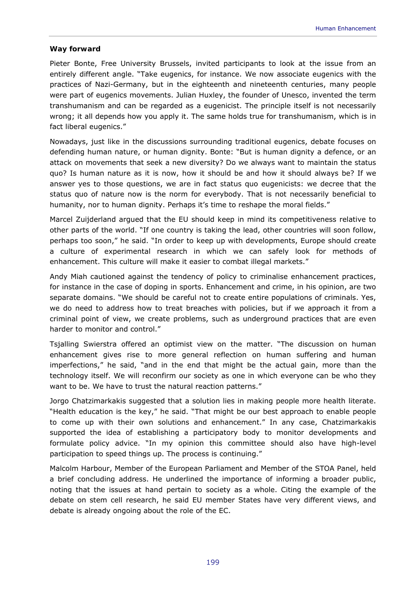# *Way forward*

Pieter Bonte, Free University Brussels, invited participants to look at the issue from an entirely different angle. "Take eugenics, for instance. We now associate eugenics with the practices of Nazi-Germany, but in the eighteenth and nineteenth centuries, many people were part of eugenics movements. Julian Huxley, the founder of Unesco, invented the term transhumanism and can be regarded as a eugenicist. The principle itself is not necessarily wrong; it all depends how you apply it. The same holds true for transhumanism, which is in fact liberal eugenics."

Nowadays, just like in the discussions surrounding traditional eugenics, debate focuses on defending human nature, or human dignity. Bonte: "But is human dignity a defence, or an attack on movements that seek a new diversity? Do we always want to maintain the *status quo*? Is human nature as it is now, how it should be and how it should always be? If we answer yes to those questions, we are in fact *status quo* eugenicists: we decree that the *status quo* of nature now is the norm for everybody. That is not necessarily beneficial to humanity, nor to human dignity. Perhaps it's time to reshape the moral fields."

Marcel Zuijderland argued that the EU should keep in mind its competitiveness relative to other parts of the world. "If one country is taking the lead, other countries will soon follow, perhaps too soon," he said. "In order to keep up with developments, Europe should create a culture of experimental research in which we can safely look for methods of enhancement. This culture will make it easier to combat illegal markets."

Andy Miah cautioned against the tendency of policy to criminalise enhancement practices, for instance in the case of doping in sports. Enhancement and crime, in his opinion, are two separate domains. "We should be careful not to create entire populations of criminals. Yes, we do need to address how to treat breaches with policies, but if we approach it from a criminal point of view, we create problems, such as underground practices that are even harder to monitor and control."

Tsjalling Swierstra offered an optimist view on the matter. "The discussion on human enhancement gives rise to more general reflection on human suffering and human imperfections," he said, "and in the end that might be the actual gain, more than the technology itself. We will reconfirm our society as one in which everyone can be who they want to be. We have to trust the natural reaction patterns."

Jorgo Chatzimarkakis suggested that a solution lies in making people more health literate. "Health education is the key," he said. "That might be our best approach to enable people to come up with their own solutions and enhancement." In any case, Chatzimarkakis supported the idea of establishing a participatory body to monitor developments and formulate policy advice. "In my opinion this committee should also have high-level participation to speed things up. The process is continuing."

Malcolm Harbour, Member of the European Parliament and Member of the STOA Panel, held a brief concluding address. He underlined the importance of informing a broader public, noting that the issues at hand pertain to society as a whole. Citing the example of the debate on stem cell research, he said EU member States have very different views, and debate is already ongoing about the role of the EC.